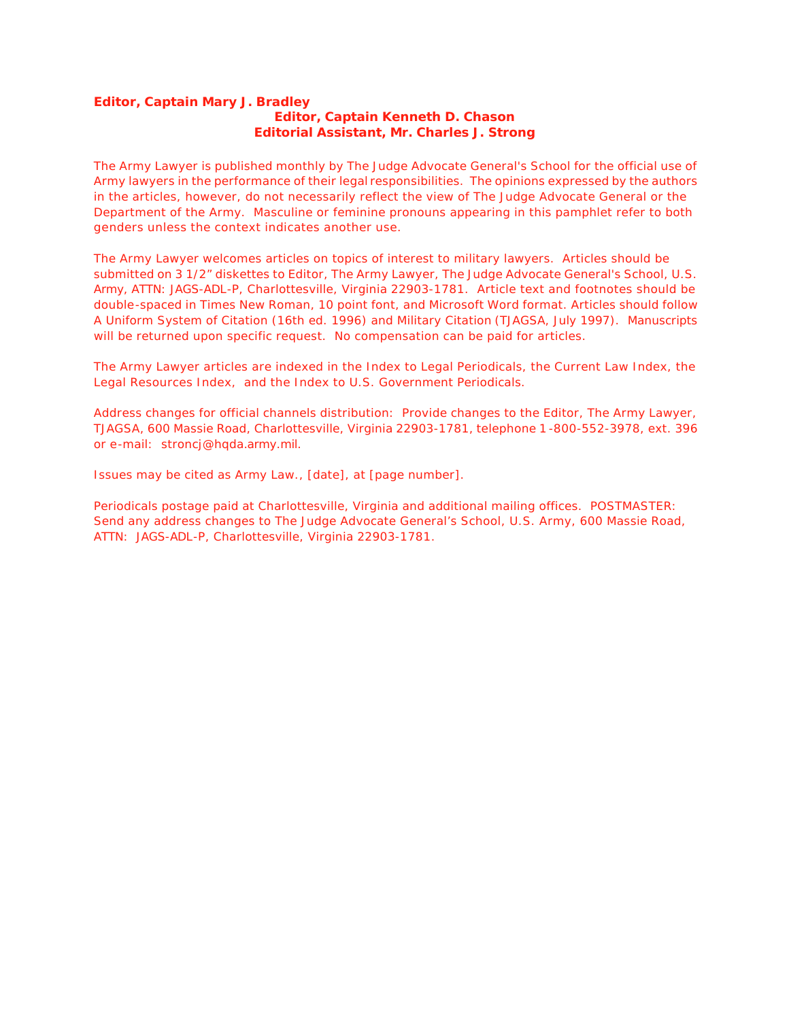# **Editor, Captain Mary J. Bradley Editor, Captain Kenneth D. Chason Editorial Assistant, Mr. Charles J. Strong**

The Army Lawyer is published monthly by The Judge Advocate General's School for the official use of Army lawyers in the performance of their legal responsibilities. The opinions expressed by the authors in the articles, however, do not necessarily reflect the view of The Judge Advocate General or the Department of the Army. Masculine or feminine pronouns appearing in this pamphlet refer to both genders unless the context indicates another use.

The Army Lawyer welcomes articles on topics of interest to military lawyers. Articles should be submitted on 3 1/2" diskettes to Editor, The Army Lawyer, The Judge Advocate General's School, U.S. Army, ATTN: JAGS-ADL-P, Charlottesville, Virginia 22903-1781. Article text and footnotes should be double-spaced in Times New Roman, 10 point font, and Microsoft Word format. Articles should follow A Uniform System of Citation (16th ed. 1996) and Military Citation (TJAGSA, July 1997). Manuscripts will be returned upon specific request. No compensation can be paid for articles.

The Army Lawyer articles are indexed in the Index to Legal Periodicals, the Current Law Index, the Legal Resources Index, and the Index to U.S. Government Periodicals.

Address changes for official channels distribution: Provide changes to the Editor, The Army Lawyer, TJAGSA, 600 Massie Road, Charlottesville, Virginia 22903-1781, telephone 1 -800-552-3978, ext. 396 or e-mail: stroncj@hqda.army.mil.

Issues may be cited as Army Law., [date], at [page number].

Periodicals postage paid at Charlottesville, Virginia and additional mailing offices. POSTMASTER: Send any address changes to The Judge Advocate General's School, U.S. Army, 600 Massie Road, ATTN: JAGS-ADL-P, Charlottesville, Virginia 22903-1781.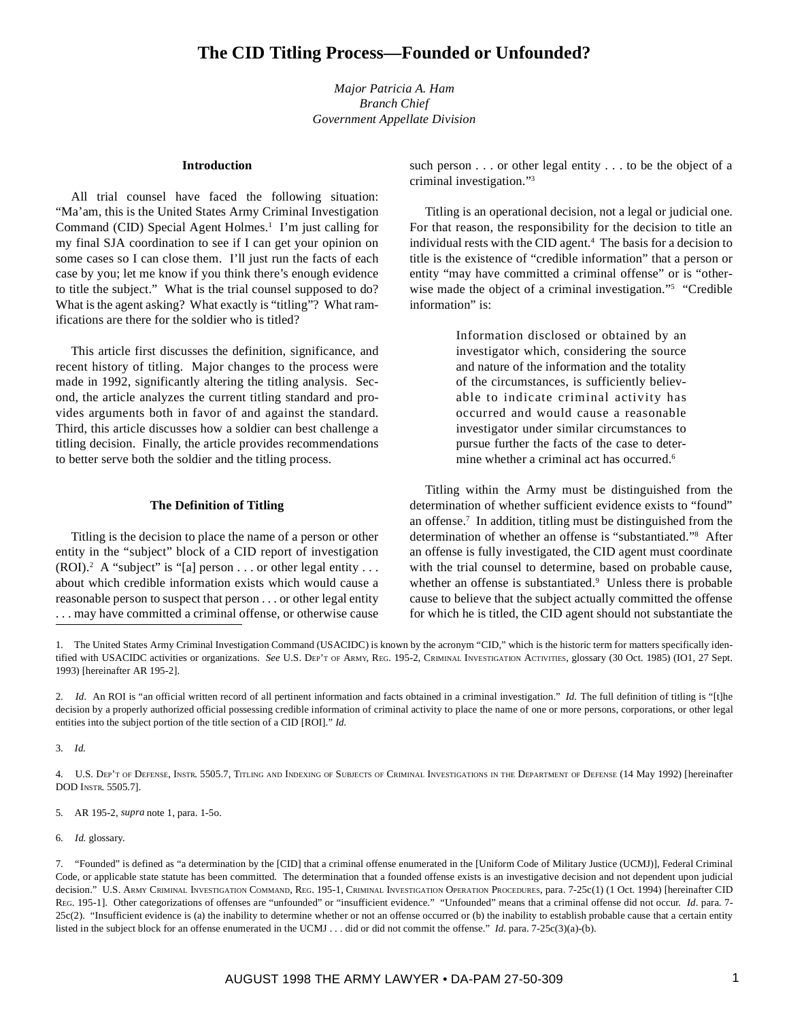*Major Patricia A. Ham Branch Chief Government Appellate Division*

#### **Introduction**

All trial counsel have faced the following situation: "Ma'am, this is the United States Army Criminal Investigation Command (CID) Special Agent Holmes.<sup>1</sup> I'm just calling for my final SJA coordination to see if I can get your opinion on some cases so I can close them. I'll just run the facts of each case by you; let me know if you think there's enough evidence to title the subject." What is the trial counsel supposed to do? What is the agent asking? What exactly is "titling"? What ramifications are there for the soldier who is titled?

This article first discusses the definition, significance, and recent history of titling. Major changes to the process were made in 1992, significantly altering the titling analysis. Second, the article analyzes the current titling standard and provides arguments both in favor of and against the standard. Third, this article discusses how a soldier can best challenge a titling decision. Finally, the article provides recommendations to better serve both the soldier and the titling process.

### **The Definition of Titling**

Titling is the decision to place the name of a person or other entity in the "subject" block of a CID report of investigation  $(ROI).<sup>2</sup> A "subject" is "[a] person . . . or other legal entity . . .$ about which credible information exists which would cause a reasonable person to suspect that person . . . or other legal entity . . . may have committed a criminal offense, or otherwise cause

such person . . . or other legal entity . . . to be the object of a criminal investigation."3

Titling is an operational decision, not a legal or judicial one. For that reason, the responsibility for the decision to title an individual rests with the CID agent.4 The basis for a decision to title is the existence of "credible information" that a person or entity "may have committed a criminal offense" or is "otherwise made the object of a criminal investigation."<sup>5</sup> "Credible information" is:

> Information disclosed or obtained by an investigator which, considering the source and nature of the information and the totality of the circumstances, is sufficiently believable to indicate criminal activity has occurred and would cause a reasonable investigator under similar circumstances to pursue further the facts of the case to determine whether a criminal act has occurred.<sup>6</sup>

Titling within the Army must be distinguished from the determination of whether sufficient evidence exists to "found" an offense.7 In addition, titling must be distinguished from the determination of whether an offense is "substantiated."8 After an offense is fully investigated, the CID agent must coordinate with the trial counsel to determine, based on probable cause, whether an offense is substantiated.<sup>9</sup> Unless there is probable cause to believe that the subject actually committed the offense for which he is titled, the CID agent should not substantiate the

3. *Id.*

4. U.S. DEP'T OF DEFENSE, INSTR. 5505.7, TITLING AND INDEXING OF SUBJECTS OF CRIMINAL INVESTIGATIONS IN THE DEPARTMENT OF DEFENSE (14 May 1992) [hereinafter DOD INSTR. 5505.7].

5. AR 195-2, *supra* note 1, para. 1-5o.

6. *Id.* glossary.

<sup>1.</sup> The United States Army Criminal Investigation Command (USACIDC) is known by the acronym "CID," which is the historic term for matters specifically identified with USACIDC activities or organizations. *See* U.S. DEP'T OF ARMY, REG. 195-2, CRIMINAL INVESTIGATION ACTIVITIES, glossary (30 Oct. 1985) (IO1, 27 Sept. 1993) [hereinafter AR 195-2].

<sup>2.</sup> *Id*. An ROI is "an official written record of all pertinent information and facts obtained in a criminal investigation." *Id.* The full definition of titling is "[t]he decision by a properly authorized official possessing credible information of criminal activity to place the name of one or more persons, corporations, or other legal entities into the subject portion of the title section of a CID [ROI]." *Id.*

<sup>7. &</sup>quot;Founded" is defined as "a determination by the [CID] that a criminal offense enumerated in the [Uniform Code of Military Justice (UCMJ)], Federal Criminal Code, or applicable state statute has been committed. The determination that a founded offense exists is an investigative decision and not dependent upon judicial decision." U.S. ARMY CRIMINAL INVESTIGATION COMMAND, REG. 195-1, CRIMINAL INVESTIGATION OPERATION PROCEDURES, para. 7-25c(1) (1 Oct. 1994) [hereinafter CID REG. 195-1]. Other categorizations of offenses are "unfounded" or "insufficient evidence." "Unfounded" means that a criminal offense did not occur. *Id.* para. 7- $25c(2)$ . "Insufficient evidence is (a) the inability to determine whether or not an offense occurred or (b) the inability to establish probable cause that a certain entity listed in the subject block for an offense enumerated in the UCMJ . . . did or did not commit the offense." *Id.* para. 7-25c(3)(a)-(b).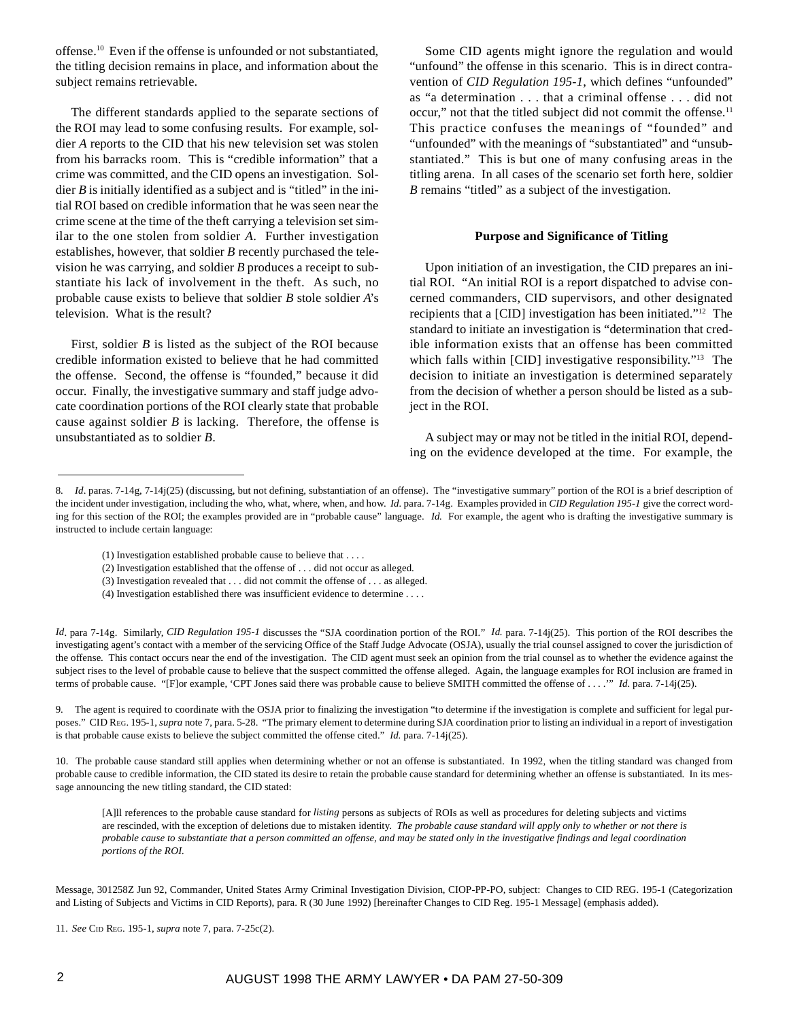offense.10 Even if the offense is unfounded or not substantiated, the titling decision remains in place, and information about the subject remains retrievable.

The different standards applied to the separate sections of the ROI may lead to some confusing results. For example, soldier *A* reports to the CID that his new television set was stolen from his barracks room. This is "credible information" that a crime was committed, and the CID opens an investigation. Soldier *B* is initially identified as a subject and is "titled" in the initial ROI based on credible information that he was seen near the crime scene at the time of the theft carrying a television set similar to the one stolen from soldier *A*. Further investigation establishes, however, that soldier *B* recently purchased the television he was carrying, and soldier *B* produces a receipt to substantiate his lack of involvement in the theft. As such, no probable cause exists to believe that soldier *B* stole soldier *A*'s television. What is the result?

First, soldier *B* is listed as the subject of the ROI because credible information existed to believe that he had committed the offense. Second, the offense is "founded," because it did occur. Finally, the investigative summary and staff judge advocate coordination portions of the ROI clearly state that probable cause against soldier *B* is lacking. Therefore, the offense is unsubstantiated as to soldier *B*.

Some CID agents might ignore the regulation and would "unfound" the offense in this scenario. This is in direct contravention of *CID Regulation 195-1*, which defines "unfounded" as "a determination . . . that a criminal offense . . . did not occur," not that the titled subject did not commit the offense.<sup>11</sup> This practice confuses the meanings of "founded" and "unfounded" with the meanings of "substantiated" and "unsubstantiated." This is but one of many confusing areas in the titling arena. In all cases of the scenario set forth here, soldier *B* remains "titled" as a subject of the investigation.

#### **Purpose and Significance of Titling**

Upon initiation of an investigation, the CID prepares an initial ROI. "An initial ROI is a report dispatched to advise concerned commanders, CID supervisors, and other designated recipients that a [CID] investigation has been initiated."12 The standard to initiate an investigation is "determination that credible information exists that an offense has been committed which falls within [CID] investigative responsibility."<sup>13</sup> The decision to initiate an investigation is determined separately from the decision of whether a person should be listed as a subject in the ROI.

A subject may or may not be titled in the initial ROI, depending on the evidence developed at the time. For example, the

*Id*. para 7-14g. Similarly, *CID Regulation 195-1* discusses the "SJA coordination portion of the ROI." *Id.* para. 7-14j(25). This portion of the ROI describes the investigating agent's contact with a member of the servicing Office of the Staff Judge Advocate (OSJA), usually the trial counsel assigned to cover the jurisdiction of the offense. This contact occurs near the end of the investigation. The CID agent must seek an opinion from the trial counsel as to whether the evidence against the subject rises to the level of probable cause to believe that the suspect committed the offense alleged. Again, the language examples for ROI inclusion are framed in terms of probable cause. "[F]or example, 'CPT Jones said there was probable cause to believe SMITH committed the offense of . . . .'" *Id.* para. 7-14j(25).

9. The agent is required to coordinate with the OSJA prior to finalizing the investigation "to determine if the investigation is complete and sufficient for legal purposes." CID REG. 195-1, *supra* note 7, para. 5-28. "The primary element to determine during SJA coordination prior to listing an individual in a report of investigation is that probable cause exists to believe the subject committed the offense cited." *Id.* para. 7-14j(25).

10. The probable cause standard still applies when determining whether or not an offense is substantiated. In 1992, when the titling standard was changed from probable cause to credible information, the CID stated its desire to retain the probable cause standard for determining whether an offense is substantiated. In its message announcing the new titling standard, the CID stated:

[A]ll references to the probable cause standard for *listing* persons as subjects of ROIs as well as procedures for deleting subjects and victims are rescinded, with the exception of deletions due to mistaken identity. *The probable cause standard will apply only to whether or not there is probable cause to substantiate that a person committed an offense, and may be stated only in the investigative findings and legal coordination portions of the ROI.*

<sup>8.</sup> *Id.* paras. 7-14g, 7-14j(25) (discussing, but not defining, substantiation of an offense). The "investigative summary" portion of the ROI is a brief description of the incident under investigation, including the who, what, where, when, and how. *Id.* para. 7-14g. Examples provided in *CID Regulation 195-1* give the correct wording for this section of the ROI; the examples provided are in "probable cause" language. *Id.* For example, the agent who is drafting the investigative summary is instructed to include certain language:

<sup>(1)</sup> Investigation established probable cause to believe that . . . .

<sup>(2)</sup> Investigation established that the offense of . . . did not occur as alleged.

<sup>(3)</sup> Investigation revealed that . . . did not commit the offense of . . . as alleged.

<sup>(4)</sup> Investigation established there was insufficient evidence to determine . . . .

Message, 301258Z Jun 92, Commander, United States Army Criminal Investigation Division, CIOP-PP-PO, subject: Changes to CID REG. 195-1 (Categorization and Listing of Subjects and Victims in CID Reports), para. R (30 June 1992) [hereinafter Changes to CID Reg. 195-1 Message] (emphasis added).

<sup>11.</sup> *See* CID REG. 195-1, *supra* note 7, para. 7-25c(2).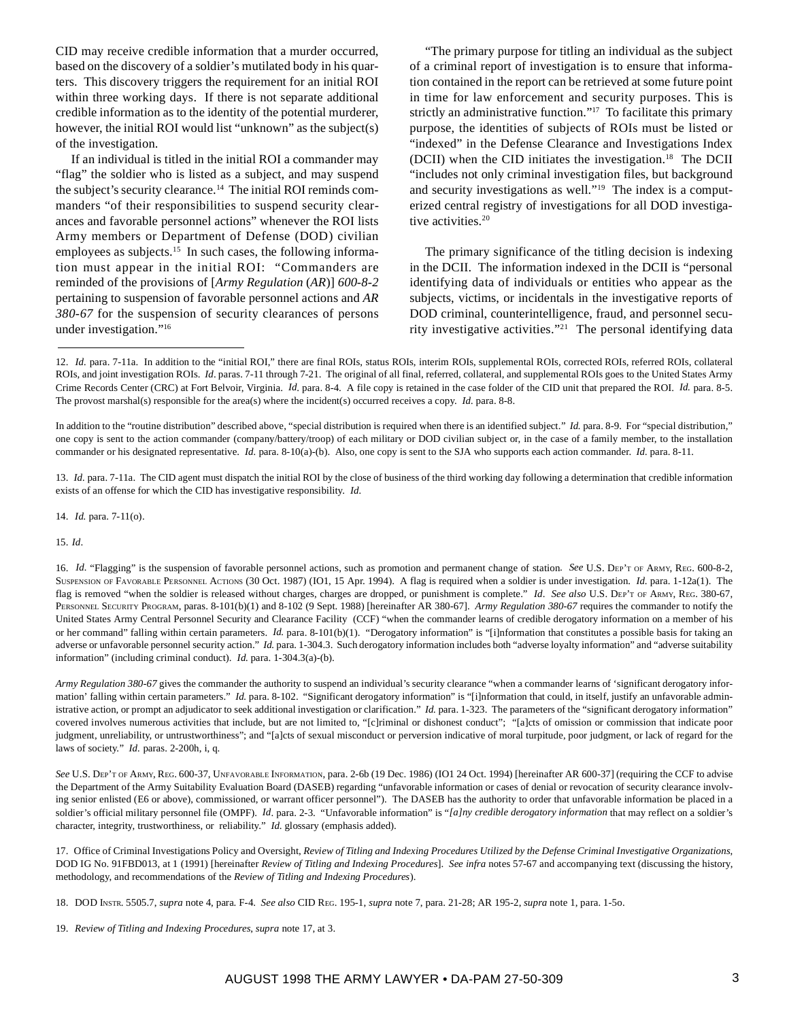CID may receive credible information that a murder occurred, based on the discovery of a soldier's mutilated body in his quarters. This discovery triggers the requirement for an initial ROI within three working days. If there is not separate additional credible information as to the identity of the potential murderer, however, the initial ROI would list "unknown" as the subject(s) of the investigation.

If an individual is titled in the initial ROI a commander may "flag" the soldier who is listed as a subject, and may suspend the subject's security clearance.14 The initial ROI reminds commanders "of their responsibilities to suspend security clearances and favorable personnel actions" whenever the ROI lists Army members or Department of Defense (DOD) civilian employees as subjects.<sup>15</sup> In such cases, the following information must appear in the initial ROI: "Commanders are reminded of the provisions of [*Army Regulation* (*AR*)] *600-8-2* pertaining to suspension of favorable personnel actions and *AR 380-67* for the suspension of security clearances of persons under investigation."16

"The primary purpose for titling an individual as the subject of a criminal report of investigation is to ensure that information contained in the report can be retrieved at some future point in time for law enforcement and security purposes. This is strictly an administrative function."<sup>17</sup> To facilitate this primary purpose, the identities of subjects of ROIs must be listed or "indexed" in the Defense Clearance and Investigations Index (DCII) when the CID initiates the investigation.<sup>18</sup> The DCII "includes not only criminal investigation files, but background and security investigations as well."<sup>19</sup> The index is a computerized central registry of investigations for all DOD investigative activities.<sup>20</sup>

The primary significance of the titling decision is indexing in the DCII. The information indexed in the DCII is "personal identifying data of individuals or entities who appear as the subjects, victims, or incidentals in the investigative reports of DOD criminal, counterintelligence, fraud, and personnel security investigative activities."21 The personal identifying data

14. *Id.* para. 7-11(o).

15. *Id*.

<sup>12.</sup> *Id.* para. 7-11a. In addition to the "initial ROI," there are final ROIs, status ROIs, interim ROIs, supplemental ROIs, corrected ROIs, referred ROIs, collateral ROIs, and joint investigation ROIs. *Id.* paras. 7-11 through 7-21. The original of all final, referred, collateral, and supplemental ROIs goes to the United States Army Crime Records Center (CRC) at Fort Belvoir, Virginia. *Id*. para. 8-4. A file copy is retained in the case folder of the CID unit that prepared the ROI. *Id.* para. 8-5. The provost marshal(s) responsible for the area(s) where the incident(s) occurred receives a copy. *Id.* para. 8-8.

In addition to the "routine distribution" described above, "special distribution is required when there is an identified subject." *Id.* para. 8-9. For "special distribution," one copy is sent to the action commander (company/battery/troop) of each military or DOD civilian subject or, in the case of a family member, to the installation commander or his designated representative. *Id.* para. 8-10(a)-(b). Also, one copy is sent to the SJA who supports each action commander. *Id.* para. 8-11.

<sup>13.</sup> *Id.* para. 7-11a. The CID agent must dispatch the initial ROI by the close of business of the third working day following a determination that credible information exists of an offense for which the CID has investigative responsibility. *Id.*

<sup>16.</sup> *Id.* "Flagging" is the suspension of favorable personnel actions, such as promotion and permanent change of station. See U.S. DEP'T OF ARMY, REG. 600-8-2, SUSPENSION OF FAVORABLE PERSONNEL ACTIONS (30 Oct. 1987) (IO1, 15 Apr. 1994). A flag is required when a soldier is under investigation. *Id*. para. 1-12a(1). The flag is removed "when the soldier is released without charges, charges are dropped, or punishment is complete." *Id*. *See also* U.S. DEP'T OF ARMY, REG. 380-67, PERSONNEL SECURITY PROGRAM, paras. 8-101(b)(1) and 8-102 (9 Sept. 1988) [hereinafter AR 380-67]. *Army Regulation 380-67* requires the commander to notify the United States Army Central Personnel Security and Clearance Facility (CCF) "when the commander learns of credible derogatory information on a member of his or her command" falling within certain parameters. *Id.* para. 8-101(b)(1). "Derogatory information" is "[i]nformation that constitutes a possible basis for taking an adverse or unfavorable personnel security action." *Id.* para. 1-304.3. Such derogatory information includes both "adverse loyalty information" and "adverse suitability information" (including criminal conduct). *Id.* para. 1-304.3(a)-(b).

*Army Regulation 380-67* gives the commander the authority to suspend an individual's security clearance "when a commander learns of 'significant derogatory information' falling within certain parameters." *Id.* para. 8-102. "Significant derogatory information" is "[i]nformation that could, in itself, justify an unfavorable administrative action, or prompt an adjudicator to seek additional investigation or clarification." *Id.* para. 1-323. The parameters of the "significant derogatory information" covered involves numerous activities that include, but are not limited to, "[c]riminal or dishonest conduct"; "[a]cts of omission or commission that indicate poor judgment, unreliability, or untrustworthiness"; and "[a]cts of sexual misconduct or perversion indicative of moral turpitude, poor judgment, or lack of regard for the laws of society." *Id.* paras. 2-200h, i, q.

*See* U.S. DEP'T OF ARMY, REG. 600-37, UNFAVORABLE INFORMATION, para. 2-6b (19 Dec. 1986) (IO1 24 Oct. 1994) [hereinafter AR 600-37] (requiring the CCF to advise the Department of the Army Suitability Evaluation Board (DASEB) regarding "unfavorable information or cases of denial or revocation of security clearance involving senior enlisted (E6 or above), commissioned, or warrant officer personnel"). The DASEB has the authority to order that unfavorable information be placed in a soldier's official military personnel file (OMPF). *Id*. para. 2-3. "Unfavorable information" is "*[a]ny credible derogatory information* that may reflect on a soldier's character, integrity, trustworthiness, or reliability." *Id*. glossary (emphasis added).

<sup>17.</sup> Office of Criminal Investigations Policy and Oversight, *Review of Titling and Indexing Procedures Utilized by the Defense Criminal Investigative Organizations*, DOD IG No. 91FBD013, at 1 (1991) [hereinafter *Review of Titling and Indexing Procedures*]. *See infra* notes 57-67 and accompanying text (discussing the history, methodology, and recommendations of the *Review of Titling and Indexing Procedures*).

<sup>18.</sup> DOD INSTR. 5505.7, *supra* note 4, para. F-4. *See also* CID REG. 195-1, *supra* note 7, para. 21-28; AR 195-2, *supra* note 1, para. 1-5o.

<sup>19.</sup> *Review of Titling and Indexing Procedures*, *supra* note 17, at 3.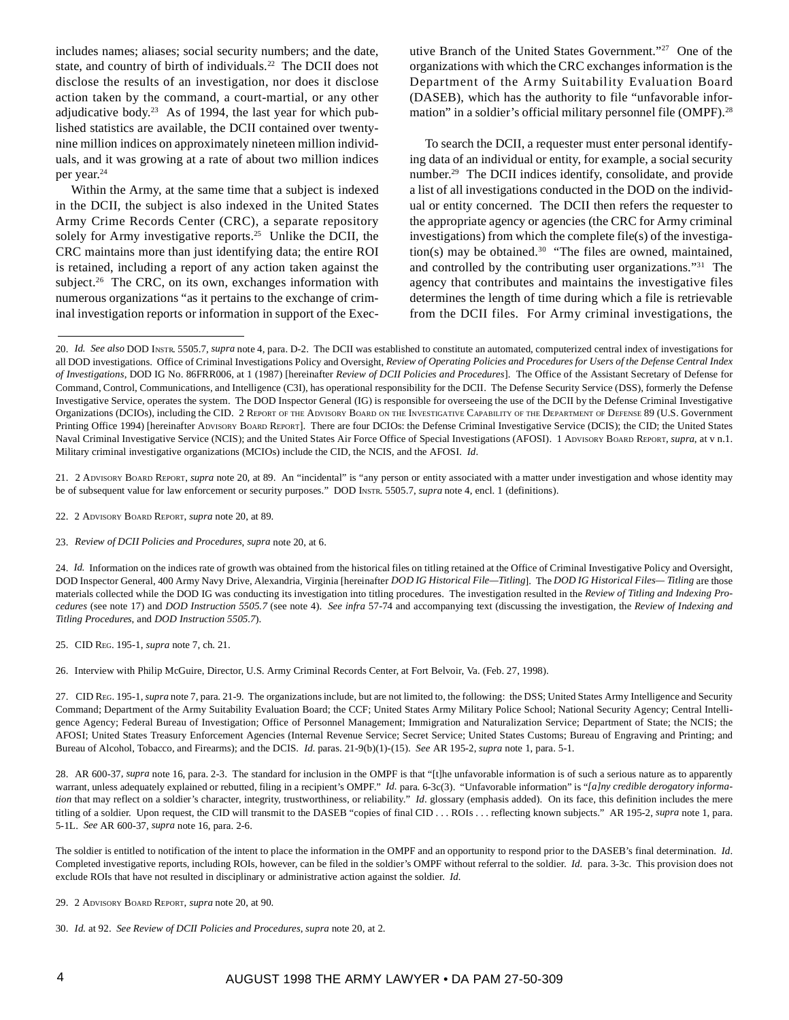includes names; aliases; social security numbers; and the date, state, and country of birth of individuals.<sup>22</sup> The DCII does not disclose the results of an investigation, nor does it disclose action taken by the command, a court-martial, or any other adjudicative body.<sup>23</sup> As of 1994, the last year for which published statistics are available, the DCII contained over twentynine million indices on approximately nineteen million individuals, and it was growing at a rate of about two million indices per year.24

Within the Army, at the same time that a subject is indexed in the DCII, the subject is also indexed in the United States Army Crime Records Center (CRC), a separate repository solely for Army investigative reports.<sup>25</sup> Unlike the DCII, the CRC maintains more than just identifying data; the entire ROI is retained, including a report of any action taken against the subject.<sup>26</sup> The CRC, on its own, exchanges information with numerous organizations "as it pertains to the exchange of criminal investigation reports or information in support of the Executive Branch of the United States Government."27 One of the organizations with which the CRC exchanges information is the Department of the Army Suitability Evaluation Board (DASEB), which has the authority to file "unfavorable information" in a soldier's official military personnel file (OMPF).<sup>28</sup>

To search the DCII, a requester must enter personal identifying data of an individual or entity, for example, a social security number.<sup>29</sup> The DCII indices identify, consolidate, and provide a list of all investigations conducted in the DOD on the individual or entity concerned. The DCII then refers the requester to the appropriate agency or agencies (the CRC for Army criminal investigations) from which the complete file(s) of the investigation(s) may be obtained.<sup>30</sup> "The files are owned, maintained, and controlled by the contributing user organizations."31 The agency that contributes and maintains the investigative files determines the length of time during which a file is retrievable from the DCII files. For Army criminal investigations, the

21.2 ADVISORY BOARD REPORT, *supra* note 20, at 89. An "incidental" is "any person or entity associated with a matter under investigation and whose identity may be of subsequent value for law enforcement or security purposes." DOD INSTR. 5505.7, *supra* note 4, encl. 1 (definitions).

22. 2 ADVISORY BOARD REPORT, *supra* note 20, at 89.

23. *Review of DCII Policies and Procedures*, *supra* note 20, at 6.

24. *Id.* Information on the indices rate of growth was obtained from the historical files on titling retained at the Office of Criminal Investigative Policy and Oversight, DOD Inspector General, 400 Army Navy Drive, Alexandria, Virginia [hereinafter *DOD IG Historical File—Titling*]. The *DOD IG Historical Files— Titling* are those materials collected while the DOD IG was conducting its investigation into titling procedures. The investigation resulted in the *Review of Titling and Indexing Procedures* (see note 17) and *DOD Instruction 5505.7* (see note 4). *See infra* 57-74 and accompanying text (discussing the investigation, the *Review of Indexing and Titling Procedures*, and *DOD Instruction 5505.7*).

25. CID REG. 195-1, *supra* note 7, ch. 21.

26. Interview with Philip McGuire, Director, U.S. Army Criminal Records Center, at Fort Belvoir, Va. (Feb. 27, 1998).

27. CID REG. 195-1, *supra* note 7, para. 21-9. The organizations include, but are not limited to, the following: the DSS; United States Army Intelligence and Security Command; Department of the Army Suitability Evaluation Board; the CCF; United States Army Military Police School; National Security Agency; Central Intelligence Agency; Federal Bureau of Investigation; Office of Personnel Management; Immigration and Naturalization Service; Department of State; the NCIS; the AFOSI; United States Treasury Enforcement Agencies (Internal Revenue Service; Secret Service; United States Customs; Bureau of Engraving and Printing; and Bureau of Alcohol, Tobacco, and Firearms); and the DCIS. *Id*. paras. 21-9(b)(1)-(15). *See* AR 195-2, *supra* note 1, para. 5-1.

28. AR 600-37*, supra* note 16, para. 2-3. The standard for inclusion in the OMPF is that "[t]he unfavorable information is of such a serious nature as to apparently warrant, unless adequately explained or rebutted, filing in a recipient's OMPF." *Id.* para. 6-3c(3). "Unfavorable information" is "*[a]ny credible derogatory information* that may reflect on a soldier's character, integrity, trustworthiness, or reliability." *Id.* glossary (emphasis added). On its face, this definition includes the mere titling of a soldier. Upon request, the CID will transmit to the DASEB "copies of final CID . . . ROIs . . . reflecting known subjects." AR 195-2, *supra* note 1, para. 5-1L. *See* AR 600-37, *supra* note 16, para. 2-6.

The soldier is entitled to notification of the intent to place the information in the OMPF and an opportunity to respond prior to the DASEB's final determination. *Id*. Completed investigative reports, including ROIs, however, can be filed in the soldier's OMPF without referral to the soldier. *Id.* para. 3-3c. This provision does not exclude ROIs that have not resulted in disciplinary or administrative action against the soldier. *Id.*

<sup>20.</sup> *Id. See also* DOD INSTR. 5505.7, *supra* note 4, para. D-2. The DCII was established to constitute an automated, computerized central index of investigations for all DOD investigations. Office of Criminal Investigations Policy and Oversight, *Review of Operating Policies and Procedures for Users of the Defense Central Index of Investigations*, DOD IG No. 86FRR006, at 1 (1987) [hereinafter *Review of DCII Policies and Procedures*]. The Office of the Assistant Secretary of Defense for Command, Control, Communications, and Intelligence (C3I), has operational responsibility for the DCII. The Defense Security Service (DSS), formerly the Defense Investigative Service, operates the system. The DOD Inspector General (IG) is responsible for overseeing the use of the DCII by the Defense Criminal Investigative Organizations (DCIOs), including the CID. 2 REPORT OF THE ADVISORY BOARD ON THE INVESTIGATIVE CAPABILITY OF THE DEPARTMENT OF DEFENSE 89 (U.S. Government Printing Office 1994) [hereinafter ADVISORY BOARD REPORT]. There are four DCIOs: the Defense Criminal Investigative Service (DCIS); the CID; the United States Naval Criminal Investigative Service (NCIS); and the United States Air Force Office of Special Investigations (AFOSI). 1 ADVISORY BOARD REPORT, *supra*, at v n.1. Military criminal investigative organizations (MCIOs) include the CID, the NCIS, and the AFOSI. *Id*.

<sup>29. 2</sup> ADVISORY BOARD REPORT, *supra* note 20, at 90.

<sup>30.</sup> *Id.* at 92. *See Review of DCII Policies and Procedures*, *supra* note 20, at 2.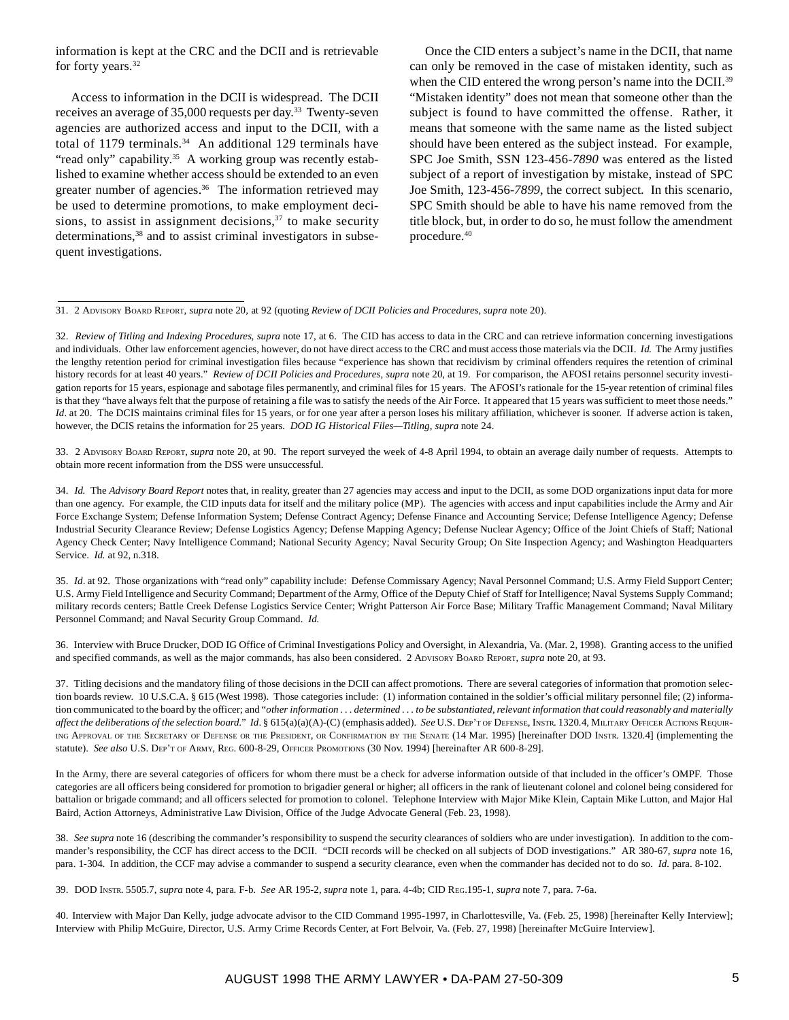information is kept at the CRC and the DCII and is retrievable for forty years.<sup>32</sup>

Access to information in the DCII is widespread. The DCII receives an average of 35,000 requests per day.<sup>33</sup> Twenty-seven agencies are authorized access and input to the DCII, with a total of 1179 terminals.<sup>34</sup> An additional 129 terminals have "read only" capability.<sup>35</sup> A working group was recently established to examine whether access should be extended to an even greater number of agencies.<sup>36</sup> The information retrieved may be used to determine promotions, to make employment decisions, to assist in assignment decisions,  $37$  to make security determinations,<sup>38</sup> and to assist criminal investigators in subsequent investigations.

Once the CID enters a subject's name in the DCII, that name can only be removed in the case of mistaken identity, such as when the CID entered the wrong person's name into the DCII.<sup>39</sup> "Mistaken identity" does not mean that someone other than the subject is found to have committed the offense. Rather, it means that someone with the same name as the listed subject should have been entered as the subject instead. For example, SPC Joe Smith, SSN 123-456-*7890* was entered as the listed subject of a report of investigation by mistake, instead of SPC Joe Smith, 123-456-*7899*, the correct subject. In this scenario, SPC Smith should be able to have his name removed from the title block, but, in order to do so, he must follow the amendment procedure.40

33. 2 ADVISORY BOARD REPORT, *supra* note 20, at 90. The report surveyed the week of 4-8 April 1994, to obtain an average daily number of requests. Attempts to obtain more recent information from the DSS were unsuccessful.

34. *Id.* The *Advisory Board Report* notes that, in reality, greater than 27 agencies may access and input to the DCII, as some DOD organizations input data for more than one agency. For example, the CID inputs data for itself and the military police (MP). The agencies with access and input capabilities include the Army and Air Force Exchange System; Defense Information System; Defense Contract Agency; Defense Finance and Accounting Service; Defense Intelligence Agency; Defense Industrial Security Clearance Review; Defense Logistics Agency; Defense Mapping Agency; Defense Nuclear Agency; Office of the Joint Chiefs of Staff; National Agency Check Center; Navy Intelligence Command; National Security Agency; Naval Security Group; On Site Inspection Agency; and Washington Headquarters Service. *Id.* at 92, n.318.

35. *Id*. at 92. Those organizations with "read only" capability include: Defense Commissary Agency; Naval Personnel Command; U.S. Army Field Support Center; U.S. Army Field Intelligence and Security Command; Department of the Army, Office of the Deputy Chief of Staff for Intelligence; Naval Systems Supply Command; military records centers; Battle Creek Defense Logistics Service Center; Wright Patterson Air Force Base; Military Traffic Management Command; Naval Military Personnel Command; and Naval Security Group Command. *Id.*

36. Interview with Bruce Drucker, DOD IG Office of Criminal Investigations Policy and Oversight, in Alexandria, Va. (Mar. 2, 1998). Granting access to the unified and specified commands, as well as the major commands, has also been considered. 2 ADVISORY BOARD REPORT, *supra* note 20, at 93.

37. Titling decisions and the mandatory filing of those decisions in the DCII can affect promotions. There are several categories of information that promotion selection boards review. 10 U.S.C.A. § 615 (West 1998). Those categories include: (1) information contained in the soldier's official military personnel file; (2) information communicated to the board by the officer; and "*other information . . . determined . . . to be substantiated, relevant information that could reasonably and materially affect the deliberations of the selection board*." *Id*. § 615(a)(a)(A)-(C) (emphasis added). *See* U.S. DEP'T OF DEFENSE, INSTR. 1320.4, MILITARY OFFICER ACTIONS REQUIR-ING APPROVAL OF THE SECRETARY OF DEFENSE OR THE PRESIDENT, OR CONFIRMATION BY THE SENATE (14 Mar. 1995) [hereinafter DOD INSTR. 1320.4] (implementing the statute). *See also* U.S. DEP'T OF ARMY, REG. 600-8-29, OFFICER PROMOTIONS (30 Nov. 1994) [hereinafter AR 600-8-29].

In the Army, there are several categories of officers for whom there must be a check for adverse information outside of that included in the officer's OMPF. Those categories are all officers being considered for promotion to brigadier general or higher; all officers in the rank of lieutenant colonel and colonel being considered for battalion or brigade command; and all officers selected for promotion to colonel. Telephone Interview with Major Mike Klein, Captain Mike Lutton, and Major Hal Baird, Action Attorneys, Administrative Law Division, Office of the Judge Advocate General (Feb. 23, 1998).

38. See supra note 16 (describing the commander's responsibility to suspend the security clearances of soldiers who are under investigation). In addition to the commander's responsibility, the CCF has direct access to the DCII. "DCII records will be checked on all subjects of DOD investigations." AR 380-67, *supra* note 16, para. 1-304. In addition, the CCF may advise a commander to suspend a security clearance, even when the commander has decided not to do so. *Id.* para. 8-102.

39. DOD INSTR. 5505.7, *supra* note 4, para. F-b. *See* AR 195-2, *supra* note 1, para. 4-4b; CID REG.195-1, *supra* note 7, para. 7-6a.

40. Interview with Major Dan Kelly, judge advocate advisor to the CID Command 1995-1997, in Charlottesville, Va. (Feb. 25, 1998) [hereinafter Kelly Interview]; Interview with Philip McGuire, Director, U.S. Army Crime Records Center, at Fort Belvoir, Va. (Feb. 27, 1998) [hereinafter McGuire Interview].

<sup>31. 2</sup> ADVISORY BOARD REPORT, *supra* note 20*,* at 92 (quoting *Review of DCII Policies and Procedures*, *supra* note 20).

<sup>32.</sup> *Review of Titling and Indexing Procedures*, *supra* note 17, at 6. The CID has access to data in the CRC and can retrieve information concerning investigations and individuals. Other law enforcement agencies, however, do not have direct access to the CRC and must access those materials via the DCII. *Id*. The Army justifies the lengthy retention period for criminal investigation files because "experience has shown that recidivism by criminal offenders requires the retention of criminal history records for at least 40 years." *Review of DCII Policies and Procedures*, *supra* note 20, at 19. For comparison, the AFOSI retains personnel security investigation reports for 15 years, espionage and sabotage files permanently, and criminal files for 15 years. The AFOSI's rationale for the 15-year retention of criminal files is that they "have always felt that the purpose of retaining a file was to satisfy the needs of the Air Force. It appeared that 15 years was sufficient to meet those needs." *Id.* at 20. The DCIS maintains criminal files for 15 years, or for one year after a person loses his military affiliation, whichever is sooner. If adverse action is taken, however, the DCIS retains the information for 25 years. *DOD IG Historical Files—Titling*, *supra* note 24.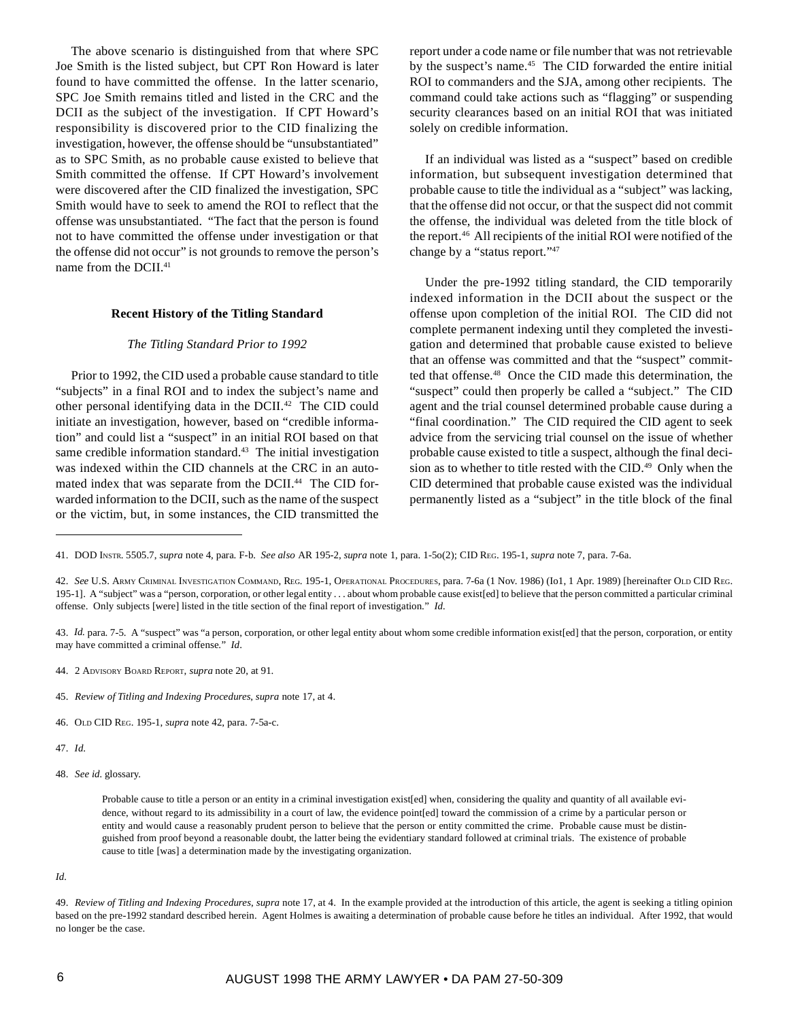The above scenario is distinguished from that where SPC Joe Smith is the listed subject, but CPT Ron Howard is later found to have committed the offense. In the latter scenario, SPC Joe Smith remains titled and listed in the CRC and the DCII as the subject of the investigation. If CPT Howard's responsibility is discovered prior to the CID finalizing the investigation, however, the offense should be "unsubstantiated" as to SPC Smith, as no probable cause existed to believe that Smith committed the offense. If CPT Howard's involvement were discovered after the CID finalized the investigation, SPC Smith would have to seek to amend the ROI to reflect that the offense was unsubstantiated. "The fact that the person is found not to have committed the offense under investigation or that the offense did not occur" is not grounds to remove the person's name from the DCII.<sup>41</sup>

#### **Recent History of the Titling Standard**

#### *The Titling Standard Prior to 1992*

Prior to 1992, the CID used a probable cause standard to title "subjects" in a final ROI and to index the subject's name and other personal identifying data in the DCII.<sup>42</sup> The CID could initiate an investigation, however, based on "credible information" and could list a "suspect" in an initial ROI based on that same credible information standard.<sup>43</sup> The initial investigation was indexed within the CID channels at the CRC in an automated index that was separate from the DCII.<sup>44</sup> The CID forwarded information to the DCII, such as the name of the suspect or the victim, but, in some instances, the CID transmitted the

report under a code name or file number that was not retrievable by the suspect's name.<sup>45</sup> The CID forwarded the entire initial ROI to commanders and the SJA, among other recipients. The command could take actions such as "flagging" or suspending security clearances based on an initial ROI that was initiated solely on credible information.

If an individual was listed as a "suspect" based on credible information, but subsequent investigation determined that probable cause to title the individual as a "subject" was lacking, that the offense did not occur, or that the suspect did not commit the offense, the individual was deleted from the title block of the report.46 All recipients of the initial ROI were notified of the change by a "status report."47

Under the pre-1992 titling standard, the CID temporarily indexed information in the DCII about the suspect or the offense upon completion of the initial ROI. The CID did not complete permanent indexing until they completed the investigation and determined that probable cause existed to believe that an offense was committed and that the "suspect" committed that offense.48 Once the CID made this determination, the "suspect" could then properly be called a "subject." The CID agent and the trial counsel determined probable cause during a "final coordination." The CID required the CID agent to seek advice from the servicing trial counsel on the issue of whether probable cause existed to title a suspect, although the final decision as to whether to title rested with the CID.<sup>49</sup> Only when the CID determined that probable cause existed was the individual permanently listed as a "subject" in the title block of the final

- 44.2 ADVISORY BOARD REPORT, *supra* note 20, at 91.
- 45. *Review of Titling and Indexing Procedures*, *supra* note 17, at 4.
- 46. OLD CID REG. 195-1, *supra* note 42, para. 7-5a-c.
- 47. *Id*.
- 48. *See id.* glossary.

*Id.*

<sup>41.</sup> DOD INSTR. 5505.7, *supra* note 4, para. F-b. *See also* AR 195-2, *supra* note 1, para. 1-5o(2); CID REG. 195-1, *supra* note 7, para. 7-6a.

<sup>42.</sup> *See* U.S. ARMY CRIMINAL INVESTIGATION COMMAND, REG. 195-1, OPERATIONAL PROCEDURES, para. 7-6a (1 Nov. 1986) (Io1, 1 Apr. 1989) [hereinafter OLD CID REG. 195-1]. A "subject" was a "person, corporation, or other legal entity . . . about whom probable cause exist[ed] to believe that the person committed a particular criminal offense. Only subjects [were] listed in the title section of the final report of investigation." *Id.*

<sup>43.</sup> *Id.* para. 7-5. A "suspect" was "a person, corporation, or other legal entity about whom some credible information exist[ed] that the person, corporation, or entity may have committed a criminal offense." *Id*.

Probable cause to title a person or an entity in a criminal investigation exist[ed] when, considering the quality and quantity of all available evidence, without regard to its admissibility in a court of law, the evidence point[ed] toward the commission of a crime by a particular person or entity and would cause a reasonably prudent person to believe that the person or entity committed the crime. Probable cause must be distinguished from proof beyond a reasonable doubt, the latter being the evidentiary standard followed at criminal trials. The existence of probable cause to title [was] a determination made by the investigating organization.

<sup>49.</sup> *Review of Titling and Indexing Procedures*, *supra* note 17, at 4. In the example provided at the introduction of this article, the agent is seeking a titling opinion based on the pre-1992 standard described herein. Agent Holmes is awaiting a determination of probable cause before he titles an individual. After 1992, that would no longer be the case.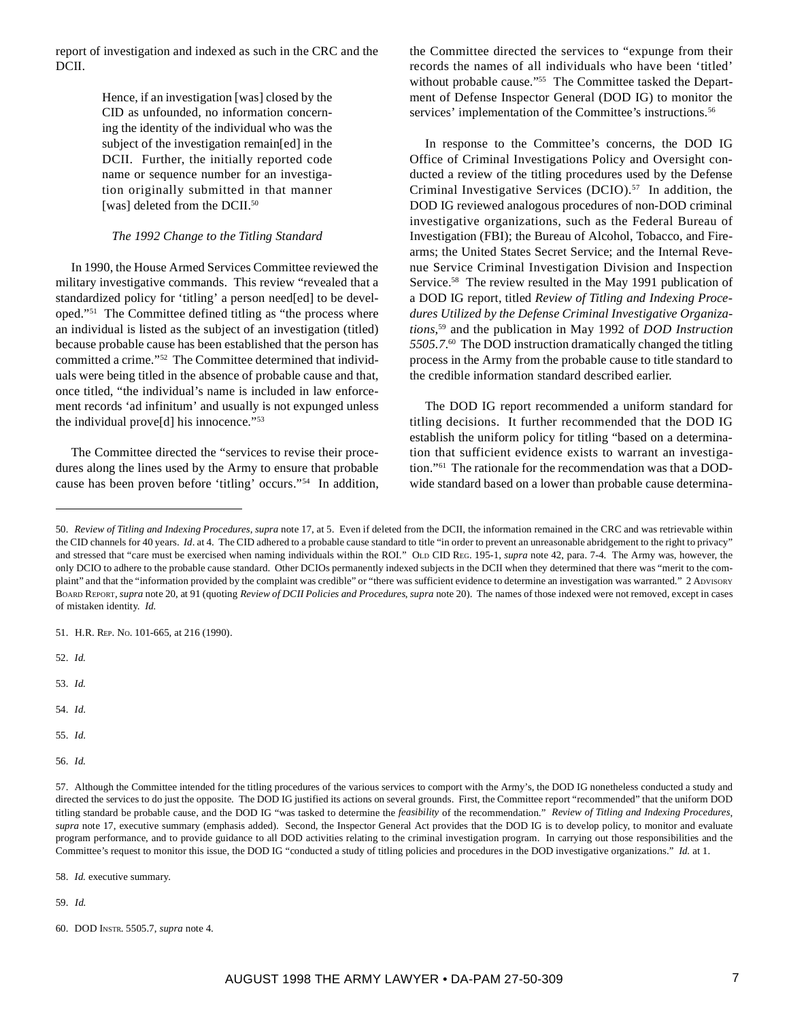report of investigation and indexed as such in the CRC and the DCII.

> Hence, if an investigation [was] closed by the CID as unfounded, no information concerning the identity of the individual who was the subject of the investigation remain[ed] in the DCII. Further, the initially reported code name or sequence number for an investigation originally submitted in that manner [was] deleted from the DCII.<sup>50</sup>

### *The 1992 Change to the Titling Standard*

In 1990, the House Armed Services Committee reviewed the military investigative commands. This review "revealed that a standardized policy for 'titling' a person need[ed] to be developed."51 The Committee defined titling as "the process where an individual is listed as the subject of an investigation (titled) because probable cause has been established that the person has committed a crime."52 The Committee determined that individuals were being titled in the absence of probable cause and that, once titled, "the individual's name is included in law enforcement records 'ad infinitum' and usually is not expunged unless the individual prove[d] his innocence."53

The Committee directed the "services to revise their procedures along the lines used by the Army to ensure that probable cause has been proven before 'titling' occurs."54 In addition, the Committee directed the services to "expunge from their records the names of all individuals who have been 'titled' without probable cause."<sup>55</sup> The Committee tasked the Department of Defense Inspector General (DOD IG) to monitor the services' implementation of the Committee's instructions.<sup>56</sup>

In response to the Committee's concerns, the DOD IG Office of Criminal Investigations Policy and Oversight conducted a review of the titling procedures used by the Defense Criminal Investigative Services (DCIO).<sup>57</sup> In addition, the DOD IG reviewed analogous procedures of non-DOD criminal investigative organizations, such as the Federal Bureau of Investigation (FBI); the Bureau of Alcohol, Tobacco, and Firearms; the United States Secret Service; and the Internal Revenue Service Criminal Investigation Division and Inspection Service.<sup>58</sup> The review resulted in the May 1991 publication of a DOD IG report, titled *Review of Titling and Indexing Procedures Utilized by the Defense Criminal Investigative Organizations*, 59 and the publication in May 1992 of *DOD Instruction 5505.7*. 60 The DOD instruction dramatically changed the titling process in the Army from the probable cause to title standard to the credible information standard described earlier.

The DOD IG report recommended a uniform standard for titling decisions. It further recommended that the DOD IG establish the uniform policy for titling "based on a determination that sufficient evidence exists to warrant an investigation."61 The rationale for the recommendation was that a DODwide standard based on a lower than probable cause determina-

51. H.R. REP. NO. 101-665, at 216 (1990).

52. *Id.*

53. *Id.*

54. *Id*.

55. *Id*.

56. *Id.*

58. *Id.* executive summary.

59. *Id.*

60. DOD INSTR. 5505.7, *supra* note 4.

<sup>50.</sup> *Review of Titling and Indexing Procedures*, *supra* note 17, at 5. Even if deleted from the DCII, the information remained in the CRC and was retrievable within the CID channels for 40 years. *Id.* at 4. The CID adhered to a probable cause standard to title "in order to prevent an unreasonable abridgement to the right to privacy" and stressed that "care must be exercised when naming individuals within the ROI." OLD CID REG. 195-1, *supra* note 42, para. 7-4. The Army was, however, the only DCIO to adhere to the probable cause standard. Other DCIOs permanently indexed subjects in the DCII when they determined that there was "merit to the complaint" and that the "information provided by the complaint was credible" or "there was sufficient evidence to determine an investigation was warranted." 2 ADVISORY BOARD REPORT, *supra* note 20, at 91 (quoting *Review of DCII Policies and Procedures*, *supra* note 20). The names of those indexed were not removed, except in cases of mistaken identity. *Id.*

<sup>57.</sup> Although the Committee intended for the titling procedures of the various services to comport with the Army's, the DOD IG nonetheless conducted a study and directed the services to do just the opposite. The DOD IG justified its actions on several grounds. First, the Committee report "recommended" that the uniform DOD titling standard be probable cause, and the DOD IG "was tasked to determine the *feasibility* of the recommendation." *Review of Titling and Indexing Procedures*, supra note 17, executive summary (emphasis added). Second, the Inspector General Act provides that the DOD IG is to develop policy, to monitor and evaluate program performance, and to provide guidance to all DOD activities relating to the criminal investigation program. In carrying out those responsibilities and the Committee's request to monitor this issue, the DOD IG "conducted a study of titling policies and procedures in the DOD investigative organizations." *Id.* at 1.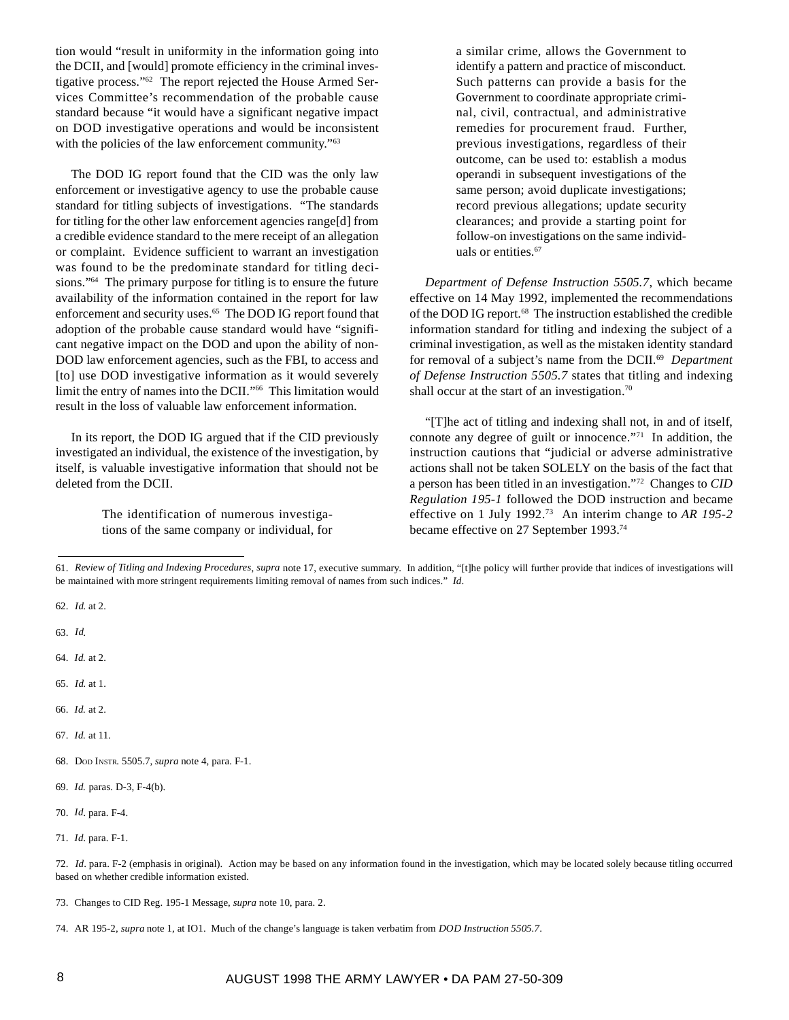tion would "result in uniformity in the information going into the DCII, and [would] promote efficiency in the criminal investigative process."62 The report rejected the House Armed Services Committee's recommendation of the probable cause standard because "it would have a significant negative impact on DOD investigative operations and would be inconsistent with the policies of the law enforcement community."<sup>63</sup>

The DOD IG report found that the CID was the only law enforcement or investigative agency to use the probable cause standard for titling subjects of investigations. "The standards for titling for the other law enforcement agencies range[d] from a credible evidence standard to the mere receipt of an allegation or complaint. Evidence sufficient to warrant an investigation was found to be the predominate standard for titling decisions."64 The primary purpose for titling is to ensure the future availability of the information contained in the report for law enforcement and security uses.<sup>65</sup> The DOD IG report found that adoption of the probable cause standard would have "significant negative impact on the DOD and upon the ability of non-DOD law enforcement agencies, such as the FBI, to access and [to] use DOD investigative information as it would severely limit the entry of names into the DCII."66 This limitation would result in the loss of valuable law enforcement information.

In its report, the DOD IG argued that if the CID previously investigated an individual, the existence of the investigation, by itself, is valuable investigative information that should not be deleted from the DCII.

> The identification of numerous investigations of the same company or individual, for

a similar crime, allows the Government to identify a pattern and practice of misconduct. Such patterns can provide a basis for the Government to coordinate appropriate criminal, civil, contractual, and administrative remedies for procurement fraud. Further, previous investigations, regardless of their outcome, can be used to: establish a modus operandi in subsequent investigations of the same person; avoid duplicate investigations; record previous allegations; update security clearances; and provide a starting point for follow-on investigations on the same individuals or entities.<sup>67</sup>

*Department of Defense Instruction 5505.7*, which became effective on 14 May 1992, implemented the recommendations of the DOD IG report.<sup>68</sup> The instruction established the credible information standard for titling and indexing the subject of a criminal investigation, as well as the mistaken identity standard for removal of a subject's name from the DCII.69 *Department of Defense Instruction 5505.7* states that titling and indexing shall occur at the start of an investigation.<sup>70</sup>

"[T]he act of titling and indexing shall not, in and of itself, connote any degree of guilt or innocence."71 In addition, the instruction cautions that "judicial or adverse administrative actions shall not be taken SOLELY on the basis of the fact that a person has been titled in an investigation."72 Changes to *CID Regulation 195-1* followed the DOD instruction and became effective on 1 July 1992.73 An interim change to *AR 195-2* became effective on 27 September 1993.74

62. *Id*. at 2.

63. *Id*.

- 64. *Id.* at 2.
- 65. *Id*. at 1.
- 66. *Id.* at 2.
- 67. *Id.* at 11.
- 68. DOD INSTR. 5505.7, *supra* note 4, para. F-1.
- 69. *Id.* paras. D-3, F-4(b).
- 70. *Id*. para. F-4.

<sup>61.</sup> *Review of Titling and Indexing Procedures*, *supra* note 17, executive summary. In addition, "[t]he policy will further provide that indices of investigations will be maintained with more stringent requirements limiting removal of names from such indices." *Id*.

<sup>71.</sup> *Id*. para. F-1.

<sup>72.</sup> *Id*. para. F-2 (emphasis in original). Action may be based on any information found in the investigation, which may be located solely because titling occurred based on whether credible information existed.

<sup>73.</sup> Changes to CID Reg. 195-1 Message, *supra* note 10, para. 2.

<sup>74.</sup> AR 195-2, *supra* note 1, at IO1. Much of the change's language is taken verbatim from *DOD Instruction 5505.7*.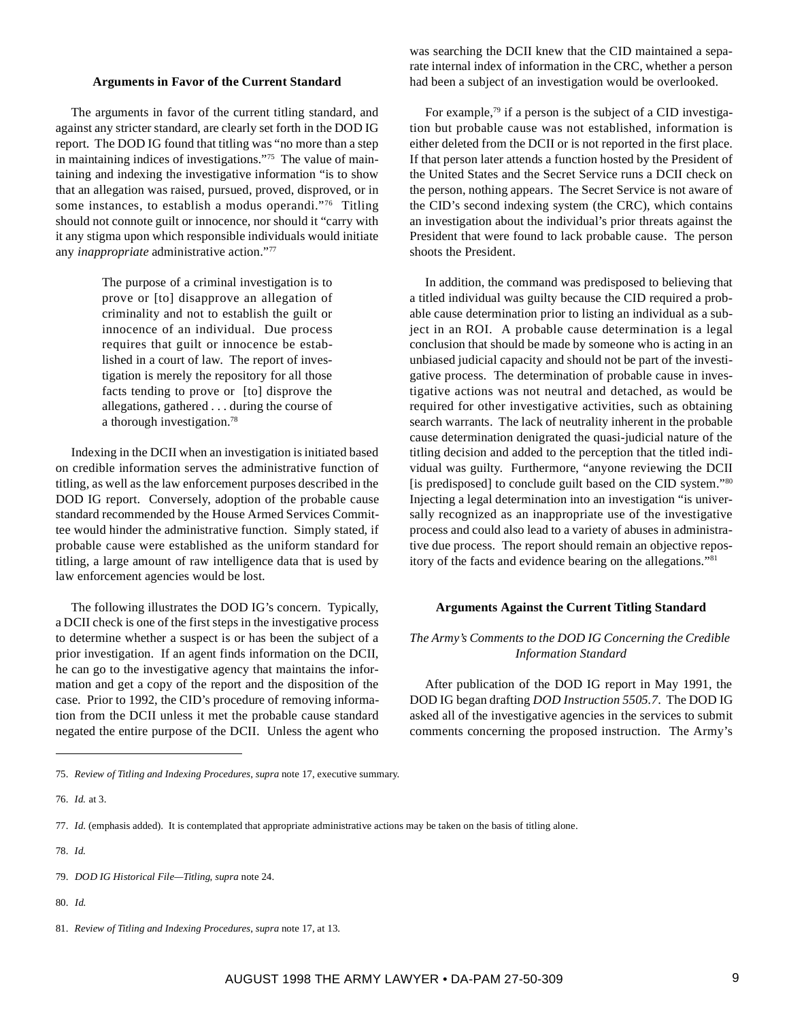#### **Arguments in Favor of the Current Standard**

The arguments in favor of the current titling standard, and against any stricter standard, are clearly set forth in the DOD IG report. The DOD IG found that titling was "no more than a step in maintaining indices of investigations."75 The value of maintaining and indexing the investigative information "is to show that an allegation was raised, pursued, proved, disproved, or in some instances, to establish a modus operandi."<sup>76</sup> Titling should not connote guilt or innocence, nor should it "carry with it any stigma upon which responsible individuals would initiate any *inappropriate* administrative action."77

> The purpose of a criminal investigation is to prove or [to] disapprove an allegation of criminality and not to establish the guilt or innocence of an individual. Due process requires that guilt or innocence be established in a court of law. The report of investigation is merely the repository for all those facts tending to prove or [to] disprove the allegations, gathered . . . during the course of a thorough investigation.78

Indexing in the DCII when an investigation is initiated based on credible information serves the administrative function of titling, as well as the law enforcement purposes described in the DOD IG report. Conversely, adoption of the probable cause standard recommended by the House Armed Services Committee would hinder the administrative function. Simply stated, if probable cause were established as the uniform standard for titling, a large amount of raw intelligence data that is used by law enforcement agencies would be lost.

The following illustrates the DOD IG's concern. Typically, a DCII check is one of the first steps in the investigative process to determine whether a suspect is or has been the subject of a prior investigation. If an agent finds information on the DCII, he can go to the investigative agency that maintains the information and get a copy of the report and the disposition of the case. Prior to 1992, the CID's procedure of removing information from the DCII unless it met the probable cause standard negated the entire purpose of the DCII. Unless the agent who

was searching the DCII knew that the CID maintained a separate internal index of information in the CRC, whether a person had been a subject of an investigation would be overlooked.

For example,<sup>79</sup> if a person is the subject of a CID investigation but probable cause was not established, information is either deleted from the DCII or is not reported in the first place. If that person later attends a function hosted by the President of the United States and the Secret Service runs a DCII check on the person, nothing appears. The Secret Service is not aware of the CID's second indexing system (the CRC), which contains an investigation about the individual's prior threats against the President that were found to lack probable cause. The person shoots the President.

In addition, the command was predisposed to believing that a titled individual was guilty because the CID required a probable cause determination prior to listing an individual as a subject in an ROI. A probable cause determination is a legal conclusion that should be made by someone who is acting in an unbiased judicial capacity and should not be part of the investigative process. The determination of probable cause in investigative actions was not neutral and detached, as would be required for other investigative activities, such as obtaining search warrants. The lack of neutrality inherent in the probable cause determination denigrated the quasi-judicial nature of the titling decision and added to the perception that the titled individual was guilty. Furthermore, "anyone reviewing the DCII [is predisposed] to conclude guilt based on the CID system."<sup>80</sup> Injecting a legal determination into an investigation "is universally recognized as an inappropriate use of the investigative process and could also lead to a variety of abuses in administrative due process. The report should remain an objective repository of the facts and evidence bearing on the allegations."81

### **Arguments Against the Current Titling Standard**

### *The Army's Comments to the DOD IG Concerning the Credible Information Standard*

After publication of the DOD IG report in May 1991, the DOD IG began drafting *DOD Instruction 5505.7*. The DOD IG asked all of the investigative agencies in the services to submit comments concerning the proposed instruction. The Army's

80. *Id.*

<sup>75.</sup> *Review of Titling and Indexing Procedures*, *supra* note 17, executive summary.

<sup>76.</sup> *Id.* at 3.

<sup>77.</sup> *Id*. (emphasis added). It is contemplated that appropriate administrative actions may be taken on the basis of titling alone.

<sup>78.</sup> *Id.*

<sup>79.</sup> *DOD IG Historical File—Titling*, *supra* note 24.

<sup>81.</sup> *Review of Titling and Indexing Procedures*, *supra* note 17, at 13.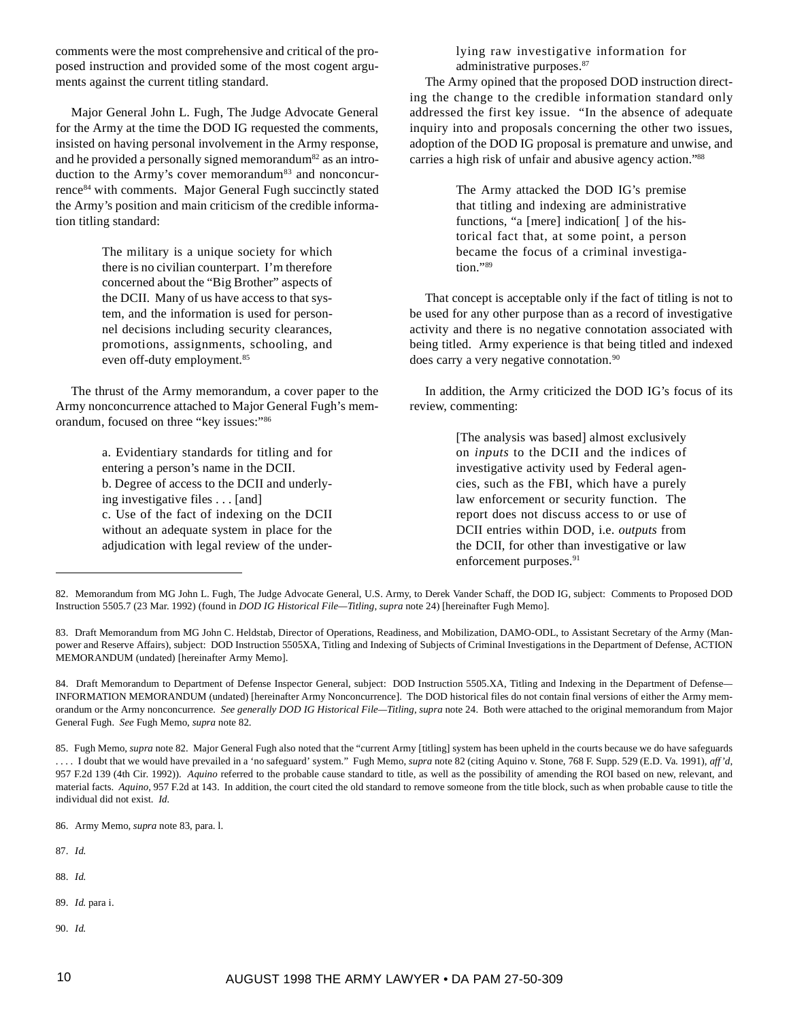comments were the most comprehensive and critical of the proposed instruction and provided some of the most cogent arguments against the current titling standard.

Major General John L. Fugh, The Judge Advocate General for the Army at the time the DOD IG requested the comments, insisted on having personal involvement in the Army response, and he provided a personally signed memorandum<sup>82</sup> as an introduction to the Army's cover memorandum<sup>83</sup> and nonconcurrence<sup>84</sup> with comments. Major General Fugh succinctly stated the Army's position and main criticism of the credible information titling standard:

> The military is a unique society for which there is no civilian counterpart. I'm therefore concerned about the "Big Brother" aspects of the DCII. Many of us have access to that system, and the information is used for personnel decisions including security clearances, promotions, assignments, schooling, and even off-duty employment.<sup>85</sup>

The thrust of the Army memorandum, a cover paper to the Army nonconcurrence attached to Major General Fugh's memorandum, focused on three "key issues:"86

> a. Evidentiary standards for titling and for entering a person's name in the DCII. b. Degree of access to the DCII and underlying investigative files . . . [and] c. Use of the fact of indexing on the DCII without an adequate system in place for the adjudication with legal review of the under

lying raw investigative information for administrative purposes.87

The Army opined that the proposed DOD instruction directing the change to the credible information standard only addressed the first key issue. "In the absence of adequate inquiry into and proposals concerning the other two issues, adoption of the DOD IG proposal is premature and unwise, and carries a high risk of unfair and abusive agency action."88

> The Army attacked the DOD IG's premise that titling and indexing are administrative functions, "a [mere] indication[ ] of the historical fact that, at some point, a person became the focus of a criminal investigation."89

That concept is acceptable only if the fact of titling is not to be used for any other purpose than as a record of investigative activity and there is no negative connotation associated with being titled. Army experience is that being titled and indexed does carry a very negative connotation.<sup>90</sup>

In addition, the Army criticized the DOD IG's focus of its review, commenting:

> [The analysis was based] almost exclusively on *inputs* to the DCII and the indices of investigative activity used by Federal agencies, such as the FBI, which have a purely law enforcement or security function. The report does not discuss access to or use of DCII entries within DOD, i.e. *outputs* from the DCII, for other than investigative or law enforcement purposes.<sup>91</sup>

- 87. *Id.*
- 88. *Id.*
- 89. *Id*. para i.
- 90. *Id*.

<sup>82.</sup> Memorandum from MG John L. Fugh, The Judge Advocate General, U.S. Army, to Derek Vander Schaff, the DOD IG, subject: Comments to Proposed DOD Instruction 5505.7 (23 Mar. 1992) (found in *DOD IG Historical File—Titling*, *supra* note 24) [hereinafter Fugh Memo].

<sup>83.</sup> Draft Memorandum from MG John C. Heldstab, Director of Operations, Readiness, and Mobilization, DAMO-ODL, to Assistant Secretary of the Army (Manpower and Reserve Affairs), subject: DOD Instruction 5505XA, Titling and Indexing of Subjects of Criminal Investigations in the Department of Defense, ACTION MEMORANDUM (undated) [hereinafter Army Memo].

<sup>84.</sup> Draft Memorandum to Department of Defense Inspector General, subject: DOD Instruction 5505.XA, Titling and Indexing in the Department of Defense*—* INFORMATION MEMORANDUM (undated) [hereinafter Army Nonconcurrence]. The DOD historical files do not contain final versions of either the Army memorandum or the Army nonconcurrence*. See generally DOD IG Historical File—Titling*, *supra* note 24. Both were attached to the original memorandum from Major General Fugh. *See* Fugh Memo, *supra* note 82.

<sup>85.</sup>Fugh Memo, *supra* note 82. Major General Fugh also noted that the "current Army [titling] system has been upheld in the courts because we do have safeguards . . . . I doubt that we would have prevailed in a 'no safeguard' system." Fugh Memo, *supra* note 82 (citing Aquino v. Stone, 768 F. Supp. 529 (E.D. Va. 1991), *aff'd*, 957 F.2d 139 (4th Cir. 1992))*. Aquino* referred to the probable cause standard to title, as well as the possibility of amending the ROI based on new, relevant, and material facts. *Aquino*, 957 F.2d at 143. In addition, the court cited the old standard to remove someone from the title block, such as when probable cause to title the individual did not exist. *Id.*

<sup>86.</sup>Army Memo, *supra* note 83, para. l.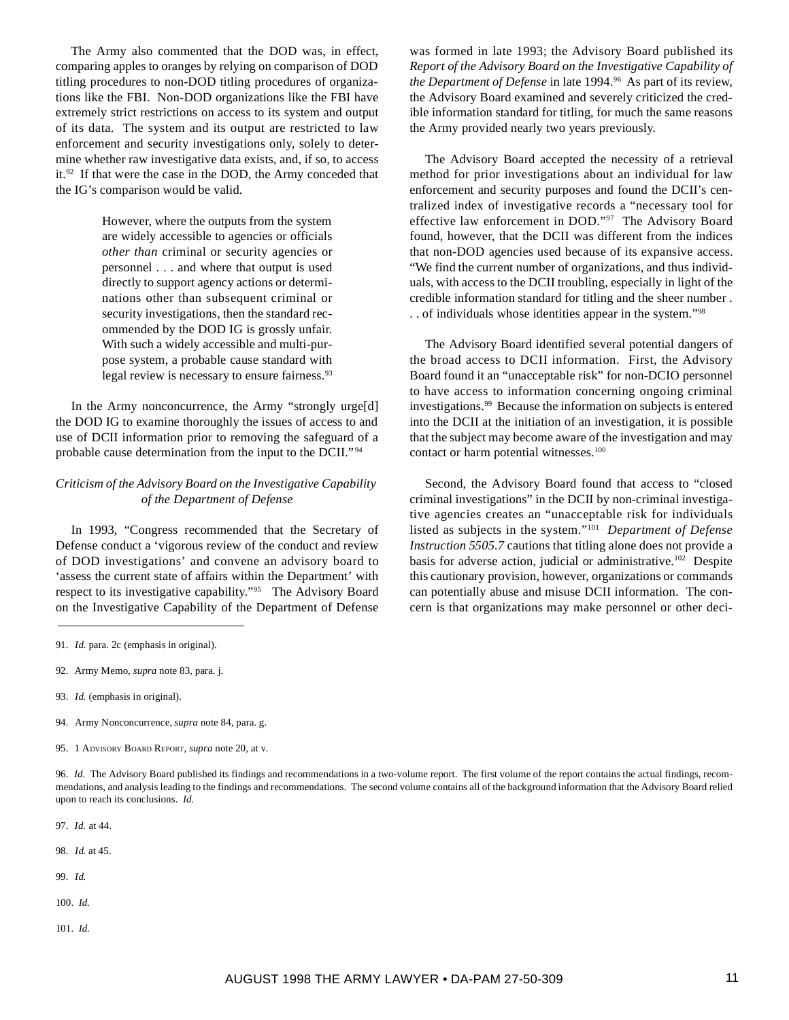The Army also commented that the DOD was, in effect, comparing apples to oranges by relying on comparison of DOD titling procedures to non-DOD titling procedures of organizations like the FBI. Non-DOD organizations like the FBI have extremely strict restrictions on access to its system and output of its data. The system and its output are restricted to law enforcement and security investigations only, solely to determine whether raw investigative data exists, and, if so, to access it.92 If that were the case in the DOD, the Army conceded that the IG's comparison would be valid.

> However, where the outputs from the system are widely accessible to agencies or officials *other than* criminal or security agencies or personnel . . . and where that output is used directly to support agency actions or determinations other than subsequent criminal or security investigations, then the standard recommended by the DOD IG is grossly unfair. With such a widely accessible and multi-purpose system, a probable cause standard with legal review is necessary to ensure fairness.<sup>93</sup>

In the Army nonconcurrence, the Army "strongly urge[d] the DOD IG to examine thoroughly the issues of access to and use of DCII information prior to removing the safeguard of a probable cause determination from the input to the DCII." <sup>94</sup>

# *Criticism of the Advisory Board on the Investigative Capability of the Department of Defense*

In 1993, "Congress recommended that the Secretary of Defense conduct a 'vigorous review of the conduct and review of DOD investigations' and convene an advisory board to 'assess the current state of affairs within the Department' with respect to its investigative capability."95The Advisory Board on the Investigative Capability of the Department of Defense

- 93. *Id.* (emphasis in original).
- 94.Army Nonconcurrence, *supra* note 84, para. g.
- 95. 1 ADVISORY BOARD REPORT, *supra* note 20, at v.

96. *Id.* The Advisory Board published its findings and recommendations in a two-volume report. The first volume of the report contains the actual findings, recommendations, and analysis leading to the findings and recommendations. The second volume contains all of the background information that the Advisory Board relied upon to reach its conclusions. *Id.*

97. *Id.* at 44.

- 98. *Id*. at 45.
- 99. *Id.*
- 100. *Id.*
- 101. *Id.*

was formed in late 1993; the Advisory Board published its *Report of the Advisory Board on the Investigative Capability of the Department of Defense* in late 1994.<sup>96</sup> As part of its review, the Advisory Board examined and severely criticized the credible information standard for titling, for much the same reasons the Army provided nearly two years previously.

The Advisory Board accepted the necessity of a retrieval method for prior investigations about an individual for law enforcement and security purposes and found the DCII's centralized index of investigative records a "necessary tool for effective law enforcement in DOD."97 The Advisory Board found, however, that the DCII was different from the indices that non-DOD agencies used because of its expansive access. "We find the current number of organizations, and thus individuals, with access to the DCII troubling, especially in light of the credible information standard for titling and the sheer number . . . of individuals whose identities appear in the system."98

The Advisory Board identified several potential dangers of the broad access to DCII information. First, the Advisory Board found it an "unacceptable risk" for non-DCIO personnel to have access to information concerning ongoing criminal investigations.99 Because the information on subjects is entered into the DCII at the initiation of an investigation, it is possible that the subject may become aware of the investigation and may contact or harm potential witnesses.<sup>100</sup>

Second, the Advisory Board found that access to "closed criminal investigations" in the DCII by non-criminal investigative agencies creates an "unacceptable risk for individuals listed as subjects in the system."101 *Department of Defense Instruction 5505.7* cautions that titling alone does not provide a basis for adverse action, judicial or administrative.<sup>102</sup> Despite this cautionary provision, however, organizations or commands can potentially abuse and misuse DCII information. The concern is that organizations may make personnel or other deci-

<sup>91.</sup> *Id.* para. 2c (emphasis in original).

<sup>92.</sup> Army Memo, *supra* note 83, para. j.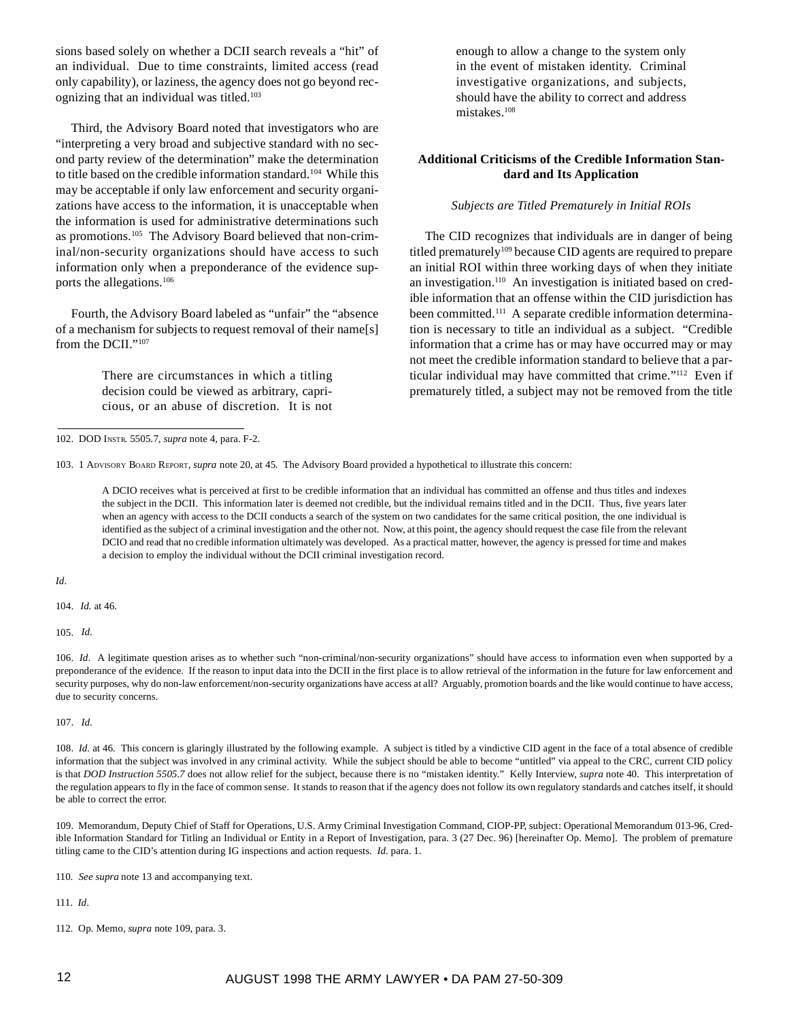sions based solely on whether a DCII search reveals a "hit" of an individual. Due to time constraints, limited access (read only capability), or laziness, the agency does not go beyond recognizing that an individual was titled.<sup>103</sup>

Third, the Advisory Board noted that investigators who are "interpreting a very broad and subjective standard with no second party review of the determination" make the determination to title based on the credible information standard.<sup>104</sup> While this may be acceptable if only law enforcement and security organizations have access to the information, it is unacceptable when the information is used for administrative determinations such as promotions.105 The Advisory Board believed that non-criminal/non-security organizations should have access to such information only when a preponderance of the evidence supports the allegations.106

Fourth, the Advisory Board labeled as "unfair" the "absence of a mechanism for subjects to request removal of their name[s] from the DCII."<sup>107</sup>

> There are circumstances in which a titling decision could be viewed as arbitrary, capricious, or an abuse of discretion. It is not

enough to allow a change to the system only in the event of mistaken identity. Criminal investigative organizations, and subjects, should have the ability to correct and address mistakes.108

# **Additional Criticisms of the Credible Information Standard and Its Application**

#### *Subjects are Titled Prematurely in Initial ROIs*

The CID recognizes that individuals are in danger of being titled prematurely<sup>109</sup> because CID agents are required to prepare an initial ROI within three working days of when they initiate an investigation.110 An investigation is initiated based on credible information that an offense within the CID jurisdiction has been committed.<sup>111</sup> A separate credible information determination is necessary to title an individual as a subject. "Credible information that a crime has or may have occurred may or may not meet the credible information standard to believe that a particular individual may have committed that crime."112 Even if prematurely titled, a subject may not be removed from the title

103. 1 ADVISORY BOARD REPORT, *supra* note 20, at 45*.* The Advisory Board provided a hypothetical to illustrate this concern:

A DCIO receives what is perceived at first to be credible information that an individual has committed an offense and thus titles and indexes the subject in the DCII. This information later is deemed not credible, but the individual remains titled and in the DCII. Thus, five years later when an agency with access to the DCII conducts a search of the system on two candidates for the same critical position, the one individual is identified as the subject of a criminal investigation and the other not. Now, at this point, the agency should request the case file from the relevant DCIO and read that no credible information ultimately was developed. As a practical matter, however, the agency is pressed for time and makes a decision to employ the individual without the DCII criminal investigation record.

*Id*.

104. *Id.* at 46.

105. *Id.*

106. *Id*. A legitimate question arises as to whether such "non-criminal/non-security organizations" should have access to information even when supported by a preponderance of the evidence. If the reason to input data into the DCII in the first place is to allow retrieval of the information in the future for law enforcement and security purposes, why do non-law enforcement/non-security organizations have access at all? Arguably, promotion boards and the like would continue to have access, due to security concerns.

107. *Id.*

109. Memorandum, Deputy Chief of Staff for Operations, U.S. Army Criminal Investigation Command, CIOP-PP, subject: Operational Memorandum 013-96, Credible Information Standard for Titling an Individual or Entity in a Report of Investigation, para. 3 (27 Dec. 96) [hereinafter Op. Memo]. The problem of premature titling came to the CID's attention during IG inspections and action requests. *Id.* para. 1.

110. *See supra* note 13 and accompanying text.

111. *Id*.

112. Op. Memo, *supra* note 109, para. 3.

<sup>102.</sup> DOD INSTR. 5505.7, *supra* note 4, para. F-2.

<sup>108.</sup> *Id.* at 46. This concern is glaringly illustrated by the following example. A subject is titled by a vindictive CID agent in the face of a total absence of credible information that the subject was involved in any criminal activity. While the subject should be able to become "untitled" via appeal to the CRC, current CID policy is that *DOD Instruction 5505.7* does not allow relief for the subject, because there is no "mistaken identity." Kelly Interview, *supra* note 40. This interpretation of the regulation appears to fly in the face of common sense. It stands to reason that if the agency does not follow its own regulatory standards and catches itself, it should be able to correct the error.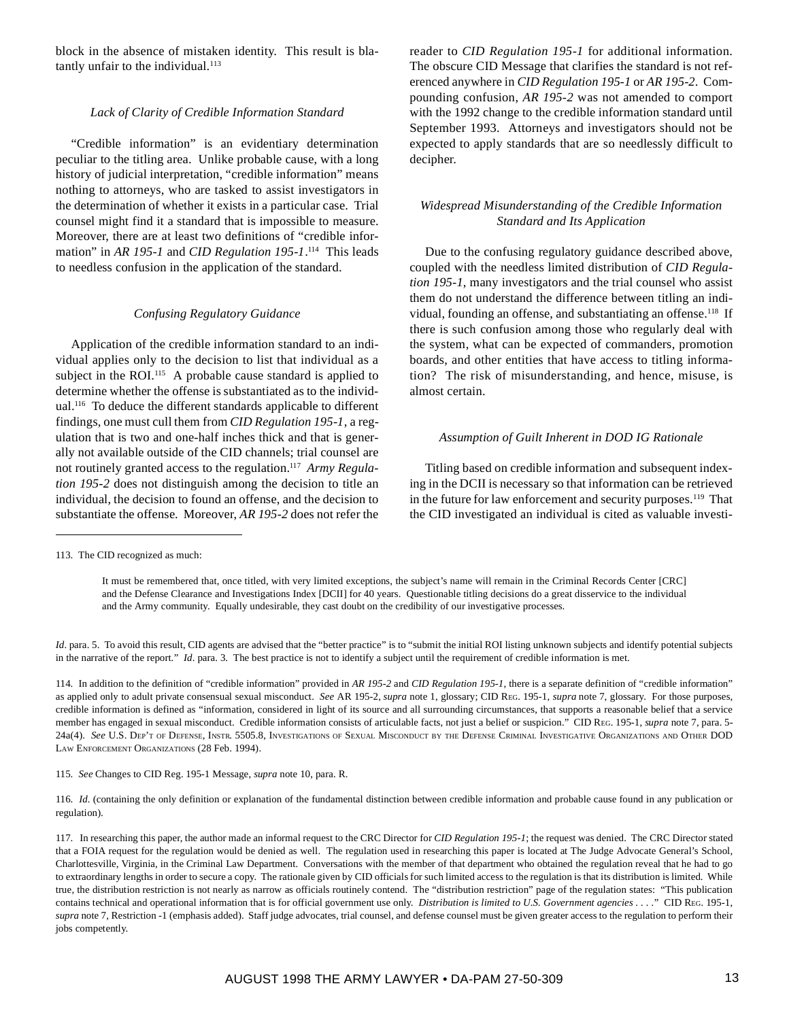block in the absence of mistaken identity. This result is blatantly unfair to the individual.<sup>113</sup>

#### *Lack of Clarity of Credible Information Standard*

"Credible information" is an evidentiary determination peculiar to the titling area. Unlike probable cause, with a long history of judicial interpretation, "credible information" means nothing to attorneys, who are tasked to assist investigators in the determination of whether it exists in a particular case. Trial counsel might find it a standard that is impossible to measure. Moreover, there are at least two definitions of "credible information" in *AR 195-1* and *CID Regulation 195-1*. 114 This leads to needless confusion in the application of the standard.

#### *Confusing Regulatory Guidance*

Application of the credible information standard to an individual applies only to the decision to list that individual as a subject in the ROI.<sup>115</sup> A probable cause standard is applied to determine whether the offense is substantiated as to the individual.116 To deduce the different standards applicable to different findings, one must cull them from *CID Regulation 195-1*, a regulation that is two and one-half inches thick and that is generally not available outside of the CID channels; trial counsel are not routinely granted access to the regulation.117 *Army Regulation 195-2* does not distinguish among the decision to title an individual, the decision to found an offense, and the decision to substantiate the offense. Moreover, *AR 195-2* does not refer the

reader to *CID Regulation 195-1* for additional information. The obscure CID Message that clarifies the standard is not referenced anywhere in *CID Regulation 195-1* or *AR 195-2*. Compounding confusion, *AR 195-2* was not amended to comport with the 1992 change to the credible information standard until September 1993. Attorneys and investigators should not be expected to apply standards that are so needlessly difficult to decipher.

### *Widespread Misunderstanding of the Credible Information Standard and Its Application*

Due to the confusing regulatory guidance described above, coupled with the needless limited distribution of *CID Regulation 195-1*, many investigators and the trial counsel who assist them do not understand the difference between titling an individual, founding an offense, and substantiating an offense.<sup>118</sup> If there is such confusion among those who regularly deal with the system, what can be expected of commanders, promotion boards, and other entities that have access to titling information? The risk of misunderstanding, and hence, misuse, is almost certain.

### *Assumption of Guilt Inherent in DOD IG Rationale*

Titling based on credible information and subsequent indexing in the DCII is necessary so that information can be retrieved in the future for law enforcement and security purposes.<sup>119</sup> That the CID investigated an individual is cited as valuable investi-

It must be remembered that, once titled, with very limited exceptions, the subject's name will remain in the Criminal Records Center [CRC] and the Defense Clearance and Investigations Index [DCII] for 40 years. Questionable titling decisions do a great disservice to the individual and the Army community. Equally undesirable, they cast doubt on the credibility of our investigative processes.

*Id*. para. 5. To avoid this result, CID agents are advised that the "better practice" is to "submit the initial ROI listing unknown subjects and identify potential subjects in the narrative of the report." *Id*. para. 3. The best practice is not to identify a subject until the requirement of credible information is met.

114. In addition to the definition of "credible information" provided in *AR 195-2* and *CID Regulation 195-1*, there is a separate definition of "credible information" as applied only to adult private consensual sexual misconduct. *See* AR 195-2, *supra* note 1, glossary; CID REG. 195-1, *supra* note 7, glossary. For those purposes, credible information is defined as "information, considered in light of its source and all surrounding circumstances, that supports a reasonable belief that a service member has engaged in sexual misconduct. Credible information consists of articulable facts, not just a belief or suspicion." CID REG. 195-1, *supra* note 7, para. 5- 24a(4). *See* U.S. DEP'T OF DEFENSE, INSTR. 5505.8, INVESTIGATIONS OF SEXUAL MISCONDUCT BY THE DEFENSE CRIMINAL INVESTIGATIVE ORGANIZATIONS AND OTHER DOD LAW ENFORCEMENT ORGANIZATIONS (28 Feb. 1994).

115. *See* Changes to CID Reg. 195-1 Message, *supra* note 10, para. R.

116. *Id.* (containing the only definition or explanation of the fundamental distinction between credible information and probable cause found in any publication or regulation).

<sup>113.</sup> The CID recognized as much:

<sup>117.</sup> In researching this paper, the author made an informal request to the CRC Director for *CID Regulation 195-1*; the request was denied. The CRC Director stated that a FOIA request for the regulation would be denied as well. The regulation used in researching this paper is located at The Judge Advocate General's School, Charlottesville, Virginia, in the Criminal Law Department. Conversations with the member of that department who obtained the regulation reveal that he had to go to extraordinary lengths in order to secure a copy. The rationale given by CID officials for such limited access to the regulation is that its distribution is limited. While true, the distribution restriction is not nearly as narrow as officials routinely contend. The "distribution restriction" page of the regulation states: "This publication contains technical and operational information that is for official government use only. *Distribution is limited to U.S. Government agencies ...*." CID REG. 195-1, *supra* note 7, Restriction -1 (emphasis added). Staff judge advocates, trial counsel, and defense counsel must be given greater access to the regulation to perform their jobs competently.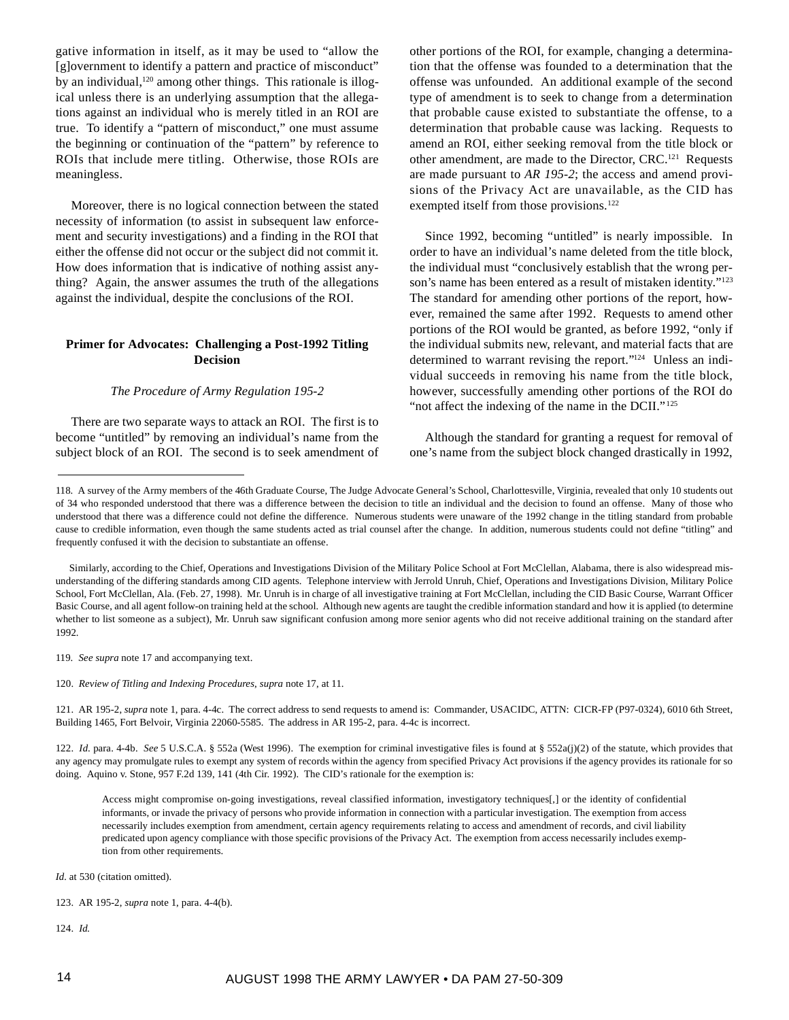gative information in itself, as it may be used to "allow the [g]overnment to identify a pattern and practice of misconduct" by an individual, $120$  among other things. This rationale is illogical unless there is an underlying assumption that the allegations against an individual who is merely titled in an ROI are true. To identify a "pattern of misconduct," one must assume the beginning or continuation of the "pattern" by reference to ROIs that include mere titling. Otherwise, those ROIs are meaningless.

Moreover, there is no logical connection between the stated necessity of information (to assist in subsequent law enforcement and security investigations) and a finding in the ROI that either the offense did not occur or the subject did not commit it. How does information that is indicative of nothing assist anything? Again, the answer assumes the truth of the allegations against the individual, despite the conclusions of the ROI.

# **Primer for Advocates: Challenging a Post-1992 Titling Decision**

#### *The Procedure of Army Regulation 195-2*

There are two separate ways to attack an ROI. The first is to become "untitled" by removing an individual's name from the subject block of an ROI. The second is to seek amendment of other portions of the ROI, for example, changing a determination that the offense was founded to a determination that the offense was unfounded. An additional example of the second type of amendment is to seek to change from a determination that probable cause existed to substantiate the offense, to a determination that probable cause was lacking. Requests to amend an ROI, either seeking removal from the title block or other amendment, are made to the Director, CRC.<sup>121</sup> Requests are made pursuant to *AR 195-2*; the access and amend provisions of the Privacy Act are unavailable, as the CID has exempted itself from those provisions.<sup>122</sup>

Since 1992, becoming "untitled" is nearly impossible. In order to have an individual's name deleted from the title block, the individual must "conclusively establish that the wrong person's name has been entered as a result of mistaken identity."<sup>123</sup> The standard for amending other portions of the report, however, remained the same after 1992. Requests to amend other portions of the ROI would be granted, as before 1992, "only if the individual submits new, relevant, and material facts that are determined to warrant revising the report."124 Unless an individual succeeds in removing his name from the title block, however, successfully amending other portions of the ROI do "not affect the indexing of the name in the DCII."<sup>125</sup>

Although the standard for granting a request for removal of one's name from the subject block changed drastically in 1992,

119. *See supra* note 17 and accompanying text.

120. *Review of Titling and Indexing Procedures*, *supra* note 17, at 11.

121. AR 195-2, *supra* note 1, para. 4-4c. The correct address to send requests to amend is: Commander, USACIDC, ATTN: CICR-FP (P97-0324), 6010 6th Street, Building 1465, Fort Belvoir, Virginia 22060-5585. The address in AR 195-2, para. 4-4c is incorrect.

122. *Id*. para. 4-4b. *See* 5 U.S.C.A. § 552a (West 1996). The exemption for criminal investigative files is found at § 552a(j)(2) of the statute, which provides that any agency may promulgate rules to exempt any system of records within the agency from specified Privacy Act provisions if the agency provides its rationale for so doing. Aquino v. Stone, 957 F.2d 139, 141 (4th Cir. 1992). The CID's rationale for the exemption is:

Access might compromise on-going investigations, reveal classified information, investigatory techniques[,] or the identity of confidential informants, or invade the privacy of persons who provide information in connection with a particular investigation. The exemption from access necessarily includes exemption from amendment, certain agency requirements relating to access and amendment of records, and civil liability predicated upon agency compliance with those specific provisions of the Privacy Act. The exemption from access necessarily includes exemption from other requirements.

*Id.* at 530 (citation omitted).

124. *Id.*

<sup>118.</sup> A survey of the Army members of the 46th Graduate Course, The Judge Advocate General's School, Charlottesville, Virginia, revealed that only 10 students out of 34 who responded understood that there was a difference between the decision to title an individual and the decision to found an offense. Many of those who understood that there was a difference could not define the difference. Numerous students were unaware of the 1992 change in the titling standard from probable cause to credible information, even though the same students acted as trial counsel after the change. In addition, numerous students could not define "titling" and frequently confused it with the decision to substantiate an offense.

Similarly, according to the Chief, Operations and Investigations Division of the Military Police School at Fort McClellan, Alabama, there is also widespread misunderstanding of the differing standards among CID agents. Telephone interview with Jerrold Unruh, Chief, Operations and Investigations Division, Military Police School, Fort McClellan, Ala. (Feb. 27, 1998). Mr. Unruh is in charge of all investigative training at Fort McClellan, including the CID Basic Course, Warrant Officer Basic Course, and all agent follow-on training held at the school. Although new agents are taught the credible information standard and how it is applied (to determine whether to list someone as a subject), Mr. Unruh saw significant confusion among more senior agents who did not receive additional training on the standard after 1992.

<sup>123.</sup> AR 195-2, *supra* note 1, para. 4-4(b).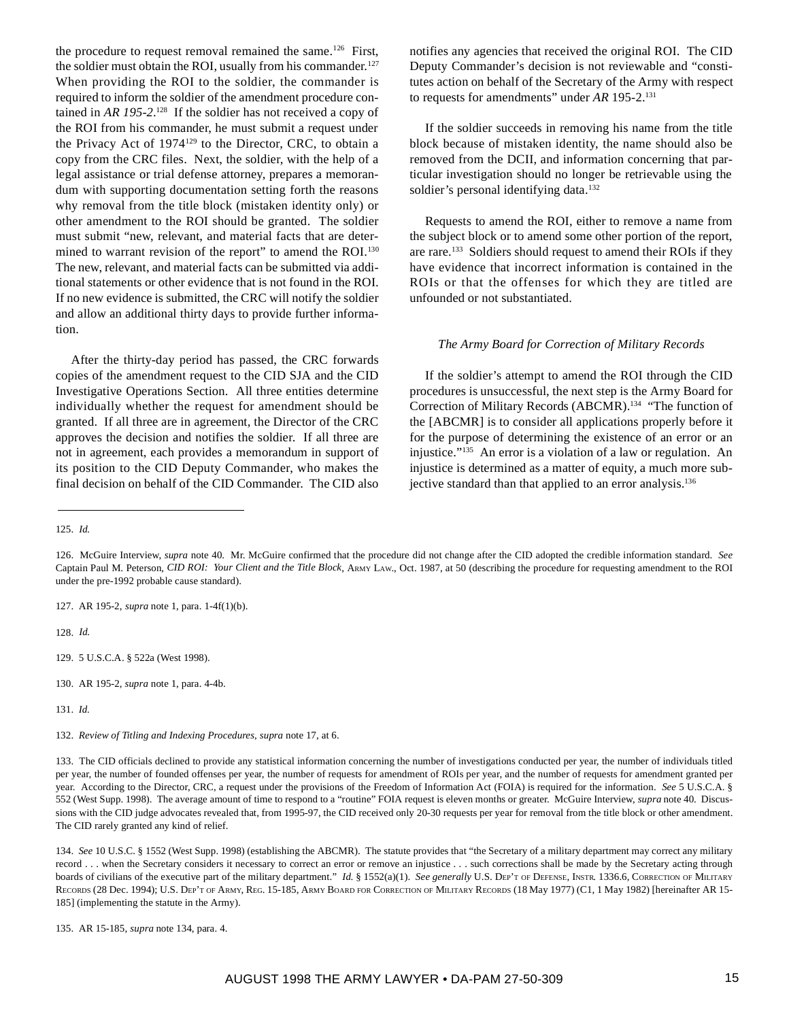the procedure to request removal remained the same.<sup>126</sup> First, the soldier must obtain the ROI, usually from his commander.<sup>127</sup> When providing the ROI to the soldier, the commander is required to inform the soldier of the amendment procedure contained in *AR 195-2*. 128 If the soldier has not received a copy of the ROI from his commander, he must submit a request under the Privacy Act of 1974129 to the Director, CRC, to obtain a copy from the CRC files. Next, the soldier, with the help of a legal assistance or trial defense attorney, prepares a memorandum with supporting documentation setting forth the reasons why removal from the title block (mistaken identity only) or other amendment to the ROI should be granted. The soldier must submit "new, relevant, and material facts that are determined to warrant revision of the report" to amend the ROI.<sup>130</sup> The new, relevant, and material facts can be submitted via additional statements or other evidence that is not found in the ROI. If no new evidence is submitted, the CRC will notify the soldier and allow an additional thirty days to provide further information.

After the thirty-day period has passed, the CRC forwards copies of the amendment request to the CID SJA and the CID Investigative Operations Section. All three entities determine individually whether the request for amendment should be granted. If all three are in agreement, the Director of the CRC approves the decision and notifies the soldier. If all three are not in agreement, each provides a memorandum in support of its position to the CID Deputy Commander, who makes the final decision on behalf of the CID Commander. The CID also

notifies any agencies that received the original ROI. The CID Deputy Commander's decision is not reviewable and "constitutes action on behalf of the Secretary of the Army with respect to requests for amendments" under *AR* 195-2.131

If the soldier succeeds in removing his name from the title block because of mistaken identity, the name should also be removed from the DCII, and information concerning that particular investigation should no longer be retrievable using the soldier's personal identifying data.<sup>132</sup>

Requests to amend the ROI, either to remove a name from the subject block or to amend some other portion of the report, are rare.133 Soldiers should request to amend their ROIs if they have evidence that incorrect information is contained in the ROIs or that the offenses for which they are titled are unfounded or not substantiated.

#### *The Army Board for Correction of Military Records*

If the soldier's attempt to amend the ROI through the CID procedures is unsuccessful, the next step is the Army Board for Correction of Military Records (ABCMR).134 "The function of the [ABCMR] is to consider all applications properly before it for the purpose of determining the existence of an error or an injustice."135 An error is a violation of a law or regulation. An injustice is determined as a matter of equity, a much more subjective standard than that applied to an error analysis.<sup>136</sup>

128. *Id.*

- 129. 5 U.S.C.A. § 522a (West 1998).
- 130. AR 195-2, *supra* note 1, para. 4-4b.

131. *Id.*

<sup>125.</sup> *Id.*

<sup>126.</sup> McGuire Interview, *supra* note 40. Mr. McGuire confirmed that the procedure did not change after the CID adopted the credible information standard. *See* Captain Paul M. Peterson, *CID ROI: Your Client and the Title Block*, ARMY LAW., Oct. 1987, at 50 (describing the procedure for requesting amendment to the ROI under the pre-1992 probable cause standard).

<sup>127.</sup> AR 195-2, *supra* note 1, para. 1-4f(1)(b).

<sup>132.</sup> *Review of Titling and Indexing Procedures*, *supra* note 17, at 6.

<sup>133.</sup> The CID officials declined to provide any statistical information concerning the number of investigations conducted per year, the number of individuals titled per year, the number of founded offenses per year, the number of requests for amendment of ROIs per year, and the number of requests for amendment granted per year. According to the Director, CRC, a request under the provisions of the Freedom of Information Act (FOIA) is required for the information. *See* 5 U.S.C.A. § 552 (West Supp. 1998). The average amount of time to respond to a "routine" FOIA request is eleven months or greater. McGuire Interview, *supra* note 40. Discussions with the CID judge advocates revealed that, from 1995-97, the CID received only 20-30 requests per year for removal from the title block or other amendment. The CID rarely granted any kind of relief.

<sup>134.</sup> *See* 10 U.S.C. § 1552 (West Supp. 1998) (establishing the ABCMR). The statute provides that "the Secretary of a military department may correct any military record . . . when the Secretary considers it necessary to correct an error or remove an injustice . . . such corrections shall be made by the Secretary acting through boards of civilians of the executive part of the military department." *Id.* § 1552(a)(1). *See generally* U.S. DEP'T OF DEFENSE, INSTR. 1336.6, CORRECTION OF MILITARY RECORDS (28 Dec. 1994); U.S. DEP'T OF ARMY, REG. 15-185, ARMY BOARD FOR CORRECTION OF MILITARY RECORDS (18 May 1977) (C1, 1 May 1982) [hereinafter AR 15-185] (implementing the statute in the Army).

<sup>135.</sup> AR 15-185, *supra* note 134, para. 4.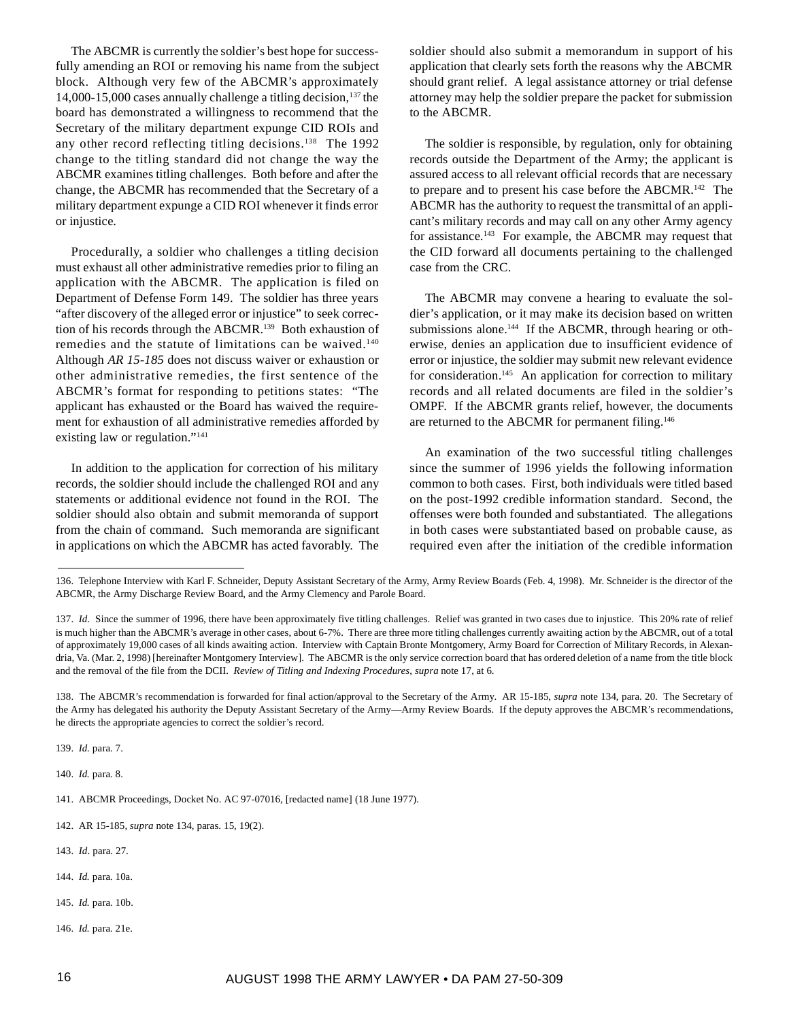The ABCMR is currently the soldier's best hope for successfully amending an ROI or removing his name from the subject block. Although very few of the ABCMR's approximately 14,000-15,000 cases annually challenge a titling decision, $137$  the board has demonstrated a willingness to recommend that the Secretary of the military department expunge CID ROIs and any other record reflecting titling decisions.<sup>138</sup> The 1992 change to the titling standard did not change the way the ABCMR examines titling challenges. Both before and after the change, the ABCMR has recommended that the Secretary of a military department expunge a CID ROI whenever it finds error or injustice.

Procedurally, a soldier who challenges a titling decision must exhaust all other administrative remedies prior to filing an application with the ABCMR. The application is filed on Department of Defense Form 149. The soldier has three years "after discovery of the alleged error or injustice" to seek correction of his records through the ABCMR.<sup>139</sup> Both exhaustion of remedies and the statute of limitations can be waived.<sup>140</sup> Although *AR 15-185* does not discuss waiver or exhaustion or other administrative remedies, the first sentence of the ABCMR's format for responding to petitions states: "The applicant has exhausted or the Board has waived the requirement for exhaustion of all administrative remedies afforded by existing law or regulation."141

In addition to the application for correction of his military records, the soldier should include the challenged ROI and any statements or additional evidence not found in the ROI. The soldier should also obtain and submit memoranda of support from the chain of command. Such memoranda are significant in applications on which the ABCMR has acted favorably. The

soldier should also submit a memorandum in support of his application that clearly sets forth the reasons why the ABCMR should grant relief. A legal assistance attorney or trial defense attorney may help the soldier prepare the packet for submission to the ABCMR.

The soldier is responsible, by regulation, only for obtaining records outside the Department of the Army; the applicant is assured access to all relevant official records that are necessary to prepare and to present his case before the ABCMR.142 The ABCMR has the authority to request the transmittal of an applicant's military records and may call on any other Army agency for assistance.143 For example, the ABCMR may request that the CID forward all documents pertaining to the challenged case from the CRC.

The ABCMR may convene a hearing to evaluate the soldier's application, or it may make its decision based on written submissions alone.<sup>144</sup> If the ABCMR, through hearing or otherwise, denies an application due to insufficient evidence of error or injustice, the soldier may submit new relevant evidence for consideration.<sup>145</sup> An application for correction to military records and all related documents are filed in the soldier's OMPF. If the ABCMR grants relief, however, the documents are returned to the ABCMR for permanent filing.<sup>146</sup>

An examination of the two successful titling challenges since the summer of 1996 yields the following information common to both cases. First, both individuals were titled based on the post-1992 credible information standard. Second, the offenses were both founded and substantiated. The allegations in both cases were substantiated based on probable cause, as required even after the initiation of the credible information

139. *Id.* para. 7.

140. *Id.* para. 8.

- 143. *Id*. para. 27.
- 144. *Id.* para. 10a.
- 145. *Id.* para. 10b.
- 146. *Id.* para. 21e.

<sup>136.</sup> Telephone Interview with Karl F. Schneider, Deputy Assistant Secretary of the Army, Army Review Boards (Feb. 4, 1998). Mr. Schneider is the director of the ABCMR, the Army Discharge Review Board, and the Army Clemency and Parole Board.

<sup>137.</sup> *Id.* Since the summer of 1996, there have been approximately five titling challenges. Relief was granted in two cases due to injustice. This 20% rate of relief is much higher than the ABCMR's average in other cases, about 6-7%. There are three more titling challenges currently awaiting action by the ABCMR, out of a total of approximately 19,000 cases of all kinds awaiting action. Interview with Captain Bronte Montgomery, Army Board for Correction of Military Records, in Alexandria, Va. (Mar. 2, 1998) [hereinafter Montgomery Interview]. The ABCMR is the only service correction board that has ordered deletion of a name from the title block and the removal of the file from the DCII. *Review of Titling and Indexing Procedures*, *supra* note 17, at 6.

<sup>138.</sup> The ABCMR's recommendation is forwarded for final action/approval to the Secretary of the Army. AR 15-185, *supra* note 134, para. 20. The Secretary of the Army has delegated his authority the Deputy Assistant Secretary of the Army—Army Review Boards. If the deputy approves the ABCMR's recommendations, he directs the appropriate agencies to correct the soldier's record.

<sup>141.</sup> ABCMR Proceedings, Docket No. AC 97-07016, [redacted name] (18 June 1977).

<sup>142.</sup> AR 15-185, *supra* note 134, paras. 15, 19(2).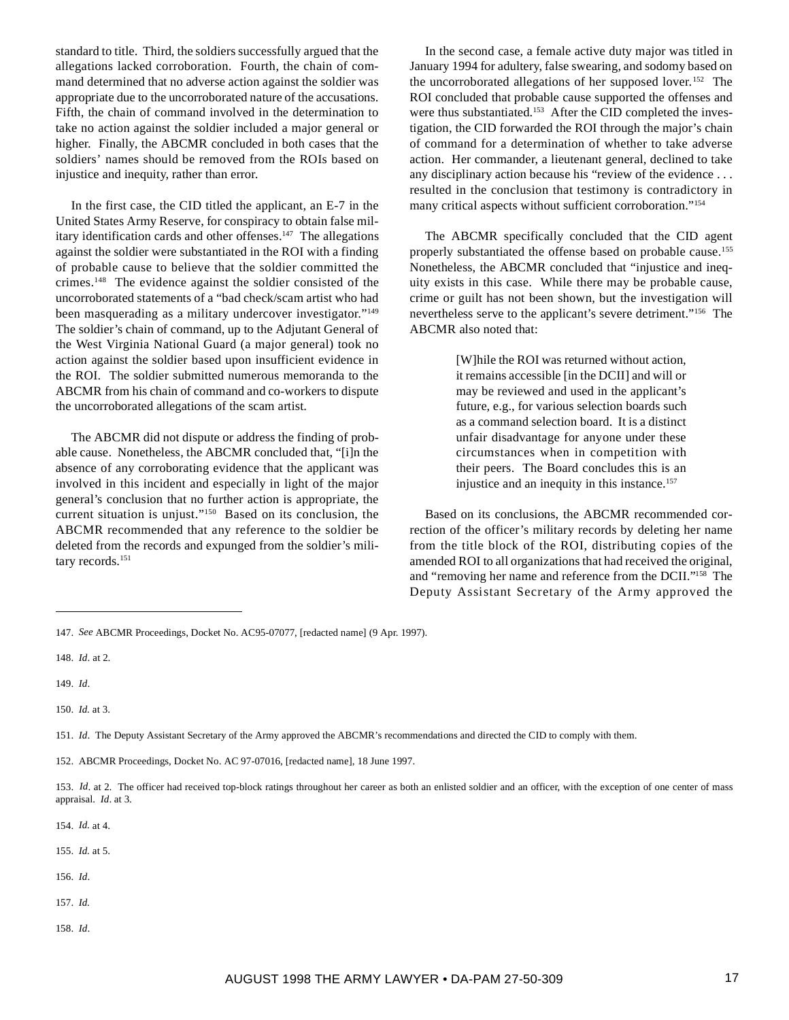standard to title. Third, the soldiers successfully argued that the allegations lacked corroboration. Fourth, the chain of command determined that no adverse action against the soldier was appropriate due to the uncorroborated nature of the accusations. Fifth, the chain of command involved in the determination to take no action against the soldier included a major general or higher. Finally, the ABCMR concluded in both cases that the soldiers' names should be removed from the ROIs based on injustice and inequity, rather than error.

In the first case, the CID titled the applicant, an E-7 in the United States Army Reserve, for conspiracy to obtain false military identification cards and other offenses.<sup>147</sup> The allegations against the soldier were substantiated in the ROI with a finding of probable cause to believe that the soldier committed the crimes.148 The evidence against the soldier consisted of the uncorroborated statements of a "bad check/scam artist who had been masquerading as a military undercover investigator."<sup>149</sup> The soldier's chain of command, up to the Adjutant General of the West Virginia National Guard (a major general) took no action against the soldier based upon insufficient evidence in the ROI. The soldier submitted numerous memoranda to the ABCMR from his chain of command and co-workers to dispute the uncorroborated allegations of the scam artist.

The ABCMR did not dispute or address the finding of probable cause. Nonetheless, the ABCMR concluded that, "[i]n the absence of any corroborating evidence that the applicant was involved in this incident and especially in light of the major general's conclusion that no further action is appropriate, the current situation is unjust."150 Based on its conclusion, the ABCMR recommended that any reference to the soldier be deleted from the records and expunged from the soldier's military records.<sup>151</sup>

In the second case, a female active duty major was titled in January 1994 for adultery, false swearing, and sodomy based on the uncorroborated allegations of her supposed lover. 152 The ROI concluded that probable cause supported the offenses and were thus substantiated.<sup>153</sup> After the CID completed the investigation, the CID forwarded the ROI through the major's chain of command for a determination of whether to take adverse action. Her commander, a lieutenant general, declined to take any disciplinary action because his "review of the evidence . . . resulted in the conclusion that testimony is contradictory in many critical aspects without sufficient corroboration."154

The ABCMR specifically concluded that the CID agent properly substantiated the offense based on probable cause.<sup>155</sup> Nonetheless, the ABCMR concluded that "injustice and inequity exists in this case. While there may be probable cause, crime or guilt has not been shown, but the investigation will nevertheless serve to the applicant's severe detriment."156 The ABCMR also noted that:

> [W]hile the ROI was returned without action, it remains accessible [in the DCII] and will or may be reviewed and used in the applicant's future, e.g., for various selection boards such as a command selection board. It is a distinct unfair disadvantage for anyone under these circumstances when in competition with their peers. The Board concludes this is an injustice and an inequity in this instance.<sup>157</sup>

Based on its conclusions, the ABCMR recommended correction of the officer's military records by deleting her name from the title block of the ROI, distributing copies of the amended ROI to all organizations that had received the original, and "removing her name and reference from the DCII."158 The Deputy Assistant Secretary of the Army approved the

150. *Id.* at 3.

154. *Id.* at 4.

- 155. *Id.* at 5.
- 156. *Id*.
- 157. *Id.*
- 158. *Id*.

<sup>147.</sup> *See* ABCMR Proceedings, Docket No. AC95-07077, [redacted name] (9 Apr. 1997).

<sup>148.</sup> *Id*. at 2.

<sup>149.</sup> *Id*.

<sup>151.</sup> *Id*. The Deputy Assistant Secretary of the Army approved the ABCMR's recommendations and directed the CID to comply with them.

<sup>152.</sup> ABCMR Proceedings, Docket No. AC 97-07016, [redacted name], 18 June 1997.

<sup>153.</sup> *Id.* at 2. The officer had received top-block ratings throughout her career as both an enlisted soldier and an officer, with the exception of one center of mass appraisal. *Id*. at 3.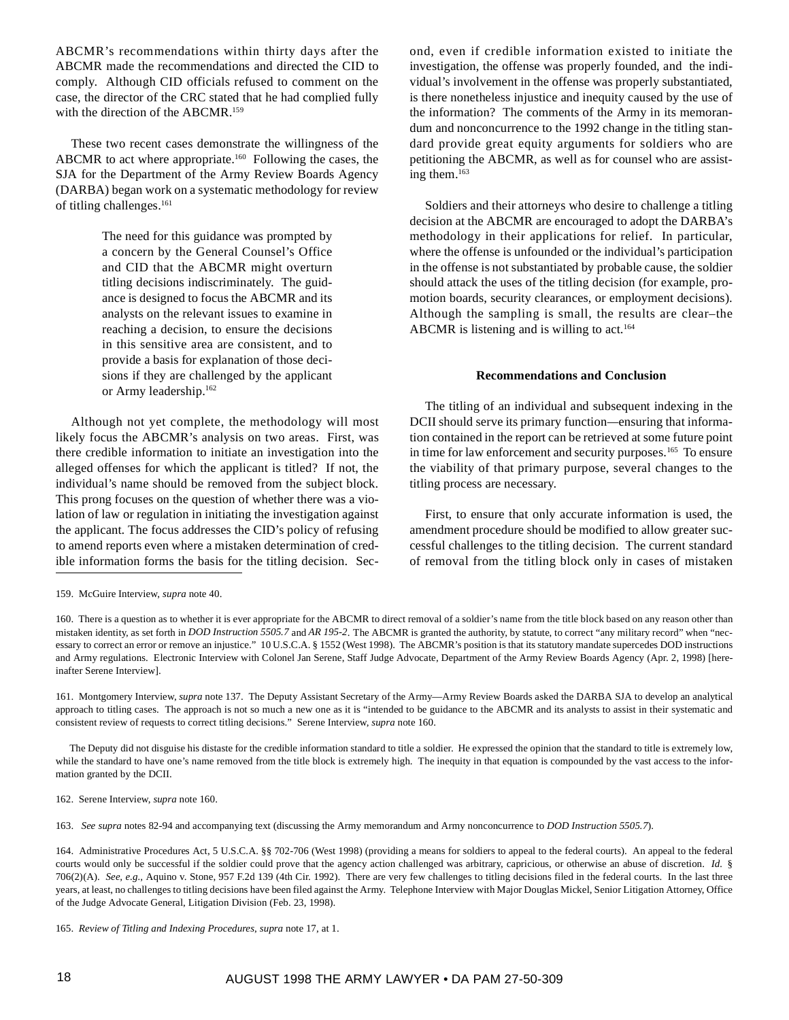ABCMR's recommendations within thirty days after the ABCMR made the recommendations and directed the CID to comply. Although CID officials refused to comment on the case, the director of the CRC stated that he had complied fully with the direction of the ABCMR.<sup>159</sup>

These two recent cases demonstrate the willingness of the ABCMR to act where appropriate.<sup>160</sup> Following the cases, the SJA for the Department of the Army Review Boards Agency (DARBA) began work on a systematic methodology for review of titling challenges.<sup>161</sup>

> The need for this guidance was prompted by a concern by the General Counsel's Office and CID that the ABCMR might overturn titling decisions indiscriminately. The guidance is designed to focus the ABCMR and its analysts on the relevant issues to examine in reaching a decision, to ensure the decisions in this sensitive area are consistent, and to provide a basis for explanation of those decisions if they are challenged by the applicant or Army leadership.162

Although not yet complete, the methodology will most likely focus the ABCMR's analysis on two areas. First, was there credible information to initiate an investigation into the alleged offenses for which the applicant is titled? If not, the individual's name should be removed from the subject block. This prong focuses on the question of whether there was a violation of law or regulation in initiating the investigation against the applicant. The focus addresses the CID's policy of refusing to amend reports even where a mistaken determination of credible information forms the basis for the titling decision. Second, even if credible information existed to initiate the investigation, the offense was properly founded, and the individual's involvement in the offense was properly substantiated, is there nonetheless injustice and inequity caused by the use of the information? The comments of the Army in its memorandum and nonconcurrence to the 1992 change in the titling standard provide great equity arguments for soldiers who are petitioning the ABCMR, as well as for counsel who are assisting them.163

Soldiers and their attorneys who desire to challenge a titling decision at the ABCMR are encouraged to adopt the DARBA's methodology in their applications for relief. In particular, where the offense is unfounded or the individual's participation in the offense is not substantiated by probable cause, the soldier should attack the uses of the titling decision (for example, promotion boards, security clearances, or employment decisions). Although the sampling is small, the results are clear–the ABCMR is listening and is willing to act.<sup>164</sup>

#### **Recommendations and Conclusion**

The titling of an individual and subsequent indexing in the DCII should serve its primary function*—*ensuring that information contained in the report can be retrieved at some future point in time for law enforcement and security purposes.<sup>165</sup> To ensure the viability of that primary purpose, several changes to the titling process are necessary.

First, to ensure that only accurate information is used, the amendment procedure should be modified to allow greater successful challenges to the titling decision. The current standard of removal from the titling block only in cases of mistaken

160. There is a question as to whether it is ever appropriate for the ABCMR to direct removal of a soldier's name from the title block based on any reason other than mistaken identity, as set forth in *DOD Instruction 5505.7* and *AR 195-2*. The ABCMR is granted the authority, by statute, to correct "any military record" when "necessary to correct an error or remove an injustice." 10 U.S.C.A. § 1552 (West 1998). The ABCMR's position is that its statutory mandate supercedes DOD instructions and Army regulations. Electronic Interview with Colonel Jan Serene, Staff Judge Advocate, Department of the Army Review Boards Agency (Apr. 2, 1998) [hereinafter Serene Interview].

161. Montgomery Interview, *supra* note 137. The Deputy Assistant Secretary of the Army—Army Review Boards asked the DARBA SJA to develop an analytical approach to titling cases. The approach is not so much a new one as it is "intended to be guidance to the ABCMR and its analysts to assist in their systematic and consistent review of requests to correct titling decisions." Serene Interview, *supra* note 160.

The Deputy did not disguise his distaste for the credible information standard to title a soldier. He expressed the opinion that the standard to title is extremely low, while the standard to have one's name removed from the title block is extremely high. The inequity in that equation is compounded by the vast access to the information granted by the DCII.

162. Serene Interview, *supra* note 160.

163. *See supra* notes 82-94 and accompanying text (discussing the Army memorandum and Army nonconcurrence to *DOD Instruction 5505.7*).

164. Administrative Procedures Act, 5 U.S.C.A. §§ 702-706 (West 1998) (providing a means for soldiers to appeal to the federal courts). An appeal to the federal courts would only be successful if the soldier could prove that the agency action challenged was arbitrary, capricious, or otherwise an abuse of discretion. *Id.* § 706(2)(A). *See, e.g.,* Aquino v. Stone, 957 F.2d 139 (4th Cir. 1992). There are very few challenges to titling decisions filed in the federal courts. In the last three years, at least, no challenges to titling decisions have been filed against the Army. Telephone Interview with Major Douglas Mickel, Senior Litigation Attorney, Office of the Judge Advocate General, Litigation Division (Feb. 23, 1998).

<sup>159.</sup> McGuire Interview, *supra* note 40.

<sup>165.</sup> *Review of Titling and Indexing Procedures*, *supra* note 17, at 1.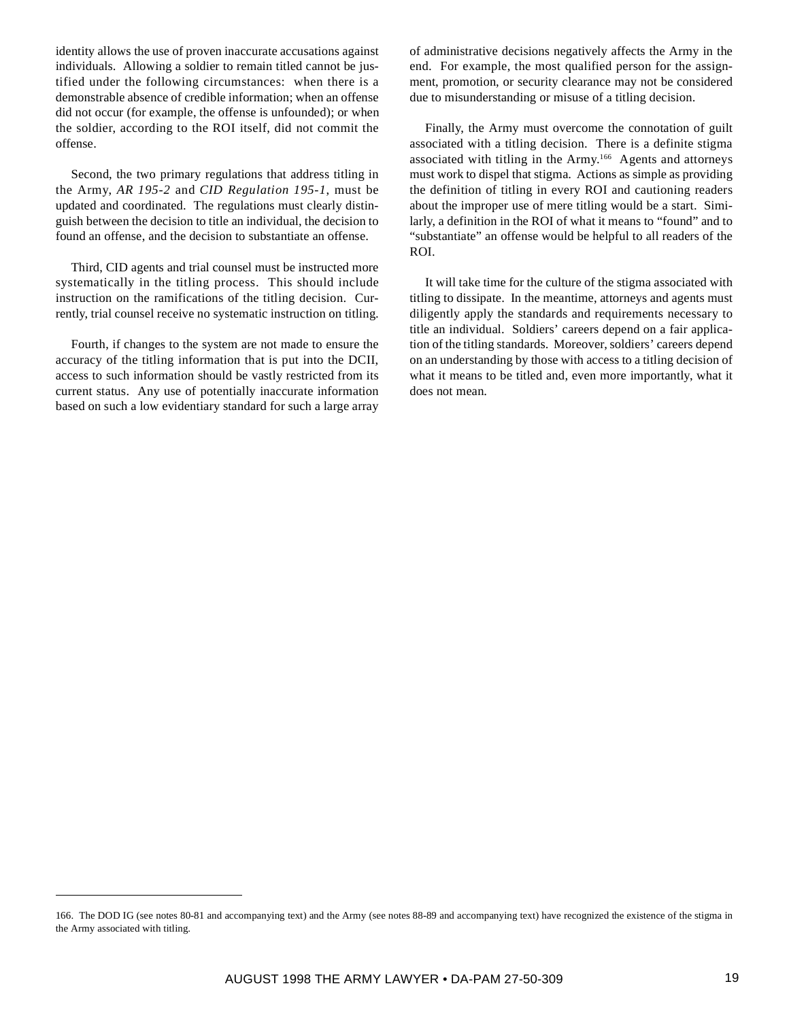identity allows the use of proven inaccurate accusations against individuals. Allowing a soldier to remain titled cannot be justified under the following circumstances: when there is a demonstrable absence of credible information; when an offense did not occur (for example, the offense is unfounded); or when the soldier, according to the ROI itself, did not commit the offense.

Second, the two primary regulations that address titling in the Army, *AR 195-2* and *CID Regulation 195-1*, must be updated and coordinated. The regulations must clearly distinguish between the decision to title an individual, the decision to found an offense, and the decision to substantiate an offense.

Third, CID agents and trial counsel must be instructed more systematically in the titling process. This should include instruction on the ramifications of the titling decision. Currently, trial counsel receive no systematic instruction on titling.

Fourth, if changes to the system are not made to ensure the accuracy of the titling information that is put into the DCII, access to such information should be vastly restricted from its current status. Any use of potentially inaccurate information based on such a low evidentiary standard for such a large array

of administrative decisions negatively affects the Army in the end. For example, the most qualified person for the assignment, promotion, or security clearance may not be considered due to misunderstanding or misuse of a titling decision.

Finally, the Army must overcome the connotation of guilt associated with a titling decision. There is a definite stigma associated with titling in the Army.166 Agents and attorneys must work to dispel that stigma. Actions as simple as providing the definition of titling in every ROI and cautioning readers about the improper use of mere titling would be a start. Similarly, a definition in the ROI of what it means to "found" and to "substantiate" an offense would be helpful to all readers of the ROI.

It will take time for the culture of the stigma associated with titling to dissipate. In the meantime, attorneys and agents must diligently apply the standards and requirements necessary to title an individual. Soldiers' careers depend on a fair application of the titling standards. Moreover, soldiers' careers depend on an understanding by those with access to a titling decision of what it means to be titled and, even more importantly, what it does not mean.

<sup>166.</sup> The DOD IG (see notes 80-81 and accompanying text) and the Army (see notes 88-89 and accompanying text) have recognized the existence of the stigma in the Army associated with titling.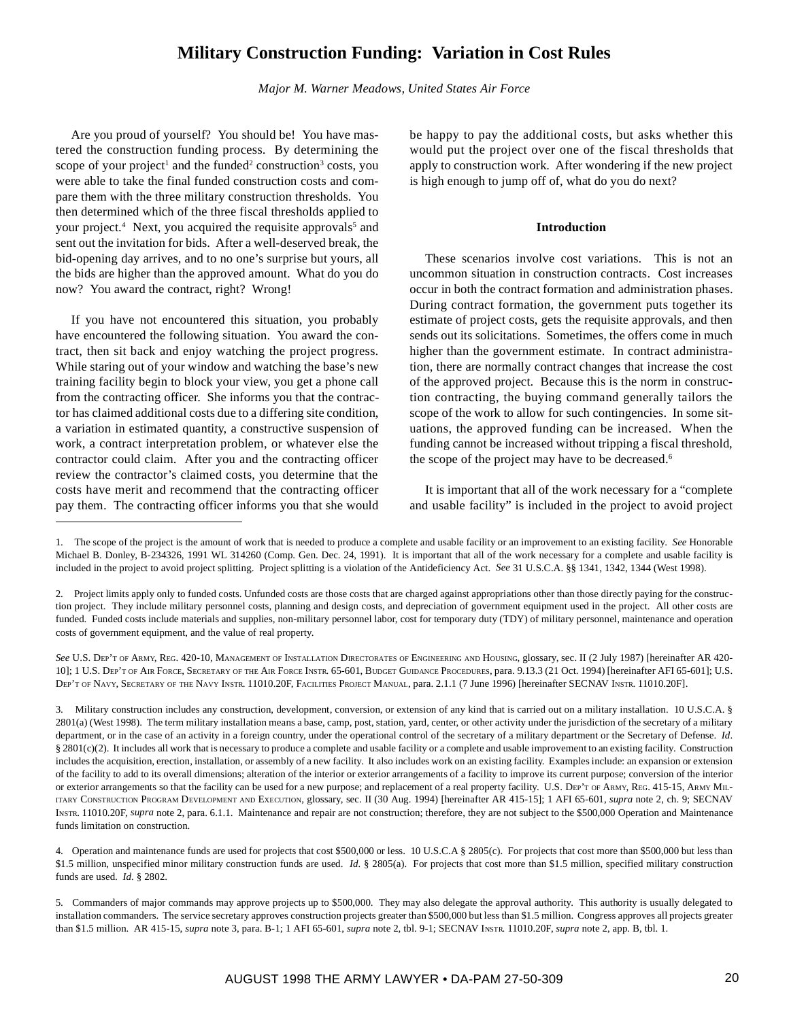# **Military Construction Funding: Variation in Cost Rules**

*Major M. Warner Meadows, United States Air Force*

Are you proud of yourself? You should be! You have mastered the construction funding process. By determining the scope of your project<sup>1</sup> and the funded<sup>2</sup> construction<sup>3</sup> costs, you were able to take the final funded construction costs and compare them with the three military construction thresholds. You then determined which of the three fiscal thresholds applied to your project.<sup>4</sup> Next, you acquired the requisite approvals<sup>5</sup> and sent out the invitation for bids. After a well-deserved break, the bid-opening day arrives, and to no one's surprise but yours, all the bids are higher than the approved amount. What do you do now? You award the contract, right? Wrong!

If you have not encountered this situation, you probably have encountered the following situation. You award the contract, then sit back and enjoy watching the project progress. While staring out of your window and watching the base's new training facility begin to block your view, you get a phone call from the contracting officer. She informs you that the contractor has claimed additional costs due to a differing site condition, a variation in estimated quantity, a constructive suspension of work, a contract interpretation problem, or whatever else the contractor could claim. After you and the contracting officer review the contractor's claimed costs, you determine that the costs have merit and recommend that the contracting officer pay them. The contracting officer informs you that she would

be happy to pay the additional costs, but asks whether this would put the project over one of the fiscal thresholds that apply to construction work. After wondering if the new project is high enough to jump off of, what do you do next?

#### **Introduction**

These scenarios involve cost variations. This is not an uncommon situation in construction contracts. Cost increases occur in both the contract formation and administration phases. During contract formation, the government puts together its estimate of project costs, gets the requisite approvals, and then sends out its solicitations. Sometimes, the offers come in much higher than the government estimate. In contract administration, there are normally contract changes that increase the cost of the approved project. Because this is the norm in construction contracting, the buying command generally tailors the scope of the work to allow for such contingencies. In some situations, the approved funding can be increased. When the funding cannot be increased without tripping a fiscal threshold, the scope of the project may have to be decreased.<sup>6</sup>

It is important that all of the work necessary for a "complete and usable facility" is included in the project to avoid project

<sup>1.</sup> The scope of the project is the amount of work that is needed to produce a complete and usable facility or an improvement to an existing facility. *See* Honorable Michael B. Donley, B-234326, 1991 WL 314260 (Comp. Gen. Dec. 24, 1991). It is important that all of the work necessary for a complete and usable facility is included in the project to avoid project splitting. Project splitting is a violation of the Antideficiency Act. *See* 31 U.S.C.A. §§ 1341, 1342, 1344 (West 1998).

<sup>2.</sup> Project limits apply only to funded costs. Unfunded costs are those costs that are charged against appropriations other than those directly paying for the construction project. They include military personnel costs, planning and design costs, and depreciation of government equipment used in the project. All other costs are funded. Funded costs include materials and supplies, non-military personnel labor, cost for temporary duty (TDY) of military personnel, maintenance and operation costs of government equipment, and the value of real property.

*See* U.S. DEP'T OF ARMY, REG. 420-10, MANAGEMENT OF INSTALLATION DIRECTORATES OF ENGINEERING AND HOUSING, glossary, sec. II (2 July 1987) [hereinafter AR 420- 10]; 1 U.S. DEP'T OF AIR FORCE, SECRETARY OF THE AIR FORCE INSTR. 65-601, BUDGET GUIDANCE PROCEDURES, para. 9.13.3 (21 Oct. 1994) [hereinafter AFI 65-601]; U.S. DEP'T OF NAVY, SECRETARY OF THE NAVY INSTR. 11010.20F, FACILITIES PROJECT MANUAL, para. 2.1.1 (7 June 1996) [hereinafter SECNAV INSTR. 11010.20F].

<sup>3.</sup> Military construction includes any construction, development, conversion, or extension of any kind that is carried out on a military installation. 10 U.S.C.A. § 2801(a) (West 1998). The term military installation means a base, camp, post, station, yard, center, or other activity under the jurisdiction of the secretary of a military department, or in the case of an activity in a foreign country, under the operational control of the secretary of a military department or the Secretary of Defense. *Id*. § 2801(c)(2). It includes all work that is necessary to produce a complete and usable facility or a complete and usable improvement to an existing facility. Construction includes the acquisition, erection, installation, or assembly of a new facility. It also includes work on an existing facility. Examples include: an expansion or extension of the facility to add to its overall dimensions; alteration of the interior or exterior arrangements of a facility to improve its current purpose; conversion of the interior or exterior arrangements so that the facility can be used for a new purpose; and replacement of a real property facility. U.S. DEP'T OF ARMY, REG. 415-15, ARMY MIL-ITARY CONSTRUCTION PROGRAM DEVELOPMENT AND EXECUTION, glossary, sec. II (30 Aug. 1994) [hereinafter AR 415-15]; 1 AFI 65-601, *supra* note 2, ch. 9; SECNAV INSTR. 11010.20F, *supra* note 2, para. 6.1.1. Maintenance and repair are not construction; therefore, they are not subject to the \$500,000 Operation and Maintenance funds limitation on construction.

<sup>4.</sup> Operation and maintenance funds are used for projects that cost \$500,000 or less. 10 U.S.C.A § 2805(c). For projects that cost more than \$500,000 but less than \$1.5 million, unspecified minor military construction funds are used. *Id.* § 2805(a). For projects that cost more than \$1.5 million, specified military construction funds are used. *Id.* § 2802.

<sup>5.</sup> Commanders of major commands may approve projects up to \$500,000. They may also delegate the approval authority. This authority is usually delegated to installation commanders. The service secretary approves construction projects greater than \$500,000 but less than \$1.5 million. Congress approves all projects greater than \$1.5 million. AR 415-15, *supra* note 3, para. B-1; 1 AFI 65-601, *supra* note 2, tbl. 9-1; SECNAV INSTR. 11010.20F, *supra* note 2, app. B, tbl. 1.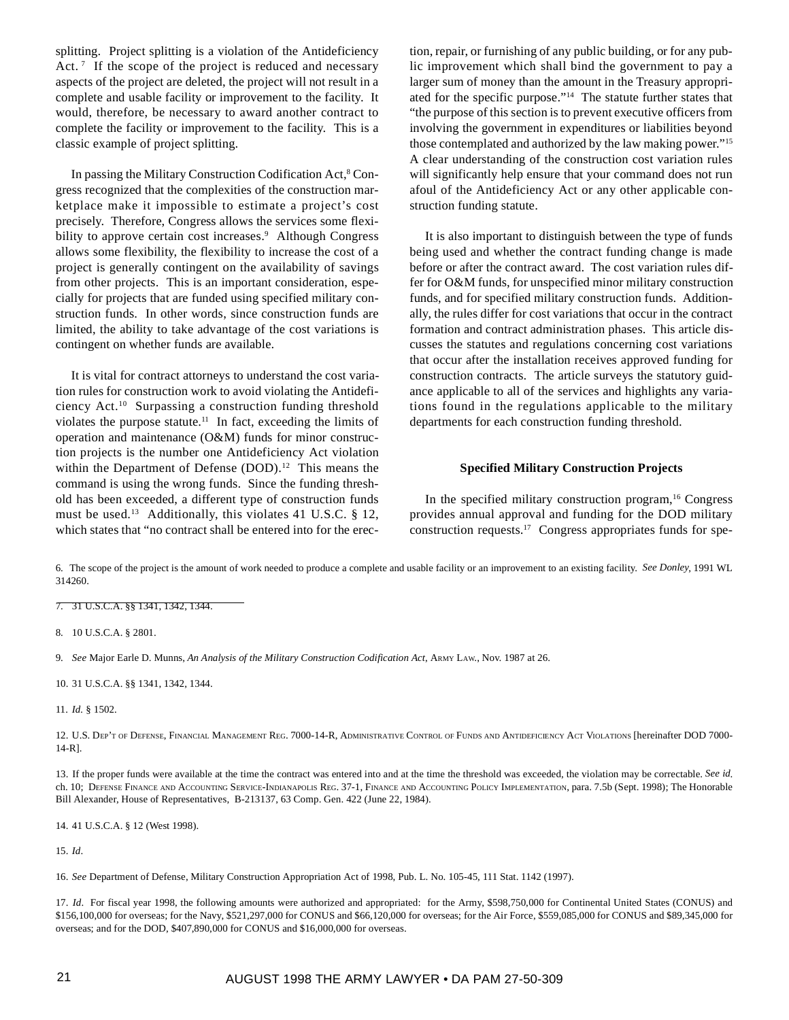splitting. Project splitting is a violation of the Antideficiency Act.<sup>7</sup> If the scope of the project is reduced and necessary aspects of the project are deleted, the project will not result in a complete and usable facility or improvement to the facility. It would, therefore, be necessary to award another contract to complete the facility or improvement to the facility. This is a classic example of project splitting.

In passing the Military Construction Codification Act,<sup>8</sup> Congress recognized that the complexities of the construction marketplace make it impossible to estimate a project's cost precisely. Therefore, Congress allows the services some flexibility to approve certain cost increases.<sup>9</sup> Although Congress allows some flexibility, the flexibility to increase the cost of a project is generally contingent on the availability of savings from other projects. This is an important consideration, especially for projects that are funded using specified military construction funds. In other words, since construction funds are limited, the ability to take advantage of the cost variations is contingent on whether funds are available.

It is vital for contract attorneys to understand the cost variation rules for construction work to avoid violating the Antideficiency Act.10 Surpassing a construction funding threshold violates the purpose statute.<sup>11</sup> In fact, exceeding the limits of operation and maintenance (O&M) funds for minor construction projects is the number one Antideficiency Act violation within the Department of Defense (DOD).<sup>12</sup> This means the command is using the wrong funds. Since the funding threshold has been exceeded, a different type of construction funds must be used.<sup>13</sup> Additionally, this violates 41 U.S.C. § 12, which states that "no contract shall be entered into for the erection, repair, or furnishing of any public building, or for any public improvement which shall bind the government to pay a larger sum of money than the amount in the Treasury appropriated for the specific purpose."14 The statute further states that "the purpose of this section is to prevent executive officers from involving the government in expenditures or liabilities beyond those contemplated and authorized by the law making power."15 A clear understanding of the construction cost variation rules will significantly help ensure that your command does not run afoul of the Antideficiency Act or any other applicable construction funding statute.

It is also important to distinguish between the type of funds being used and whether the contract funding change is made before or after the contract award. The cost variation rules differ for O&M funds, for unspecified minor military construction funds, and for specified military construction funds. Additionally, the rules differ for cost variations that occur in the contract formation and contract administration phases. This article discusses the statutes and regulations concerning cost variations that occur after the installation receives approved funding for construction contracts. The article surveys the statutory guidance applicable to all of the services and highlights any variations found in the regulations applicable to the military departments for each construction funding threshold.

#### **Specified Military Construction Projects**

In the specified military construction program,<sup>16</sup> Congress provides annual approval and funding for the DOD military construction requests.17 Congress appropriates funds for spe-

6. The scope of the project is the amount of work needed to produce a complete and usable facility or an improvement to an existing facility. *See Donley*, 1991 WL 314260.

7. 31 U.S.C.A. §§ 1341, 1342, 1344.

8. 10 U.S.C.A. § 2801.

9. *See* Major Earle D. Munns, *An Analysis of the Military Construction Codification Act*, ARMY LAW., Nov. 1987 at 26.

10. 31 U.S.C.A. §§ 1341, 1342, 1344.

11. *Id.* § 1502.

12. U.S. DEP'T OF DEFENSE, FINANCIAL MANAGEMENT REG. 7000-14-R, ADMINISTRATIVE CONTROL OF FUNDS AND ANTIDEFICIENCY ACT VIOLATIONS [hereinafter DOD 7000- 14-R].

13. If the proper funds were available at the time the contract was entered into and at the time the threshold was exceeded, the violation may be correctable. *See id*. ch. 10; DEFENSE FINANCE AND ACCOUNTING SERVICE-INDIANAPOLIS REG. 37-1, FINANCE AND ACCOUNTING POLICY IMPLEMENTATION, para. 7.5b (Sept. 1998); The Honorable Bill Alexander, House of Representatives, B-213137, 63 Comp. Gen. 422 (June 22, 1984).

14. 41 U.S.C.A. § 12 (West 1998).

15. *Id*.

16. *See* Department of Defense, Military Construction Appropriation Act of 1998, Pub. L. No. 105-45, 111 Stat. 1142 (1997).

17. *Id*. For fiscal year 1998, the following amounts were authorized and appropriated: for the Army, \$598,750,000 for Continental United States (CONUS) and \$156,100,000 for overseas; for the Navy, \$521,297,000 for CONUS and \$66,120,000 for overseas; for the Air Force, \$559,085,000 for CONUS and \$89,345,000 for overseas; and for the DOD, \$407,890,000 for CONUS and \$16,000,000 for overseas.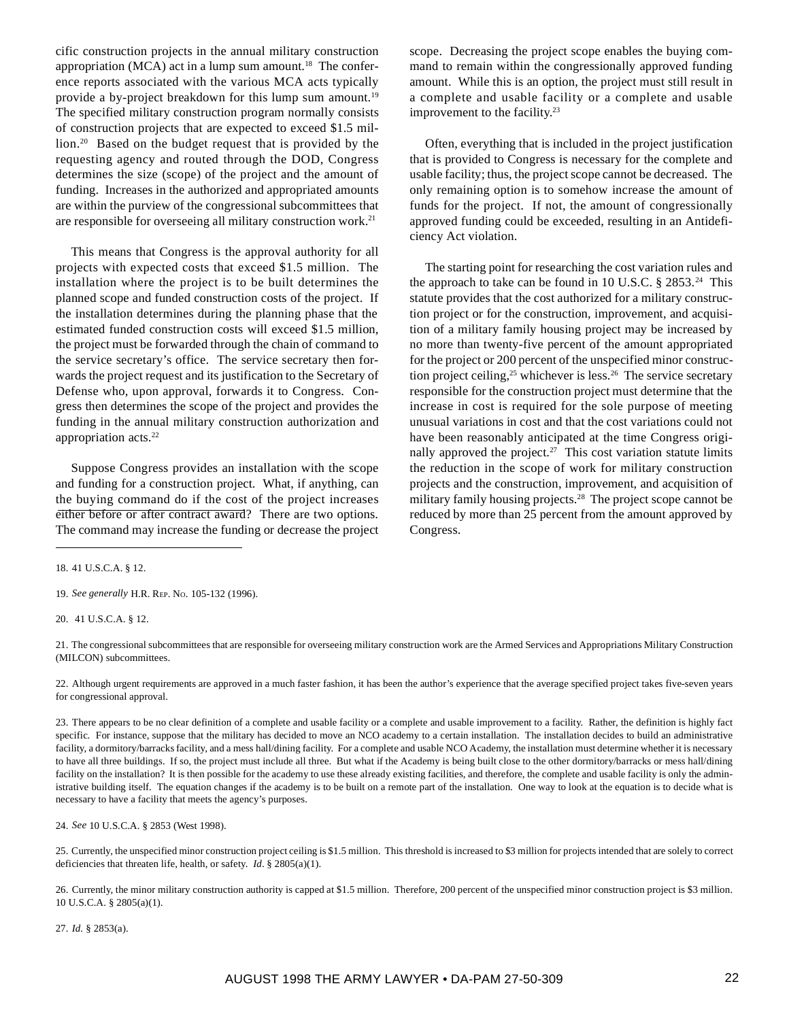cific construction projects in the annual military construction appropriation (MCA) act in a lump sum amount.<sup>18</sup> The conference reports associated with the various MCA acts typically provide a by-project breakdown for this lump sum amount.<sup>19</sup> The specified military construction program normally consists of construction projects that are expected to exceed \$1.5 million.20 Based on the budget request that is provided by the requesting agency and routed through the DOD, Congress determines the size (scope) of the project and the amount of funding. Increases in the authorized and appropriated amounts are within the purview of the congressional subcommittees that are responsible for overseeing all military construction work.<sup>21</sup>

This means that Congress is the approval authority for all projects with expected costs that exceed \$1.5 million. The installation where the project is to be built determines the planned scope and funded construction costs of the project. If the installation determines during the planning phase that the estimated funded construction costs will exceed \$1.5 million, the project must be forwarded through the chain of command to the service secretary's office. The service secretary then forwards the project request and its justification to the Secretary of Defense who, upon approval, forwards it to Congress. Congress then determines the scope of the project and provides the funding in the annual military construction authorization and appropriation acts.<sup>22</sup>

Suppose Congress provides an installation with the scope and funding for a construction project. What, if anything, can the buying command do if the cost of the project increases either before or after contract award? There are two options. The command may increase the funding or decrease the project scope. Decreasing the project scope enables the buying command to remain within the congressionally approved funding amount. While this is an option, the project must still result in a complete and usable facility or a complete and usable improvement to the facility.<sup>23</sup>

Often, everything that is included in the project justification that is provided to Congress is necessary for the complete and usable facility; thus, the project scope cannot be decreased. The only remaining option is to somehow increase the amount of funds for the project. If not, the amount of congressionally approved funding could be exceeded, resulting in an Antideficiency Act violation.

The starting point for researching the cost variation rules and the approach to take can be found in 10 U.S.C.  $\S 2853.^{24}$  This statute provides that the cost authorized for a military construction project or for the construction, improvement, and acquisition of a military family housing project may be increased by no more than twenty-five percent of the amount appropriated for the project or 200 percent of the unspecified minor construction project ceiling,<sup>25</sup> whichever is less.<sup>26</sup> The service secretary responsible for the construction project must determine that the increase in cost is required for the sole purpose of meeting unusual variations in cost and that the cost variations could not have been reasonably anticipated at the time Congress originally approved the project.<sup>27</sup> This cost variation statute limits the reduction in the scope of work for military construction projects and the construction, improvement, and acquisition of military family housing projects.<sup>28</sup> The project scope cannot be reduced by more than 25 percent from the amount approved by Congress.

18. 41 U.S.C.A. § 12.

19. *See generally* H.R. REP. NO. 105-132 (1996).

20. 41 U.S.C.A. § 12.

21. The congressional subcommittees that are responsible for overseeing military construction work are the Armed Services and Appropriations Military Construction (MILCON) subcommittees.

22. Although urgent requirements are approved in a much faster fashion, it has been the author's experience that the average specified project takes five-seven years for congressional approval.

23. There appears to be no clear definition of a complete and usable facility or a complete and usable improvement to a facility. Rather, the definition is highly fact specific. For instance, suppose that the military has decided to move an NCO academy to a certain installation. The installation decides to build an administrative facility, a dormitory/barracks facility, and a mess hall/dining facility. For a complete and usable NCO Academy, the installation must determine whether it is necessary to have all three buildings. If so, the project must include all three. But what if the Academy is being built close to the other dormitory/barracks or mess hall/dining facility on the installation? It is then possible for the academy to use these already existing facilities, and therefore, the complete and usable facility is only the administrative building itself. The equation changes if the academy is to be built on a remote part of the installation. One way to look at the equation is to decide what is necessary to have a facility that meets the agency's purposes.

24. *See* 10 U.S.C.A. § 2853 (West 1998).

25. Currently, the unspecified minor construction project ceiling is \$1.5 million. This threshold is increased to \$3 million for projects intended that are solely to correct deficiencies that threaten life, health, or safety. *Id*. § 2805(a)(1).

26. Currently, the minor military construction authority is capped at \$1.5 million. Therefore, 200 percent of the unspecified minor construction project is \$3 million. 10 U.S.C.A. § 2805(a)(1).

27. *Id.* § 2853(a).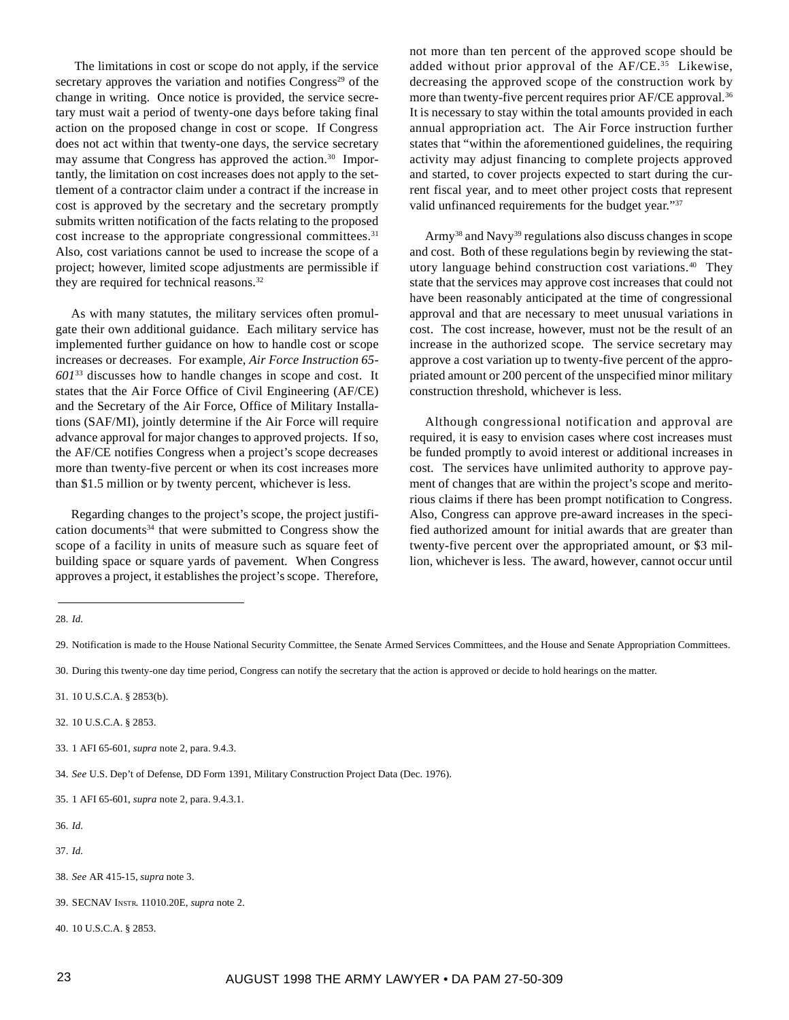The limitations in cost or scope do not apply, if the service secretary approves the variation and notifies Congress<sup>29</sup> of the change in writing. Once notice is provided, the service secretary must wait a period of twenty-one days before taking final action on the proposed change in cost or scope. If Congress does not act within that twenty-one days, the service secretary may assume that Congress has approved the action.<sup>30</sup> Importantly, the limitation on cost increases does not apply to the settlement of a contractor claim under a contract if the increase in cost is approved by the secretary and the secretary promptly submits written notification of the facts relating to the proposed cost increase to the appropriate congressional committees.<sup>31</sup> Also, cost variations cannot be used to increase the scope of a project; however, limited scope adjustments are permissible if they are required for technical reasons.<sup>32</sup>

As with many statutes, the military services often promulgate their own additional guidance. Each military service has implemented further guidance on how to handle cost or scope increases or decreases. For example, *Air Force Instruction 65- 601*33 discusses how to handle changes in scope and cost. It states that the Air Force Office of Civil Engineering (AF/CE) and the Secretary of the Air Force, Office of Military Installations (SAF/MI), jointly determine if the Air Force will require advance approval for major changes to approved projects. If so, the AF/CE notifies Congress when a project's scope decreases more than twenty-five percent or when its cost increases more than \$1.5 million or by twenty percent, whichever is less.

Regarding changes to the project's scope, the project justification documents<sup>34</sup> that were submitted to Congress show the scope of a facility in units of measure such as square feet of building space or square yards of pavement. When Congress approves a project, it establishes the project's scope. Therefore,

not more than ten percent of the approved scope should be added without prior approval of the AF/CE.<sup>35</sup> Likewise, decreasing the approved scope of the construction work by more than twenty-five percent requires prior AF/CE approval.<sup>36</sup> It is necessary to stay within the total amounts provided in each annual appropriation act. The Air Force instruction further states that "within the aforementioned guidelines, the requiring activity may adjust financing to complete projects approved and started, to cover projects expected to start during the current fiscal year, and to meet other project costs that represent valid unfinanced requirements for the budget year."37

Army<sup>38</sup> and Navy<sup>39</sup> regulations also discuss changes in scope and cost. Both of these regulations begin by reviewing the statutory language behind construction cost variations.40 They state that the services may approve cost increases that could not have been reasonably anticipated at the time of congressional approval and that are necessary to meet unusual variations in cost. The cost increase, however, must not be the result of an increase in the authorized scope. The service secretary may approve a cost variation up to twenty-five percent of the appropriated amount or 200 percent of the unspecified minor military construction threshold, whichever is less.

Although congressional notification and approval are required, it is easy to envision cases where cost increases must be funded promptly to avoid interest or additional increases in cost. The services have unlimited authority to approve payment of changes that are within the project's scope and meritorious claims if there has been prompt notification to Congress. Also, Congress can approve pre-award increases in the specified authorized amount for initial awards that are greater than twenty-five percent over the appropriated amount, or \$3 million, whichever is less. The award, however, cannot occur until

30. During this twenty-one day time period, Congress can notify the secretary that the action is approved or decide to hold hearings on the matter.

- 32. 10 U.S.C.A. § 2853.
- 33. 1 AFI 65-601, *supra* note 2, para. 9.4.3.

34. *See* U.S. Dep't of Defense, DD Form 1391, Military Construction Project Data (Dec. 1976).

35. 1 AFI 65-601, *supra* note 2, para. 9.4.3.1.

36. *Id.*

- 37. *Id.*
- 38. *See* AR 415-15, *supra* note 3.
- 39. SECNAV INSTR. 11010.20E, *supra* note 2.
- 40. 10 U.S.C.A. § 2853.

<sup>28.</sup> *Id.*

<sup>29.</sup> Notification is made to the House National Security Committee, the Senate Armed Services Committees, and the House and Senate Appropriation Committees.

<sup>31. 10</sup> U.S.C.A. § 2853(b).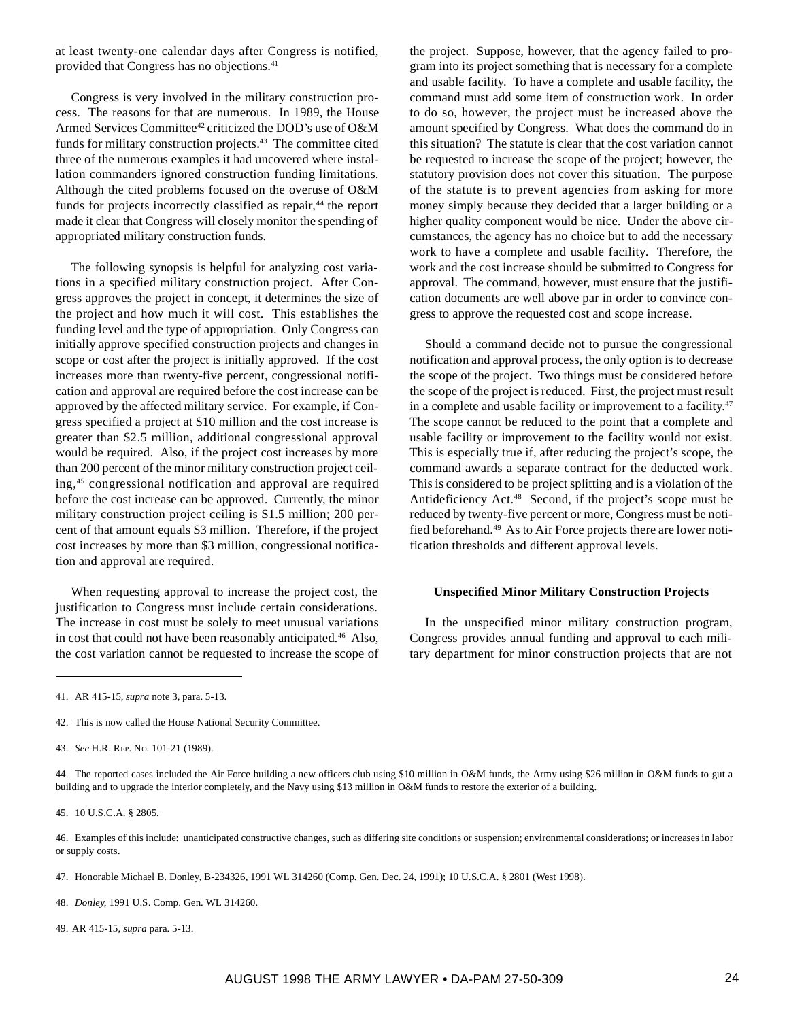at least twenty-one calendar days after Congress is notified, provided that Congress has no objections.<sup>41</sup>

Congress is very involved in the military construction process. The reasons for that are numerous. In 1989, the House Armed Services Committee<sup>42</sup> criticized the DOD's use of O&M funds for military construction projects.<sup>43</sup> The committee cited three of the numerous examples it had uncovered where installation commanders ignored construction funding limitations. Although the cited problems focused on the overuse of O&M funds for projects incorrectly classified as repair,<sup>44</sup> the report made it clear that Congress will closely monitor the spending of appropriated military construction funds.

The following synopsis is helpful for analyzing cost variations in a specified military construction project. After Congress approves the project in concept, it determines the size of the project and how much it will cost. This establishes the funding level and the type of appropriation. Only Congress can initially approve specified construction projects and changes in scope or cost after the project is initially approved. If the cost increases more than twenty-five percent, congressional notification and approval are required before the cost increase can be approved by the affected military service. For example, if Congress specified a project at \$10 million and the cost increase is greater than \$2.5 million, additional congressional approval would be required. Also, if the project cost increases by more than 200 percent of the minor military construction project ceiling,45 congressional notification and approval are required before the cost increase can be approved. Currently, the minor military construction project ceiling is \$1.5 million; 200 percent of that amount equals \$3 million. Therefore, if the project cost increases by more than \$3 million, congressional notification and approval are required.

When requesting approval to increase the project cost, the justification to Congress must include certain considerations. The increase in cost must be solely to meet unusual variations in cost that could not have been reasonably anticipated.<sup>46</sup> Also, the cost variation cannot be requested to increase the scope of

the project. Suppose, however, that the agency failed to program into its project something that is necessary for a complete and usable facility. To have a complete and usable facility, the command must add some item of construction work. In order to do so, however, the project must be increased above the amount specified by Congress. What does the command do in this situation? The statute is clear that the cost variation cannot be requested to increase the scope of the project; however, the statutory provision does not cover this situation. The purpose of the statute is to prevent agencies from asking for more money simply because they decided that a larger building or a higher quality component would be nice. Under the above circumstances, the agency has no choice but to add the necessary work to have a complete and usable facility. Therefore, the work and the cost increase should be submitted to Congress for approval. The command, however, must ensure that the justification documents are well above par in order to convince congress to approve the requested cost and scope increase.

Should a command decide not to pursue the congressional notification and approval process, the only option is to decrease the scope of the project. Two things must be considered before the scope of the project is reduced. First, the project must result in a complete and usable facility or improvement to a facility.<sup>47</sup> The scope cannot be reduced to the point that a complete and usable facility or improvement to the facility would not exist. This is especially true if, after reducing the project's scope, the command awards a separate contract for the deducted work. This is considered to be project splitting and is a violation of the Antideficiency Act.48 Second, if the project's scope must be reduced by twenty-five percent or more, Congress must be notified beforehand.49 As to Air Force projects there are lower notification thresholds and different approval levels.

#### **Unspecified Minor Military Construction Projects**

In the unspecified minor military construction program, Congress provides annual funding and approval to each military department for minor construction projects that are not

42. This is now called the House National Security Committee.

44. The reported cases included the Air Force building a new officers club using \$10 million in O&M funds, the Army using \$26 million in O&M funds to gut a building and to upgrade the interior completely, and the Navy using \$13 million in O&M funds to restore the exterior of a building.

45. 10 U.S.C.A. § 2805.

46. Examples of this include: unanticipated constructive changes, such as differing site conditions or suspension; environmental considerations; or increases in labor or supply costs.

47. Honorable Michael B. Donley, B-234326, 1991 WL 314260 (Comp. Gen. Dec. 24, 1991); 10 U.S.C.A. § 2801 (West 1998).

48. *Donley*, 1991 U.S. Comp. Gen. WL 314260.

49. AR 415-15, *supra* para. 5-13.

<sup>41.</sup> AR 415-15, *supra* note 3, para. 5-13.

<sup>43.</sup> *See* H.R. REP. NO. 101-21 (1989).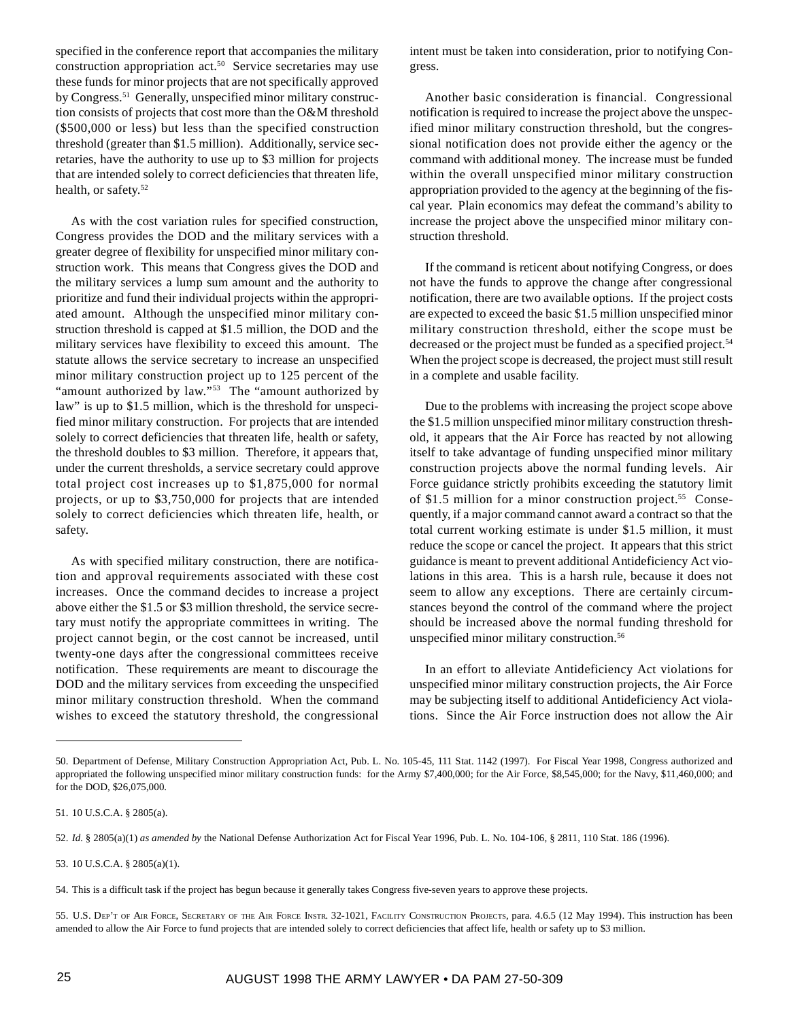specified in the conference report that accompanies the military construction appropriation act.<sup>50</sup> Service secretaries may use these funds for minor projects that are not specifically approved by Congress.<sup>51</sup> Generally, unspecified minor military construction consists of projects that cost more than the O&M threshold (\$500,000 or less) but less than the specified construction threshold (greater than \$1.5 million). Additionally, service secretaries, have the authority to use up to \$3 million for projects that are intended solely to correct deficiencies that threaten life, health, or safety.<sup>52</sup>

As with the cost variation rules for specified construction, Congress provides the DOD and the military services with a greater degree of flexibility for unspecified minor military construction work. This means that Congress gives the DOD and the military services a lump sum amount and the authority to prioritize and fund their individual projects within the appropriated amount. Although the unspecified minor military construction threshold is capped at \$1.5 million, the DOD and the military services have flexibility to exceed this amount. The statute allows the service secretary to increase an unspecified minor military construction project up to 125 percent of the "amount authorized by law."<sup>53</sup> The "amount authorized by law" is up to \$1.5 million, which is the threshold for unspecified minor military construction. For projects that are intended solely to correct deficiencies that threaten life, health or safety, the threshold doubles to \$3 million. Therefore, it appears that, under the current thresholds, a service secretary could approve total project cost increases up to \$1,875,000 for normal projects, or up to \$3,750,000 for projects that are intended solely to correct deficiencies which threaten life, health, or safety.

As with specified military construction, there are notification and approval requirements associated with these cost increases. Once the command decides to increase a project above either the \$1.5 or \$3 million threshold, the service secretary must notify the appropriate committees in writing. The project cannot begin, or the cost cannot be increased, until twenty-one days after the congressional committees receive notification. These requirements are meant to discourage the DOD and the military services from exceeding the unspecified minor military construction threshold. When the command wishes to exceed the statutory threshold, the congressional

intent must be taken into consideration, prior to notifying Congress.

Another basic consideration is financial. Congressional notification is required to increase the project above the unspecified minor military construction threshold, but the congressional notification does not provide either the agency or the command with additional money. The increase must be funded within the overall unspecified minor military construction appropriation provided to the agency at the beginning of the fiscal year. Plain economics may defeat the command's ability to increase the project above the unspecified minor military construction threshold.

If the command is reticent about notifying Congress, or does not have the funds to approve the change after congressional notification, there are two available options. If the project costs are expected to exceed the basic \$1.5 million unspecified minor military construction threshold, either the scope must be decreased or the project must be funded as a specified project.<sup>54</sup> When the project scope is decreased, the project must still result in a complete and usable facility.

Due to the problems with increasing the project scope above the \$1.5 million unspecified minor military construction threshold, it appears that the Air Force has reacted by not allowing itself to take advantage of funding unspecified minor military construction projects above the normal funding levels. Air Force guidance strictly prohibits exceeding the statutory limit of \$1.5 million for a minor construction project.<sup>55</sup> Consequently, if a major command cannot award a contract so that the total current working estimate is under \$1.5 million, it must reduce the scope or cancel the project. It appears that this strict guidance is meant to prevent additional Antideficiency Act violations in this area. This is a harsh rule, because it does not seem to allow any exceptions. There are certainly circumstances beyond the control of the command where the project should be increased above the normal funding threshold for unspecified minor military construction.<sup>56</sup>

In an effort to alleviate Antideficiency Act violations for unspecified minor military construction projects, the Air Force may be subjecting itself to additional Antideficiency Act violations. Since the Air Force instruction does not allow the Air

<sup>50.</sup> Department of Defense, Military Construction Appropriation Act, Pub. L. No. 105-45, 111 Stat. 1142 (1997). For Fiscal Year 1998, Congress authorized and appropriated the following unspecified minor military construction funds: for the Army \$7,400,000; for the Air Force, \$8,545,000; for the Navy, \$11,460,000; and for the DOD, \$26,075,000.

<sup>51. 10</sup> U.S.C.A. § 2805(a).

<sup>52.</sup> *Id.* § 2805(a)(1) *as amended by* the National Defense Authorization Act for Fiscal Year 1996, Pub. L. No. 104-106, § 2811, 110 Stat. 186 (1996).

<sup>53. 10</sup> U.S.C.A. § 2805(a)(1).

<sup>54.</sup> This is a difficult task if the project has begun because it generally takes Congress five-seven years to approve these projects.

<sup>55.</sup> U.S. DEP'T OF AIR FORCE, SECRETARY OF THE AIR FORCE INSTR. 32-1021, FACILITY CONSTRUCTION PROJECTS, para. 4.6.5 (12 May 1994). This instruction has been amended to allow the Air Force to fund projects that are intended solely to correct deficiencies that affect life, health or safety up to \$3 million.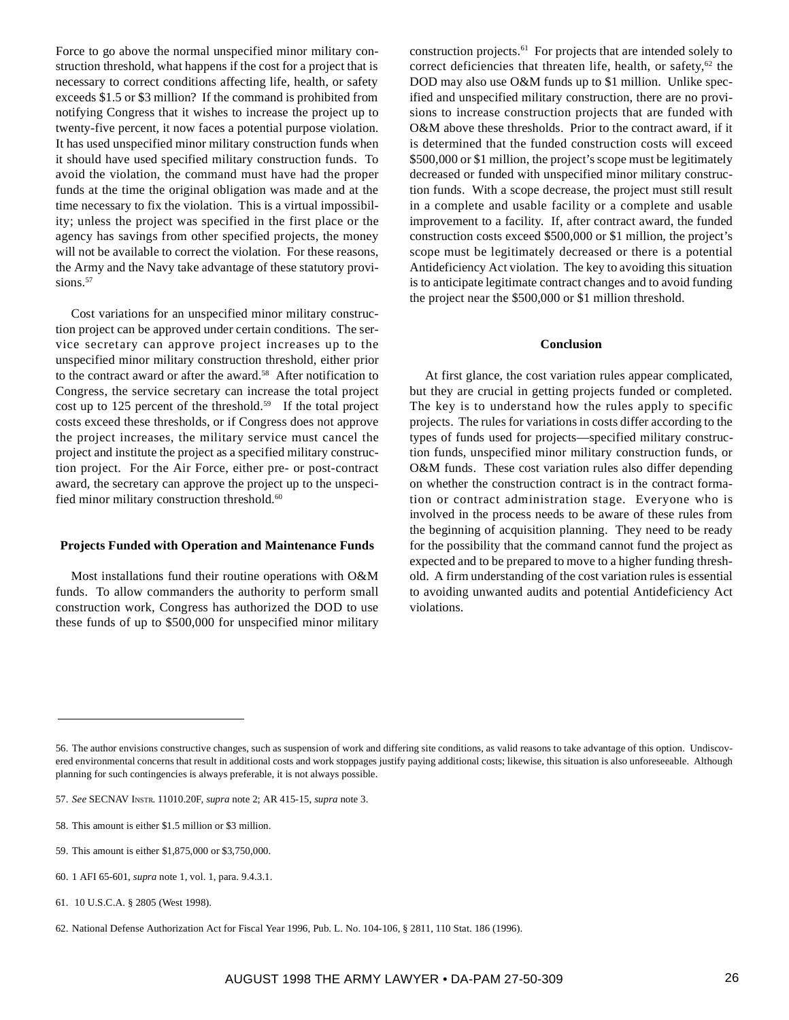Force to go above the normal unspecified minor military construction threshold, what happens if the cost for a project that is necessary to correct conditions affecting life, health, or safety exceeds \$1.5 or \$3 million? If the command is prohibited from notifying Congress that it wishes to increase the project up to twenty-five percent, it now faces a potential purpose violation. It has used unspecified minor military construction funds when it should have used specified military construction funds. To avoid the violation, the command must have had the proper funds at the time the original obligation was made and at the time necessary to fix the violation. This is a virtual impossibility; unless the project was specified in the first place or the agency has savings from other specified projects, the money will not be available to correct the violation. For these reasons, the Army and the Navy take advantage of these statutory provisions.<sup>57</sup>

Cost variations for an unspecified minor military construction project can be approved under certain conditions. The service secretary can approve project increases up to the unspecified minor military construction threshold, either prior to the contract award or after the award.<sup>58</sup> After notification to Congress, the service secretary can increase the total project cost up to 125 percent of the threshold.<sup>59</sup> If the total project costs exceed these thresholds, or if Congress does not approve the project increases, the military service must cancel the project and institute the project as a specified military construction project. For the Air Force, either pre- or post-contract award, the secretary can approve the project up to the unspecified minor military construction threshold.<sup>60</sup>

#### **Projects Funded with Operation and Maintenance Funds**

Most installations fund their routine operations with O&M funds. To allow commanders the authority to perform small construction work, Congress has authorized the DOD to use these funds of up to \$500,000 for unspecified minor military construction projects.61 For projects that are intended solely to correct deficiencies that threaten life, health, or safety,<sup>62</sup> the DOD may also use O&M funds up to \$1 million. Unlike specified and unspecified military construction, there are no provisions to increase construction projects that are funded with O&M above these thresholds. Prior to the contract award, if it is determined that the funded construction costs will exceed \$500,000 or \$1 million, the project's scope must be legitimately decreased or funded with unspecified minor military construction funds. With a scope decrease, the project must still result in a complete and usable facility or a complete and usable improvement to a facility. If, after contract award, the funded construction costs exceed \$500,000 or \$1 million, the project's scope must be legitimately decreased or there is a potential Antideficiency Act violation. The key to avoiding this situation is to anticipate legitimate contract changes and to avoid funding the project near the \$500,000 or \$1 million threshold.

#### **Conclusion**

At first glance, the cost variation rules appear complicated, but they are crucial in getting projects funded or completed. The key is to understand how the rules apply to specific projects. The rules for variations in costs differ according to the types of funds used for projects—specified military construction funds, unspecified minor military construction funds, or O&M funds. These cost variation rules also differ depending on whether the construction contract is in the contract formation or contract administration stage. Everyone who is involved in the process needs to be aware of these rules from the beginning of acquisition planning. They need to be ready for the possibility that the command cannot fund the project as expected and to be prepared to move to a higher funding threshold. A firm understanding of the cost variation rules is essential to avoiding unwanted audits and potential Antideficiency Act violations.

<sup>56.</sup> The author envisions constructive changes, such as suspension of work and differing site conditions, as valid reasons to take advantage of this option. Undiscovered environmental concerns that result in additional costs and work stoppages justify paying additional costs; likewise, this situation is also unforeseeable. Although planning for such contingencies is always preferable, it is not always possible.

<sup>57.</sup> *See* SECNAV INSTR. 11010.20F, *supra* note 2; AR 415-15, *supra* note 3.

<sup>58.</sup> This amount is either \$1.5 million or \$3 million.

<sup>59.</sup> This amount is either \$1,875,000 or \$3,750,000.

<sup>60. 1</sup> AFI 65-601, *supra* note 1, vol. 1, para. 9.4.3.1.

<sup>61. 10</sup> U.S.C.A. § 2805 (West 1998).

<sup>62.</sup> National Defense Authorization Act for Fiscal Year 1996, Pub. L. No. 104-106, § 2811, 110 Stat. 186 (1996).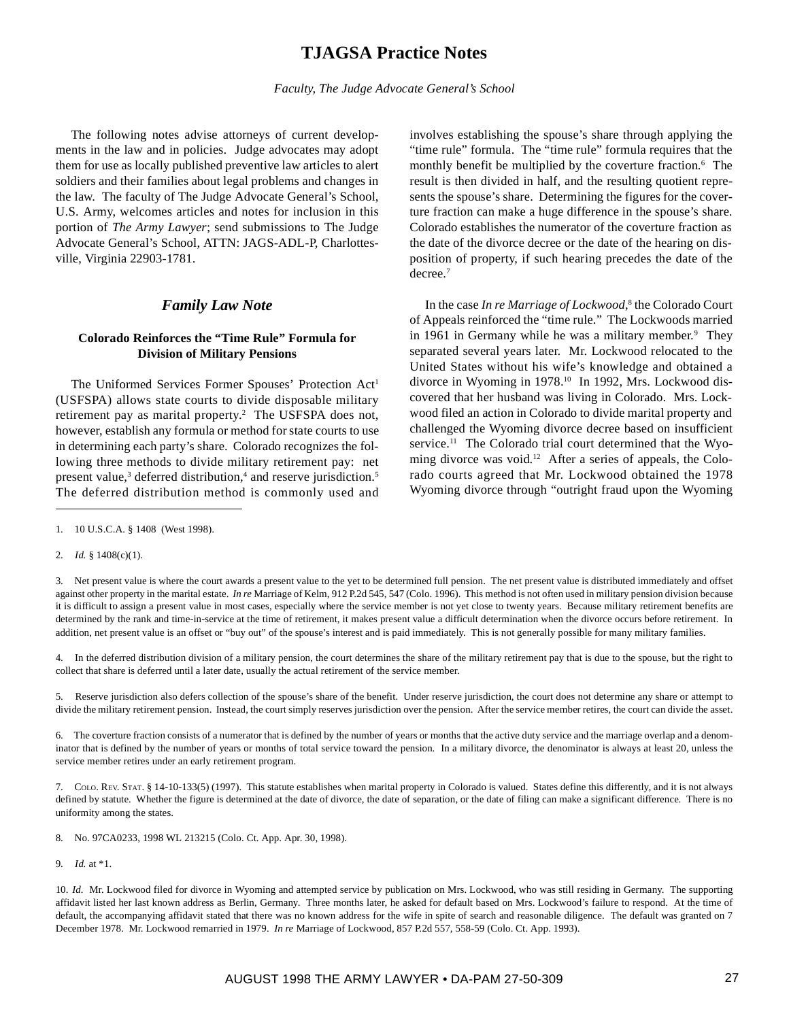# **TJAGSA Practice Notes**

The following notes advise attorneys of current developments in the law and in policies. Judge advocates may adopt them for use as locally published preventive law articles to alert soldiers and their families about legal problems and changes in the law. The faculty of The Judge Advocate General's School, U.S. Army, welcomes articles and notes for inclusion in this portion of *The Army Lawyer*; send submissions to The Judge Advocate General's School, ATTN: JAGS-ADL-P, Charlottesville, Virginia 22903-1781.

# *Family Law Note*

# **Colorado Reinforces the "Time Rule" Formula for Division of Military Pensions**

The Uniformed Services Former Spouses' Protection Act<sup>1</sup> (USFSPA) allows state courts to divide disposable military retirement pay as marital property.<sup>2</sup> The USFSPA does not, however, establish any formula or method for state courts to use in determining each party's share. Colorado recognizes the following three methods to divide military retirement pay: net present value,<sup>3</sup> deferred distribution,<sup>4</sup> and reserve jurisdiction.<sup>5</sup> The deferred distribution method is commonly used and

involves establishing the spouse's share through applying the "time rule" formula. The "time rule" formula requires that the monthly benefit be multiplied by the coverture fraction.<sup>6</sup> The result is then divided in half, and the resulting quotient represents the spouse's share. Determining the figures for the coverture fraction can make a huge difference in the spouse's share. Colorado establishes the numerator of the coverture fraction as the date of the divorce decree or the date of the hearing on disposition of property, if such hearing precedes the date of the decree.<sup>7</sup>

In the case *In re Marriage of Lockwood*,<sup>8</sup> the Colorado Court of Appeals reinforced the "time rule." The Lockwoods married in 1961 in Germany while he was a military member.<sup>9</sup> They separated several years later. Mr. Lockwood relocated to the United States without his wife's knowledge and obtained a divorce in Wyoming in 1978.10 In 1992, Mrs. Lockwood discovered that her husband was living in Colorado. Mrs. Lockwood filed an action in Colorado to divide marital property and challenged the Wyoming divorce decree based on insufficient service.<sup>11</sup> The Colorado trial court determined that the Wyoming divorce was void.<sup>12</sup> After a series of appeals, the Colorado courts agreed that Mr. Lockwood obtained the 1978 Wyoming divorce through "outright fraud upon the Wyoming

4. In the deferred distribution division of a military pension, the court determines the share of the military retirement pay that is due to the spouse, but the right to collect that share is deferred until a later date, usually the actual retirement of the service member.

5. Reserve jurisdiction also defers collection of the spouse's share of the benefit. Under reserve jurisdiction, the court does not determine any share or attempt to divide the military retirement pension. Instead, the court simply reserves jurisdiction over the pension. After the service member retires, the court can divide the asset.

6. The coverture fraction consists of a numerator that is defined by the number of years or months that the active duty service and the marriage overlap and a denominator that is defined by the number of years or months of total service toward the pension. In a military divorce, the denominator is always at least 20, unless the service member retires under an early retirement program.

7. COLO. REV. STAT. § 14-10-133(5) (1997). This statute establishes when marital property in Colorado is valued. States define this differently, and it is not always defined by statute. Whether the figure is determined at the date of divorce, the date of separation, or the date of filing can make a significant difference. There is no uniformity among the states.

8. No. 97CA0233, 1998 WL 213215 (Colo. Ct. App. Apr. 30, 1998).

<sup>1. 10</sup> U.S.C.A. § 1408 (West 1998).

<sup>2.</sup> *Id.* § 1408(c)(1).

<sup>3.</sup> Net present value is where the court awards a present value to the yet to be determined full pension. The net present value is distributed immediately and offset against other property in the marital estate. *In re* Marriage of Kelm, 912 P.2d 545, 547 (Colo. 1996). This method is not often used in military pension division because it is difficult to assign a present value in most cases, especially where the service member is not yet close to twenty years. Because military retirement benefits are determined by the rank and time-in-service at the time of retirement, it makes present value a difficult determination when the divorce occurs before retirement. In addition, net present value is an offset or "buy out" of the spouse's interest and is paid immediately. This is not generally possible for many military families.

<sup>9.</sup> *Id.* at \*1.

<sup>10.</sup> *Id.* Mr. Lockwood filed for divorce in Wyoming and attempted service by publication on Mrs. Lockwood, who was still residing in Germany. The supporting affidavit listed her last known address as Berlin, Germany. Three months later, he asked for default based on Mrs. Lockwood's failure to respond. At the time of default, the accompanying affidavit stated that there was no known address for the wife in spite of search and reasonable diligence. The default was granted on 7 December 1978. Mr. Lockwood remarried in 1979. *In re* Marriage of Lockwood, 857 P.2d 557, 558-59 (Colo. Ct. App. 1993).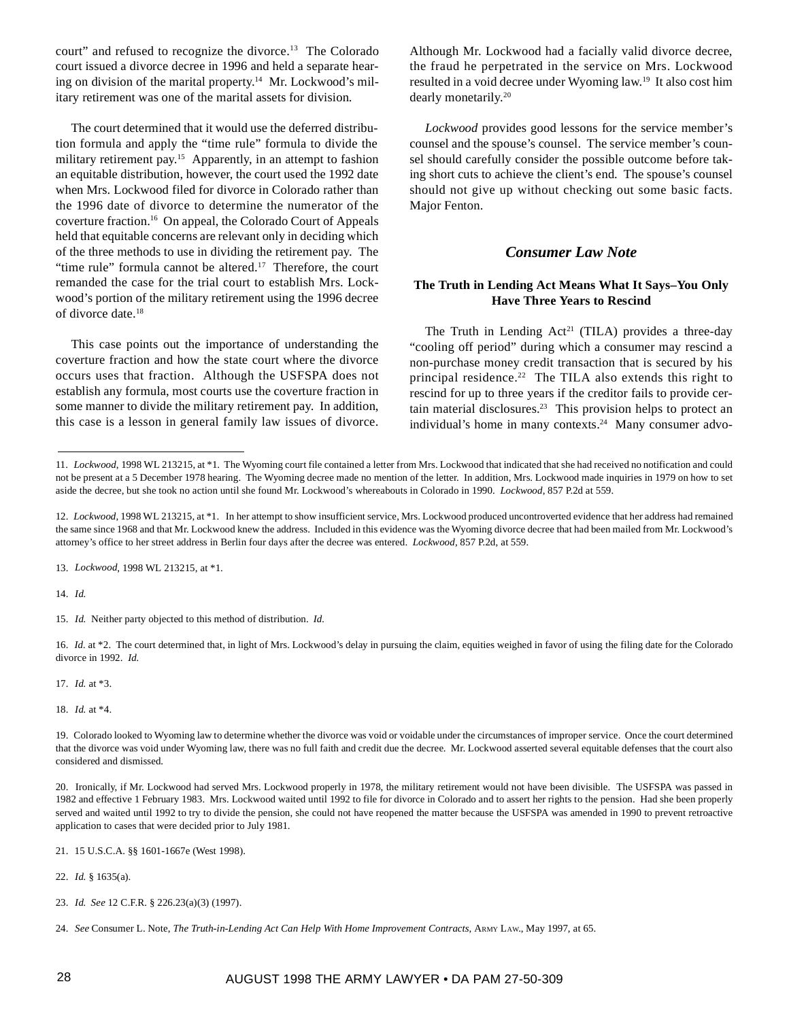court" and refused to recognize the divorce.13 The Colorado court issued a divorce decree in 1996 and held a separate hearing on division of the marital property.<sup>14</sup> Mr. Lockwood's military retirement was one of the marital assets for division.

The court determined that it would use the deferred distribution formula and apply the "time rule" formula to divide the military retirement pay.<sup>15</sup> Apparently, in an attempt to fashion an equitable distribution, however, the court used the 1992 date when Mrs. Lockwood filed for divorce in Colorado rather than the 1996 date of divorce to determine the numerator of the coverture fraction.16 On appeal, the Colorado Court of Appeals held that equitable concerns are relevant only in deciding which of the three methods to use in dividing the retirement pay. The "time rule" formula cannot be altered. $17$  Therefore, the court remanded the case for the trial court to establish Mrs. Lockwood's portion of the military retirement using the 1996 decree of divorce date.18

This case points out the importance of understanding the coverture fraction and how the state court where the divorce occurs uses that fraction. Although the USFSPA does not establish any formula, most courts use the coverture fraction in some manner to divide the military retirement pay. In addition, this case is a lesson in general family law issues of divorce.

Although Mr. Lockwood had a facially valid divorce decree, the fraud he perpetrated in the service on Mrs. Lockwood resulted in a void decree under Wyoming law.19 It also cost him dearly monetarily.20

*Lockwood* provides good lessons for the service member's counsel and the spouse's counsel. The service member's counsel should carefully consider the possible outcome before taking short cuts to achieve the client's end. The spouse's counsel should not give up without checking out some basic facts. Major Fenton.

# *Consumer Law Note*

## **The Truth in Lending Act Means What It Says–You Only Have Three Years to Rescind**

The Truth in Lending Act<sup>21</sup> (TILA) provides a three-day "cooling off period" during which a consumer may rescind a non-purchase money credit transaction that is secured by his principal residence.<sup>22</sup> The TILA also extends this right to rescind for up to three years if the creditor fails to provide certain material disclosures.<sup>23</sup> This provision helps to protect an individual's home in many contexts. $24$  Many consumer advo-

14. *Id.*

16. *Id.* at \*2. The court determined that, in light of Mrs. Lockwood's delay in pursuing the claim, equities weighed in favor of using the filing date for the Colorado divorce in 1992. *Id.*

17. *Id.* at \*3.

18. *Id.* at \*4.

19. Colorado looked to Wyoming law to determine whether the divorce was void or voidable under the circumstances of improper service. Once the court determined that the divorce was void under Wyoming law, there was no full faith and credit due the decree. Mr. Lockwood asserted several equitable defenses that the court also considered and dismissed.

20. Ironically, if Mr. Lockwood had served Mrs. Lockwood properly in 1978, the military retirement would not have been divisible. The USFSPA was passed in 1982 and effective 1 February 1983. Mrs. Lockwood waited until 1992 to file for divorce in Colorado and to assert her rights to the pension. Had she been properly served and waited until 1992 to try to divide the pension, she could not have reopened the matter because the USFSPA was amended in 1990 to prevent retroactive application to cases that were decided prior to July 1981.

22. *Id.* § 1635(a).

23. *Id. See* 12 C.F.R. § 226.23(a)(3) (1997).

<sup>11.</sup> *Lockwood*, 1998 WL 213215, at \*1. The Wyoming court file contained a letter from Mrs. Lockwood that indicated that she had received no notification and could not be present at a 5 December 1978 hearing. The Wyoming decree made no mention of the letter. In addition, Mrs. Lockwood made inquiries in 1979 on how to set aside the decree, but she took no action until she found Mr. Lockwood's whereabouts in Colorado in 1990. *Lockwood*, 857 P.2d at 559.

<sup>12.</sup> *Lockwood*, 1998 WL 213215, at \*1. In her attempt to show insufficient service, Mrs. Lockwood produced uncontroverted evidence that her address had remained the same since 1968 and that Mr. Lockwood knew the address. Included in this evidence was the Wyoming divorce decree that had been mailed from Mr. Lockwood's attorney's office to her street address in Berlin four days after the decree was entered. *Lockwood*, 857 P.2d, at 559.

<sup>13.</sup> *Lockwood*, 1998 WL 213215, at \*1.

<sup>15.</sup> *Id.* Neither party objected to this method of distribution. *Id.*

<sup>21. 15</sup> U.S.C.A. §§ 1601-1667e (West 1998).

<sup>24.</sup> *See* Consumer L. Note, *The Truth-in-Lending Act Can Help With Home Improvement Contracts*, ARMY LAW., May 1997, at 65.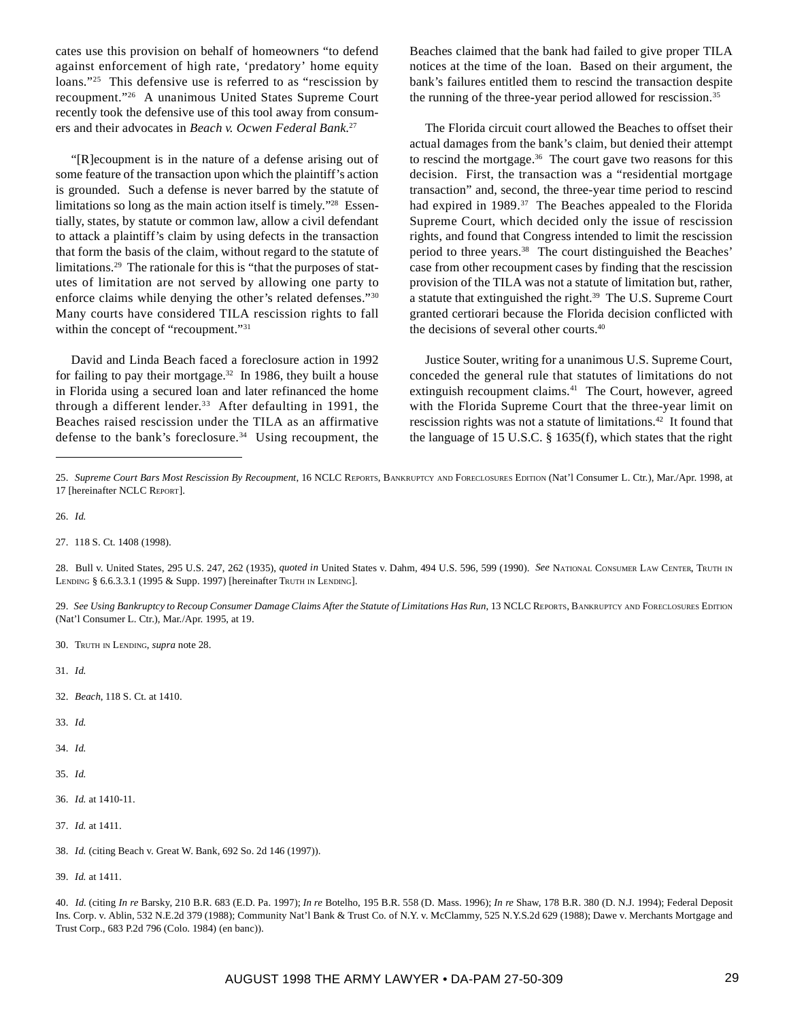cates use this provision on behalf of homeowners "to defend against enforcement of high rate, 'predatory' home equity loans."<sup>25</sup> This defensive use is referred to as "rescission by recoupment."26 A unanimous United States Supreme Court recently took the defensive use of this tool away from consumers and their advocates in *Beach v. Ocwen Federal Bank*. 27

"[R]ecoupment is in the nature of a defense arising out of some feature of the transaction upon which the plaintiff's action is grounded. Such a defense is never barred by the statute of limitations so long as the main action itself is timely."28 Essentially, states, by statute or common law, allow a civil defendant to attack a plaintiff's claim by using defects in the transaction that form the basis of the claim, without regard to the statute of limitations.29 The rationale for this is "that the purposes of statutes of limitation are not served by allowing one party to enforce claims while denying the other's related defenses."30 Many courts have considered TILA rescission rights to fall within the concept of "recoupment."<sup>31</sup>

David and Linda Beach faced a foreclosure action in 1992 for failing to pay their mortgage.<sup>32</sup> In 1986, they built a house in Florida using a secured loan and later refinanced the home through a different lender.<sup>33</sup> After defaulting in 1991, the Beaches raised rescission under the TILA as an affirmative defense to the bank's foreclosure.<sup>34</sup> Using recoupment, the Beaches claimed that the bank had failed to give proper TILA notices at the time of the loan. Based on their argument, the bank's failures entitled them to rescind the transaction despite the running of the three-year period allowed for rescission.<sup>35</sup>

The Florida circuit court allowed the Beaches to offset their actual damages from the bank's claim, but denied their attempt to rescind the mortgage. $36$  The court gave two reasons for this decision. First, the transaction was a "residential mortgage transaction" and, second, the three-year time period to rescind had expired in 1989.<sup>37</sup> The Beaches appealed to the Florida Supreme Court, which decided only the issue of rescission rights, and found that Congress intended to limit the rescission period to three years.<sup>38</sup> The court distinguished the Beaches' case from other recoupment cases by finding that the rescission provision of the TILA was not a statute of limitation but, rather, a statute that extinguished the right.<sup>39</sup> The U.S. Supreme Court granted certiorari because the Florida decision conflicted with the decisions of several other courts.40

Justice Souter, writing for a unanimous U.S. Supreme Court, conceded the general rule that statutes of limitations do not extinguish recoupment claims.<sup>41</sup> The Court, however, agreed with the Florida Supreme Court that the three-year limit on rescission rights was not a statute of limitations.<sup>42</sup> It found that the language of 15 U.S.C. § 1635(f), which states that the right

- 29. See Using Bankruptcy to Recoup Consumer Damage Claims After the Statute of Limitations Has Run, 13 NCLC REPORTS, BANKRUPTCY AND FORECLOSURES EDITION (Nat'l Consumer L. Ctr.), Mar./Apr. 1995, at 19.
- 30. TRUTH IN LENDING, *supra* note 28.
- 31. *Id.*
- 32. *Beach*, 118 S. Ct. at 1410.
- 33. *Id.*
- 34. *Id.*
- 35. *Id.*
- 36. *Id.* at 1410-11.
- 37. *Id.* at 1411.
- 38. *Id.* (citing Beach v. Great W. Bank, 692 So. 2d 146 (1997)).
- 39. *Id.* at 1411.

40. *Id.* (citing *In re* Barsky, 210 B.R. 683 (E.D. Pa. 1997); *In re* Botelho, 195 B.R. 558 (D. Mass. 1996); *In re* Shaw, 178 B.R. 380 (D. N.J. 1994); Federal Deposit Ins. Corp. v. Ablin, 532 N.E.2d 379 (1988); Community Nat'l Bank & Trust Co. of N.Y. v. McClammy, 525 N.Y.S.2d 629 (1988); Dawe v. Merchants Mortgage and Trust Corp., 683 P.2d 796 (Colo. 1984) (en banc)).

<sup>25.</sup> *Supreme Court Bars Most Rescission By Recoupment*, 16 NCLC REPORTS, BANKRUPTCY AND FORECLOSURES EDITION (Nat'l Consumer L. Ctr.), Mar./Apr. 1998, at 17 [hereinafter NCLC REPORT].

<sup>26.</sup> *Id.*

<sup>27. 118</sup> S. Ct. 1408 (1998).

<sup>28.</sup> Bull v. United States, 295 U.S. 247, 262 (1935), *quoted in* United States v. Dahm, 494 U.S. 596, 599 (1990). *See* NATIONAL CONSUMER LAW CENTER, TRUTH IN LENDING § 6.6.3.3.1 (1995 & Supp. 1997) [hereinafter TRUTH IN LENDING].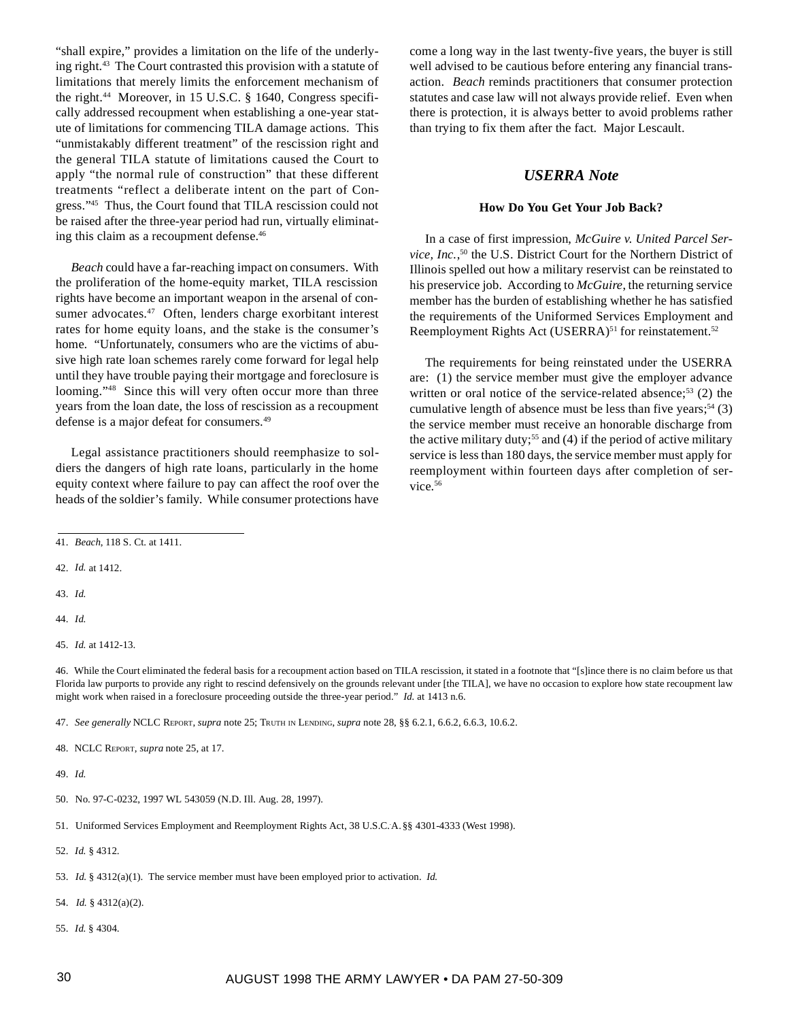"shall expire," provides a limitation on the life of the underlying right.43 The Court contrasted this provision with a statute of limitations that merely limits the enforcement mechanism of the right.<sup>44</sup> Moreover, in 15 U.S.C. § 1640, Congress specifically addressed recoupment when establishing a one-year statute of limitations for commencing TILA damage actions. This "unmistakably different treatment" of the rescission right and the general TILA statute of limitations caused the Court to apply "the normal rule of construction" that these different treatments "reflect a deliberate intent on the part of Congress."45 Thus, the Court found that TILA rescission could not be raised after the three-year period had run, virtually eliminating this claim as a recoupment defense.<sup>46</sup>

*Beach* could have a far-reaching impact on consumers. With the proliferation of the home-equity market, TILA rescission rights have become an important weapon in the arsenal of consumer advocates.<sup>47</sup> Often, lenders charge exorbitant interest rates for home equity loans, and the stake is the consumer's home. "Unfortunately, consumers who are the victims of abusive high rate loan schemes rarely come forward for legal help until they have trouble paying their mortgage and foreclosure is looming."<sup>48</sup> Since this will very often occur more than three years from the loan date, the loss of rescission as a recoupment defense is a major defeat for consumers.49

Legal assistance practitioners should reemphasize to soldiers the dangers of high rate loans, particularly in the home equity context where failure to pay can affect the roof over the heads of the soldier's family. While consumer protections have

come a long way in the last twenty-five years, the buyer is still well advised to be cautious before entering any financial transaction. *Beach* reminds practitioners that consumer protection statutes and case law will not always provide relief. Even when there is protection, it is always better to avoid problems rather than trying to fix them after the fact. Major Lescault.

# *USERRA Note*

### **How Do You Get Your Job Back?**

In a case of first impression, *McGuire v. United Parcel Service, Inc.*, <sup>50</sup> the U.S. District Court for the Northern District of Illinois spelled out how a military reservist can be reinstated to his preservice job. According to *McGuire*, the returning service member has the burden of establishing whether he has satisfied the requirements of the Uniformed Services Employment and Reemployment Rights Act (USERRA)<sup>51</sup> for reinstatement.<sup>52</sup>

The requirements for being reinstated under the USERRA are: (1) the service member must give the employer advance written or oral notice of the service-related absence;<sup>53</sup>  $(2)$  the cumulative length of absence must be less than five years;<sup>54</sup> (3) the service member must receive an honorable discharge from the active military duty;<sup>55</sup> and (4) if the period of active military service is less than 180 days, the service member must apply for reemployment within fourteen days after completion of service.<sup>56</sup>

42. *Id.* at 1412.

43. *Id.*

44. *Id.*

45. *Id.* at 1412-13.

46. While the Court eliminated the federal basis for a recoupment action based on TILA rescission, it stated in a footnote that "[s]ince there is no claim before us that Florida law purports to provide any right to rescind defensively on the grounds relevant under [the TILA], we have no occasion to explore how state recoupment law might work when raised in a foreclosure proceeding outside the three-year period." *Id.* at 1413 n.6.

47. *See generally* NCLC REPORT, *supra* note 25; TRUTH IN LENDING, *supra* note 28, §§ 6.2.1, 6.6.2, 6.6.3, 10.6.2.

52. *Id.* § 4312.

53. *Id.* § 4312(a)(1). The service member must have been employed prior to activation. *Id.*

54. *Id.* § 4312(a)(2).

55. *Id.* § 4304.

<sup>41.</sup> *Beach*, 118 S. Ct. at 1411.

<sup>48.</sup> NCLC REPORT, *supra* note 25, at 17.

<sup>49.</sup> *Id.*

<sup>50.</sup> No. 97-C-0232, 1997 WL 543059 (N.D. Ill. Aug. 28, 1997).

<sup>51.</sup> Uniformed Services Employment and Reemployment Rights Act, 38 U.S.C.. A.§§ 4301-4333 (West 1998).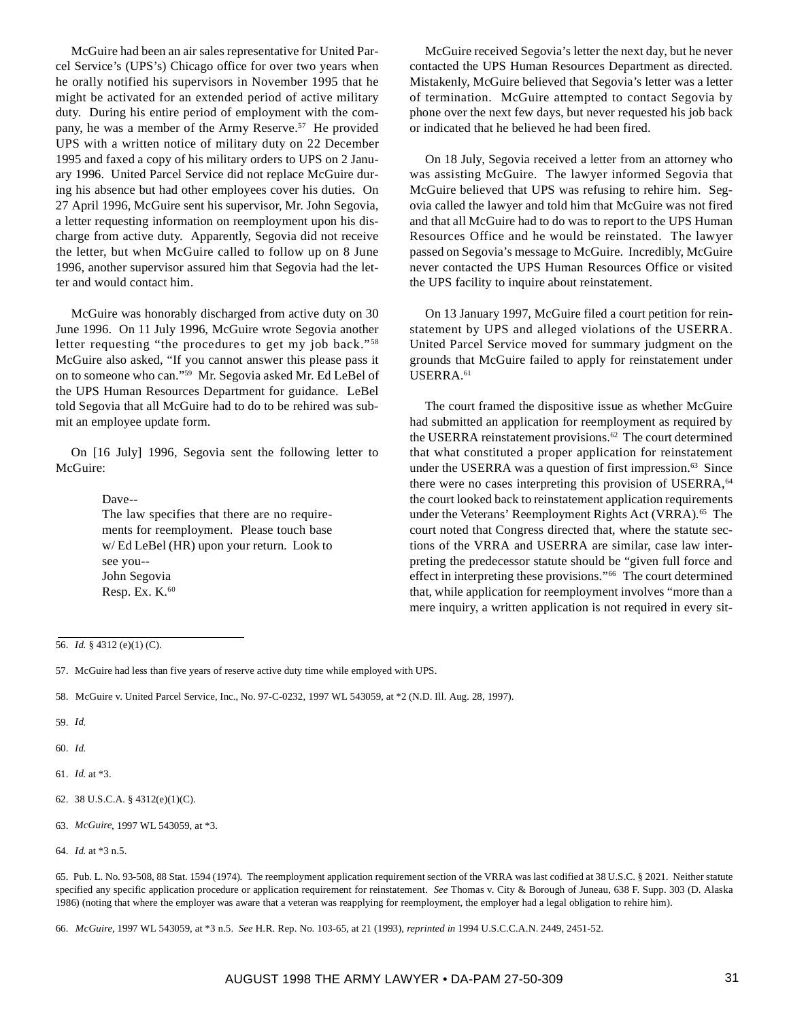McGuire had been an air sales representative for United Parcel Service's (UPS's) Chicago office for over two years when he orally notified his supervisors in November 1995 that he might be activated for an extended period of active military duty. During his entire period of employment with the company, he was a member of the Army Reserve.<sup>57</sup> He provided UPS with a written notice of military duty on 22 December 1995 and faxed a copy of his military orders to UPS on 2 January 1996. United Parcel Service did not replace McGuire during his absence but had other employees cover his duties. On 27 April 1996, McGuire sent his supervisor, Mr. John Segovia, a letter requesting information on reemployment upon his discharge from active duty. Apparently, Segovia did not receive the letter, but when McGuire called to follow up on 8 June 1996, another supervisor assured him that Segovia had the letter and would contact him.

McGuire was honorably discharged from active duty on 30 June 1996. On 11 July 1996, McGuire wrote Segovia another letter requesting "the procedures to get my job back."58 McGuire also asked, "If you cannot answer this please pass it on to someone who can."59 Mr. Segovia asked Mr. Ed LeBel of the UPS Human Resources Department for guidance. LeBel told Segovia that all McGuire had to do to be rehired was submit an employee update form.

On [16 July] 1996, Segovia sent the following letter to McGuire:

> Dave-- The law specifies that there are no requirements for reemployment. Please touch base w/ Ed LeBel (HR) upon your return. Look to see you-- John Segovia Resp. Ex. K.<sup>60</sup>

McGuire received Segovia's letter the next day, but he never contacted the UPS Human Resources Department as directed. Mistakenly, McGuire believed that Segovia's letter was a letter of termination. McGuire attempted to contact Segovia by phone over the next few days, but never requested his job back or indicated that he believed he had been fired.

On 18 July, Segovia received a letter from an attorney who was assisting McGuire. The lawyer informed Segovia that McGuire believed that UPS was refusing to rehire him. Segovia called the lawyer and told him that McGuire was not fired and that all McGuire had to do was to report to the UPS Human Resources Office and he would be reinstated. The lawyer passed on Segovia's message to McGuire. Incredibly, McGuire never contacted the UPS Human Resources Office or visited the UPS facility to inquire about reinstatement.

On 13 January 1997, McGuire filed a court petition for reinstatement by UPS and alleged violations of the USERRA. United Parcel Service moved for summary judgment on the grounds that McGuire failed to apply for reinstatement under USERRA.61

The court framed the dispositive issue as whether McGuire had submitted an application for reemployment as required by the USERRA reinstatement provisions.<sup>62</sup> The court determined that what constituted a proper application for reinstatement under the USERRA was a question of first impression. $63$  Since there were no cases interpreting this provision of USERRA,<sup>64</sup> the court looked back to reinstatement application requirements under the Veterans' Reemployment Rights Act (VRRA).<sup>65</sup> The court noted that Congress directed that, where the statute sections of the VRRA and USERRA are similar, case law interpreting the predecessor statute should be "given full force and effect in interpreting these provisions."66 The court determined that, while application for reemployment involves "more than a mere inquiry, a written application is not required in every sit-

58. McGuire v. United Parcel Service, Inc., No. 97-C-0232, 1997 WL 543059, at \*2 (N.D. Ill. Aug. 28, 1997).

- 61. *Id*. at \*3.
- 62. 38 U.S.C.A. § 4312(e)(1)(C).
- 63. *McGuire*, 1997 WL 543059, at \*3.

<sup>56.</sup> *Id.* § 4312 (e)(1) (C).

<sup>57.</sup> McGuire had less than five years of reserve active duty time while employed with UPS.

<sup>59.</sup> *Id*.

<sup>60.</sup> *Id*.

<sup>64.</sup> *Id*. at \*3 n.5.

<sup>65.</sup> Pub. L. No. 93-508, 88 Stat. 1594 (1974). The reemployment application requirement section of the VRRA was last codified at 38 U.S.C. § 2021. Neither statute specified any specific application procedure or application requirement for reinstatement. *See* Thomas v. City & Borough of Juneau, 638 F. Supp. 303 (D. Alaska 1986) (noting that where the employer was aware that a veteran was reapplying for reemployment, the employer had a legal obligation to rehire him).

<sup>66.</sup> *McGuire*, 1997 WL 543059, at \*3 n.5. *See* H.R. Rep. No. 103-65, at 21 (1993), *reprinted in* 1994 U.S.C.C.A.N. 2449, 2451-52.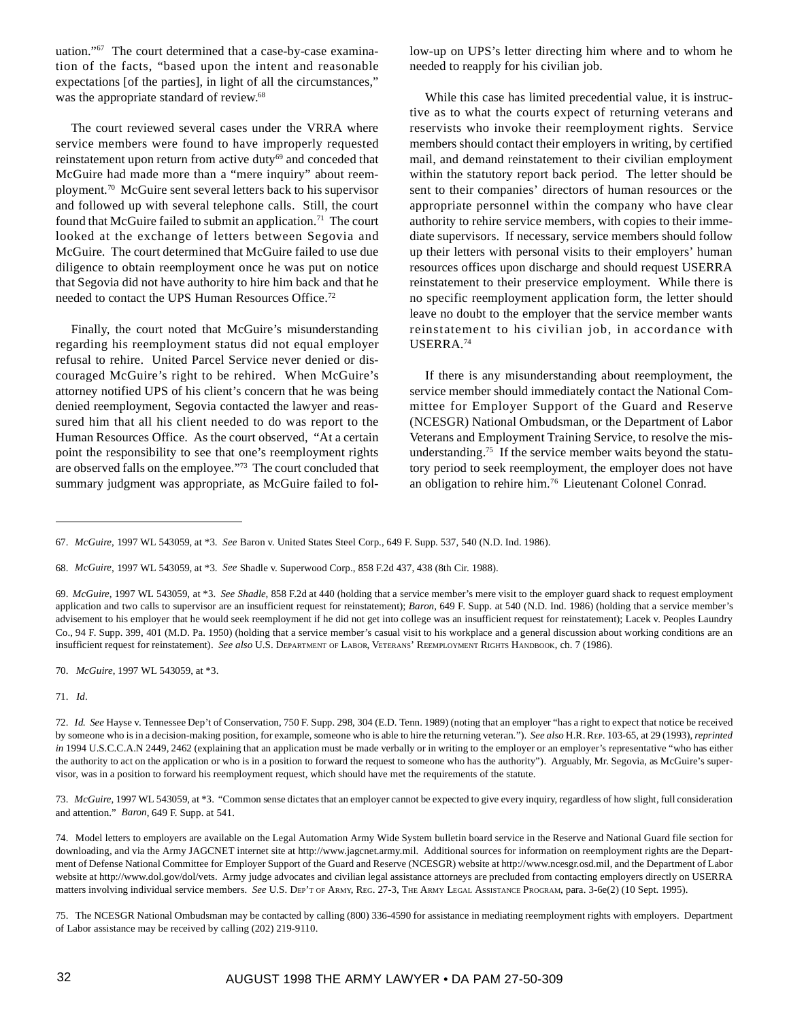uation."67 The court determined that a case-by-case examination of the facts, "based upon the intent and reasonable expectations [of the parties], in light of all the circumstances," was the appropriate standard of review.<sup>68</sup>

The court reviewed several cases under the VRRA where service members were found to have improperly requested reinstatement upon return from active duty<sup>69</sup> and conceded that McGuire had made more than a "mere inquiry" about reemployment.70 McGuire sent several letters back to his supervisor and followed up with several telephone calls. Still, the court found that McGuire failed to submit an application.<sup>71</sup> The court looked at the exchange of letters between Segovia and McGuire. The court determined that McGuire failed to use due diligence to obtain reemployment once he was put on notice that Segovia did not have authority to hire him back and that he needed to contact the UPS Human Resources Office.<sup>72</sup>

Finally, the court noted that McGuire's misunderstanding regarding his reemployment status did not equal employer refusal to rehire. United Parcel Service never denied or discouraged McGuire's right to be rehired. When McGuire's attorney notified UPS of his client's concern that he was being denied reemployment, Segovia contacted the lawyer and reassured him that all his client needed to do was report to the Human Resources Office. As the court observed, "At a certain point the responsibility to see that one's reemployment rights are observed falls on the employee."73 The court concluded that summary judgment was appropriate, as McGuire failed to follow-up on UPS's letter directing him where and to whom he needed to reapply for his civilian job.

While this case has limited precedential value, it is instructive as to what the courts expect of returning veterans and reservists who invoke their reemployment rights. Service members should contact their employers in writing, by certified mail, and demand reinstatement to their civilian employment within the statutory report back period. The letter should be sent to their companies' directors of human resources or the appropriate personnel within the company who have clear authority to rehire service members, with copies to their immediate supervisors. If necessary, service members should follow up their letters with personal visits to their employers' human resources offices upon discharge and should request USERRA reinstatement to their preservice employment. While there is no specific reemployment application form, the letter should leave no doubt to the employer that the service member wants reinstatement to his civilian job, in accordance with USERRA.74

If there is any misunderstanding about reemployment, the service member should immediately contact the National Committee for Employer Support of the Guard and Reserve (NCESGR) National Ombudsman, or the Department of Labor Veterans and Employment Training Service, to resolve the misunderstanding.75 If the service member waits beyond the statutory period to seek reemployment, the employer does not have an obligation to rehire him.76 Lieutenant Colonel Conrad.

70. *McGuire*, 1997 WL 543059, at \*3.

71. *Id*.

73. *McGuire*, 1997 WL 543059, at \*3. "Common sense dictates that an employer cannot be expected to give every inquiry, regardless of how slight, full consideration and attention." *Baron*, 649 F. Supp. at 541.

<sup>67.</sup> *McGuire*, 1997 WL 543059, at \*3. *See* Baron v. United States Steel Corp., 649 F. Supp. 537, 540 (N.D. Ind. 1986).

<sup>68.</sup> *McGuire*, 1997 WL 543059, at \*3. *See* Shadle v. Superwood Corp., 858 F.2d 437, 438 (8th Cir. 1988).

<sup>69.</sup> *McGuire*, 1997 WL 543059, at \*3. *See Shadle*, 858 F.2d at 440 (holding that a service member's mere visit to the employer guard shack to request employment application and two calls to supervisor are an insufficient request for reinstatement); *Baron*, 649 F. Supp. at 540 (N.D. Ind. 1986) (holding that a service member's advisement to his employer that he would seek reemployment if he did not get into college was an insufficient request for reinstatement); Lacek v. Peoples Laundry Co., 94 F. Supp. 399, 401 (M.D. Pa. 1950) (holding that a service member's casual visit to his workplace and a general discussion about working conditions are an insufficient request for reinstatement). *See also* U.S. DEPARTMENT OF LABOR, VETERANS' REEMPLOYMENT RIGHTS HANDBOOK, ch. 7 (1986).

<sup>72.</sup> *Id*. *See* Hayse v. Tennessee Dep't of Conservation, 750 F. Supp. 298, 304 (E.D. Tenn. 1989) (noting that an employer "has a right to expect that notice be received by someone who is in a decision-making position, for example, someone who is able to hire the returning veteran."). *See also* H.R. REP. 103-65, at 29 (1993), *reprinted in* 1994 U.S.C.C.A.N 2449, 2462 (explaining that an application must be made verbally or in writing to the employer or an employer's representative "who has either the authority to act on the application or who is in a position to forward the request to someone who has the authority"). Arguably, Mr. Segovia, as McGuire's supervisor, was in a position to forward his reemployment request, which should have met the requirements of the statute.

<sup>74.</sup> Model letters to employers are available on the Legal Automation Army Wide System bulletin board service in the Reserve and National Guard file section for downloading, and via the Army JAGCNET internet site at http://www.jagcnet.army.mil. Additional sources for information on reemployment rights are the Department of Defense National Committee for Employer Support of the Guard and Reserve (NCESGR) website at http://www.ncesgr.osd.mil, and the Department of Labor website at http://www.dol.gov/dol/vets. Army judge advocates and civilian legal assistance attorneys are precluded from contacting employers directly on USERRA matters involving individual service members. *See* U.S. DEP'T OF ARMY, REG. 27-3, THE ARMY LEGAL ASSISTANCE PROGRAM, para. 3-6e(2) (10 Sept. 1995).

<sup>75.</sup> The NCESGR National Ombudsman may be contacted by calling (800) 336-4590 for assistance in mediating reemployment rights with employers. Department of Labor assistance may be received by calling (202) 219-9110.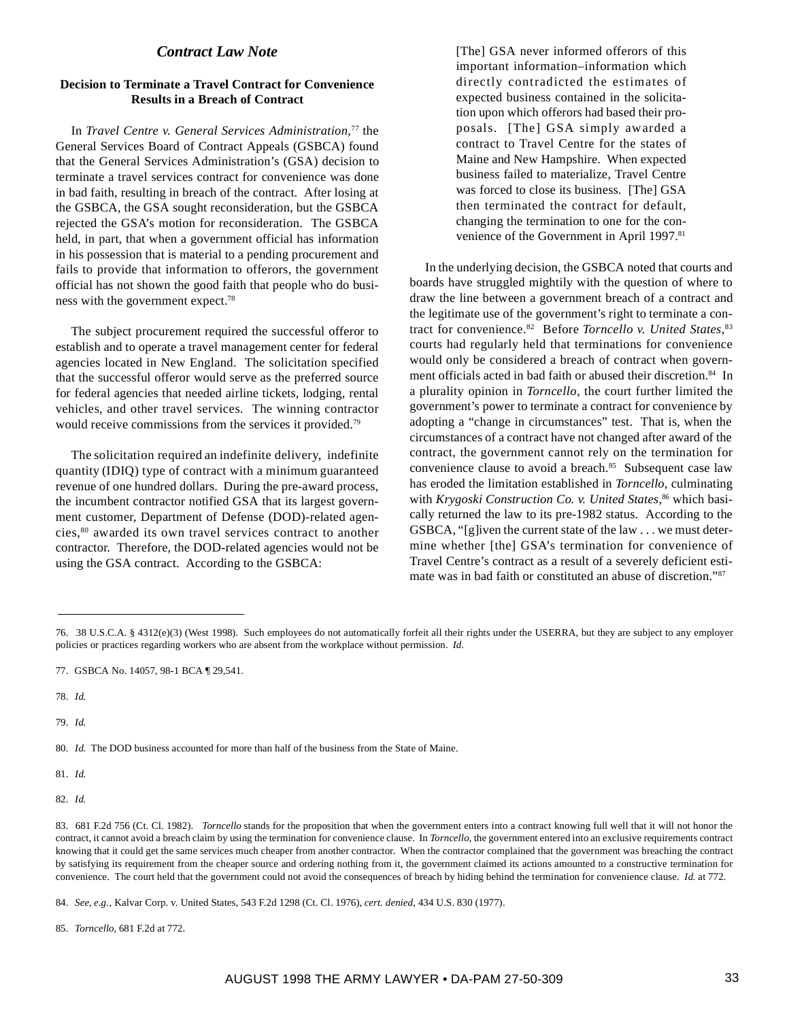# *Contract Law Note*

## **Decision to Terminate a Travel Contract for Convenience Results in a Breach of Contract**

In *Travel Centre v. General Services Administration*, 77 the General Services Board of Contract Appeals (GSBCA) found that the General Services Administration's (GSA) decision to terminate a travel services contract for convenience was done in bad faith, resulting in breach of the contract. After losing at the GSBCA, the GSA sought reconsideration, but the GSBCA rejected the GSA's motion for reconsideration. The GSBCA held, in part, that when a government official has information in his possession that is material to a pending procurement and fails to provide that information to offerors, the government official has not shown the good faith that people who do business with the government expect.78

The subject procurement required the successful offeror to establish and to operate a travel management center for federal agencies located in New England. The solicitation specified that the successful offeror would serve as the preferred source for federal agencies that needed airline tickets, lodging, rental vehicles, and other travel services. The winning contractor would receive commissions from the services it provided.<sup>79</sup>

The solicitation required an indefinite delivery, indefinite quantity (IDIQ) type of contract with a minimum guaranteed revenue of one hundred dollars. During the pre-award process, the incumbent contractor notified GSA that its largest government customer, Department of Defense (DOD)-related agencies,80 awarded its own travel services contract to another contractor. Therefore, the DOD-related agencies would not be using the GSA contract. According to the GSBCA:

[The] GSA never informed offerors of this important information–information which directly contradicted the estimates of expected business contained in the solicitation upon which offerors had based their proposals. [The] GSA simply awarded a contract to Travel Centre for the states of Maine and New Hampshire. When expected business failed to materialize, Travel Centre was forced to close its business. [The] GSA then terminated the contract for default, changing the termination to one for the convenience of the Government in April 1997.<sup>81</sup>

In the underlying decision, the GSBCA noted that courts and boards have struggled mightily with the question of where to draw the line between a government breach of a contract and the legitimate use of the government's right to terminate a contract for convenience.82 Before *Torncello v. United States*, 83 courts had regularly held that terminations for convenience would only be considered a breach of contract when government officials acted in bad faith or abused their discretion.<sup>84</sup> In a plurality opinion in *Torncello*, the court further limited the government's power to terminate a contract for convenience by adopting a "change in circumstances" test. That is, when the circumstances of a contract have not changed after award of the contract, the government cannot rely on the termination for convenience clause to avoid a breach.<sup>85</sup> Subsequent case law has eroded the limitation established in *Torncello*, culminating with *Krygoski Construction Co. v. United States*, 86 which basically returned the law to its pre-1982 status. According to the GSBCA, "[g]iven the current state of the law . . . we must determine whether [the] GSA's termination for convenience of Travel Centre's contract as a result of a severely deficient estimate was in bad faith or constituted an abuse of discretion."87

78. *Id*.

79. *Id*.

80. *Id*. The DOD business accounted for more than half of the business from the State of Maine.

81. *Id*.

82. *Id.*

85. *Torncello*, 681 F.2d at 772.

<sup>76. 38</sup> U.S.C.A. § 4312(e)(3) (West 1998). Such employees do not automatically forfeit all their rights under the USERRA, but they are subject to any employer policies or practices regarding workers who are absent from the workplace without permission. *Id.*

<sup>77.</sup> GSBCA No. 14057, 98-1 BCA ¶ 29,541.

<sup>83. 681</sup> F.2d 756 (Ct. Cl. 1982). *Torncello* stands for the proposition that when the government enters into a contract knowing full well that it will not honor the contract, it cannot avoid a breach claim by using the termination for convenience clause. In *Torncello*, the government entered into an exclusive requirements contract knowing that it could get the same services much cheaper from another contractor. When the contractor complained that the government was breaching the contract by satisfying its requirement from the cheaper source and ordering nothing from it, the government claimed its actions amounted to a constructive termination for convenience. The court held that the government could not avoid the consequences of breach by hiding behind the termination for convenience clause. *Id.* at 772.

<sup>84.</sup> *See*, *e.g.*, Kalvar Corp. v. United States, 543 F.2d 1298 (Ct. Cl. 1976), *cert. denied*, 434 U.S. 830 (1977).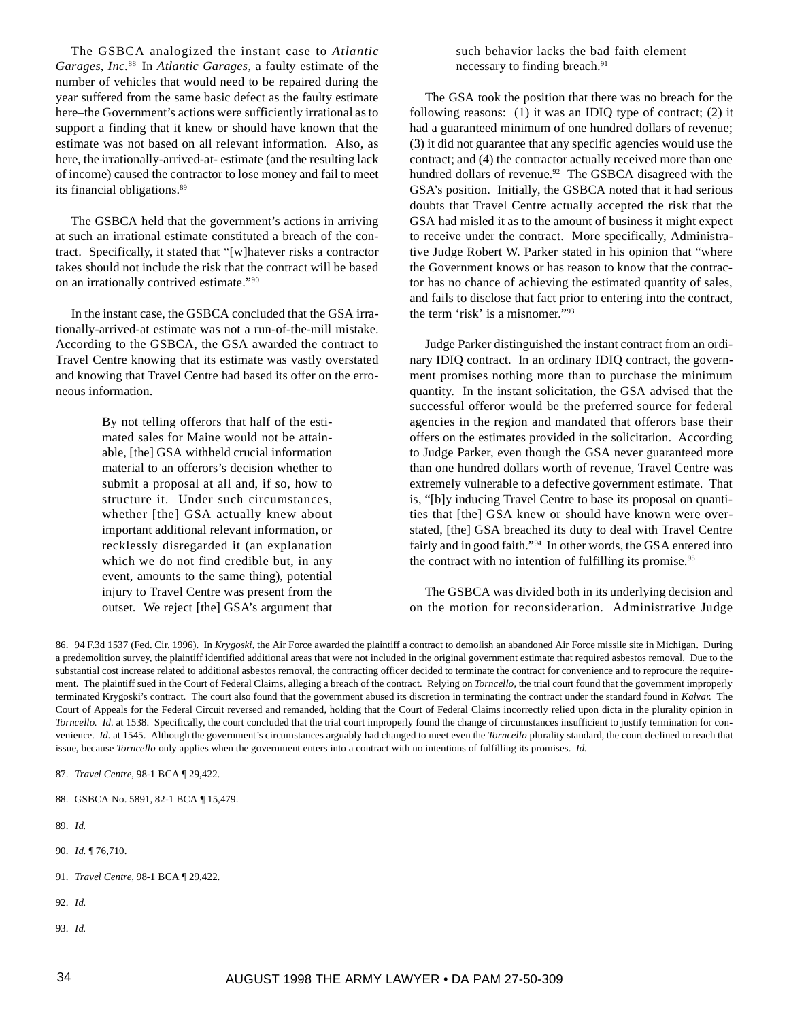The GSBCA analogized the instant case to *Atlantic Garages, Inc.*88 In *Atlantic Garages*, a faulty estimate of the number of vehicles that would need to be repaired during the year suffered from the same basic defect as the faulty estimate here–the Government's actions were sufficiently irrational as to support a finding that it knew or should have known that the estimate was not based on all relevant information. Also, as here, the irrationally-arrived-at- estimate (and the resulting lack of income) caused the contractor to lose money and fail to meet its financial obligations.89

The GSBCA held that the government's actions in arriving at such an irrational estimate constituted a breach of the contract. Specifically, it stated that "[w]hatever risks a contractor takes should not include the risk that the contract will be based on an irrationally contrived estimate."90

In the instant case, the GSBCA concluded that the GSA irrationally-arrived-at estimate was not a run-of-the-mill mistake. According to the GSBCA, the GSA awarded the contract to Travel Centre knowing that its estimate was vastly overstated and knowing that Travel Centre had based its offer on the erroneous information.

> By not telling offerors that half of the estimated sales for Maine would not be attainable, [the] GSA withheld crucial information material to an offerors's decision whether to submit a proposal at all and, if so, how to structure it. Under such circumstances, whether [the] GSA actually knew about important additional relevant information, or recklessly disregarded it (an explanation which we do not find credible but, in any event, amounts to the same thing), potential injury to Travel Centre was present from the outset. We reject [the] GSA's argument that

such behavior lacks the bad faith element necessary to finding breach.91

The GSA took the position that there was no breach for the following reasons: (1) it was an IDIQ type of contract; (2) it had a guaranteed minimum of one hundred dollars of revenue; (3) it did not guarantee that any specific agencies would use the contract; and (4) the contractor actually received more than one hundred dollars of revenue.<sup>92</sup> The GSBCA disagreed with the GSA's position. Initially, the GSBCA noted that it had serious doubts that Travel Centre actually accepted the risk that the GSA had misled it as to the amount of business it might expect to receive under the contract. More specifically, Administrative Judge Robert W. Parker stated in his opinion that "where the Government knows or has reason to know that the contractor has no chance of achieving the estimated quantity of sales, and fails to disclose that fact prior to entering into the contract, the term 'risk' is a misnomer."93

Judge Parker distinguished the instant contract from an ordinary IDIQ contract. In an ordinary IDIQ contract, the government promises nothing more than to purchase the minimum quantity. In the instant solicitation, the GSA advised that the successful offeror would be the preferred source for federal agencies in the region and mandated that offerors base their offers on the estimates provided in the solicitation. According to Judge Parker, even though the GSA never guaranteed more than one hundred dollars worth of revenue, Travel Centre was extremely vulnerable to a defective government estimate. That is, "[b]y inducing Travel Centre to base its proposal on quantities that [the] GSA knew or should have known were overstated, [the] GSA breached its duty to deal with Travel Centre fairly and in good faith."<sup>94</sup> In other words, the GSA entered into the contract with no intention of fulfilling its promise.<sup>95</sup>

The GSBCA was divided both in its underlying decision and on the motion for reconsideration. Administrative Judge

- 90. *Id.* ¶ 76,710.
- 91. *Travel Centre*, 98-1 BCA ¶ 29,422.
- 92. *Id.*
- 93. *Id*.

<sup>86. 94</sup> F.3d 1537 (Fed. Cir. 1996). In *Krygoski*, the Air Force awarded the plaintiff a contract to demolish an abandoned Air Force missile site in Michigan. During a predemolition survey, the plaintiff identified additional areas that were not included in the original government estimate that required asbestos removal. Due to the substantial cost increase related to additional asbestos removal, the contracting officer decided to terminate the contract for convenience and to reprocure the requirement. The plaintiff sued in the Court of Federal Claims, alleging a breach of the contract. Relying on *Torncello*, the trial court found that the government improperly terminated Krygoski's contract. The court also found that the government abused its discretion in terminating the contract under the standard found in *Kalvar.* The Court of Appeals for the Federal Circuit reversed and remanded, holding that the Court of Federal Claims incorrectly relied upon dicta in the plurality opinion in *Torncello. Id.* at 1538. Specifically, the court concluded that the trial court improperly found the change of circumstances insufficient to justify termination for convenience*. Id.* at 1545. Although the government's circumstances arguably had changed to meet even the *Torncello* plurality standard, the court declined to reach that issue, because *Torncello* only applies when the government enters into a contract with no intentions of fulfilling its promises. *Id.*

<sup>87.</sup> *Travel Centre*, 98-1 BCA ¶ 29,422.

<sup>88.</sup> GSBCA No. 5891, 82-1 BCA ¶ 15,479.

<sup>89.</sup> *Id*.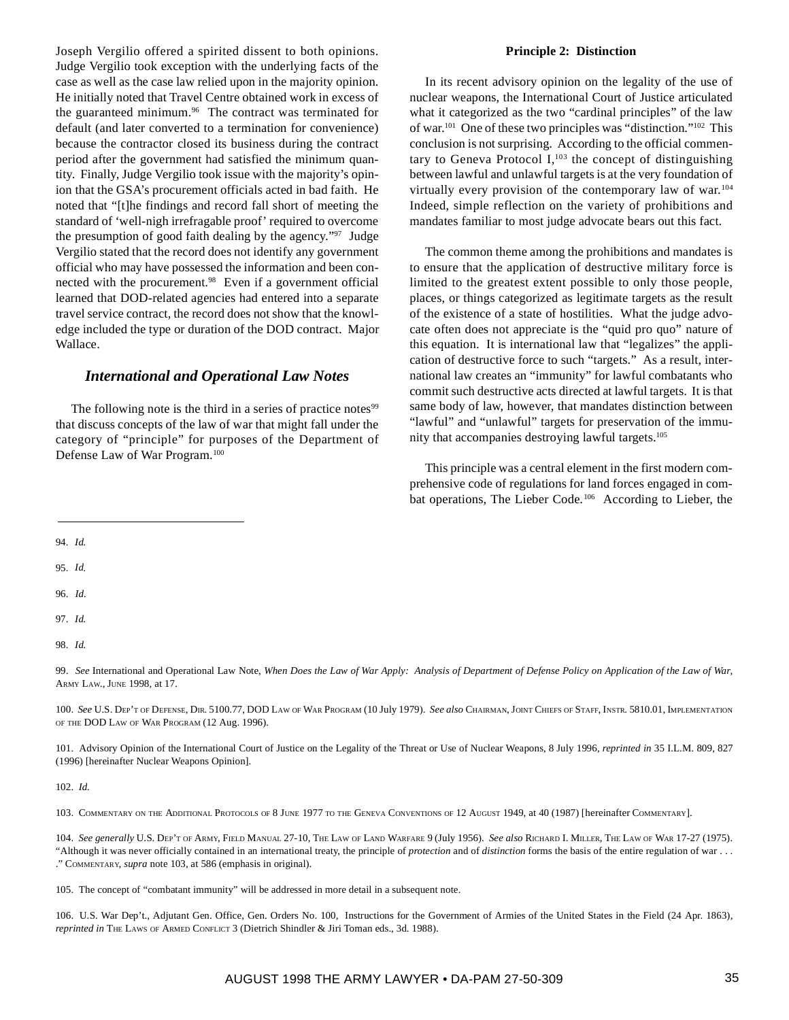Joseph Vergilio offered a spirited dissent to both opinions. Judge Vergilio took exception with the underlying facts of the case as well as the case law relied upon in the majority opinion. He initially noted that Travel Centre obtained work in excess of the guaranteed minimum.<sup>96</sup> The contract was terminated for default (and later converted to a termination for convenience) because the contractor closed its business during the contract period after the government had satisfied the minimum quantity. Finally, Judge Vergilio took issue with the majority's opinion that the GSA's procurement officials acted in bad faith. He noted that "[t]he findings and record fall short of meeting the standard of 'well-nigh irrefragable proof' required to overcome the presumption of good faith dealing by the agency."97 Judge Vergilio stated that the record does not identify any government official who may have possessed the information and been connected with the procurement.<sup>98</sup> Even if a government official learned that DOD-related agencies had entered into a separate travel service contract, the record does not show that the knowledge included the type or duration of the DOD contract. Major Wallace.

# *International and Operational Law Notes*

The following note is the third in a series of practice notes<sup>99</sup> that discuss concepts of the law of war that might fall under the category of "principle" for purposes of the Department of Defense Law of War Program.100

#### **Principle 2: Distinction**

In its recent advisory opinion on the legality of the use of nuclear weapons, the International Court of Justice articulated what it categorized as the two "cardinal principles" of the law of war.101 One of these two principles was "distinction."102 This conclusion is not surprising. According to the official commentary to Geneva Protocol  $I$ ,<sup>103</sup>, the concept of distinguishing between lawful and unlawful targets is at the very foundation of virtually every provision of the contemporary law of war.<sup>104</sup> Indeed, simple reflection on the variety of prohibitions and mandates familiar to most judge advocate bears out this fact.

The common theme among the prohibitions and mandates is to ensure that the application of destructive military force is limited to the greatest extent possible to only those people, places, or things categorized as legitimate targets as the result of the existence of a state of hostilities. What the judge advocate often does not appreciate is the "quid pro quo" nature of this equation. It is international law that "legalizes" the application of destructive force to such "targets." As a result, international law creates an "immunity" for lawful combatants who commit such destructive acts directed at lawful targets. It is that same body of law, however, that mandates distinction between "lawful" and "unlawful" targets for preservation of the immunity that accompanies destroying lawful targets.105

This principle was a central element in the first modern comprehensive code of regulations for land forces engaged in combat operations, The Lieber Code.<sup>106</sup> According to Lieber, the

95. *Id*.

- 96. *Id.*
- 97. *Id*.
- 98. *Id.*

99. *See* International and Operational Law Note, *When Does the Law of War Apply: Analysis of Department of Defense Policy on Application of the Law of War*, ARMY LAW., JUNE 1998, at 17.

100. *See* U.S. DEP'T OF DEFENSE, DIR. 5100.77, DOD LAW OF WAR PROGRAM (10 July 1979). *See also* CHAIRMAN, JOINT CHIEFS OF STAFF, INSTR. 5810.01, IMPLEMENTATION OF THE DOD LAW OF WAR PROGRAM (12 Aug. 1996).

101. Advisory Opinion of the International Court of Justice on the Legality of the Threat or Use of Nuclear Weapons, 8 July 1996, *reprinted in* 35 I.L.M. 809, 827 (1996) [hereinafter Nuclear Weapons Opinion].

102. *Id.*

103. COMMENTARY ON THE ADDITIONAL PROTOCOLS OF 8 JUNE 1977 TO THE GENEVA CONVENTIONS OF 12 AUGUST 1949, at 40 (1987) [hereinafter COMMENTARY].

104. *See generally* U.S. DEP'T OF ARMY, FIELD MANUAL 27-10, THE LAW OF LAND WARFARE 9 (July 1956). *See also* RICHARD I. MILLER, THE LAW OF WAR 17-27 (1975). "Although it was never officially contained in an international treaty, the principle of *protection* and of *distinction* forms the basis of the entire regulation of war . . . ." COMMENTARY, *supra* note 103, at 586 (emphasis in original).

105. The concept of "combatant immunity" will be addressed in more detail in a subsequent note.

106. U.S. War Dep't., Adjutant Gen. Office, Gen. Orders No. 100, Instructions for the Government of Armies of the United States in the Field (24 Apr. 1863), *reprinted in* THE LAWS OF ARMED CONFLICT 3 (Dietrich Shindler & Jiri Toman eds., 3d. 1988).

<sup>94.</sup> *Id.*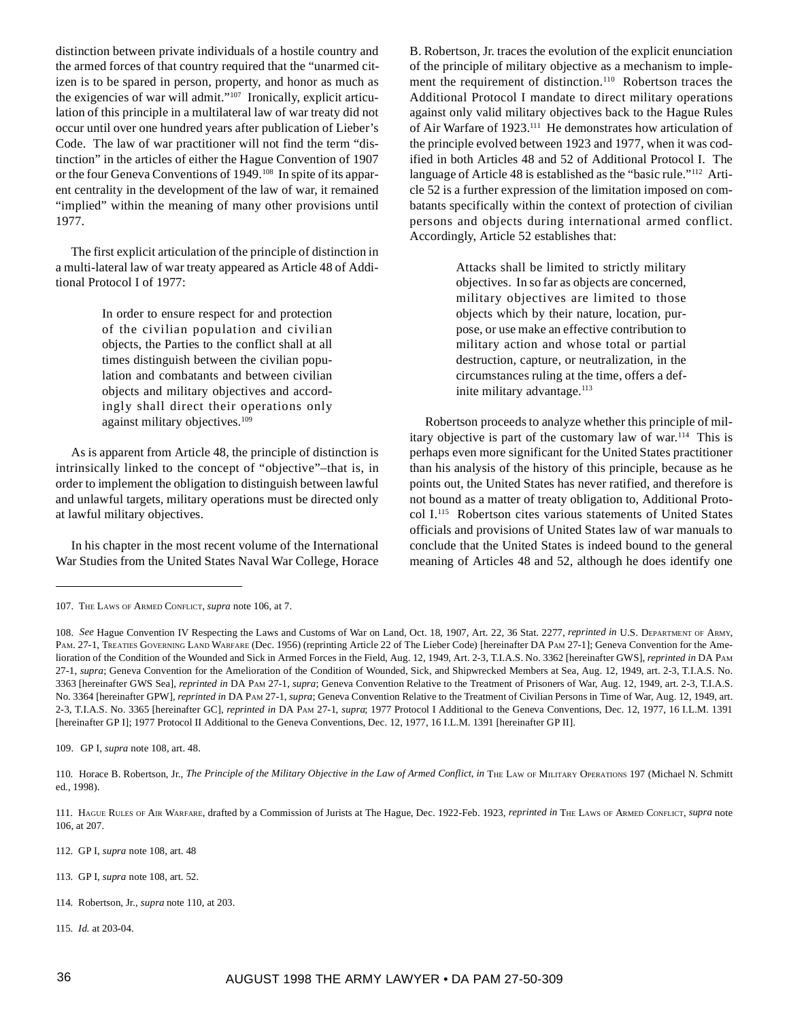distinction between private individuals of a hostile country and the armed forces of that country required that the "unarmed citizen is to be spared in person, property, and honor as much as the exigencies of war will admit."107 Ironically, explicit articulation of this principle in a multilateral law of war treaty did not occur until over one hundred years after publication of Lieber's Code. The law of war practitioner will not find the term "distinction" in the articles of either the Hague Convention of 1907 or the four Geneva Conventions of 1949.108 In spite of its apparent centrality in the development of the law of war, it remained "implied" within the meaning of many other provisions until 1977.

The first explicit articulation of the principle of distinction in a multi-lateral law of war treaty appeared as Article 48 of Additional Protocol I of 1977:

> In order to ensure respect for and protection of the civilian population and civilian objects, the Parties to the conflict shall at all times distinguish between the civilian population and combatants and between civilian objects and military objectives and accordingly shall direct their operations only against military objectives.<sup>109</sup>

As is apparent from Article 48, the principle of distinction is intrinsically linked to the concept of "objective"–that is, in order to implement the obligation to distinguish between lawful and unlawful targets, military operations must be directed only at lawful military objectives.

In his chapter in the most recent volume of the International War Studies from the United States Naval War College, Horace

B. Robertson, Jr. traces the evolution of the explicit enunciation of the principle of military objective as a mechanism to implement the requirement of distinction.<sup>110</sup> Robertson traces the Additional Protocol I mandate to direct military operations against only valid military objectives back to the Hague Rules of Air Warfare of 1923.<sup>111</sup> He demonstrates how articulation of the principle evolved between 1923 and 1977, when it was codified in both Articles 48 and 52 of Additional Protocol I. The language of Article 48 is established as the "basic rule."<sup>112</sup> Article 52 is a further expression of the limitation imposed on combatants specifically within the context of protection of civilian persons and objects during international armed conflict. Accordingly, Article 52 establishes that:

> Attacks shall be limited to strictly military objectives. In so far as objects are concerned, military objectives are limited to those objects which by their nature, location, purpose, or use make an effective contribution to military action and whose total or partial destruction, capture, or neutralization, in the circumstances ruling at the time, offers a definite military advantage.<sup>113</sup>

Robertson proceeds to analyze whether this principle of military objective is part of the customary law of war.<sup>114</sup> This is perhaps even more significant for the United States practitioner than his analysis of the history of this principle, because as he points out, the United States has never ratified, and therefore is not bound as a matter of treaty obligation to, Additional Protocol I.115 Robertson cites various statements of United States officials and provisions of United States law of war manuals to conclude that the United States is indeed bound to the general meaning of Articles 48 and 52, although he does identify one

109. GP I, *supra* note 108, art. 48.

- 112. GP I, *supra* note 108, art. 48
- 113. GP I, *supra* note 108, art. 52.
- 114. Robertson, Jr., *supra* note 110, at 203.
- 115. *Id.* at 203-04.

<sup>107.</sup> THE LAWS OF ARMED CONFLICT, *supra* note 106, at 7.

<sup>108.</sup> *See* Hague Convention IV Respecting the Laws and Customs of War on Land, Oct. 18, 1907, Art. 22, 36 Stat. 2277, *reprinted in* U.S. DEPARTMENT OF ARMY, PAM. 27-1, TREATIES GOVERNING LAND WARFARE (Dec. 1956) (reprinting Article 22 of The Lieber Code) [hereinafter DA PAM 27-1]; Geneva Convention for the Amelioration of the Condition of the Wounded and Sick in Armed Forces in the Field, Aug. 12, 1949, Art. 2-3, T.I.A.S. No. 3362 [hereinafter GWS], *reprinted in* DA PAM 27-1, *supra*; Geneva Convention for the Amelioration of the Condition of Wounded, Sick, and Shipwrecked Members at Sea, Aug. 12, 1949, art. 2-3, T.I.A.S. No. 3363 [hereinafter GWS Sea], *reprinted in* DA PAM 27-1, *supra*; Geneva Convention Relative to the Treatment of Prisoners of War, Aug. 12, 1949, art. 2-3, T.I.A.S. No. 3364 [hereinafter GPW], *reprinted in* DA PAM 27-1, *supra*; Geneva Convention Relative to the Treatment of Civilian Persons in Time of War, Aug. 12, 1949, art. 2-3, T.I.A.S. No. 3365 [hereinafter GC], *reprinted in* DA PAM 27-1, *supra*; 1977 Protocol I Additional to the Geneva Conventions, Dec. 12, 1977, 16 I.L.M. 1391 [hereinafter GP I]; 1977 Protocol II Additional to the Geneva Conventions, Dec. 12, 1977, 16 I.L.M. 1391 [hereinafter GP II].

<sup>110.</sup> Horace B. Robertson, Jr., *The Principle of the Military Objective in the Law of Armed Conflict, in* THE LAW OF MILITARY OPERATIONS 197 (Michael N. Schmitt ed., 1998).

<sup>111.</sup> HAGUE RULES OF AIR WARFARE, drafted by a Commission of Jurists at The Hague, Dec. 1922-Feb. 1923, *reprinted in* THE LAWS OF ARMED CONFLICT, *supra* note 106, at 207.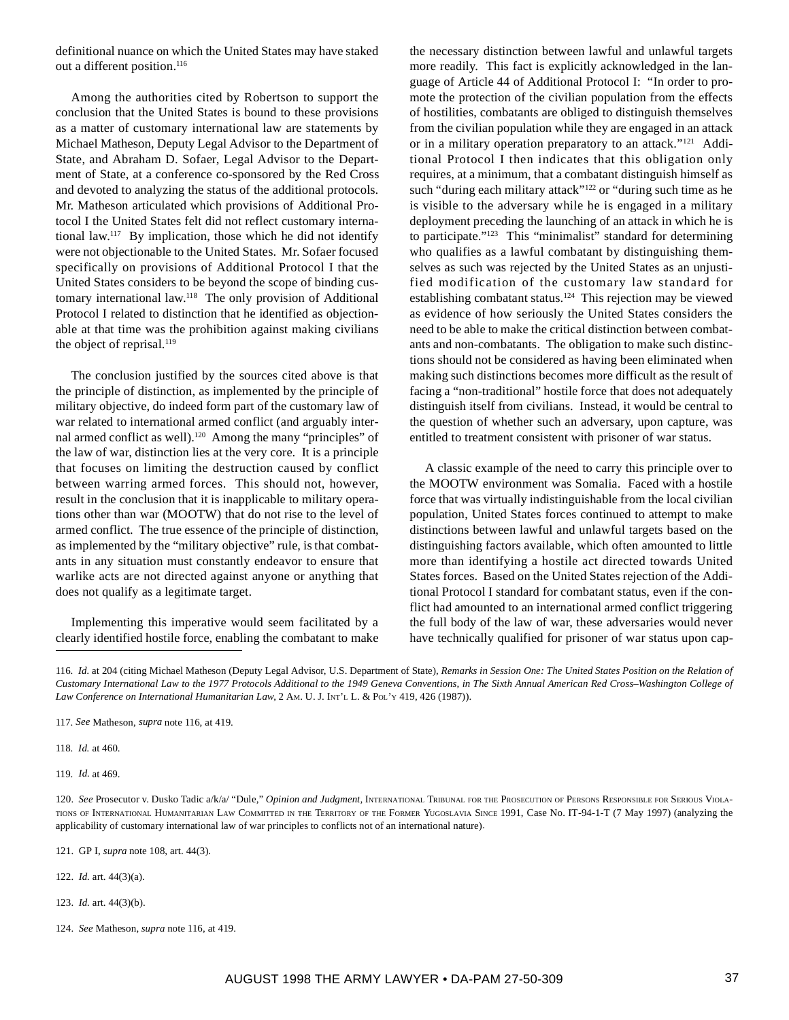definitional nuance on which the United States may have staked out a different position.<sup>116</sup>

Among the authorities cited by Robertson to support the conclusion that the United States is bound to these provisions as a matter of customary international law are statements by Michael Matheson, Deputy Legal Advisor to the Department of State, and Abraham D. Sofaer, Legal Advisor to the Department of State, at a conference co-sponsored by the Red Cross and devoted to analyzing the status of the additional protocols. Mr. Matheson articulated which provisions of Additional Protocol I the United States felt did not reflect customary international law.117 By implication, those which he did not identify were not objectionable to the United States. Mr. Sofaer focused specifically on provisions of Additional Protocol I that the United States considers to be beyond the scope of binding customary international law.118 The only provision of Additional Protocol I related to distinction that he identified as objectionable at that time was the prohibition against making civilians the object of reprisal.<sup>119</sup>

The conclusion justified by the sources cited above is that the principle of distinction, as implemented by the principle of military objective, do indeed form part of the customary law of war related to international armed conflict (and arguably internal armed conflict as well).<sup>120</sup> Among the many "principles" of the law of war, distinction lies at the very core. It is a principle that focuses on limiting the destruction caused by conflict between warring armed forces. This should not, however, result in the conclusion that it is inapplicable to military operations other than war (MOOTW) that do not rise to the level of armed conflict. The true essence of the principle of distinction, as implemented by the "military objective" rule, is that combatants in any situation must constantly endeavor to ensure that warlike acts are not directed against anyone or anything that does not qualify as a legitimate target.

Implementing this imperative would seem facilitated by a clearly identified hostile force, enabling the combatant to make the necessary distinction between lawful and unlawful targets more readily. This fact is explicitly acknowledged in the language of Article 44 of Additional Protocol I: "In order to promote the protection of the civilian population from the effects of hostilities, combatants are obliged to distinguish themselves from the civilian population while they are engaged in an attack or in a military operation preparatory to an attack."121 Additional Protocol I then indicates that this obligation only requires, at a minimum, that a combatant distinguish himself as such "during each military attack"<sup>122</sup> or "during such time as he is visible to the adversary while he is engaged in a military deployment preceding the launching of an attack in which he is to participate."<sup>123</sup> This "minimalist" standard for determining who qualifies as a lawful combatant by distinguishing themselves as such was rejected by the United States as an unjustified modification of the customary law standard for establishing combatant status.<sup>124</sup> This rejection may be viewed as evidence of how seriously the United States considers the need to be able to make the critical distinction between combatants and non-combatants. The obligation to make such distinctions should not be considered as having been eliminated when making such distinctions becomes more difficult as the result of facing a "non-traditional" hostile force that does not adequately distinguish itself from civilians. Instead, it would be central to the question of whether such an adversary, upon capture, was entitled to treatment consistent with prisoner of war status.

A classic example of the need to carry this principle over to the MOOTW environment was Somalia. Faced with a hostile force that was virtually indistinguishable from the local civilian population, United States forces continued to attempt to make distinctions between lawful and unlawful targets based on the distinguishing factors available, which often amounted to little more than identifying a hostile act directed towards United States forces. Based on the United States rejection of the Additional Protocol I standard for combatant status, even if the conflict had amounted to an international armed conflict triggering the full body of the law of war, these adversaries would never have technically qualified for prisoner of war status upon cap-

118. *Id.* at 460.

119. *Id.* at 469.

121. GP I, *supra* note 108, art. 44(3).

122. *Id.* art. 44(3)(a).

- 123. *Id.* art. 44(3)(b).
- 124. *See* Matheson, *supra* note 116, at 419.

<sup>116.</sup> *Id.* at 204 (citing Michael Matheson (Deputy Legal Advisor, U.S. Department of State), *Remarks in Session One: The United States Position on the Relation of Customary International Law to the 1977 Protocols Additional to the 1949 Geneva Conventions, in The Sixth Annual American Red Cross–Washington College of Law Conference on International Humanitarian Law*, 2 AM. U. J. INT'L L. & POL'Y 419, 426 (1987)).

<sup>117.</sup> *See* Matheson, *supra* note 116, at 419.

<sup>120.</sup> See Prosecutor v. Dusko Tadic a/k/a/ "Dule," Opinion and Judgment, INTERNATIONAL TRIBUNAL FOR THE PROSECUTION OF PERSONS RESPONSIBLE FOR SERIOUS VIOLA-TIONS OF INTERNATIONAL HUMANITARIAN LAW COMMITTED IN THE TERRITORY OF THE FORMER YUGOSLAVIA SINCE 1991, Case No. IT-94-1-T (7 May 1997) (analyzing the applicability of customary international law of war principles to conflicts not of an international nature)*.*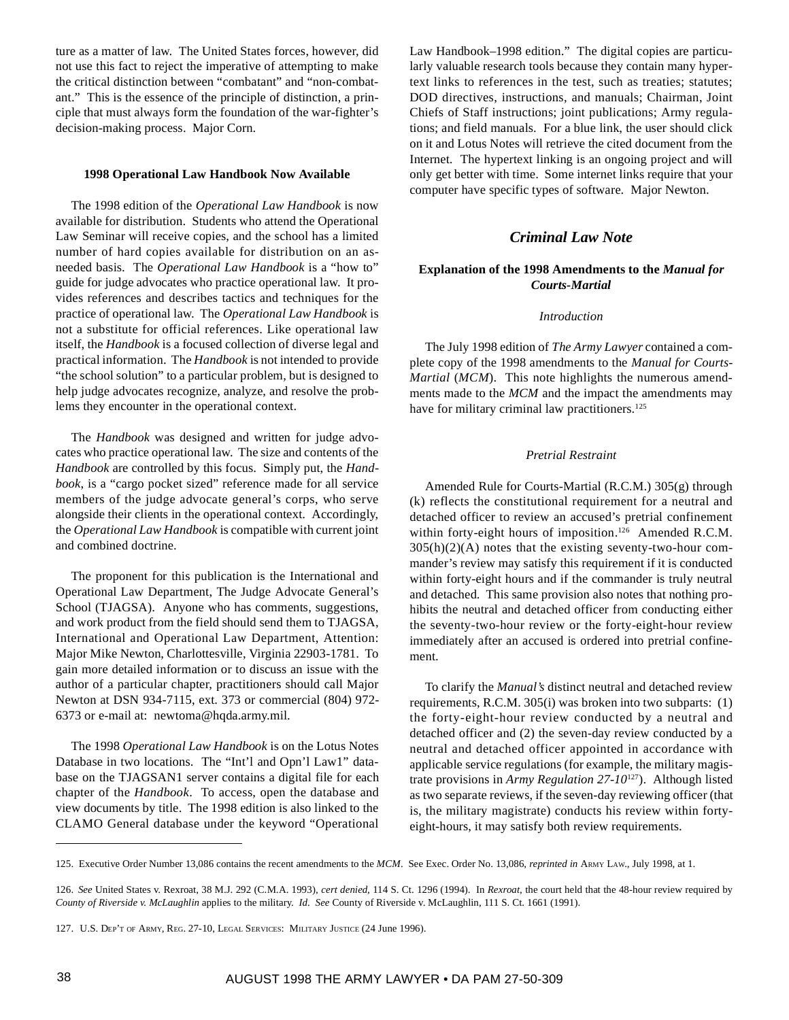ture as a matter of law. The United States forces, however, did not use this fact to reject the imperative of attempting to make the critical distinction between "combatant" and "non-combatant." This is the essence of the principle of distinction, a principle that must always form the foundation of the war-fighter's decision-making process. Major Corn.

## **1998 Operational Law Handbook Now Available**

The 1998 edition of the *Operational Law Handbook* is now available for distribution. Students who attend the Operational Law Seminar will receive copies, and the school has a limited number of hard copies available for distribution on an asneeded basis. The *Operational Law Handbook* is a "how to" guide for judge advocates who practice operational law. It provides references and describes tactics and techniques for the practice of operational law. The *Operational Law Handbook* is not a substitute for official references. Like operational law itself, the *Handbook* is a focused collection of diverse legal and practical information. The *Handbook* is not intended to provide "the school solution" to a particular problem, but is designed to help judge advocates recognize, analyze, and resolve the problems they encounter in the operational context.

The *Handbook* was designed and written for judge advocates who practice operational law. The size and contents of the *Handbook* are controlled by this focus. Simply put, the *Handbook*, is a "cargo pocket sized" reference made for all service members of the judge advocate general's corps, who serve alongside their clients in the operational context. Accordingly, the *Operational Law Handbook* is compatible with current joint and combined doctrine.

The proponent for this publication is the International and Operational Law Department, The Judge Advocate General's School (TJAGSA). Anyone who has comments, suggestions, and work product from the field should send them to TJAGSA, International and Operational Law Department, Attention: Major Mike Newton, Charlottesville, Virginia 22903-1781. To gain more detailed information or to discuss an issue with the author of a particular chapter, practitioners should call Major Newton at DSN 934-7115, ext. 373 or commercial (804) 972- 6373 or e-mail at: newtoma@hqda.army.mil.

The 1998 *Operational Law Handbook* is on the Lotus Notes Database in two locations. The "Int'l and Opn'l Law1" database on the TJAGSAN1 server contains a digital file for each chapter of the *Handbook*. To access, open the database and view documents by title. The 1998 edition is also linked to the CLAMO General database under the keyword "Operational

Law Handbook–1998 edition." The digital copies are particularly valuable research tools because they contain many hypertext links to references in the test, such as treaties; statutes; DOD directives, instructions, and manuals; Chairman, Joint Chiefs of Staff instructions; joint publications; Army regulations; and field manuals. For a blue link, the user should click on it and Lotus Notes will retrieve the cited document from the Internet. The hypertext linking is an ongoing project and will only get better with time. Some internet links require that your computer have specific types of software. Major Newton.

## *Criminal Law Note*

## **Explanation of the 1998 Amendments to the** *Manual for Courts-Martial*

#### *Introduction*

The July 1998 edition of *The Army Lawyer* contained a complete copy of the 1998 amendments to the *Manual for Courts-Martial (MCM)*. This note highlights the numerous amendments made to the *MCM* and the impact the amendments may have for military criminal law practitioners.<sup>125</sup>

#### *Pretrial Restraint*

Amended Rule for Courts-Martial (R.C.M.) 305(g) through (k) reflects the constitutional requirement for a neutral and detached officer to review an accused's pretrial confinement within forty-eight hours of imposition.<sup>126</sup> Amended R.C.M.  $305(h)(2)(A)$  notes that the existing seventy-two-hour commander's review may satisfy this requirement if it is conducted within forty-eight hours and if the commander is truly neutral and detached. This same provision also notes that nothing prohibits the neutral and detached officer from conducting either the seventy-two-hour review or the forty-eight-hour review immediately after an accused is ordered into pretrial confinement.

To clarify the *Manual's* distinct neutral and detached review requirements, R.C.M. 305(i) was broken into two subparts: (1) the forty-eight-hour review conducted by a neutral and detached officer and (2) the seven-day review conducted by a neutral and detached officer appointed in accordance with applicable service regulations (for example, the military magistrate provisions in *Army Regulation 27-10*127). Although listed as two separate reviews, if the seven-day reviewing officer (that is, the military magistrate) conducts his review within fortyeight-hours, it may satisfy both review requirements.

<sup>125.</sup> Executive Order Number 13,086 contains the recent amendments to the *MCM*. See Exec. Order No. 13,086, *reprinted in* ARMY LAW., July 1998, at 1.

<sup>126.</sup> *See* United States v. Rexroat, 38 M.J. 292 (C.M.A. 1993), *cert denied*, 114 S. Ct. 1296 (1994). In *Rexroat*, the court held that the 48-hour review required by *County of Riverside v. McLaughlin* applies to the military. *Id. See* County of Riverside v. McLaughlin, 111 S. Ct. 1661 (1991).

<sup>127.</sup> U.S. DEP'T OF ARMY, REG. 27-10, LEGAL SERVICES: MILITARY JUSTICE (24 June 1996).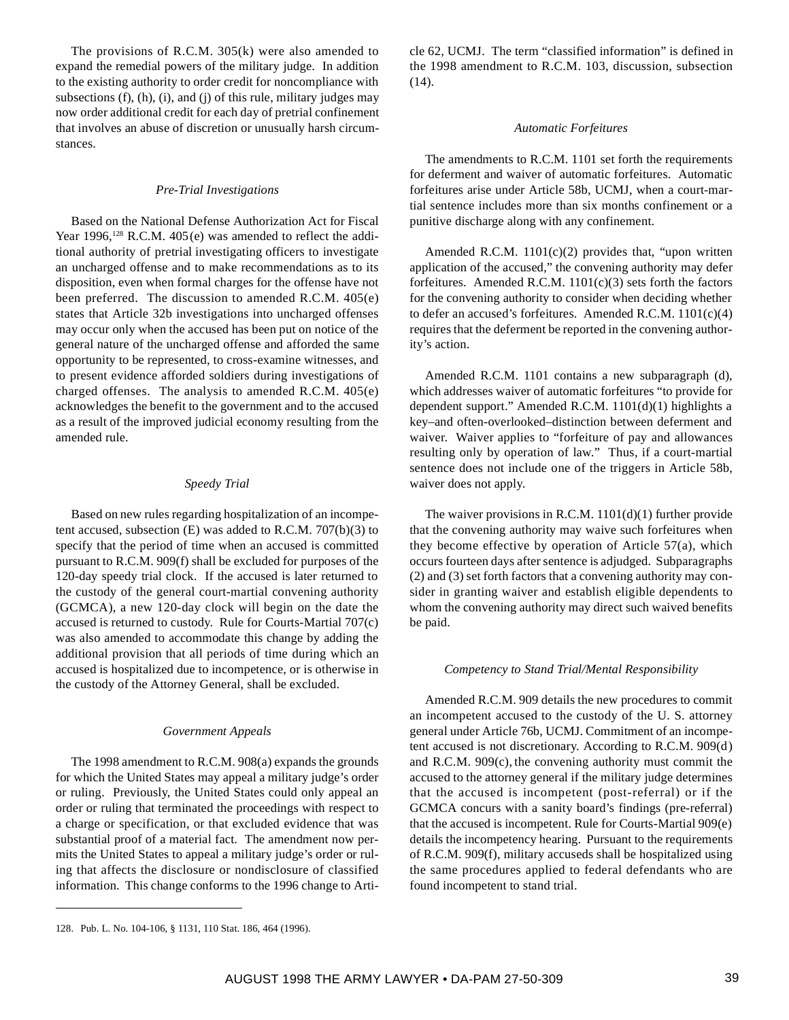The provisions of R.C.M. 305(k) were also amended to expand the remedial powers of the military judge. In addition to the existing authority to order credit for noncompliance with subsections  $(f)$ ,  $(h)$ ,  $(i)$ , and  $(j)$  of this rule, military judges may now order additional credit for each day of pretrial confinement that involves an abuse of discretion or unusually harsh circumstances.

#### *Pre-Trial Investigations*

Based on the National Defense Authorization Act for Fiscal Year 1996,<sup>128</sup> R.C.M.  $405(e)$  was amended to reflect the additional authority of pretrial investigating officers to investigate an uncharged offense and to make recommendations as to its disposition, even when formal charges for the offense have not been preferred. The discussion to amended R.C.M. 405(e) states that Article 32b investigations into uncharged offenses may occur only when the accused has been put on notice of the general nature of the uncharged offense and afforded the same opportunity to be represented, to cross-examine witnesses, and to present evidence afforded soldiers during investigations of charged offenses. The analysis to amended R.C.M. 405(e) acknowledges the benefit to the government and to the accused as a result of the improved judicial economy resulting from the amended rule.

## *Speedy Trial*

Based on new rules regarding hospitalization of an incompetent accused, subsection  $(E)$  was added to R.C.M. 707 $(b)(3)$  to specify that the period of time when an accused is committed pursuant to R.C.M. 909(f) shall be excluded for purposes of the 120-day speedy trial clock. If the accused is later returned to the custody of the general court-martial convening authority (GCMCA), a new 120-day clock will begin on the date the accused is returned to custody. Rule for Courts-Martial 707(c) was also amended to accommodate this change by adding the additional provision that all periods of time during which an accused is hospitalized due to incompetence, or is otherwise in the custody of the Attorney General, shall be excluded.

#### *Government Appeals*

The 1998 amendment to R.C.M. 908(a) expands the grounds for which the United States may appeal a military judge's order or ruling. Previously, the United States could only appeal an order or ruling that terminated the proceedings with respect to a charge or specification, or that excluded evidence that was substantial proof of a material fact. The amendment now permits the United States to appeal a military judge's order or ruling that affects the disclosure or nondisclosure of classified information. This change conforms to the 1996 change to Article 62, UCMJ. The term "classified information" is defined in the 1998 amendment to R.C.M. 103, discussion, subsection (14).

#### *Automatic Forfeitures*

The amendments to R.C.M. 1101 set forth the requirements for deferment and waiver of automatic forfeitures. Automatic forfeitures arise under Article 58b, UCMJ, when a court-martial sentence includes more than six months confinement or a punitive discharge along with any confinement.

Amended R.C.M. 1101(c)(2) provides that, "upon written application of the accused," the convening authority may defer forfeitures. Amended R.C.M.  $1101(c)(3)$  sets forth the factors for the convening authority to consider when deciding whether to defer an accused's forfeitures. Amended R.C.M. 1101(c)(4) requires that the deferment be reported in the convening authority's action.

Amended R.C.M. 1101 contains a new subparagraph (d), which addresses waiver of automatic forfeitures "to provide for dependent support." Amended R.C.M. 1101(d)(1) highlights a key–and often-overlooked–distinction between deferment and waiver. Waiver applies to "forfeiture of pay and allowances resulting only by operation of law." Thus, if a court-martial sentence does not include one of the triggers in Article 58b, waiver does not apply.

The waiver provisions in R.C.M. 1101(d)(1) further provide that the convening authority may waive such forfeitures when they become effective by operation of Article 57(a), which occurs fourteen days after sentence is adjudged. Subparagraphs (2) and (3) set forth factors that a convening authority may consider in granting waiver and establish eligible dependents to whom the convening authority may direct such waived benefits be paid.

#### *Competency to Stand Trial/Mental Responsibility*

Amended R.C.M. 909 details the new procedures to commit an incompetent accused to the custody of the U. S. attorney general under Article 76b, UCMJ. Commitment of an incompetent accused is not discretionary. According to R.C.M. 909(d) and R.C.M. 909(c), the convening authority must commit the accused to the attorney general if the military judge determines that the accused is incompetent (post-referral) or if the GCMCA concurs with a sanity board's findings (pre-referral) that the accused is incompetent. Rule for Courts-Martial 909(e) details the incompetency hearing. Pursuant to the requirements of R.C.M. 909(f), military accuseds shall be hospitalized using the same procedures applied to federal defendants who are found incompetent to stand trial.

<sup>128.</sup> Pub. L. No. 104-106, § 1131, 110 Stat. 186, 464 (1996).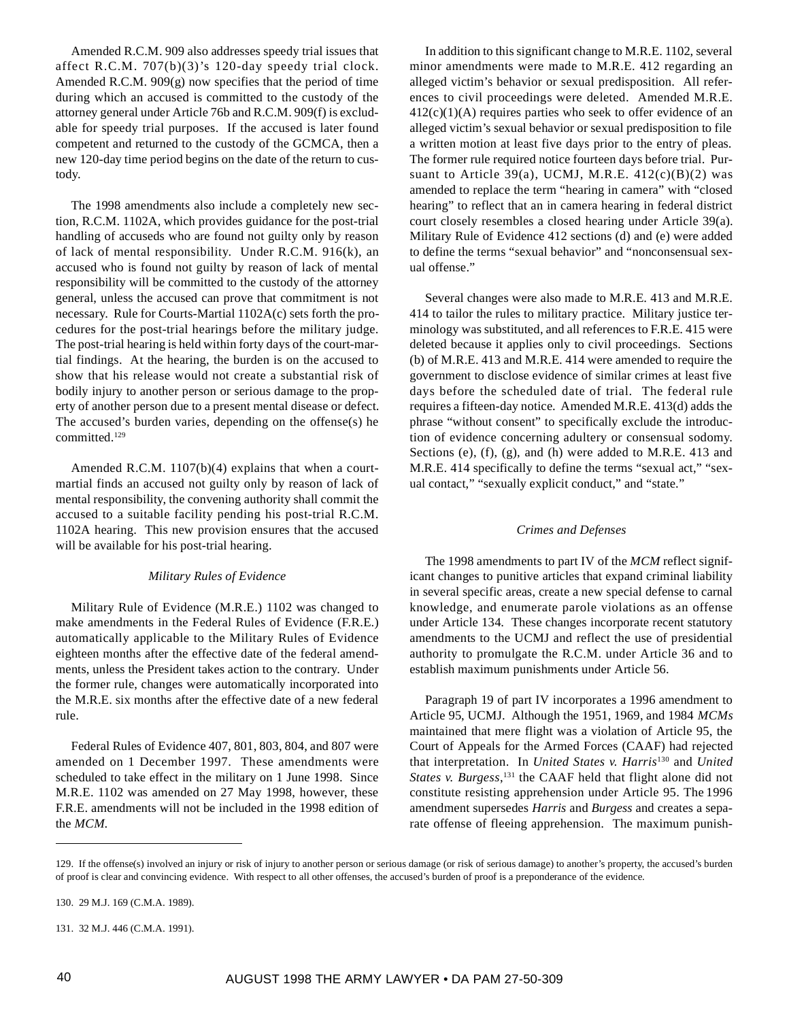Amended R.C.M. 909 also addresses speedy trial issues that affect R.C.M. 707(b)(3)'s 120-day speedy trial clock. Amended R.C.M. 909(g) now specifies that the period of time during which an accused is committed to the custody of the attorney general under Article 76b and R.C.M. 909(f) is excludable for speedy trial purposes. If the accused is later found competent and returned to the custody of the GCMCA, then a new 120-day time period begins on the date of the return to custody.

The 1998 amendments also include a completely new section, R.C.M. 1102A, which provides guidance for the post-trial handling of accuseds who are found not guilty only by reason of lack of mental responsibility. Under R.C.M. 916(k), an accused who is found not guilty by reason of lack of mental responsibility will be committed to the custody of the attorney general, unless the accused can prove that commitment is not necessary. Rule for Courts-Martial 1102A(c) sets forth the procedures for the post-trial hearings before the military judge. The post-trial hearing is held within forty days of the court-martial findings. At the hearing, the burden is on the accused to show that his release would not create a substantial risk of bodily injury to another person or serious damage to the property of another person due to a present mental disease or defect. The accused's burden varies, depending on the offense(s) he committed.129

Amended R.C.M. 1107(b)(4) explains that when a courtmartial finds an accused not guilty only by reason of lack of mental responsibility, the convening authority shall commit the accused to a suitable facility pending his post-trial R.C.M. 1102A hearing. This new provision ensures that the accused will be available for his post-trial hearing.

#### *Military Rules of Evidence*

Military Rule of Evidence (M.R.E.) 1102 was changed to make amendments in the Federal Rules of Evidence (F.R.E.) automatically applicable to the Military Rules of Evidence eighteen months after the effective date of the federal amendments, unless the President takes action to the contrary. Under the former rule, changes were automatically incorporated into the M.R.E. six months after the effective date of a new federal rule.

Federal Rules of Evidence 407, 801, 803, 804, and 807 were amended on 1 December 1997. These amendments were scheduled to take effect in the military on 1 June 1998. Since M.R.E. 1102 was amended on 27 May 1998, however, these F.R.E. amendments will not be included in the 1998 edition of the *MCM*.

In addition to this significant change to M.R.E. 1102, several minor amendments were made to M.R.E. 412 regarding an alleged victim's behavior or sexual predisposition. All references to civil proceedings were deleted. Amended M.R.E.  $412(c)(1)(A)$  requires parties who seek to offer evidence of an alleged victim's sexual behavior or sexual predisposition to file a written motion at least five days prior to the entry of pleas. The former rule required notice fourteen days before trial. Pursuant to Article 39(a), UCMJ, M.R.E.  $412(c)(B)(2)$  was amended to replace the term "hearing in camera" with "closed hearing" to reflect that an in camera hearing in federal district court closely resembles a closed hearing under Article 39(a). Military Rule of Evidence 412 sections (d) and (e) were added to define the terms "sexual behavior" and "nonconsensual sexual offense."

Several changes were also made to M.R.E. 413 and M.R.E. 414 to tailor the rules to military practice. Military justice terminology was substituted, and all references to F.R.E. 415 were deleted because it applies only to civil proceedings. Sections (b) of M.R.E. 413 and M.R.E. 414 were amended to require the government to disclose evidence of similar crimes at least five days before the scheduled date of trial. The federal rule requires a fifteen-day notice. Amended M.R.E. 413(d) adds the phrase "without consent" to specifically exclude the introduction of evidence concerning adultery or consensual sodomy. Sections (e), (f), (g), and (h) were added to M.R.E. 413 and M.R.E. 414 specifically to define the terms "sexual act," "sexual contact," "sexually explicit conduct," and "state."

#### *Crimes and Defenses*

The 1998 amendments to part IV of the *MCM* reflect significant changes to punitive articles that expand criminal liability in several specific areas, create a new special defense to carnal knowledge, and enumerate parole violations as an offense under Article 134. These changes incorporate recent statutory amendments to the UCMJ and reflect the use of presidential authority to promulgate the R.C.M. under Article 36 and to establish maximum punishments under Article 56.

Paragraph 19 of part IV incorporates a 1996 amendment to Article 95, UCMJ. Although the 1951, 1969, and 1984 *MCMs* maintained that mere flight was a violation of Article 95, the Court of Appeals for the Armed Forces (CAAF) had rejected that interpretation. In *United States v. Harris*130 and *United States v. Burgess*, 131 the CAAF held that flight alone did not constitute resisting apprehension under Article 95. The 1996 amendment supersedes *Harris* and *Burgess* and creates a separate offense of fleeing apprehension. The maximum punish-

<sup>129.</sup> If the offense(s) involved an injury or risk of injury to another person or serious damage (or risk of serious damage) to another's property, the accused's burden of proof is clear and convincing evidence. With respect to all other offenses, the accused's burden of proof is a preponderance of the evidence.

<sup>130. 29</sup> M.J. 169 (C.M.A. 1989).

<sup>131. 32</sup> M.J. 446 (C.M.A. 1991).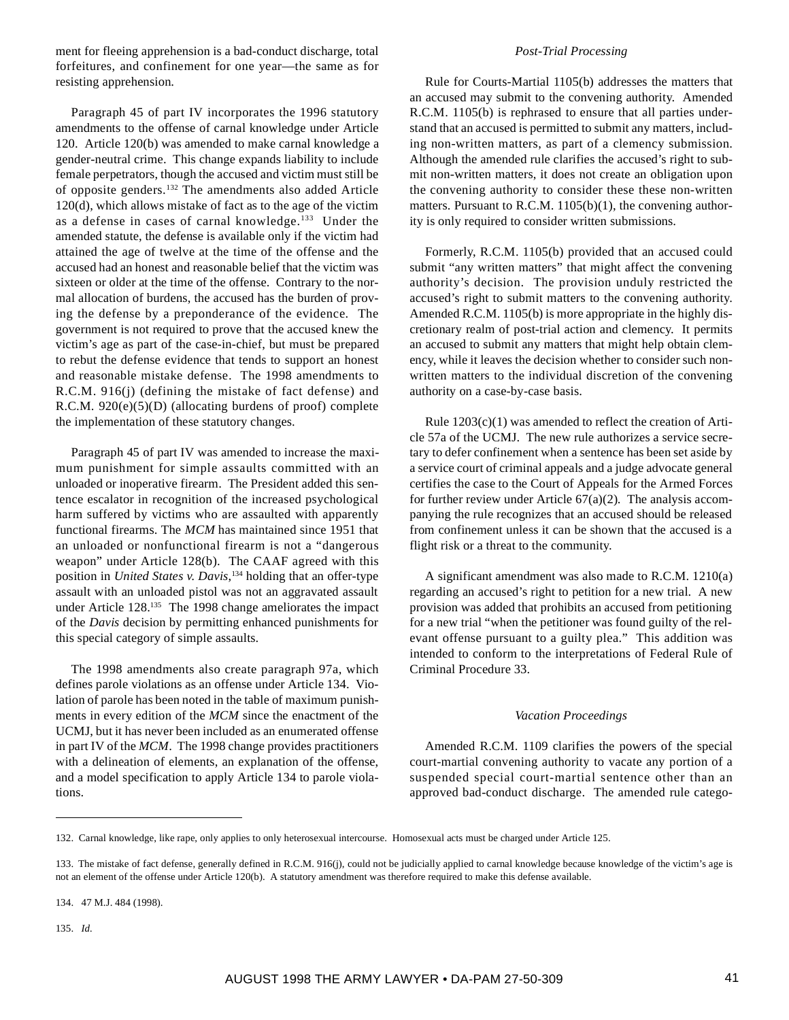ment for fleeing apprehension is a bad-conduct discharge, total forfeitures, and confinement for one year—the same as for resisting apprehension.

Paragraph 45 of part IV incorporates the 1996 statutory amendments to the offense of carnal knowledge under Article 120. Article 120(b) was amended to make carnal knowledge a gender-neutral crime. This change expands liability to include female perpetrators, though the accused and victim must still be of opposite genders.132 The amendments also added Article 120(d), which allows mistake of fact as to the age of the victim as a defense in cases of carnal knowledge.133 Under the amended statute, the defense is available only if the victim had attained the age of twelve at the time of the offense and the accused had an honest and reasonable belief that the victim was sixteen or older at the time of the offense. Contrary to the normal allocation of burdens, the accused has the burden of proving the defense by a preponderance of the evidence. The government is not required to prove that the accused knew the victim's age as part of the case-in-chief, but must be prepared to rebut the defense evidence that tends to support an honest and reasonable mistake defense. The 1998 amendments to R.C.M. 916(j) (defining the mistake of fact defense) and R.C.M. 920(e)(5)(D) (allocating burdens of proof) complete the implementation of these statutory changes.

Paragraph 45 of part IV was amended to increase the maximum punishment for simple assaults committed with an unloaded or inoperative firearm. The President added this sentence escalator in recognition of the increased psychological harm suffered by victims who are assaulted with apparently functional firearms. The *MCM* has maintained since 1951 that an unloaded or nonfunctional firearm is not a "dangerous weapon" under Article 128(b). The CAAF agreed with this position in *United States v. Davis*, 134 holding that an offer-type assault with an unloaded pistol was not an aggravated assault under Article 128.135 The 1998 change ameliorates the impact of the *Davis* decision by permitting enhanced punishments for this special category of simple assaults.

The 1998 amendments also create paragraph 97a, which defines parole violations as an offense under Article 134. Violation of parole has been noted in the table of maximum punishments in every edition of the *MCM* since the enactment of the UCMJ, but it has never been included as an enumerated offense in part IV of the *MCM*. The 1998 change provides practitioners with a delineation of elements, an explanation of the offense, and a model specification to apply Article 134 to parole violations.

### *Post-Trial Processing*

Rule for Courts-Martial 1105(b) addresses the matters that an accused may submit to the convening authority. Amended R.C.M. 1105(b) is rephrased to ensure that all parties understand that an accused is permitted to submit any matters, including non-written matters, as part of a clemency submission. Although the amended rule clarifies the accused's right to submit non-written matters, it does not create an obligation upon the convening authority to consider these these non-written matters. Pursuant to R.C.M. 1105(b)(1), the convening authority is only required to consider written submissions.

Formerly, R.C.M. 1105(b) provided that an accused could submit "any written matters" that might affect the convening authority's decision. The provision unduly restricted the accused's right to submit matters to the convening authority. Amended R.C.M. 1105(b) is more appropriate in the highly discretionary realm of post-trial action and clemency. It permits an accused to submit any matters that might help obtain clemency, while it leaves the decision whether to consider such nonwritten matters to the individual discretion of the convening authority on a case-by-case basis.

Rule 1203(c)(1) was amended to reflect the creation of Article 57a of the UCMJ. The new rule authorizes a service secretary to defer confinement when a sentence has been set aside by a service court of criminal appeals and a judge advocate general certifies the case to the Court of Appeals for the Armed Forces for further review under Article  $67(a)(2)$ . The analysis accompanying the rule recognizes that an accused should be released from confinement unless it can be shown that the accused is a flight risk or a threat to the community.

A significant amendment was also made to R.C.M. 1210(a) regarding an accused's right to petition for a new trial. A new provision was added that prohibits an accused from petitioning for a new trial "when the petitioner was found guilty of the relevant offense pursuant to a guilty plea." This addition was intended to conform to the interpretations of Federal Rule of Criminal Procedure 33.

## *Vacation Proceedings*

Amended R.C.M. 1109 clarifies the powers of the special court-martial convening authority to vacate any portion of a suspended special court-martial sentence other than an approved bad-conduct discharge. The amended rule catego-

134. 47 M.J. 484 (1998).

135. *Id.*

<sup>132.</sup> Carnal knowledge, like rape, only applies to only heterosexual intercourse. Homosexual acts must be charged under Article 125.

<sup>133.</sup> The mistake of fact defense, generally defined in R.C.M. 916(j), could not be judicially applied to carnal knowledge because knowledge of the victim's age is not an element of the offense under Article 120(b). A statutory amendment was therefore required to make this defense available.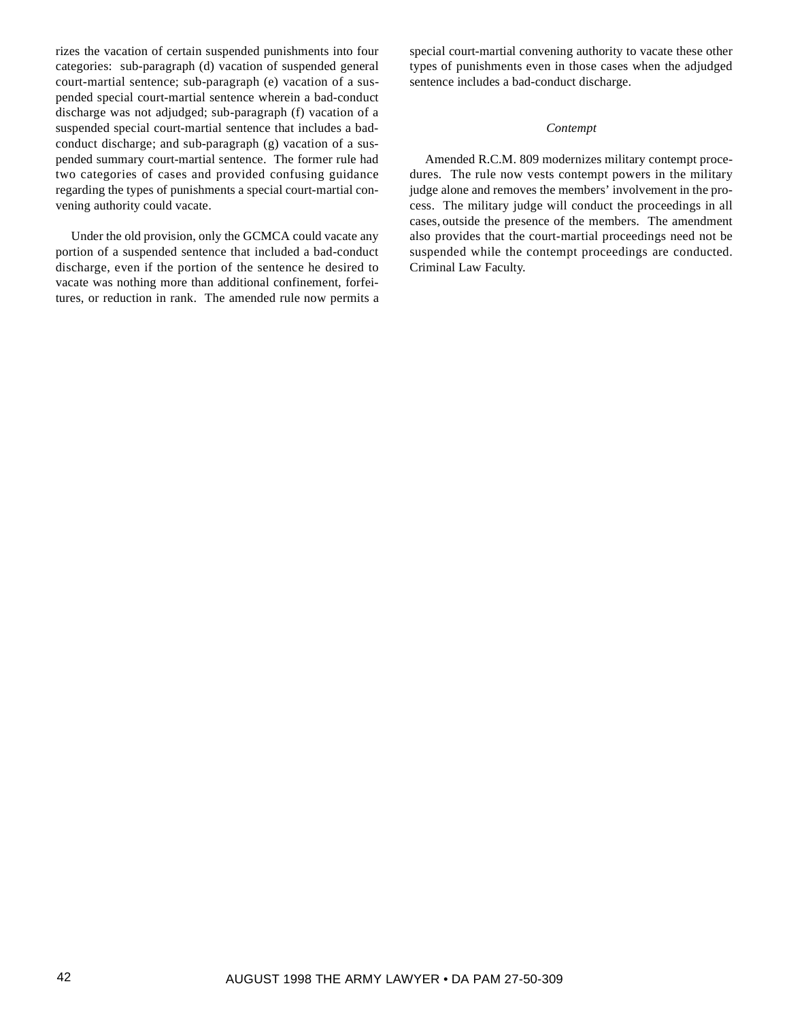rizes the vacation of certain suspended punishments into four categories: sub-paragraph (d) vacation of suspended general court-martial sentence; sub-paragraph (e) vacation of a suspended special court-martial sentence wherein a bad-conduct discharge was not adjudged; sub-paragraph (f) vacation of a suspended special court-martial sentence that includes a badconduct discharge; and sub-paragraph (g) vacation of a suspended summary court-martial sentence. The former rule had two categories of cases and provided confusing guidance regarding the types of punishments a special court-martial convening authority could vacate.

Under the old provision, only the GCMCA could vacate any portion of a suspended sentence that included a bad-conduct discharge, even if the portion of the sentence he desired to vacate was nothing more than additional confinement, forfeitures, or reduction in rank. The amended rule now permits a

special court-martial convening authority to vacate these other types of punishments even in those cases when the adjudged sentence includes a bad-conduct discharge.

#### *Contempt*

Amended R.C.M. 809 modernizes military contempt procedures. The rule now vests contempt powers in the military judge alone and removes the members' involvement in the process. The military judge will conduct the proceedings in all cases, outside the presence of the members. The amendment also provides that the court-martial proceedings need not be suspended while the contempt proceedings are conducted. Criminal Law Faculty.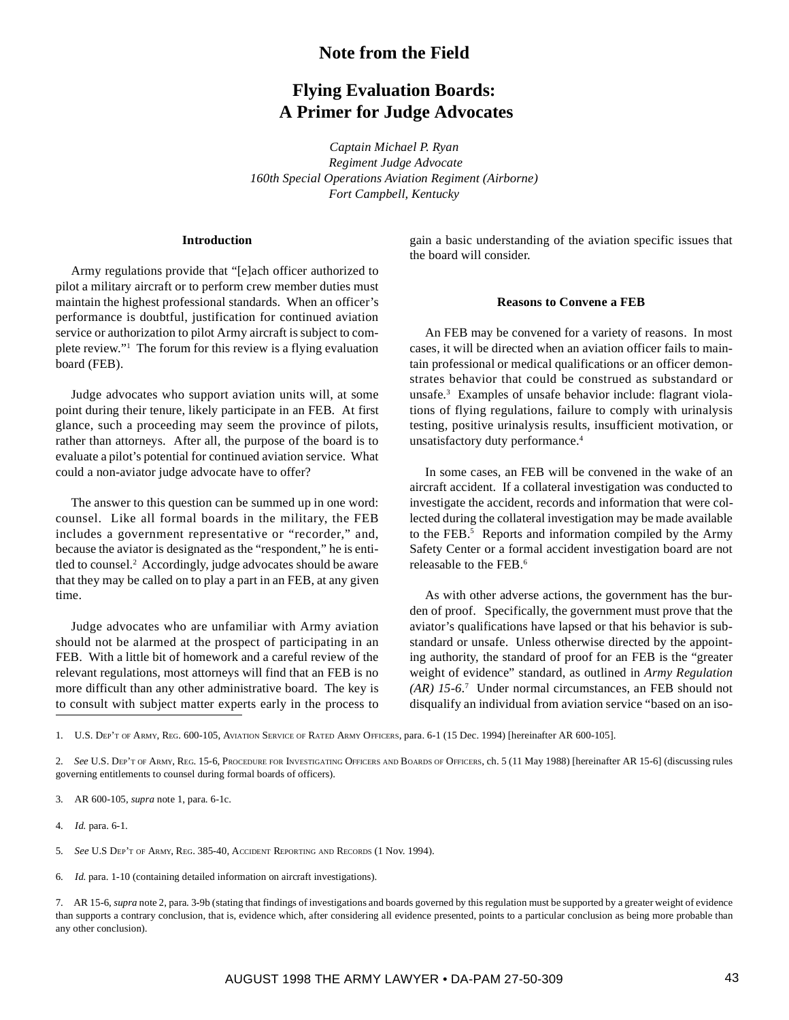## **Note from the Field**

# **Flying Evaluation Boards: A Primer for Judge Advocates**

*Captain Michael P. Ryan Regiment Judge Advocate 160th Special Operations Aviation Regiment (Airborne) Fort Campbell, Kentucky*

## **Introduction**

Army regulations provide that "[e]ach officer authorized to pilot a military aircraft or to perform crew member duties must maintain the highest professional standards. When an officer's performance is doubtful, justification for continued aviation service or authorization to pilot Army aircraft is subject to complete review."1 The forum for this review is a flying evaluation board (FEB).

Judge advocates who support aviation units will, at some point during their tenure, likely participate in an FEB. At first glance, such a proceeding may seem the province of pilots, rather than attorneys. After all, the purpose of the board is to evaluate a pilot's potential for continued aviation service. What could a non-aviator judge advocate have to offer?

The answer to this question can be summed up in one word: counsel. Like all formal boards in the military, the FEB includes a government representative or "recorder," and, because the aviator is designated as the "respondent," he is entitled to counsel.2 Accordingly, judge advocates should be aware that they may be called on to play a part in an FEB, at any given time.

Judge advocates who are unfamiliar with Army aviation should not be alarmed at the prospect of participating in an FEB. With a little bit of homework and a careful review of the relevant regulations, most attorneys will find that an FEB is no more difficult than any other administrative board. The key is to consult with subject matter experts early in the process to gain a basic understanding of the aviation specific issues that the board will consider.

#### **Reasons to Convene a FEB**

An FEB may be convened for a variety of reasons. In most cases, it will be directed when an aviation officer fails to maintain professional or medical qualifications or an officer demonstrates behavior that could be construed as substandard or unsafe.3 Examples of unsafe behavior include: flagrant violations of flying regulations, failure to comply with urinalysis testing, positive urinalysis results, insufficient motivation, or unsatisfactory duty performance.4

In some cases, an FEB will be convened in the wake of an aircraft accident. If a collateral investigation was conducted to investigate the accident, records and information that were collected during the collateral investigation may be made available to the FEB.<sup>5</sup> Reports and information compiled by the Army Safety Center or a formal accident investigation board are not releasable to the FEB.6

As with other adverse actions, the government has the burden of proof. Specifically, the government must prove that the aviator's qualifications have lapsed or that his behavior is substandard or unsafe. Unless otherwise directed by the appointing authority, the standard of proof for an FEB is the "greater weight of evidence" standard, as outlined in *Army Regulation (AR) 15-6*. 7 Under normal circumstances, an FEB should not disqualify an individual from aviation service "based on an iso-

4. *Id.* para. 6-1.

- 5. *See* U.S DEP'T OF ARMY, REG. 385-40, ACCIDENT REPORTING AND RECORDS (1 Nov. 1994).
- 6. *Id.* para. 1-10 (containing detailed information on aircraft investigations).

7. AR 15-6, *supra* note 2, para. 3-9b (stating that findings of investigations and boards governed by this regulation must be supported by a greater weight of evidence than supports a contrary conclusion, that is, evidence which, after considering all evidence presented, points to a particular conclusion as being more probable than any other conclusion).

<sup>1.</sup> U.S. DEP'T OF ARMY, REG. 600-105, AVIATION SERVICE OF RATED ARMY OFFICERS, para. 6-1 (15 Dec. 1994) [hereinafter AR 600-105].

<sup>2.</sup> *See* U.S. DEP'T OF ARMY, REG. 15-6, PROCEDURE FOR INVESTIGATING OFFICERS AND BOARDS OF OFFICERS, ch. 5 (11 May 1988) [hereinafter AR 15-6] (discussing rules governing entitlements to counsel during formal boards of officers).

<sup>3.</sup> AR 600-105, *supra* note 1, para. 6-1c.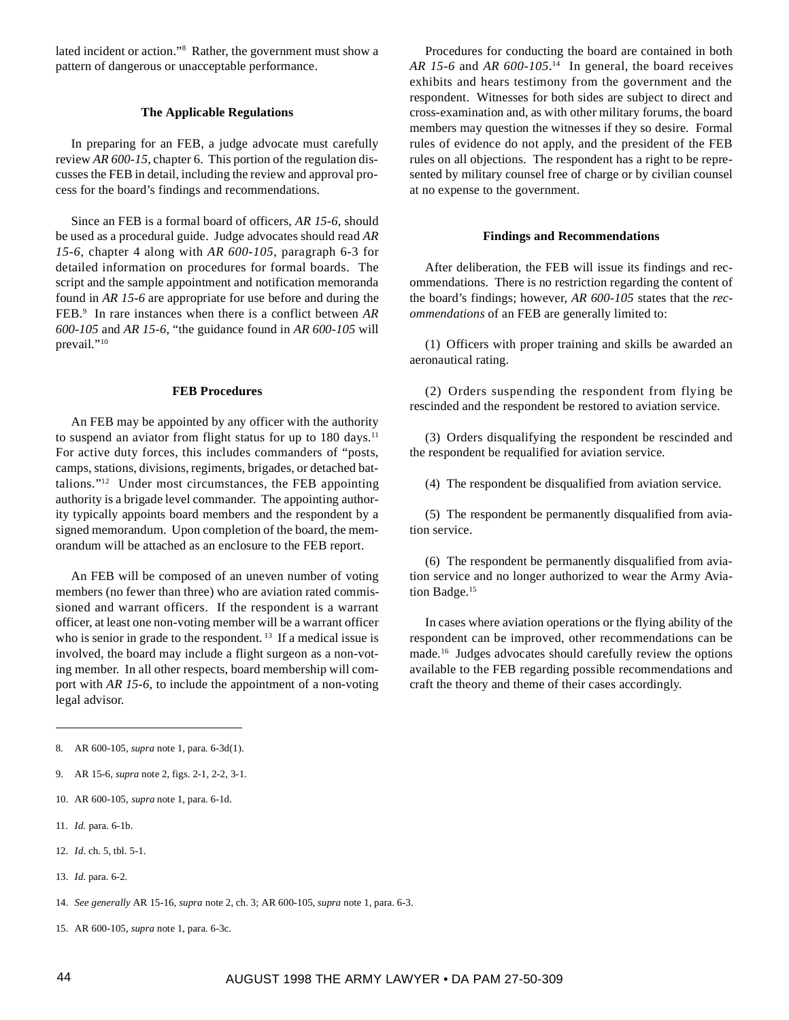lated incident or action."8 Rather, the government must show a pattern of dangerous or unacceptable performance.

### **The Applicable Regulations**

In preparing for an FEB, a judge advocate must carefully review *AR 600-15*, chapter 6. This portion of the regulation discusses the FEB in detail, including the review and approval process for the board's findings and recommendations.

Since an FEB is a formal board of officers, *AR 15-6*, should be used as a procedural guide. Judge advocates should read *AR 15-6*, chapter 4 along with *AR 600-105*, paragraph 6-3 for detailed information on procedures for formal boards. The script and the sample appointment and notification memoranda found in *AR 15-6* are appropriate for use before and during the FEB.9 In rare instances when there is a conflict between *AR 600-105* and *AR 15-6*, "the guidance found in *AR 600-105* will prevail."<sup>10</sup>

#### **FEB Procedures**

An FEB may be appointed by any officer with the authority to suspend an aviator from flight status for up to  $180 \text{ days}$ .<sup>11</sup> For active duty forces, this includes commanders of "posts, camps, stations, divisions, regiments, brigades, or detached battalions."12 Under most circumstances, the FEB appointing authority is a brigade level commander. The appointing authority typically appoints board members and the respondent by a signed memorandum. Upon completion of the board, the memorandum will be attached as an enclosure to the FEB report.

An FEB will be composed of an uneven number of voting members (no fewer than three) who are aviation rated commissioned and warrant officers. If the respondent is a warrant officer, at least one non-voting member will be a warrant officer who is senior in grade to the respondent.<sup>13</sup> If a medical issue is involved, the board may include a flight surgeon as a non-voting member. In all other respects, board membership will comport with *AR 15-6*, to include the appointment of a non-voting legal advisor.

Procedures for conducting the board are contained in both *AR 15-6* and *AR 600-105*. 14 In general, the board receives exhibits and hears testimony from the government and the respondent. Witnesses for both sides are subject to direct and cross-examination and, as with other military forums, the board members may question the witnesses if they so desire. Formal rules of evidence do not apply, and the president of the FEB rules on all objections. The respondent has a right to be represented by military counsel free of charge or by civilian counsel at no expense to the government.

## **Findings and Recommendations**

After deliberation, the FEB will issue its findings and recommendations. There is no restriction regarding the content of the board's findings; however, *AR 600-105* states that the *recommendations* of an FEB are generally limited to:

(1) Officers with proper training and skills be awarded an aeronautical rating.

(2) Orders suspending the respondent from flying be rescinded and the respondent be restored to aviation service.

(3) Orders disqualifying the respondent be rescinded and the respondent be requalified for aviation service.

(4) The respondent be disqualified from aviation service.

(5) The respondent be permanently disqualified from aviation service.

(6) The respondent be permanently disqualified from aviation service and no longer authorized to wear the Army Aviation Badge.<sup>15</sup>

In cases where aviation operations or the flying ability of the respondent can be improved, other recommendations can be made.16 Judges advocates should carefully review the options available to the FEB regarding possible recommendations and craft the theory and theme of their cases accordingly.

- 10. AR 600-105, *supra* note 1, para. 6-1d.
- 11. *Id.* para. 6-1b.
- 12. *Id*. ch. 5, tbl. 5-1.
- 13. *Id*. para. 6-2.
- 14. *See generally* AR 15-16, *supra* note 2, ch. 3; AR 600-105, *supra* note 1, para. 6-3.
- 15. AR 600-105, *supra* note 1, para. 6-3c.

<sup>8.</sup> AR 600-105, *supra* note 1, para. 6-3d(1).

<sup>9.</sup> AR 15-6, *supra* note 2, figs. 2-1, 2-2, 3-1.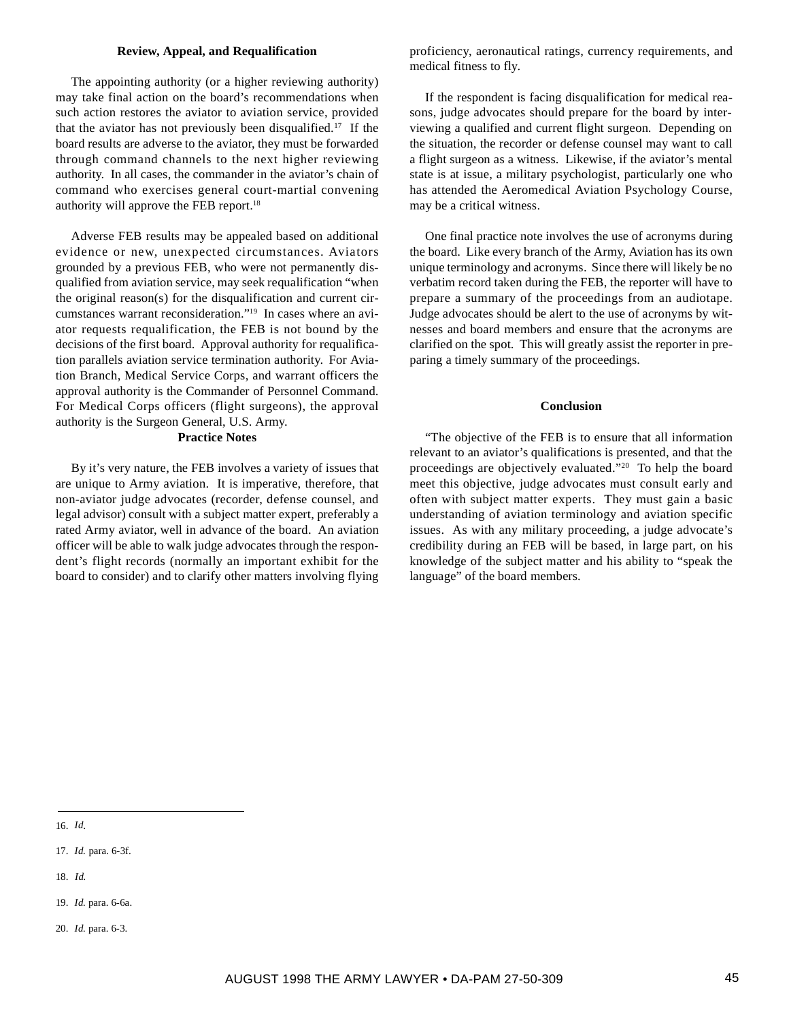## **Review, Appeal, and Requalification**

The appointing authority (or a higher reviewing authority) may take final action on the board's recommendations when such action restores the aviator to aviation service, provided that the aviator has not previously been disqualified.17 If the board results are adverse to the aviator, they must be forwarded through command channels to the next higher reviewing authority. In all cases, the commander in the aviator's chain of command who exercises general court-martial convening authority will approve the FEB report.<sup>18</sup>

Adverse FEB results may be appealed based on additional evidence or new, unexpected circumstances. Aviators grounded by a previous FEB, who were not permanently disqualified from aviation service, may seek requalification "when the original reason(s) for the disqualification and current circumstances warrant reconsideration."19 In cases where an aviator requests requalification, the FEB is not bound by the decisions of the first board. Approval authority for requalification parallels aviation service termination authority. For Aviation Branch, Medical Service Corps, and warrant officers the approval authority is the Commander of Personnel Command. For Medical Corps officers (flight surgeons), the approval authority is the Surgeon General, U.S. Army.

## **Practice Notes**

By it's very nature, the FEB involves a variety of issues that are unique to Army aviation. It is imperative, therefore, that non-aviator judge advocates (recorder, defense counsel, and legal advisor) consult with a subject matter expert, preferably a rated Army aviator, well in advance of the board. An aviation officer will be able to walk judge advocates through the respondent's flight records (normally an important exhibit for the board to consider) and to clarify other matters involving flying

proficiency, aeronautical ratings, currency requirements, and medical fitness to fly.

If the respondent is facing disqualification for medical reasons, judge advocates should prepare for the board by interviewing a qualified and current flight surgeon. Depending on the situation, the recorder or defense counsel may want to call a flight surgeon as a witness. Likewise, if the aviator's mental state is at issue, a military psychologist, particularly one who has attended the Aeromedical Aviation Psychology Course, may be a critical witness.

One final practice note involves the use of acronyms during the board. Like every branch of the Army, Aviation has its own unique terminology and acronyms. Since there will likely be no verbatim record taken during the FEB, the reporter will have to prepare a summary of the proceedings from an audiotape. Judge advocates should be alert to the use of acronyms by witnesses and board members and ensure that the acronyms are clarified on the spot. This will greatly assist the reporter in preparing a timely summary of the proceedings.

#### **Conclusion**

"The objective of the FEB is to ensure that all information relevant to an aviator's qualifications is presented, and that the proceedings are objectively evaluated."20 To help the board meet this objective, judge advocates must consult early and often with subject matter experts. They must gain a basic understanding of aviation terminology and aviation specific issues. As with any military proceeding, a judge advocate's credibility during an FEB will be based, in large part, on his knowledge of the subject matter and his ability to "speak the language" of the board members.

- 17. *Id.* para. 6-3f.
- 18. *Id.*
- 19. *Id.* para. 6-6a.
- 20. *Id.* para. 6-3.

<sup>16.</sup> *Id*.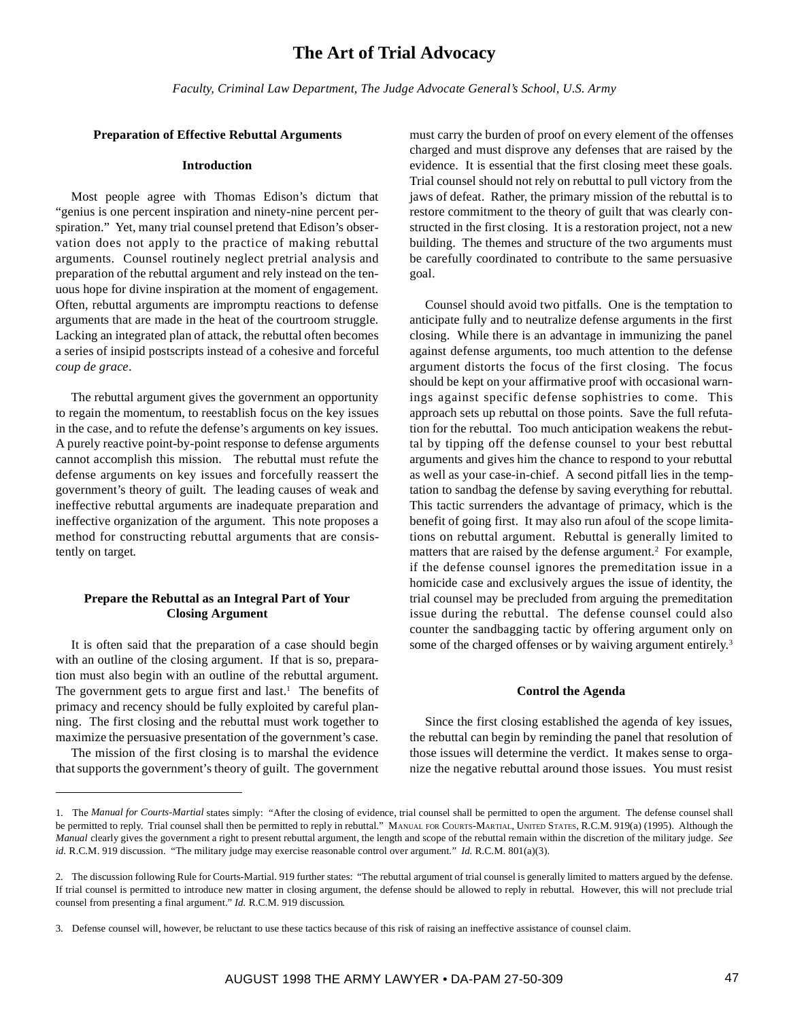*Faculty, Criminal Law Department, The Judge Advocate General's School, U.S. Army*

## **Preparation of Effective Rebuttal Arguments**

## **Introduction**

Most people agree with Thomas Edison's dictum that "genius is one percent inspiration and ninety-nine percent perspiration." Yet, many trial counsel pretend that Edison's observation does not apply to the practice of making rebuttal arguments. Counsel routinely neglect pretrial analysis and preparation of the rebuttal argument and rely instead on the tenuous hope for divine inspiration at the moment of engagement. Often, rebuttal arguments are impromptu reactions to defense arguments that are made in the heat of the courtroom struggle. Lacking an integrated plan of attack, the rebuttal often becomes a series of insipid postscripts instead of a cohesive and forceful *coup de grace*.

The rebuttal argument gives the government an opportunity to regain the momentum, to reestablish focus on the key issues in the case, and to refute the defense's arguments on key issues. A purely reactive point-by-point response to defense arguments cannot accomplish this mission. The rebuttal must refute the defense arguments on key issues and forcefully reassert the government's theory of guilt. The leading causes of weak and ineffective rebuttal arguments are inadequate preparation and ineffective organization of the argument. This note proposes a method for constructing rebuttal arguments that are consistently on target*.*

## **Prepare the Rebuttal as an Integral Part of Your Closing Argument**

It is often said that the preparation of a case should begin with an outline of the closing argument. If that is so, preparation must also begin with an outline of the rebuttal argument. The government gets to argue first and last.<sup>1</sup> The benefits of primacy and recency should be fully exploited by careful planning. The first closing and the rebuttal must work together to maximize the persuasive presentation of the government's case.

The mission of the first closing is to marshal the evidence that supports the government's theory of guilt. The government

must carry the burden of proof on every element of the offenses charged and must disprove any defenses that are raised by the evidence. It is essential that the first closing meet these goals. Trial counsel should not rely on rebuttal to pull victory from the jaws of defeat. Rather, the primary mission of the rebuttal is to restore commitment to the theory of guilt that was clearly constructed in the first closing. It is a restoration project, not a new building. The themes and structure of the two arguments must be carefully coordinated to contribute to the same persuasive goal.

Counsel should avoid two pitfalls. One is the temptation to anticipate fully and to neutralize defense arguments in the first closing. While there is an advantage in immunizing the panel against defense arguments, too much attention to the defense argument distorts the focus of the first closing. The focus should be kept on your affirmative proof with occasional warnings against specific defense sophistries to come. This approach sets up rebuttal on those points. Save the full refutation for the rebuttal. Too much anticipation weakens the rebuttal by tipping off the defense counsel to your best rebuttal arguments and gives him the chance to respond to your rebuttal as well as your case-in-chief. A second pitfall lies in the temptation to sandbag the defense by saving everything for rebuttal. This tactic surrenders the advantage of primacy, which is the benefit of going first. It may also run afoul of the scope limitations on rebuttal argument. Rebuttal is generally limited to matters that are raised by the defense argument.<sup>2</sup> For example, if the defense counsel ignores the premeditation issue in a homicide case and exclusively argues the issue of identity, the trial counsel may be precluded from arguing the premeditation issue during the rebuttal. The defense counsel could also counter the sandbagging tactic by offering argument only on some of the charged offenses or by waiving argument entirely.<sup>3</sup>

## **Control the Agenda**

Since the first closing established the agenda of key issues, the rebuttal can begin by reminding the panel that resolution of those issues will determine the verdict. It makes sense to organize the negative rebuttal around those issues. You must resist

<sup>1.</sup> The *Manual for Courts-Martial* states simply: "After the closing of evidence, trial counsel shall be permitted to open the argument. The defense counsel shall be permitted to reply. Trial counsel shall then be permitted to reply in rebuttal." MANUAL FOR COURTS-MARTIAL, UNITED STATES, R.C.M. 919(a) (1995). Although the *Manual* clearly gives the government a right to present rebuttal argument, the length and scope of the rebuttal remain within the discretion of the military judge. *See id.* R.C.M. 919 discussion. "The military judge may exercise reasonable control over argument." *Id.* R.C.M. 801(a)(3).

<sup>2.</sup> The discussion following Rule for Courts-Martial. 919 further states: "The rebuttal argument of trial counsel is generally limited to matters argued by the defense. If trial counsel is permitted to introduce new matter in closing argument, the defense should be allowed to reply in rebuttal. However, this will not preclude trial counsel from presenting a final argument." *Id.* R.C.M. 919 discussion*.*

<sup>3.</sup> Defense counsel will, however, be reluctant to use these tactics because of this risk of raising an ineffective assistance of counsel claim.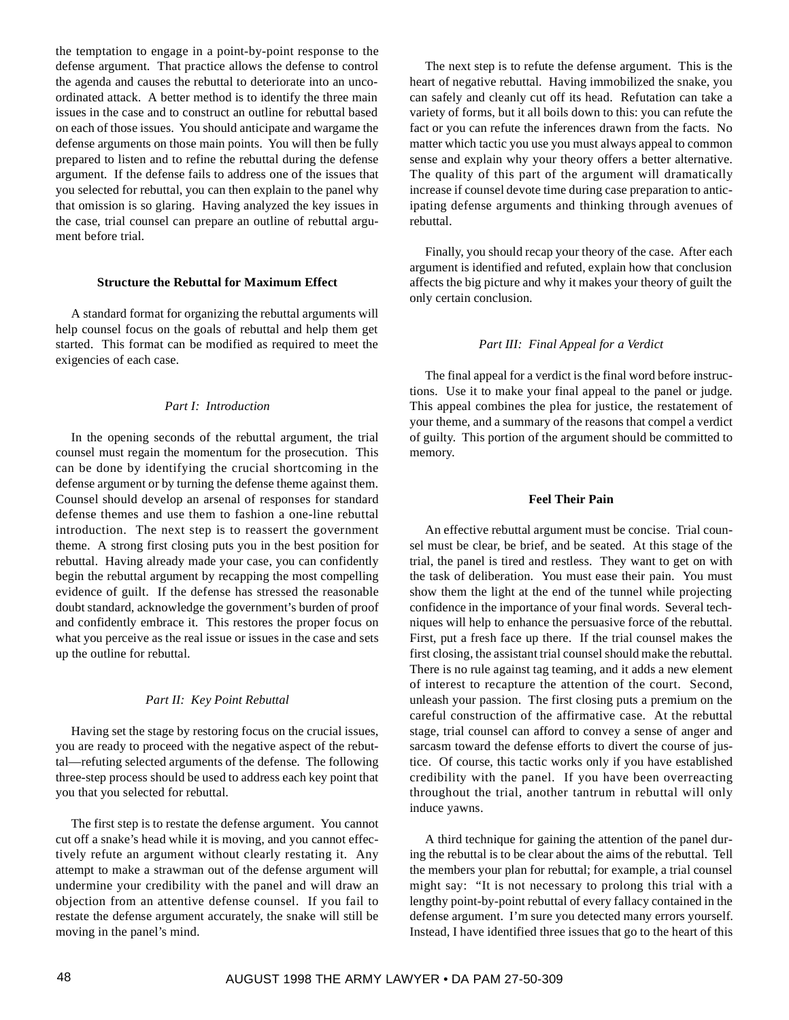the temptation to engage in a point-by-point response to the defense argument. That practice allows the defense to control the agenda and causes the rebuttal to deteriorate into an uncoordinated attack. A better method is to identify the three main issues in the case and to construct an outline for rebuttal based on each of those issues. You should anticipate and wargame the defense arguments on those main points. You will then be fully prepared to listen and to refine the rebuttal during the defense argument. If the defense fails to address one of the issues that you selected for rebuttal, you can then explain to the panel why that omission is so glaring. Having analyzed the key issues in the case, trial counsel can prepare an outline of rebuttal argument before trial

### **Structure the Rebuttal for Maximum Effect**

A standard format for organizing the rebuttal arguments will help counsel focus on the goals of rebuttal and help them get started. This format can be modified as required to meet the exigencies of each case.

### *Part I: Introduction*

In the opening seconds of the rebuttal argument, the trial counsel must regain the momentum for the prosecution. This can be done by identifying the crucial shortcoming in the defense argument or by turning the defense theme against them. Counsel should develop an arsenal of responses for standard defense themes and use them to fashion a one-line rebuttal introduction. The next step is to reassert the government theme. A strong first closing puts you in the best position for rebuttal. Having already made your case, you can confidently begin the rebuttal argument by recapping the most compelling evidence of guilt. If the defense has stressed the reasonable doubt standard, acknowledge the government's burden of proof and confidently embrace it. This restores the proper focus on what you perceive as the real issue or issues in the case and sets up the outline for rebuttal.

#### *Part II: Key Point Rebuttal*

Having set the stage by restoring focus on the crucial issues, you are ready to proceed with the negative aspect of the rebuttal—refuting selected arguments of the defense. The following three-step process should be used to address each key point that you that you selected for rebuttal.

The first step is to restate the defense argument. You cannot cut off a snake's head while it is moving, and you cannot effectively refute an argument without clearly restating it. Any attempt to make a strawman out of the defense argument will undermine your credibility with the panel and will draw an objection from an attentive defense counsel. If you fail to restate the defense argument accurately, the snake will still be moving in the panel's mind.

The next step is to refute the defense argument. This is the heart of negative rebuttal. Having immobilized the snake, you can safely and cleanly cut off its head. Refutation can take a variety of forms, but it all boils down to this: you can refute the fact or you can refute the inferences drawn from the facts. No matter which tactic you use you must always appeal to common sense and explain why your theory offers a better alternative. The quality of this part of the argument will dramatically increase if counsel devote time during case preparation to anticipating defense arguments and thinking through avenues of rebuttal.

Finally, you should recap your theory of the case. After each argument is identified and refuted, explain how that conclusion affects the big picture and why it makes your theory of guilt the only certain conclusion.

## *Part III: Final Appeal for a Verdict*

The final appeal for a verdict is the final word before instructions. Use it to make your final appeal to the panel or judge. This appeal combines the plea for justice, the restatement of your theme, and a summary of the reasons that compel a verdict of guilty. This portion of the argument should be committed to memory.

## **Feel Their Pain**

An effective rebuttal argument must be concise. Trial counsel must be clear, be brief, and be seated. At this stage of the trial, the panel is tired and restless. They want to get on with the task of deliberation. You must ease their pain. You must show them the light at the end of the tunnel while projecting confidence in the importance of your final words. Several techniques will help to enhance the persuasive force of the rebuttal. First, put a fresh face up there. If the trial counsel makes the first closing, the assistant trial counsel should make the rebuttal. There is no rule against tag teaming, and it adds a new element of interest to recapture the attention of the court. Second, unleash your passion. The first closing puts a premium on the careful construction of the affirmative case. At the rebuttal stage, trial counsel can afford to convey a sense of anger and sarcasm toward the defense efforts to divert the course of justice. Of course, this tactic works only if you have established credibility with the panel. If you have been overreacting throughout the trial, another tantrum in rebuttal will only induce yawns.

A third technique for gaining the attention of the panel during the rebuttal is to be clear about the aims of the rebuttal. Tell the members your plan for rebuttal; for example, a trial counsel might say: "It is not necessary to prolong this trial with a lengthy point-by-point rebuttal of every fallacy contained in the defense argument. I'm sure you detected many errors yourself. Instead, I have identified three issues that go to the heart of this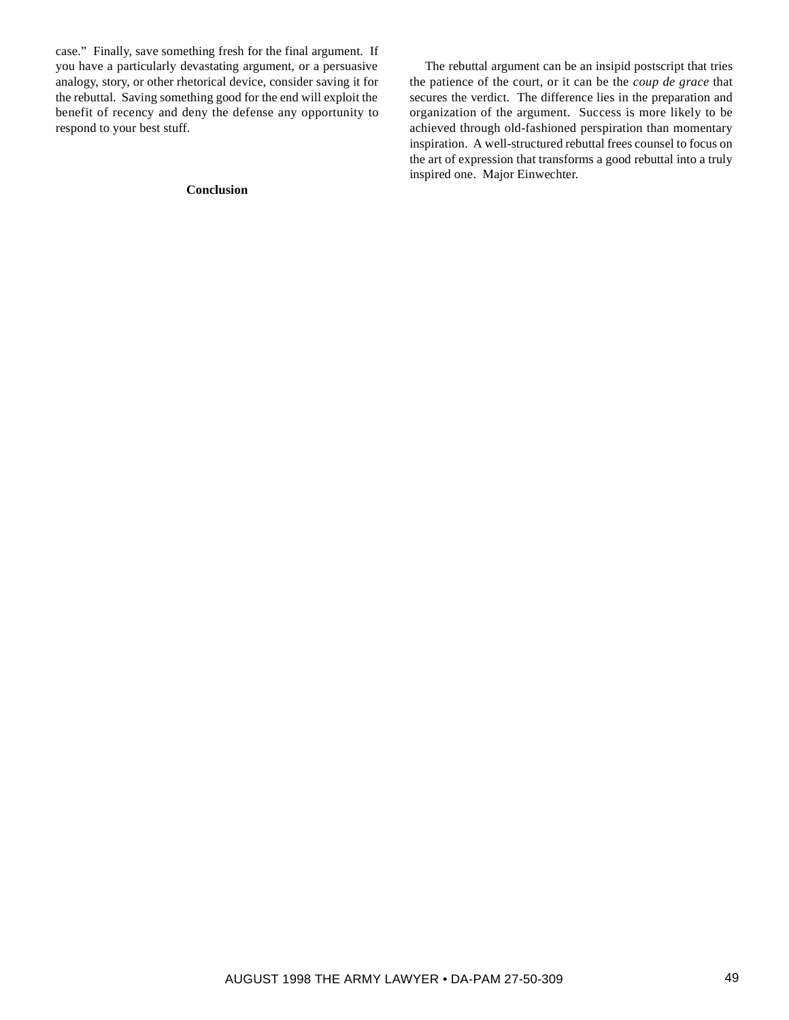case." Finally, save something fresh for the final argument. If you have a particularly devastating argument, or a persuasive analogy, story, or other rhetorical device, consider saving it for the rebuttal. Saving something good for the end will exploit the benefit of recency and deny the defense any opportunity to respond to your best stuff.

## **Conclusion**

The rebuttal argument can be an insipid postscript that tries the patience of the court, or it can be the *coup de grace* that secures the verdict. The difference lies in the preparation and organization of the argument. Success is more likely to be achieved through old-fashioned perspiration than momentary inspiration. A well-structured rebuttal frees counsel to focus on the art of expression that transforms a good rebuttal into a truly inspired one. Major Einwechter.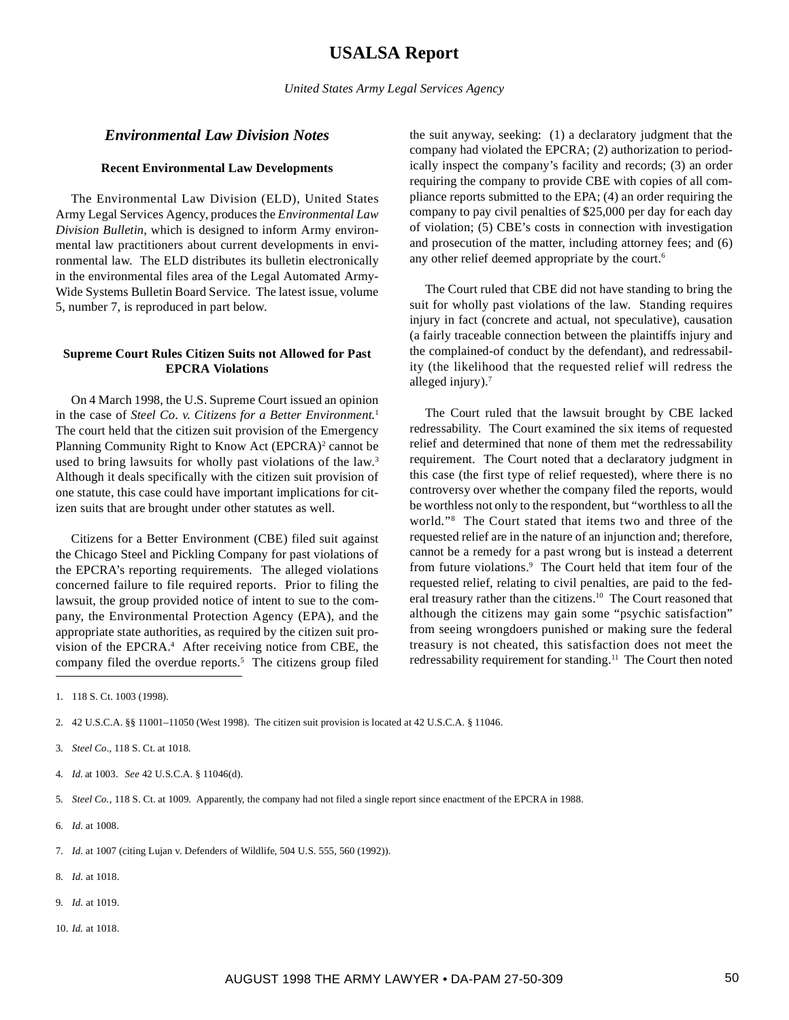## **USALSA Report**

*United States Army Legal Services Agency*

## *Environmental Law Division Notes*

#### **Recent Environmental Law Developments**

The Environmental Law Division (ELD), United States Army Legal Services Agency, produces the *Environmental Law Division Bulletin*, which is designed to inform Army environmental law practitioners about current developments in environmental law. The ELD distributes its bulletin electronically in the environmental files area of the Legal Automated Army-Wide Systems Bulletin Board Service. The latest issue, volume 5, number 7, is reproduced in part below.

## **Supreme Court Rules Citizen Suits not Allowed for Past EPCRA Violations**

On 4 March 1998, the U.S. Supreme Court issued an opinion in the case of *Steel Co*. *v. Citizens for a Better Environment*. 1 The court held that the citizen suit provision of the Emergency Planning Community Right to Know Act (EPCRA)<sup>2</sup> cannot be used to bring lawsuits for wholly past violations of the law.<sup>3</sup> Although it deals specifically with the citizen suit provision of one statute, this case could have important implications for citizen suits that are brought under other statutes as well.

Citizens for a Better Environment (CBE) filed suit against the Chicago Steel and Pickling Company for past violations of the EPCRA's reporting requirements. The alleged violations concerned failure to file required reports. Prior to filing the lawsuit, the group provided notice of intent to sue to the company, the Environmental Protection Agency (EPA), and the appropriate state authorities, as required by the citizen suit provision of the EPCRA.<sup>4</sup> After receiving notice from CBE, the company filed the overdue reports.<sup>5</sup> The citizens group filed

the suit anyway, seeking: (1) a declaratory judgment that the company had violated the EPCRA; (2) authorization to periodically inspect the company's facility and records; (3) an order requiring the company to provide CBE with copies of all compliance reports submitted to the EPA; (4) an order requiring the company to pay civil penalties of \$25,000 per day for each day of violation; (5) CBE's costs in connection with investigation and prosecution of the matter, including attorney fees; and (6) any other relief deemed appropriate by the court.<sup>6</sup>

The Court ruled that CBE did not have standing to bring the suit for wholly past violations of the law. Standing requires injury in fact (concrete and actual, not speculative), causation (a fairly traceable connection between the plaintiffs injury and the complained-of conduct by the defendant), and redressability (the likelihood that the requested relief will redress the alleged injury).7

The Court ruled that the lawsuit brought by CBE lacked redressability. The Court examined the six items of requested relief and determined that none of them met the redressability requirement. The Court noted that a declaratory judgment in this case (the first type of relief requested), where there is no controversy over whether the company filed the reports, would be worthless not only to the respondent, but "worthless to all the world."8 The Court stated that items two and three of the requested relief are in the nature of an injunction and; therefore, cannot be a remedy for a past wrong but is instead a deterrent from future violations.<sup>9</sup> The Court held that item four of the requested relief, relating to civil penalties, are paid to the federal treasury rather than the citizens.<sup>10</sup> The Court reasoned that although the citizens may gain some "psychic satisfaction" from seeing wrongdoers punished or making sure the federal treasury is not cheated, this satisfaction does not meet the redressability requirement for standing.<sup>11</sup> The Court then noted

2. 42 U.S.C.A. §§ 11001–11050 (West 1998). The citizen suit provision is located at 42 U.S.C.A. § 11046.

4. *Id.* at 1003. *See* 42 U.S.C.A. § 11046(d).

5. *Steel Co.*, 118 S. Ct. at 1009. Apparently, the company had not filed a single report since enactment of the EPCRA in 1988.

- 6. *Id.* at 1008.
- 7. *Id.* at 1007 (citing Lujan v. Defenders of Wildlife, 504 U.S. 555, 560 (1992)).
- 8. *Id.* at 1018.
- 9. *Id.* at 1019.
- 10. *Id.* at 1018.

<sup>1. 118</sup> S. Ct. 1003 (1998).

<sup>3.</sup> *Steel Co*., 118 S. Ct. at 1018.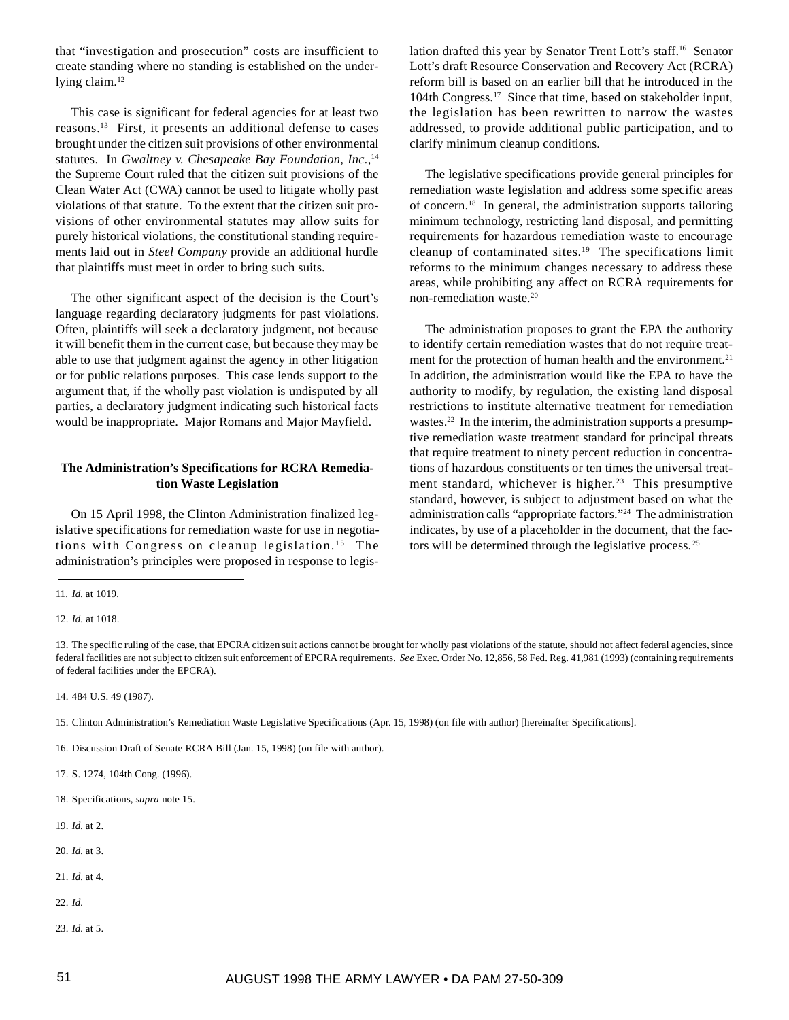that "investigation and prosecution" costs are insufficient to create standing where no standing is established on the underlying claim.<sup>12</sup>

This case is significant for federal agencies for at least two reasons.13 First, it presents an additional defense to cases brought under the citizen suit provisions of other environmental statutes. In *Gwaltney v. Chesapeake Bay Foundation, Inc.*,<sup>14</sup> the Supreme Court ruled that the citizen suit provisions of the Clean Water Act (CWA) cannot be used to litigate wholly past violations of that statute. To the extent that the citizen suit provisions of other environmental statutes may allow suits for purely historical violations, the constitutional standing requirements laid out in *Steel Company* provide an additional hurdle that plaintiffs must meet in order to bring such suits.

The other significant aspect of the decision is the Court's language regarding declaratory judgments for past violations. Often, plaintiffs will seek a declaratory judgment, not because it will benefit them in the current case, but because they may be able to use that judgment against the agency in other litigation or for public relations purposes. This case lends support to the argument that, if the wholly past violation is undisputed by all parties, a declaratory judgment indicating such historical facts would be inappropriate. Major Romans and Major Mayfield.

## **The Administration's Specifications for RCRA Remediation Waste Legislation**

On 15 April 1998, the Clinton Administration finalized legislative specifications for remediation waste for use in negotiations with Congress on cleanup legislation.<sup>15</sup> The administration's principles were proposed in response to legis-

- 15. Clinton Administration's Remediation Waste Legislative Specifications (Apr. 15, 1998) (on file with author) [hereinafter Specifications].
- 16. Discussion Draft of Senate RCRA Bill (Jan. 15, 1998) (on file with author).
- 17. S. 1274, 104th Cong. (1996).
- 18. Specifications, *supra* note 15.
- 19. *Id.* at 2.
- 20. *Id.* at 3.
- 21. *Id.* at 4.
- 22. *Id.*
- 23. *Id.* at 5.

lation drafted this year by Senator Trent Lott's staff.16 Senator Lott's draft Resource Conservation and Recovery Act (RCRA) reform bill is based on an earlier bill that he introduced in the 104th Congress.17 Since that time, based on stakeholder input, the legislation has been rewritten to narrow the wastes addressed, to provide additional public participation, and to clarify minimum cleanup conditions.

The legislative specifications provide general principles for remediation waste legislation and address some specific areas of concern.18 In general, the administration supports tailoring minimum technology, restricting land disposal, and permitting requirements for hazardous remediation waste to encourage cleanup of contaminated sites.<sup>19</sup> The specifications limit reforms to the minimum changes necessary to address these areas, while prohibiting any affect on RCRA requirements for non-remediation waste.20

The administration proposes to grant the EPA the authority to identify certain remediation wastes that do not require treatment for the protection of human health and the environment.<sup>21</sup> In addition, the administration would like the EPA to have the authority to modify, by regulation, the existing land disposal restrictions to institute alternative treatment for remediation wastes.<sup>22</sup> In the interim, the administration supports a presumptive remediation waste treatment standard for principal threats that require treatment to ninety percent reduction in concentrations of hazardous constituents or ten times the universal treatment standard, whichever is higher.<sup>23</sup> This presumptive standard, however, is subject to adjustment based on what the administration calls "appropriate factors."24 The administration indicates, by use of a placeholder in the document, that the factors will be determined through the legislative process.<sup>25</sup>

<sup>11.</sup> *Id.* at 1019.

<sup>12.</sup> *Id.* at 1018.

<sup>13.</sup> The specific ruling of the case, that EPCRA citizen suit actions cannot be brought for wholly past violations of the statute, should not affect federal agencies, since federal facilities are not subject to citizen suit enforcement of EPCRA requirements. *See* Exec. Order No. 12,856, 58 Fed. Reg. 41,981 (1993) (containing requirements of federal facilities under the EPCRA).

<sup>14. 484</sup> U.S. 49 (1987).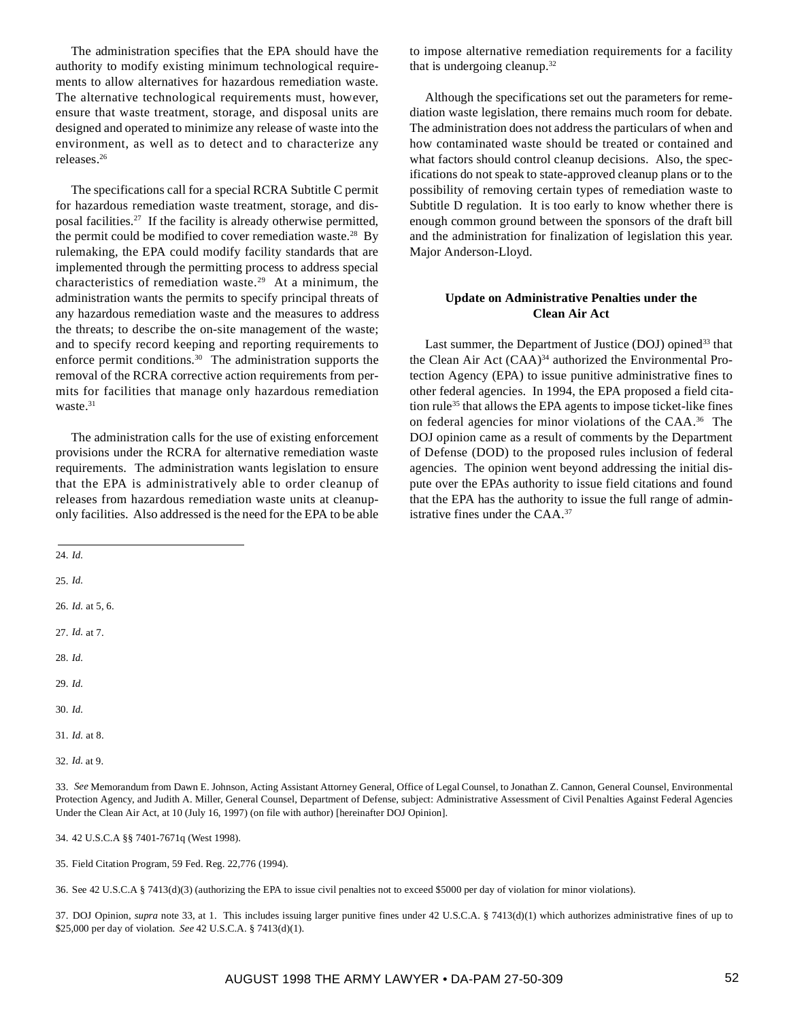The administration specifies that the EPA should have the authority to modify existing minimum technological requirements to allow alternatives for hazardous remediation waste. The alternative technological requirements must, however, ensure that waste treatment, storage, and disposal units are designed and operated to minimize any release of waste into the environment, as well as to detect and to characterize any releases.26

The specifications call for a special RCRA Subtitle C permit for hazardous remediation waste treatment, storage, and disposal facilities.27 If the facility is already otherwise permitted, the permit could be modified to cover remediation waste.<sup>28</sup> By rulemaking, the EPA could modify facility standards that are implemented through the permitting process to address special characteristics of remediation waste.<sup>29</sup> At a minimum, the administration wants the permits to specify principal threats of any hazardous remediation waste and the measures to address the threats; to describe the on-site management of the waste; and to specify record keeping and reporting requirements to enforce permit conditions.<sup>30</sup> The administration supports the removal of the RCRA corrective action requirements from permits for facilities that manage only hazardous remediation waste.<sup>31</sup>

The administration calls for the use of existing enforcement provisions under the RCRA for alternative remediation waste requirements. The administration wants legislation to ensure that the EPA is administratively able to order cleanup of releases from hazardous remediation waste units at cleanuponly facilities. Also addressed is the need for the EPA to be able

to impose alternative remediation requirements for a facility that is undergoing cleanup.32

Although the specifications set out the parameters for remediation waste legislation, there remains much room for debate. The administration does not address the particulars of when and how contaminated waste should be treated or contained and what factors should control cleanup decisions. Also, the specifications do not speak to state-approved cleanup plans or to the possibility of removing certain types of remediation waste to Subtitle D regulation. It is too early to know whether there is enough common ground between the sponsors of the draft bill and the administration for finalization of legislation this year. Major Anderson-Lloyd.

## **Update on Administrative Penalties under the Clean Air Act**

Last summer, the Department of Justice (DOJ) opined<sup>33</sup> that the Clean Air Act (CAA)<sup>34</sup> authorized the Environmental Protection Agency (EPA) to issue punitive administrative fines to other federal agencies. In 1994, the EPA proposed a field citation rule<sup>35</sup> that allows the EPA agents to impose ticket-like fines on federal agencies for minor violations of the CAA.36 The DOJ opinion came as a result of comments by the Department of Defense (DOD) to the proposed rules inclusion of federal agencies. The opinion went beyond addressing the initial dispute over the EPAs authority to issue field citations and found that the EPA has the authority to issue the full range of administrative fines under the CAA.37

24. *Id.*

25. *Id.*

26. *Id.* at 5, 6.

27. *Id.* at 7.

28. *Id.*

- 29. *Id.*
- 30. *Id.*
- 31. *Id.* at 8.

33. *See* Memorandum from Dawn E. Johnson, Acting Assistant Attorney General, Office of Legal Counsel, to Jonathan Z. Cannon, General Counsel, Environmental Protection Agency, and Judith A. Miller, General Counsel, Department of Defense, subject: Administrative Assessment of Civil Penalties Against Federal Agencies Under the Clean Air Act, at 10 (July 16, 1997) (on file with author) [hereinafter DOJ Opinion].

34. 42 U.S.C.A §§ 7401-7671q (West 1998).

35. Field Citation Program, 59 Fed. Reg. 22,776 (1994).

36. See 42 U.S.C.A § 7413(d)(3) (authorizing the EPA to issue civil penalties not to exceed \$5000 per day of violation for minor violations).

37. DOJ Opinion, *supra* note 33, at 1. This includes issuing larger punitive fines under 42 U.S.C.A. § 7413(d)(1) which authorizes administrative fines of up to \$25,000 per day of violation. *See* 42 U.S.C.A. § 7413(d)(1).

<sup>32.</sup> *Id.* at 9.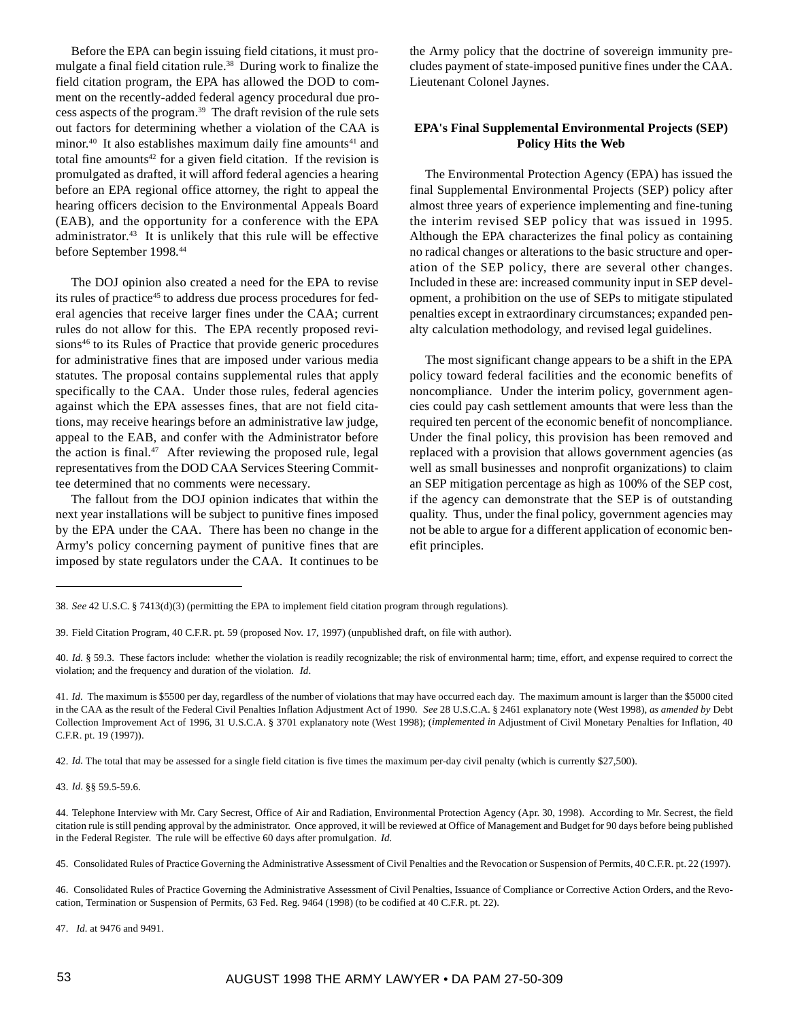Before the EPA can begin issuing field citations, it must promulgate a final field citation rule.<sup>38</sup> During work to finalize the field citation program, the EPA has allowed the DOD to comment on the recently-added federal agency procedural due process aspects of the program.39 The draft revision of the rule sets out factors for determining whether a violation of the CAA is minor.<sup>40</sup> It also establishes maximum daily fine amounts<sup>41</sup> and total fine amounts<sup> $42$ </sup> for a given field citation. If the revision is promulgated as drafted, it will afford federal agencies a hearing before an EPA regional office attorney, the right to appeal the hearing officers decision to the Environmental Appeals Board (EAB), and the opportunity for a conference with the EPA administrator.<sup>43</sup> It is unlikely that this rule will be effective before September 1998.44

The DOJ opinion also created a need for the EPA to revise its rules of practice<sup>45</sup> to address due process procedures for federal agencies that receive larger fines under the CAA; current rules do not allow for this. The EPA recently proposed revisions<sup>46</sup> to its Rules of Practice that provide generic procedures for administrative fines that are imposed under various media statutes. The proposal contains supplemental rules that apply specifically to the CAA. Under those rules, federal agencies against which the EPA assesses fines, that are not field citations, may receive hearings before an administrative law judge, appeal to the EAB, and confer with the Administrator before the action is final. $47$  After reviewing the proposed rule, legal representatives from the DOD CAA Services Steering Committee determined that no comments were necessary.

The fallout from the DOJ opinion indicates that within the next year installations will be subject to punitive fines imposed by the EPA under the CAA. There has been no change in the Army's policy concerning payment of punitive fines that are imposed by state regulators under the CAA. It continues to be

the Army policy that the doctrine of sovereign immunity precludes payment of state-imposed punitive fines under the CAA. Lieutenant Colonel Jaynes.

## **EPA's Final Supplemental Environmental Projects (SEP) Policy Hits the Web**

The Environmental Protection Agency (EPA) has issued the final Supplemental Environmental Projects (SEP) policy after almost three years of experience implementing and fine-tuning the interim revised SEP policy that was issued in 1995. Although the EPA characterizes the final policy as containing no radical changes or alterations to the basic structure and operation of the SEP policy, there are several other changes. Included in these are: increased community input in SEP development, a prohibition on the use of SEPs to mitigate stipulated penalties except in extraordinary circumstances; expanded penalty calculation methodology, and revised legal guidelines.

The most significant change appears to be a shift in the EPA policy toward federal facilities and the economic benefits of noncompliance. Under the interim policy, government agencies could pay cash settlement amounts that were less than the required ten percent of the economic benefit of noncompliance. Under the final policy, this provision has been removed and replaced with a provision that allows government agencies (as well as small businesses and nonprofit organizations) to claim an SEP mitigation percentage as high as 100% of the SEP cost, if the agency can demonstrate that the SEP is of outstanding quality. Thus, under the final policy, government agencies may not be able to argue for a different application of economic benefit principles.

42. *Id*. The total that may be assessed for a single field citation is five times the maximum per-day civil penalty (which is currently \$27,500).

43. *Id.* §§ 59.5-59.6.

47. *Id.* at 9476 and 9491.

<sup>38.</sup> *See* 42 U.S.C. § 7413(d)(3) (permitting the EPA to implement field citation program through regulations).

<sup>39.</sup> Field Citation Program, 40 C.F.R. pt. 59 (proposed Nov. 17, 1997) (unpublished draft, on file with author).

<sup>40.</sup> *Id.* § 59.3. These factors include: whether the violation is readily recognizable; the risk of environmental harm; time, effort, and expense required to correct the violation; and the frequency and duration of the violation. *Id*.

<sup>41.</sup> *Id.* The maximum is \$5500 per day, regardless of the number of violations that may have occurred each day. The maximum amount is larger than the \$5000 cited in the CAA as the result of the Federal Civil Penalties Inflation Adjustment Act of 1990. *See* 28 U.S.C.A. § 2461 explanatory note (West 1998), *as amended by* Debt Collection Improvement Act of 1996, 31 U.S.C.A. § 3701 explanatory note (West 1998); (*implemented in* Adjustment of Civil Monetary Penalties for Inflation, 40 C.F.R. pt. 19 (1997)).

<sup>44.</sup> Telephone Interview with Mr. Cary Secrest, Office of Air and Radiation, Environmental Protection Agency (Apr. 30, 1998). According to Mr. Secrest, the field citation rule is still pending approval by the administrator. Once approved, it will be reviewed at Office of Management and Budget for 90 days before being published in the Federal Register. The rule will be effective 60 days after promulgation. *Id.*

<sup>45.</sup> Consolidated Rules of Practice Governing the Administrative Assessment of Civil Penalties and the Revocation or Suspension of Permits, 40 C.F.R. pt. 22 (1997).

<sup>46.</sup> Consolidated Rules of Practice Governing the Administrative Assessment of Civil Penalties, Issuance of Compliance or Corrective Action Orders, and the Revocation, Termination or Suspension of Permits, 63 Fed. Reg. 9464 (1998) (to be codified at 40 C.F.R. pt. 22).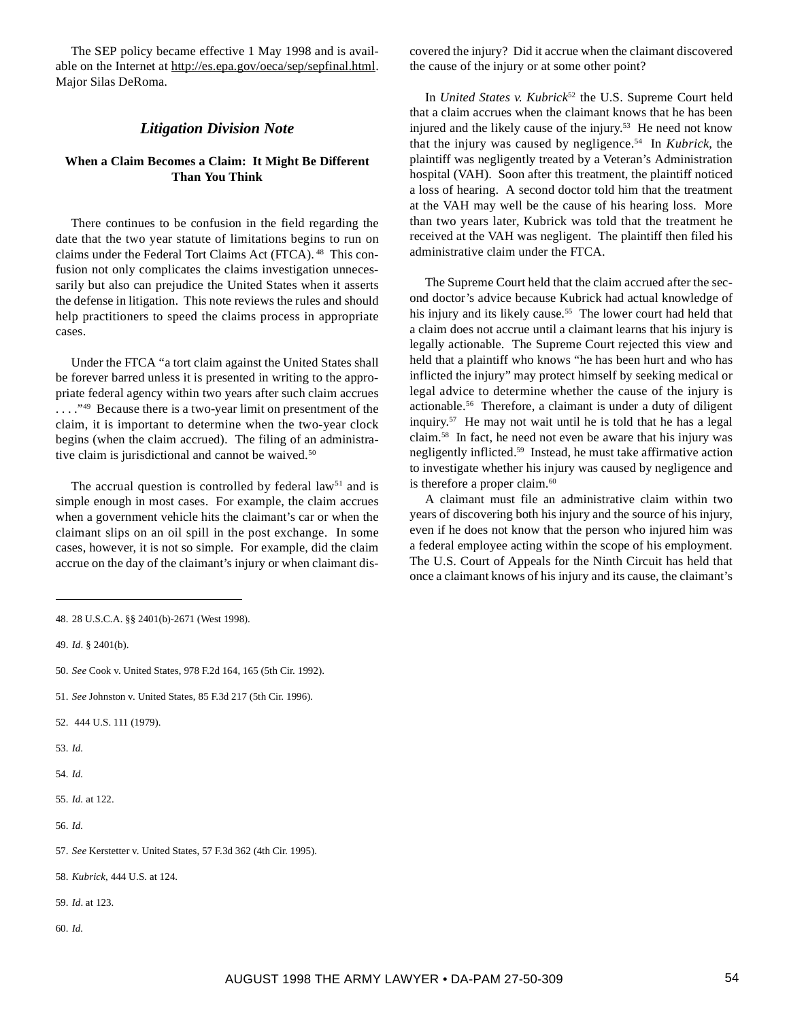The SEP policy became effective 1 May 1998 and is available on the Internet at http://es.epa.gov/oeca/sep/sepfinal.html. Major Silas DeRoma.

## *Litigation Division Note*

## **When a Claim Becomes a Claim: It Might Be Different Than You Think**

There continues to be confusion in the field regarding the date that the two year statute of limitations begins to run on claims under the Federal Tort Claims Act (FTCA). 48 This confusion not only complicates the claims investigation unnecessarily but also can prejudice the United States when it asserts the defense in litigation. This note reviews the rules and should help practitioners to speed the claims process in appropriate cases.

Under the FTCA "a tort claim against the United States shall be forever barred unless it is presented in writing to the appropriate federal agency within two years after such claim accrues ...."<sup>49</sup> Because there is a two-year limit on presentment of the claim, it is important to determine when the two-year clock begins (when the claim accrued). The filing of an administrative claim is jurisdictional and cannot be waived.<sup>50</sup>

The accrual question is controlled by federal law<sup>51</sup> and is simple enough in most cases. For example, the claim accrues when a government vehicle hits the claimant's car or when the claimant slips on an oil spill in the post exchange. In some cases, however, it is not so simple. For example, did the claim accrue on the day of the claimant's injury or when claimant dis-

49. *Id*. § 2401(b).

- 51. *See* Johnston v. United States, 85 F.3d 217 (5th Cir. 1996).
- 52. 444 U.S. 111 (1979).
- 53. *Id.*
- 54. *Id.*
- 55. *Id.* at 122.
- 56. *Id.*
- 57. *See* Kerstetter v. United States, 57 F.3d 362 (4th Cir. 1995).
- 58. *Kubrick*, 444 U.S. at 124.
- 59. *Id*. at 123.
- 60. *Id.*

covered the injury? Did it accrue when the claimant discovered the cause of the injury or at some other point?

In *United States v. Kubrick*<sup>52</sup> the U.S. Supreme Court held that a claim accrues when the claimant knows that he has been injured and the likely cause of the injury.<sup>53</sup> He need not know that the injury was caused by negligence.54 In *Kubrick*, the plaintiff was negligently treated by a Veteran's Administration hospital (VAH). Soon after this treatment, the plaintiff noticed a loss of hearing. A second doctor told him that the treatment at the VAH may well be the cause of his hearing loss. More than two years later, Kubrick was told that the treatment he received at the VAH was negligent. The plaintiff then filed his administrative claim under the FTCA.

The Supreme Court held that the claim accrued after the second doctor's advice because Kubrick had actual knowledge of his injury and its likely cause.<sup>55</sup> The lower court had held that a claim does not accrue until a claimant learns that his injury is legally actionable. The Supreme Court rejected this view and held that a plaintiff who knows "he has been hurt and who has inflicted the injury" may protect himself by seeking medical or legal advice to determine whether the cause of the injury is actionable.56 Therefore, a claimant is under a duty of diligent inquiry.57 He may not wait until he is told that he has a legal claim.58 In fact, he need not even be aware that his injury was negligently inflicted.59 Instead, he must take affirmative action to investigate whether his injury was caused by negligence and is therefore a proper claim. $60$ 

A claimant must file an administrative claim within two years of discovering both his injury and the source of his injury, even if he does not know that the person who injured him was a federal employee acting within the scope of his employment. The U.S. Court of Appeals for the Ninth Circuit has held that once a claimant knows of his injury and its cause, the claimant's

<sup>48. 28</sup> U.S.C.A. §§ 2401(b)-2671 (West 1998).

<sup>50.</sup> *See* Cook v. United States, 978 F.2d 164, 165 (5th Cir. 1992).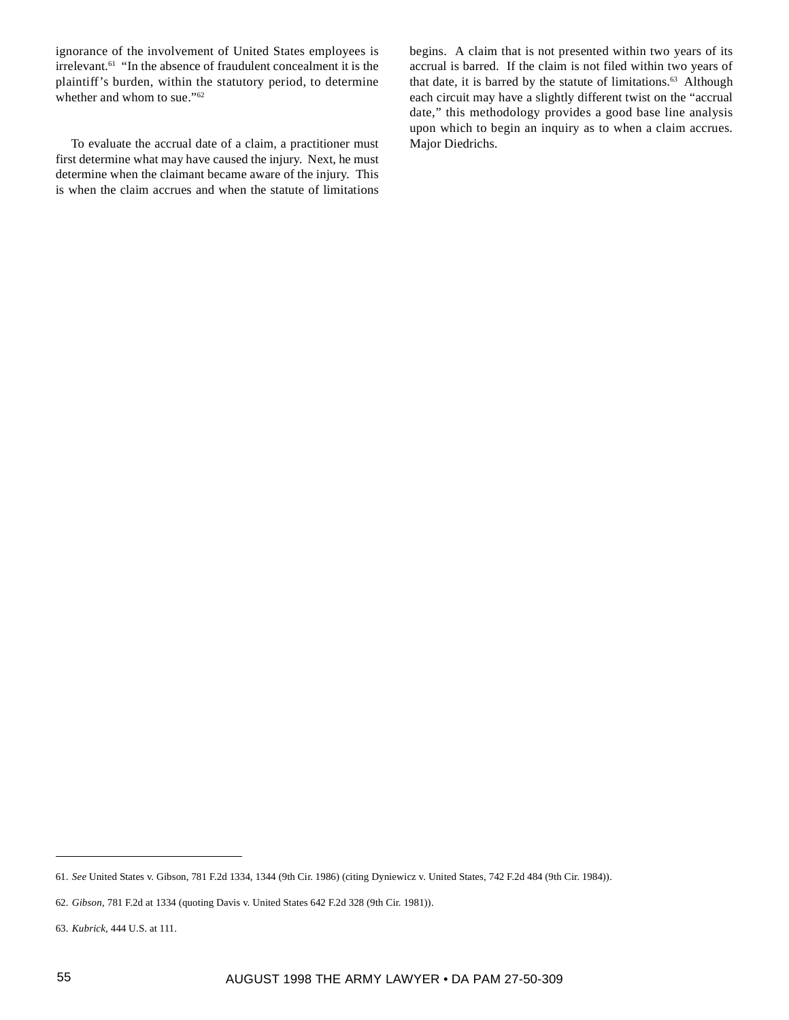ignorance of the involvement of United States employees is  $i$  irrelevant.<sup>61</sup> "In the absence of fraudulent concealment it is the plaintiff's burden, within the statutory period, to determine whether and whom to sue."<sup>62</sup>

To evaluate the accrual date of a claim, a practitioner must first determine what may have caused the injury. Next, he must determine when the claimant became aware of the injury. This is when the claim accrues and when the statute of limitations begins. A claim that is not presented within two years of its accrual is barred. If the claim is not filed within two years of that date, it is barred by the statute of limitations.<sup>63</sup> Although each circuit may have a slightly different twist on the "accrual date," this methodology provides a good base line analysis upon which to begin an inquiry as to when a claim accrues. Major Diedrichs.

<sup>61.</sup> *See* United States v. Gibson, 781 F.2d 1334, 1344 (9th Cir. 1986) (citing Dyniewicz v. United States, 742 F.2d 484 (9th Cir. 1984)).

<sup>62.</sup> *Gibson*, 781 F.2d at 1334 (quoting Davis v. United States 642 F.2d 328 (9th Cir. 1981)).

<sup>63.</sup> *Kubrick*, 444 U.S. at 111.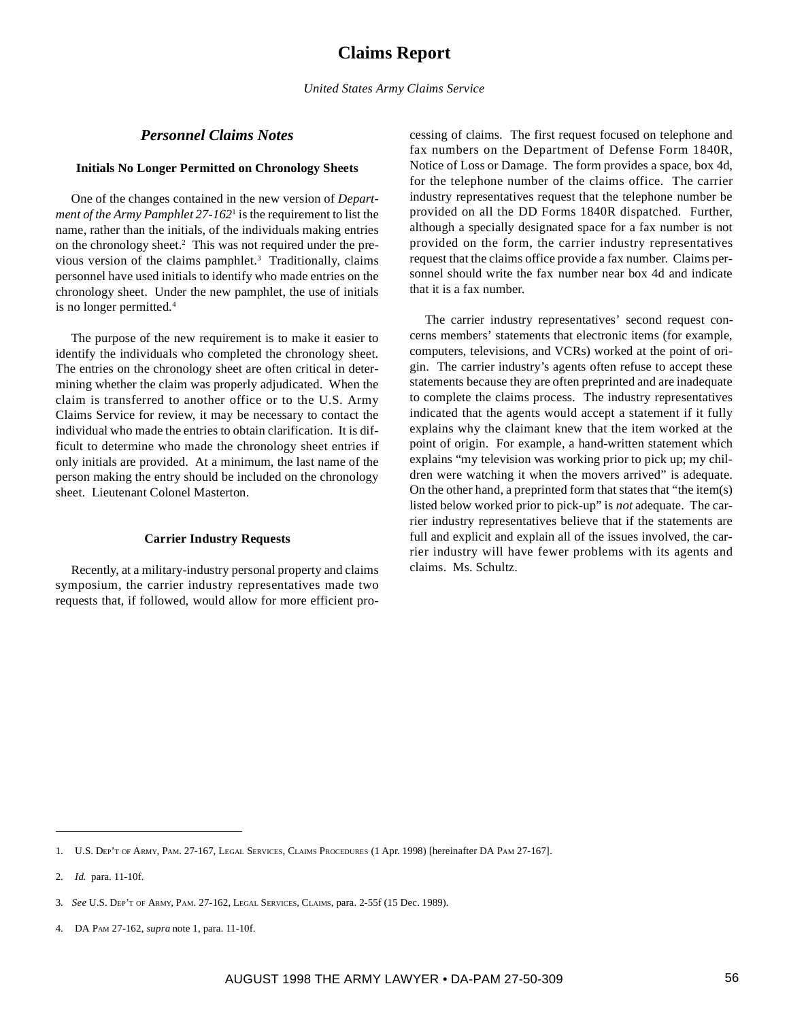## *Personnel Claims Notes*

### **Initials No Longer Permitted on Chronology Sheets**

One of the changes contained in the new version of *Department of the Army Pamphlet 27-162*<sup>1</sup> is the requirement to list the name, rather than the initials, of the individuals making entries on the chronology sheet.<sup>2</sup> This was not required under the previous version of the claims pamphlet.<sup>3</sup> Traditionally, claims personnel have used initials to identify who made entries on the chronology sheet. Under the new pamphlet, the use of initials is no longer permitted.4

The purpose of the new requirement is to make it easier to identify the individuals who completed the chronology sheet. The entries on the chronology sheet are often critical in determining whether the claim was properly adjudicated. When the claim is transferred to another office or to the U.S. Army Claims Service for review, it may be necessary to contact the individual who made the entries to obtain clarification. It is difficult to determine who made the chronology sheet entries if only initials are provided. At a minimum, the last name of the person making the entry should be included on the chronology sheet. Lieutenant Colonel Masterton.

## **Carrier Industry Requests**

Recently, at a military-industry personal property and claims symposium, the carrier industry representatives made two requests that, if followed, would allow for more efficient processing of claims. The first request focused on telephone and fax numbers on the Department of Defense Form 1840R, Notice of Loss or Damage. The form provides a space, box 4d, for the telephone number of the claims office. The carrier industry representatives request that the telephone number be provided on all the DD Forms 1840R dispatched. Further, although a specially designated space for a fax number is not provided on the form, the carrier industry representatives request that the claims office provide a fax number. Claims personnel should write the fax number near box 4d and indicate that it is a fax number.

The carrier industry representatives' second request concerns members' statements that electronic items (for example, computers, televisions, and VCRs) worked at the point of origin. The carrier industry's agents often refuse to accept these statements because they are often preprinted and are inadequate to complete the claims process. The industry representatives indicated that the agents would accept a statement if it fully explains why the claimant knew that the item worked at the point of origin. For example, a hand-written statement which explains "my television was working prior to pick up; my children were watching it when the movers arrived" is adequate. On the other hand, a preprinted form that states that "the item(s) listed below worked prior to pick-up" is *not* adequate. The carrier industry representatives believe that if the statements are full and explicit and explain all of the issues involved, the carrier industry will have fewer problems with its agents and claims. Ms. Schultz.

<sup>1.</sup> U.S. DEP'T OF ARMY, PAM. 27-167, LEGAL SERVICES, CLAIMS PROCEDURES (1 Apr. 1998) [hereinafter DA PAM 27-167].

<sup>2.</sup> *Id.* para. 11-10f.

<sup>3.</sup> *See* U.S. DEP'T OF ARMY, PAM. 27-162, LEGAL SERVICES, CLAIMS, para. 2-55f (15 Dec. 1989).

<sup>4.</sup> DA PAM 27-162, *supra* note 1, para. 11-10f.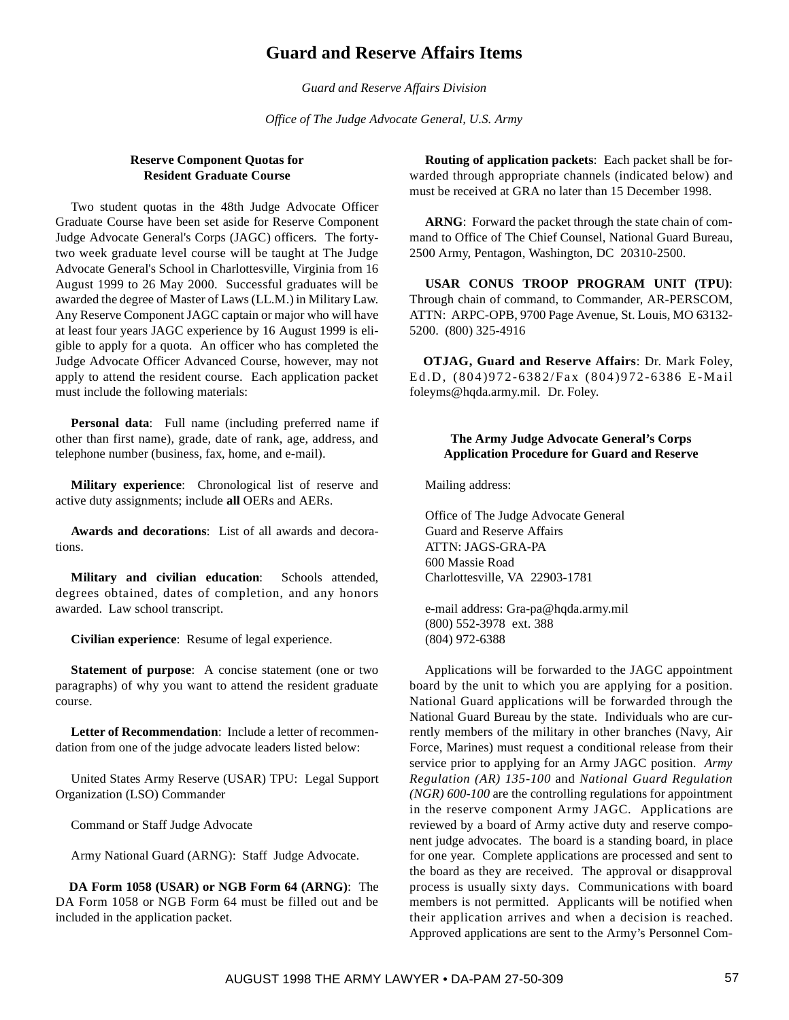## **Guard and Reserve Affairs Items**

*Guard and Reserve Affairs Division*

*Office of The Judge Advocate General, U.S. Army*

## **Reserve Component Quotas for Resident Graduate Course**

Two student quotas in the 48th Judge Advocate Officer Graduate Course have been set aside for Reserve Component Judge Advocate General's Corps (JAGC) officers. The fortytwo week graduate level course will be taught at The Judge Advocate General's School in Charlottesville, Virginia from 16 August 1999 to 26 May 2000. Successful graduates will be awarded the degree of Master of Laws (LL.M.) in Military Law. Any Reserve Component JAGC captain or major who will have at least four years JAGC experience by 16 August 1999 is eligible to apply for a quota. An officer who has completed the Judge Advocate Officer Advanced Course, however, may not apply to attend the resident course. Each application packet must include the following materials:

**Personal data**: Full name (including preferred name if other than first name), grade, date of rank, age, address, and telephone number (business, fax, home, and e-mail).

**Military experience**: Chronological list of reserve and active duty assignments; include **all** OERs and AERs.

**Awards and decorations**: List of all awards and decorations.

**Military and civilian education**: Schools attended, degrees obtained, dates of completion, and any honors awarded. Law school transcript.

**Civilian experience**: Resume of legal experience.

**Statement of purpose:** A concise statement (one or two paragraphs) of why you want to attend the resident graduate course.

**Letter of Recommendation**: Include a letter of recommendation from one of the judge advocate leaders listed below:

United States Army Reserve (USAR) TPU: Legal Support Organization (LSO) Commander

Command or Staff Judge Advocate

Army National Guard (ARNG): Staff Judge Advocate.

**DA Form 1058 (USAR) or NGB Form 64 (ARNG)**: The DA Form 1058 or NGB Form 64 must be filled out and be included in the application packet.

**Routing of application packets**: Each packet shall be forwarded through appropriate channels (indicated below) and must be received at GRA no later than 15 December 1998.

**ARNG**: Forward the packet through the state chain of command to Office of The Chief Counsel, National Guard Bureau, 2500 Army, Pentagon, Washington, DC 20310-2500.

**USAR CONUS TROOP PROGRAM UNIT (TPU)**: Through chain of command, to Commander, AR-PERSCOM, ATTN: ARPC-OPB, 9700 Page Avenue, St. Louis, MO 63132- 5200. (800) 325-4916

**OTJAG, Guard and Reserve Affairs**: Dr. Mark Foley, Ed.D, (804)972-6382/Fax (804)972-6386 E-Mail foleyms@hqda.army.mil. Dr. Foley.

## **The Army Judge Advocate General's Corps Application Procedure for Guard and Reserve**

Mailing address:

Office of The Judge Advocate General Guard and Reserve Affairs ATTN: JAGS-GRA-PA 600 Massie Road Charlottesville, VA 22903-1781

e-mail address: Gra-pa@hqda.army.mil (800) 552-3978 ext. 388 (804) 972-6388

Applications will be forwarded to the JAGC appointment board by the unit to which you are applying for a position. National Guard applications will be forwarded through the National Guard Bureau by the state. Individuals who are currently members of the military in other branches (Navy, Air Force, Marines) must request a conditional release from their service prior to applying for an Army JAGC position. *Army Regulation (AR) 135-100* and *National Guard Regulation (NGR) 600-100* are the controlling regulations for appointment in the reserve component Army JAGC. Applications are reviewed by a board of Army active duty and reserve component judge advocates. The board is a standing board, in place for one year. Complete applications are processed and sent to the board as they are received. The approval or disapproval process is usually sixty days. Communications with board members is not permitted. Applicants will be notified when their application arrives and when a decision is reached. Approved applications are sent to the Army's Personnel Com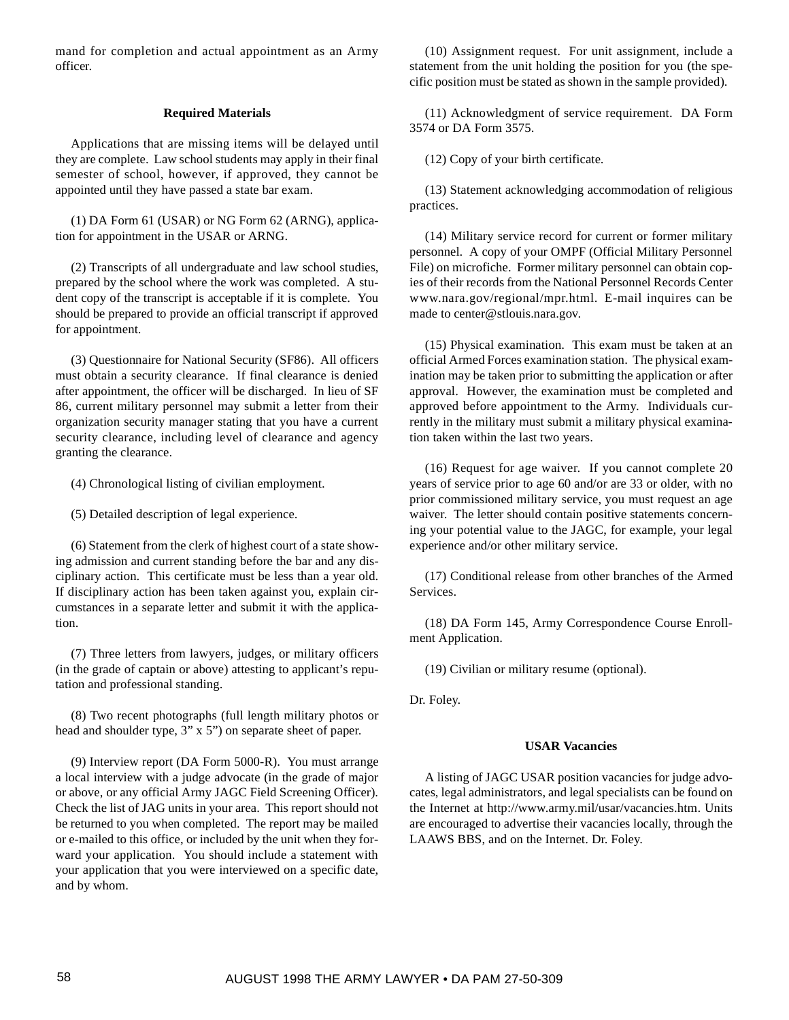mand for completion and actual appointment as an Army officer.

## **Required Materials**

Applications that are missing items will be delayed until they are complete. Law school students may apply in their final semester of school, however, if approved, they cannot be appointed until they have passed a state bar exam.

(1) DA Form 61 (USAR) or NG Form 62 (ARNG), application for appointment in the USAR or ARNG.

(2) Transcripts of all undergraduate and law school studies, prepared by the school where the work was completed. A student copy of the transcript is acceptable if it is complete. You should be prepared to provide an official transcript if approved for appointment.

(3) Questionnaire for National Security (SF86). All officers must obtain a security clearance. If final clearance is denied after appointment, the officer will be discharged. In lieu of SF 86, current military personnel may submit a letter from their organization security manager stating that you have a current security clearance, including level of clearance and agency granting the clearance.

(4) Chronological listing of civilian employment.

(5) Detailed description of legal experience.

(6) Statement from the clerk of highest court of a state showing admission and current standing before the bar and any disciplinary action. This certificate must be less than a year old. If disciplinary action has been taken against you, explain circumstances in a separate letter and submit it with the application.

(7) Three letters from lawyers, judges, or military officers (in the grade of captain or above) attesting to applicant's reputation and professional standing.

(8) Two recent photographs (full length military photos or head and shoulder type, 3" x 5") on separate sheet of paper.

(9) Interview report (DA Form 5000-R). You must arrange a local interview with a judge advocate (in the grade of major or above, or any official Army JAGC Field Screening Officer). Check the list of JAG units in your area. This report should not be returned to you when completed. The report may be mailed or e-mailed to this office, or included by the unit when they forward your application. You should include a statement with your application that you were interviewed on a specific date, and by whom.

(10) Assignment request. For unit assignment, include a statement from the unit holding the position for you (the specific position must be stated as shown in the sample provided).

(11) Acknowledgment of service requirement. DA Form 3574 or DA Form 3575.

(12) Copy of your birth certificate.

(13) Statement acknowledging accommodation of religious practices.

(14) Military service record for current or former military personnel. A copy of your OMPF (Official Military Personnel File) on microfiche. Former military personnel can obtain copies of their records from the National Personnel Records Center www.nara.gov/regional/mpr.html. E-mail inquires can be made to center@stlouis.nara.gov.

(15) Physical examination. This exam must be taken at an official Armed Forces examination station. The physical examination may be taken prior to submitting the application or after approval. However, the examination must be completed and approved before appointment to the Army. Individuals currently in the military must submit a military physical examination taken within the last two years.

(16) Request for age waiver. If you cannot complete 20 years of service prior to age 60 and/or are 33 or older, with no prior commissioned military service, you must request an age waiver. The letter should contain positive statements concerning your potential value to the JAGC, for example, your legal experience and/or other military service.

(17) Conditional release from other branches of the Armed Services.

(18) DA Form 145, Army Correspondence Course Enrollment Application.

(19) Civilian or military resume (optional).

Dr. Foley.

## **USAR Vacancies**

A listing of JAGC USAR position vacancies for judge advocates, legal administrators, and legal specialists can be found on the Internet at http://www.army.mil/usar/vacancies.htm. Units are encouraged to advertise their vacancies locally, through the LAAWS BBS, and on the Internet. Dr. Foley.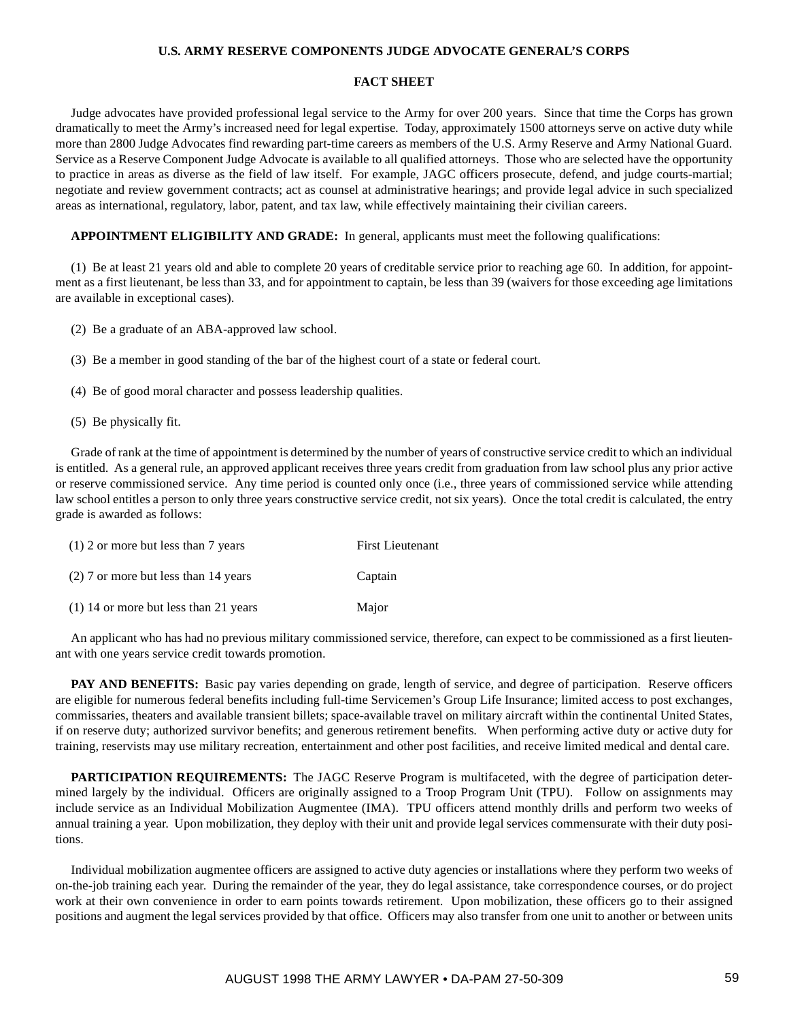## **U.S. ARMY RESERVE COMPONENTS JUDGE ADVOCATE GENERAL'S CORPS**

#### **FACT SHEET**

Judge advocates have provided professional legal service to the Army for over 200 years. Since that time the Corps has grown dramatically to meet the Army's increased need for legal expertise. Today, approximately 1500 attorneys serve on active duty while more than 2800 Judge Advocates find rewarding part-time careers as members of the U.S. Army Reserve and Army National Guard. Service as a Reserve Component Judge Advocate is available to all qualified attorneys. Those who are selected have the opportunity to practice in areas as diverse as the field of law itself. For example, JAGC officers prosecute, defend, and judge courts-martial; negotiate and review government contracts; act as counsel at administrative hearings; and provide legal advice in such specialized areas as international, regulatory, labor, patent, and tax law, while effectively maintaining their civilian careers.

## **APPOINTMENT ELIGIBILITY AND GRADE:** In general, applicants must meet the following qualifications:

(1) Be at least 21 years old and able to complete 20 years of creditable service prior to reaching age 60. In addition, for appointment as a first lieutenant, be less than 33, and for appointment to captain, be less than 39 (waivers for those exceeding age limitations are available in exceptional cases).

- (2) Be a graduate of an ABA-approved law school.
- (3) Be a member in good standing of the bar of the highest court of a state or federal court.
- (4) Be of good moral character and possess leadership qualities.
- (5) Be physically fit.

Grade of rank at the time of appointment is determined by the number of years of constructive service credit to which an individual is entitled. As a general rule, an approved applicant receives three years credit from graduation from law school plus any prior active or reserve commissioned service. Any time period is counted only once (i.e., three years of commissioned service while attending law school entitles a person to only three years constructive service credit, not six years). Once the total credit is calculated, the entry grade is awarded as follows:

| $(1)$ 2 or more but less than 7 years   | <b>First Lieutenant</b> |
|-----------------------------------------|-------------------------|
| $(2)$ 7 or more but less than 14 years  | Captain                 |
| $(1)$ 14 or more but less than 21 years | Major                   |

An applicant who has had no previous military commissioned service, therefore, can expect to be commissioned as a first lieutenant with one years service credit towards promotion.

**PAY AND BENEFITS:** Basic pay varies depending on grade, length of service, and degree of participation. Reserve officers are eligible for numerous federal benefits including full-time Servicemen's Group Life Insurance; limited access to post exchanges, commissaries, theaters and available transient billets; space-available travel on military aircraft within the continental United States, if on reserve duty; authorized survivor benefits; and generous retirement benefits. When performing active duty or active duty for training, reservists may use military recreation, entertainment and other post facilities, and receive limited medical and dental care.

**PARTICIPATION REQUIREMENTS:** The JAGC Reserve Program is multifaceted, with the degree of participation determined largely by the individual. Officers are originally assigned to a Troop Program Unit (TPU). Follow on assignments may include service as an Individual Mobilization Augmentee (IMA). TPU officers attend monthly drills and perform two weeks of annual training a year. Upon mobilization, they deploy with their unit and provide legal services commensurate with their duty positions.

Individual mobilization augmentee officers are assigned to active duty agencies or installations where they perform two weeks of on-the-job training each year. During the remainder of the year, they do legal assistance, take correspondence courses, or do project work at their own convenience in order to earn points towards retirement. Upon mobilization, these officers go to their assigned positions and augment the legal services provided by that office. Officers may also transfer from one unit to another or between units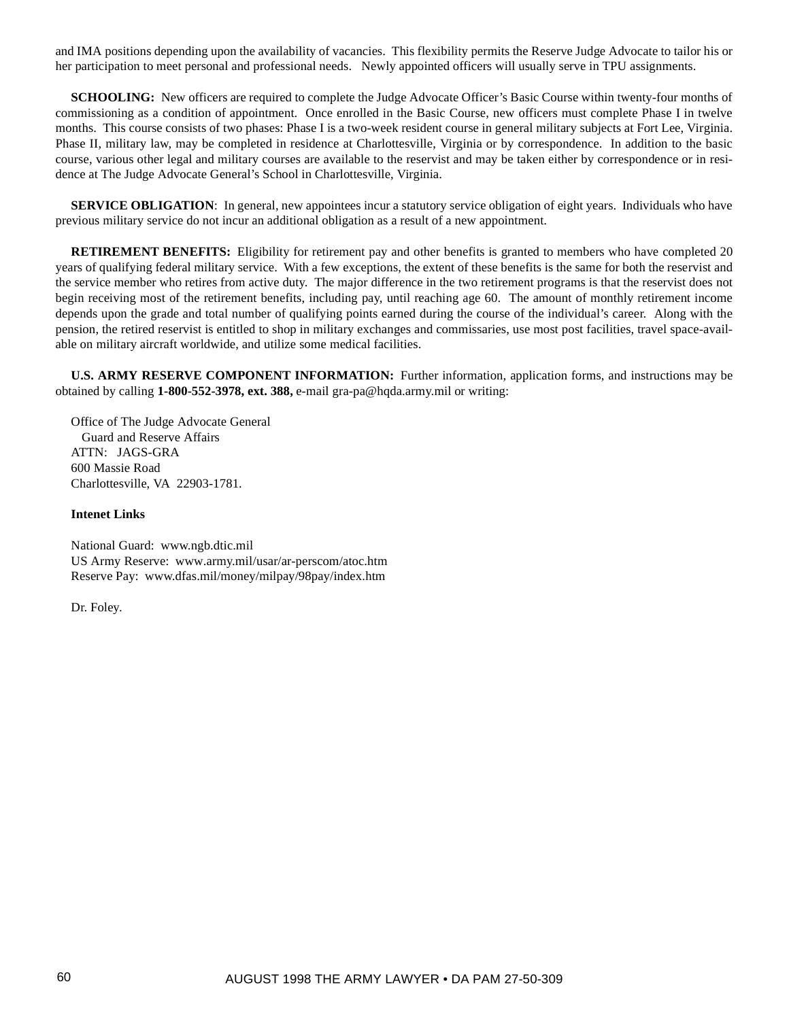and IMA positions depending upon the availability of vacancies. This flexibility permits the Reserve Judge Advocate to tailor his or her participation to meet personal and professional needs. Newly appointed officers will usually serve in TPU assignments.

**SCHOOLING:** New officers are required to complete the Judge Advocate Officer's Basic Course within twenty-four months of commissioning as a condition of appointment. Once enrolled in the Basic Course, new officers must complete Phase I in twelve months. This course consists of two phases: Phase I is a two-week resident course in general military subjects at Fort Lee, Virginia. Phase II, military law, may be completed in residence at Charlottesville, Virginia or by correspondence. In addition to the basic course, various other legal and military courses are available to the reservist and may be taken either by correspondence or in residence at The Judge Advocate General's School in Charlottesville, Virginia.

**SERVICE OBLIGATION:** In general, new appointees incur a statutory service obligation of eight years. Individuals who have previous military service do not incur an additional obligation as a result of a new appointment.

**RETIREMENT BENEFITS:** Eligibility for retirement pay and other benefits is granted to members who have completed 20 years of qualifying federal military service. With a few exceptions, the extent of these benefits is the same for both the reservist and the service member who retires from active duty. The major difference in the two retirement programs is that the reservist does not begin receiving most of the retirement benefits, including pay, until reaching age 60. The amount of monthly retirement income depends upon the grade and total number of qualifying points earned during the course of the individual's career. Along with the pension, the retired reservist is entitled to shop in military exchanges and commissaries, use most post facilities, travel space-available on military aircraft worldwide, and utilize some medical facilities.

**U.S. ARMY RESERVE COMPONENT INFORMATION:** Further information, application forms, and instructions may be obtained by calling **1-800-552-3978, ext. 388,** e-mail gra-pa@hqda.army.mil or writing:

Office of The Judge Advocate General Guard and Reserve Affairs ATTN: JAGS-GRA 600 Massie Road Charlottesville, VA 22903-1781.

### **Intenet Links**

National Guard: www.ngb.dtic.mil US Army Reserve:www.army.mil/usar/ar-perscom/atoc.htm Reserve Pay:www.dfas.mil/money/milpay/98pay/index.htm

Dr. Foley.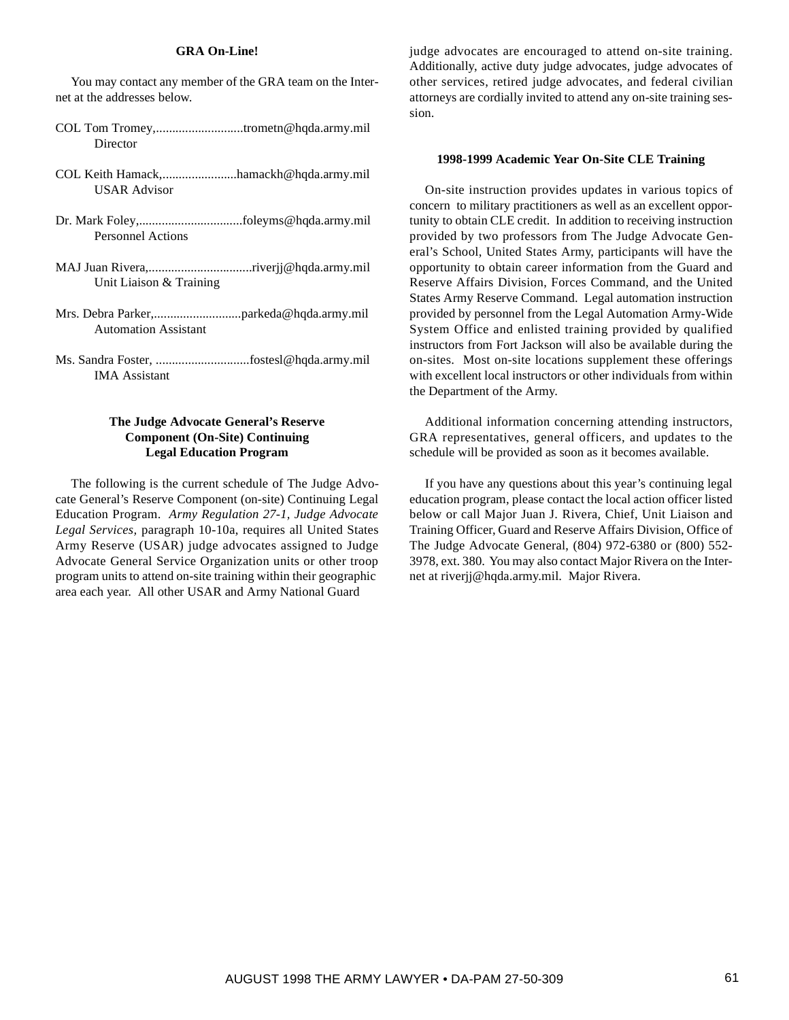## **GRA On-Line!**

You may contact any member of the GRA team on the Internet at the addresses below.

- COL Tom Tromey,...........................trometn@hqda.army.mil **Director**
- COL Keith Hamack,.......................hamackh@hqda.army.mil USAR Advisor
- Dr. Mark Foley,................................foleyms@hqda.army.mil Personnel Actions
- MAJ Juan Rivera,................................riverjj@hqda.army.mil Unit Liaison & Training
- Mrs. Debra Parker,...........................parkeda@hqda.army.mil Automation Assistant
- Ms. Sandra Foster, .............................fostesl@hqda.army.mil IMA Assistant

## **The Judge Advocate General's Reserve Component (On-Site) Continuing Legal Education Program**

The following is the current schedule of The Judge Advocate General's Reserve Component (on-site) Continuing Legal Education Program. *Army Regulation 27-1, Judge Advocate Legal Services,* paragraph 10-10a, requires all United States Army Reserve (USAR) judge advocates assigned to Judge Advocate General Service Organization units or other troop program units to attend on-site training within their geographic area each year. All other USAR and Army National Guard

judge advocates are encouraged to attend on-site training. Additionally, active duty judge advocates, judge advocates of other services, retired judge advocates, and federal civilian attorneys are cordially invited to attend any on-site training session.

#### **1998-1999 Academic Year On-Site CLE Training**

On-site instruction provides updates in various topics of concern to military practitioners as well as an excellent opportunity to obtain CLE credit. In addition to receiving instruction provided by two professors from The Judge Advocate General's School, United States Army, participants will have the opportunity to obtain career information from the Guard and Reserve Affairs Division, Forces Command, and the United States Army Reserve Command. Legal automation instruction provided by personnel from the Legal Automation Army-Wide System Office and enlisted training provided by qualified instructors from Fort Jackson will also be available during the on-sites. Most on-site locations supplement these offerings with excellent local instructors or other individuals from within the Department of the Army.

Additional information concerning attending instructors, GRA representatives, general officers, and updates to the schedule will be provided as soon as it becomes available.

If you have any questions about this year's continuing legal education program, please contact the local action officer listed below or call Major Juan J. Rivera, Chief, Unit Liaison and Training Officer, Guard and Reserve Affairs Division, Office of The Judge Advocate General, (804) 972-6380 or (800) 552- 3978, ext. 380. You may also contact Major Rivera on the Internet at riverjj@hqda.army.mil. Major Rivera.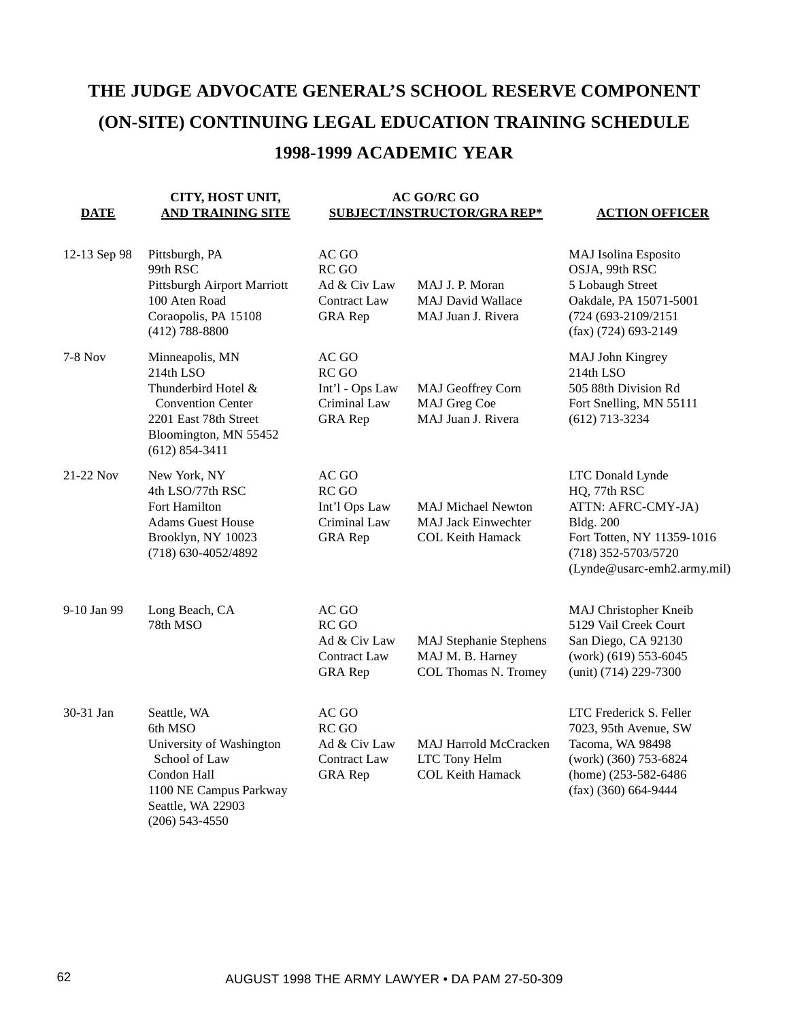# **THE JUDGE ADVOCATE GENERAL'S SCHOOL RESERVE COMPONENT (ON-SITE) CONTINUING LEGAL EDUCATION TRAINING SCHEDULE 1998-1999 ACADEMIC YEAR**

#### **DATE CITY, HOST UNIT, AND TRAINING SITE AC GO/RC GO SUBJECT/INSTRUCTOR/GRA REP\* ACTION OFFICER**

#### 12-13 Sep 98 Pittsburgh, PA 99th RSC Pittsburgh Airport Marriott 100 Aten Road Coraopolis, PA 15108 (412) 788-8800 AC GO RC GO Ad & Civ Law Contract Law GRA Rep MAJ J. P. Moran MAJ David Wallace MAJ Juan J. Rivera MAJ Isolina Esposito OSJA, 99th RSC 5 Lobaugh Street Oakdale, PA 15071-5001 (724 (693-2109/2151 (fax) (724) 693-2149 7-8 Nov Minneapolis, MN 214th LSO Thunderbird Hotel & Convention Center 2201 East 78th Street Bloomington, MN 55452 (612) 854-3411 AC GO RC GO Int'l - Ops Law Criminal Law GRA Rep MAJ Geoffrey Corn MAJ Greg Coe MAJ Juan J. Rivera MAJ John Kingrey 214th LSO 505 88th Division Rd Fort Snelling, MN 55111 (612) 713-3234 21-22 Nov New York, NY 4th LSO/77th RSC Fort Hamilton Adams Guest House Brooklyn, NY 10023 (718) 630-4052/4892 AC GO RC GO Int'l Ops Law Criminal Law GRA Rep MAJ Michael Newton MAJ Jack Einwechter COL Keith Hamack LTC Donald Lynde HQ, 77th RSC ATTN: AFRC-CMY-JA) Bldg. 200 Fort Totten, NY 11359-1016 (718) 352-5703/5720 (Lynde@usarc-emh2.army.mil) 9-10 Jan 99 Long Beach, CA 78th MSO AC GO RC GO Ad & Civ Law Contract Law GRA Rep MAJ Stephanie Stephens MAJ M. B. Harney COL Thomas N. Tromey MAJ Christopher Kneib 5129 Vail Creek Court San Diego, CA 92130 (work) (619) 553-6045 (unit) (714) 229-7300 30-31 Jan Seattle, WA 6th MSO University of Washington School of Law Condon Hall 1100 NE Campus Parkway Seattle, WA 22903 (206) 543-4550  $AC$  GO  $RC$  GO Ad & Civ Law Contract Law GRA Rep MAJ Harrold McCracken LTC Tony Helm COL Keith Hamack LTC Frederick S. Feller 7023, 95th Avenue, SW Tacoma, WA 98498 (work) (360) 753-6824 (home) (253-582-6486 (fax) (360) 664-9444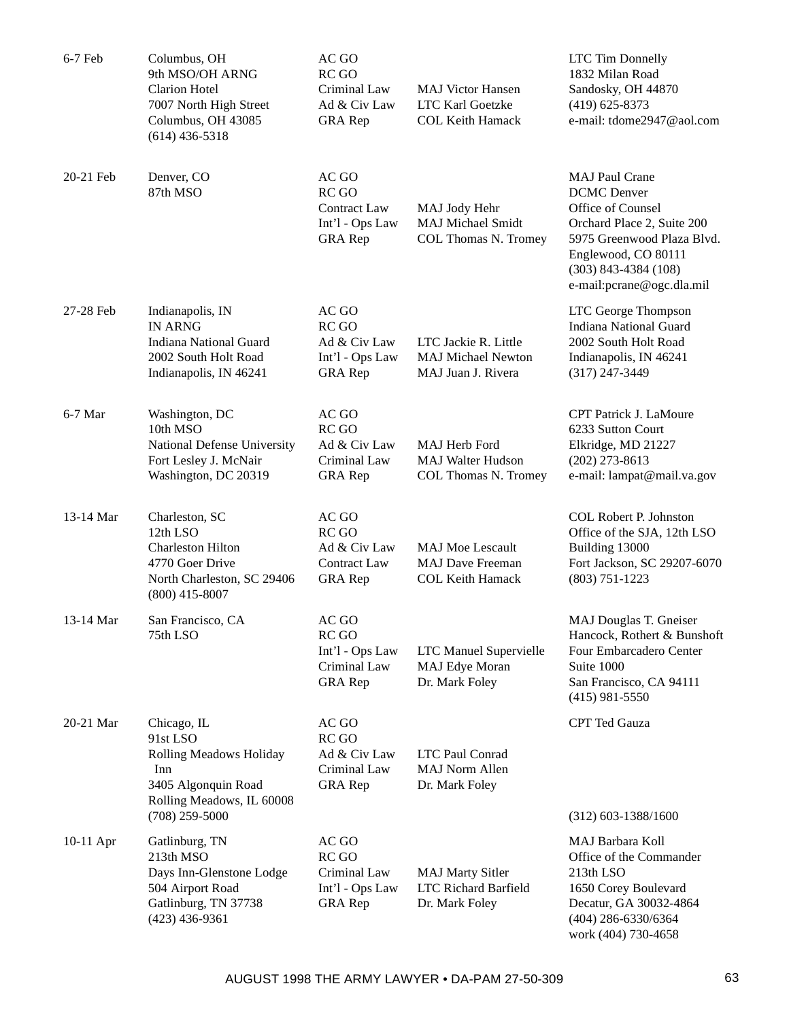| 6-7 Feb     | Columbus, OH<br>9th MSO/OH ARNG<br><b>Clarion Hotel</b><br>7007 North High Street<br>Columbus, OH 43085<br>$(614)$ 436-5318              | AC GO<br>RC GO<br>Criminal Law<br>Ad & Civ Law<br><b>GRA</b> Rep        | <b>MAJ Victor Hansen</b><br>LTC Karl Goetzke<br><b>COL Keith Hamack</b>       | <b>LTC Tim Donnelly</b><br>1832 Milan Road<br>Sandosky, OH 44870<br>$(419)$ 625-8373<br>e-mail: tdome2947@aol.com                                                                                            |
|-------------|------------------------------------------------------------------------------------------------------------------------------------------|-------------------------------------------------------------------------|-------------------------------------------------------------------------------|--------------------------------------------------------------------------------------------------------------------------------------------------------------------------------------------------------------|
| 20-21 Feb   | Denver, CO<br>87th MSO                                                                                                                   | AC GO<br>RC GO<br>Contract Law<br>Int'l - Ops Law<br><b>GRA</b> Rep     | MAJ Jody Hehr<br><b>MAJ Michael Smidt</b><br>COL Thomas N. Tromey             | <b>MAJ Paul Crane</b><br><b>DCMC</b> Denver<br>Office of Counsel<br>Orchard Place 2, Suite 200<br>5975 Greenwood Plaza Blvd.<br>Englewood, CO 80111<br>$(303)$ 843-4384 $(108)$<br>e-mail:pcrane@ogc.dla.mil |
| 27-28 Feb   | Indianapolis, IN<br><b>IN ARNG</b><br><b>Indiana National Guard</b><br>2002 South Holt Road<br>Indianapolis, IN 46241                    | AC GO<br>RC GO<br>Ad & Civ Law<br>Int'l - Ops Law<br><b>GRA</b> Rep     | LTC Jackie R. Little<br><b>MAJ Michael Newton</b><br>MAJ Juan J. Rivera       | LTC George Thompson<br><b>Indiana National Guard</b><br>2002 South Holt Road<br>Indianapolis, IN 46241<br>$(317)$ 247-3449                                                                                   |
| 6-7 Mar     | Washington, DC<br>10th MSO<br>National Defense University<br>Fort Lesley J. McNair<br>Washington, DC 20319                               | AC GO<br>RC GO<br>Ad & Civ Law<br>Criminal Law<br><b>GRA</b> Rep        | MAJ Herb Ford<br><b>MAJ Walter Hudson</b><br>COL Thomas N. Tromey             | <b>CPT Patrick J. LaMoure</b><br>6233 Sutton Court<br>Elkridge, MD 21227<br>$(202)$ 273-8613<br>e-mail: lampat@mail.va.gov                                                                                   |
| 13-14 Mar   | Charleston, SC<br>12th LSO<br><b>Charleston Hilton</b><br>4770 Goer Drive<br>North Charleston, SC 29406<br>$(800)$ 415-8007              | AC GO<br>RC GO<br>Ad & Civ Law<br><b>Contract Law</b><br><b>GRA</b> Rep | <b>MAJ Moe Lescault</b><br><b>MAJ Dave Freeman</b><br><b>COL Keith Hamack</b> | COL Robert P. Johnston<br>Office of the SJA, 12th LSO<br>Building 13000<br>Fort Jackson, SC 29207-6070<br>$(803)$ 751-1223                                                                                   |
| 13-14 Mar   | San Francisco, CA<br>75th LSO                                                                                                            | AC GO<br>RC GO<br>Int'l - Ops Law<br>Criminal Law<br><b>GRA</b> Rep     | <b>LTC Manuel Supervielle</b><br>MAJ Edye Moran<br>Dr. Mark Foley             | MAJ Douglas T. Gneiser<br>Hancock, Rothert & Bunshoft<br>Four Embarcadero Center<br>Suite 1000<br>San Francisco, CA 94111<br>$(415)$ 981-5550                                                                |
| 20-21 Mar   | Chicago, IL<br>91st LSO<br><b>Rolling Meadows Holiday</b><br>Inn<br>3405 Algonquin Road<br>Rolling Meadows, IL 60008<br>$(708)$ 259-5000 | AC GO<br>RC GO<br>Ad & Civ Law<br>Criminal Law<br><b>GRA</b> Rep        | LTC Paul Conrad<br><b>MAJ Norm Allen</b><br>Dr. Mark Foley                    | <b>CPT</b> Ted Gauza<br>$(312)$ 603-1388/1600                                                                                                                                                                |
| $10-11$ Apr | Gatlinburg, TN<br>213th MSO<br>Days Inn-Glenstone Lodge<br>504 Airport Road<br>Gatlinburg, TN 37738<br>$(423)$ 436-9361                  | AC GO<br>RC GO<br>Criminal Law<br>Int'l - Ops Law<br><b>GRA</b> Rep     | <b>MAJ Marty Sitler</b><br><b>LTC Richard Barfield</b><br>Dr. Mark Foley      | MAJ Barbara Koll<br>Office of the Commander<br>213th LSO<br>1650 Corey Boulevard<br>Decatur, GA 30032-4864<br>$(404)$ 286-6330/6364<br>work (404) 730-4658                                                   |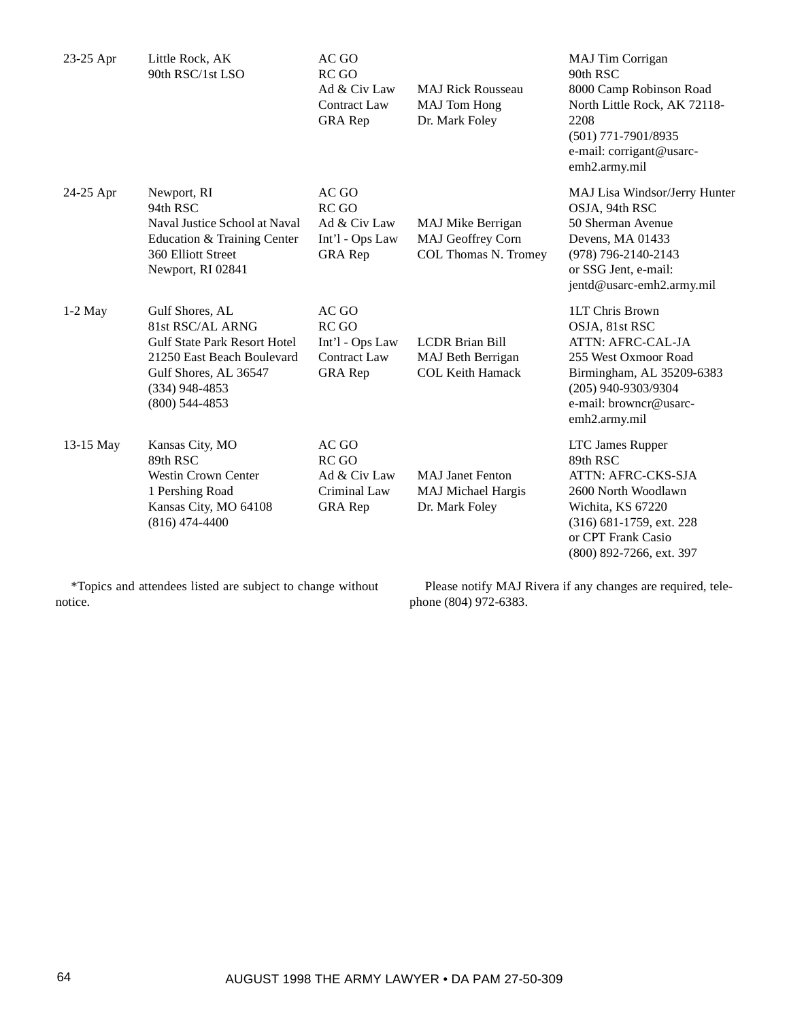| $23-25$ Apr | Little Rock, AK<br>90th RSC/1st LSO                                                                                                                                       | AC GO<br>RC GO<br>Ad & Civ Law<br><b>Contract Law</b><br><b>GRA</b> Rep    | <b>MAJ Rick Rousseau</b><br><b>MAJ</b> Tom Hong<br>Dr. Mark Foley      | MAJ Tim Corrigan<br>90th RSC<br>8000 Camp Robinson Road<br>North Little Rock, AK 72118-<br>2208<br>$(501)$ 771-7901/8935<br>e-mail: corrigant@usarc-<br>emh2.army.mil         |
|-------------|---------------------------------------------------------------------------------------------------------------------------------------------------------------------------|----------------------------------------------------------------------------|------------------------------------------------------------------------|-------------------------------------------------------------------------------------------------------------------------------------------------------------------------------|
| 24-25 Apr   | Newport, RI<br>94th RSC<br>Naval Justice School at Naval<br>Education & Training Center<br>360 Elliott Street<br>Newport, RI 02841                                        | AC GO<br>RC GO<br>Ad & Civ Law<br>Int'l - Ops Law<br><b>GRA</b> Rep        | <b>MAJ Mike Berrigan</b><br>MAJ Geoffrey Corn<br>COL Thomas N. Tromey  | MAJ Lisa Windsor/Jerry Hunter<br>OSJA, 94th RSC<br>50 Sherman Avenue<br>Devens, MA 01433<br>(978) 796-2140-2143<br>or SSG Jent, e-mail:<br>jentd@usarc-emh2.army.mil          |
| $1-2$ May   | Gulf Shores, AL<br>81st RSC/AL ARNG<br><b>Gulf State Park Resort Hotel</b><br>21250 East Beach Boulevard<br>Gulf Shores, AL 36547<br>$(334)$ 948-4853<br>$(800)$ 544-4853 | AC GO<br>RC GO<br>Int'l - Ops Law<br><b>Contract Law</b><br><b>GRA</b> Rep | <b>LCDR</b> Brian Bill<br>MAJ Beth Berrigan<br><b>COL Keith Hamack</b> | 1LT Chris Brown<br>OSJA, 81st RSC<br>ATTN: AFRC-CAL-JA<br>255 West Oxmoor Road<br>Birmingham, AL 35209-6383<br>(205) 940-9303/9304<br>e-mail: browncr@usarc-<br>emh2.army.mil |
| 13-15 May   | Kansas City, MO<br>89th RSC<br><b>Westin Crown Center</b><br>1 Pershing Road<br>Kansas City, MO 64108<br>$(816)$ 474-4400                                                 | AC GO<br>RC GO<br>Ad & Civ Law<br>Criminal Law<br><b>GRA</b> Rep           | <b>MAJ</b> Janet Fenton<br>MAJ Michael Hargis<br>Dr. Mark Foley        | LTC James Rupper<br>89th RSC<br>ATTN: AFRC-CKS-SJA<br>2600 North Woodlawn<br>Wichita, KS 67220<br>(316) 681-1759, ext. 228<br>or CPT Frank Casio<br>(800) 892-7266, ext. 397  |

\*Topics and attendees listed are subject to change without notice.

Please notify MAJ Rivera if any changes are required, telephone (804) 972-6383.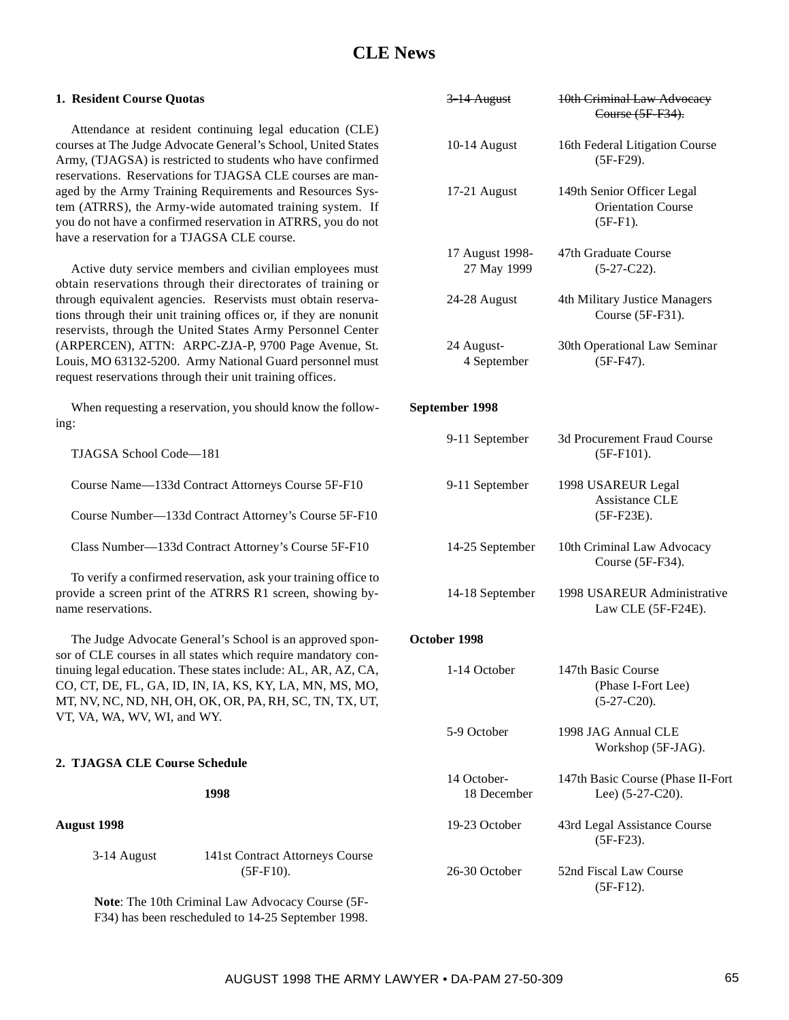# **CLE News**

| 1. Resident Course Quotas                   |                                                                                                                                                                                                                                                     | 3-14 August               | 10th Criminal Law Advocacy<br>Course (5F-F34).                        |
|---------------------------------------------|-----------------------------------------------------------------------------------------------------------------------------------------------------------------------------------------------------------------------------------------------------|---------------------------|-----------------------------------------------------------------------|
|                                             | Attendance at resident continuing legal education (CLE)<br>courses at The Judge Advocate General's School, United States<br>Army, (TJAGSA) is restricted to students who have confirmed                                                             | 10-14 August              | 16th Federal Litigation Course<br>$(5F-F29).$                         |
| have a reservation for a TJAGSA CLE course. | reservations. Reservations for TJAGSA CLE courses are man-<br>aged by the Army Training Requirements and Resources Sys-<br>tem (ATRRS), the Army-wide automated training system. If<br>you do not have a confirmed reservation in ATRRS, you do not | 17-21 August              | 149th Senior Officer Legal<br><b>Orientation Course</b><br>$(5F-F1).$ |
|                                             |                                                                                                                                                                                                                                                     | 17 August 1998-           | 47th Graduate Course                                                  |
|                                             | Active duty service members and civilian employees must<br>obtain reservations through their directorates of training or                                                                                                                            | 27 May 1999               | $(5-27-C22).$                                                         |
|                                             | through equivalent agencies. Reservists must obtain reserva-<br>tions through their unit training offices or, if they are nonunit<br>reservists, through the United States Army Personnel Center                                                    | 24-28 August              | 4th Military Justice Managers<br>Course (5F-F31).                     |
|                                             | (ARPERCEN), ATTN: ARPC-ZJA-P, 9700 Page Avenue, St.<br>Louis, MO 63132-5200. Army National Guard personnel must<br>request reservations through their unit training offices.                                                                        | 24 August-<br>4 September | 30th Operational Law Seminar<br>$(5F-F47).$                           |
|                                             | When requesting a reservation, you should know the follow-                                                                                                                                                                                          | September 1998            |                                                                       |
| ing:                                        |                                                                                                                                                                                                                                                     | 9-11 September            | 3d Procurement Fraud Course                                           |
| TJAGSA School Code-181                      |                                                                                                                                                                                                                                                     |                           | $(5F-F101).$                                                          |
|                                             | Course Name-133d Contract Attorneys Course 5F-F10                                                                                                                                                                                                   | 9-11 September            | 1998 USAREUR Legal<br>Assistance CLE                                  |
|                                             | Course Number-133d Contract Attorney's Course 5F-F10                                                                                                                                                                                                |                           | $(5F-F23E).$                                                          |
|                                             | Class Number-133d Contract Attorney's Course 5F-F10                                                                                                                                                                                                 | 14-25 September           | 10th Criminal Law Advocacy<br>Course (5F-F34).                        |
| name reservations.                          | To verify a confirmed reservation, ask your training office to<br>provide a screen print of the ATRRS R1 screen, showing by-                                                                                                                        | 14-18 September           | 1998 USAREUR Administrative<br>Law CLE (5F-F24E).                     |
|                                             | The Judge Advocate General's School is an approved spon-                                                                                                                                                                                            | October 1998              |                                                                       |
|                                             | sor of CLE courses in all states which require mandatory con-                                                                                                                                                                                       |                           |                                                                       |
| VT, VA, WA, WV, WI, and WY.                 | tinuing legal education. These states include: AL, AR, AZ, CA,<br>CO, CT, DE, FL, GA, ID, IN, IA, KS, KY, LA, MN, MS, MO,<br>MT, NV, NC, ND, NH, OH, OK, OR, PA, RH, SC, TN, TX, UT,                                                                | 1-14 October              | 147th Basic Course<br>(Phase I-Fort Lee)<br>$(5-27-C20).$             |
|                                             |                                                                                                                                                                                                                                                     | 5-9 October               | 1998 JAG Annual CLE<br>Workshop (5F-JAG).                             |
| 2. TJAGSA CLE Course Schedule               |                                                                                                                                                                                                                                                     | 14 October-               |                                                                       |
|                                             | 1998                                                                                                                                                                                                                                                | 18 December               | 147th Basic Course (Phase II-Fort<br>Lee) $(5-27-C20)$ .              |
| <b>August 1998</b>                          |                                                                                                                                                                                                                                                     | 19-23 October             | 43rd Legal Assistance Course<br>$(5F-F23).$                           |
| 3-14 August                                 | 141st Contract Attorneys Course<br>$(5F-F10).$                                                                                                                                                                                                      | 26-30 October             | 52nd Fiscal Law Course<br>$(5F-F12).$                                 |
|                                             | Note: The 10th Criminal Law Advocacy Course (5F-                                                                                                                                                                                                    |                           |                                                                       |

F34) has been rescheduled to 14-25 September 1998.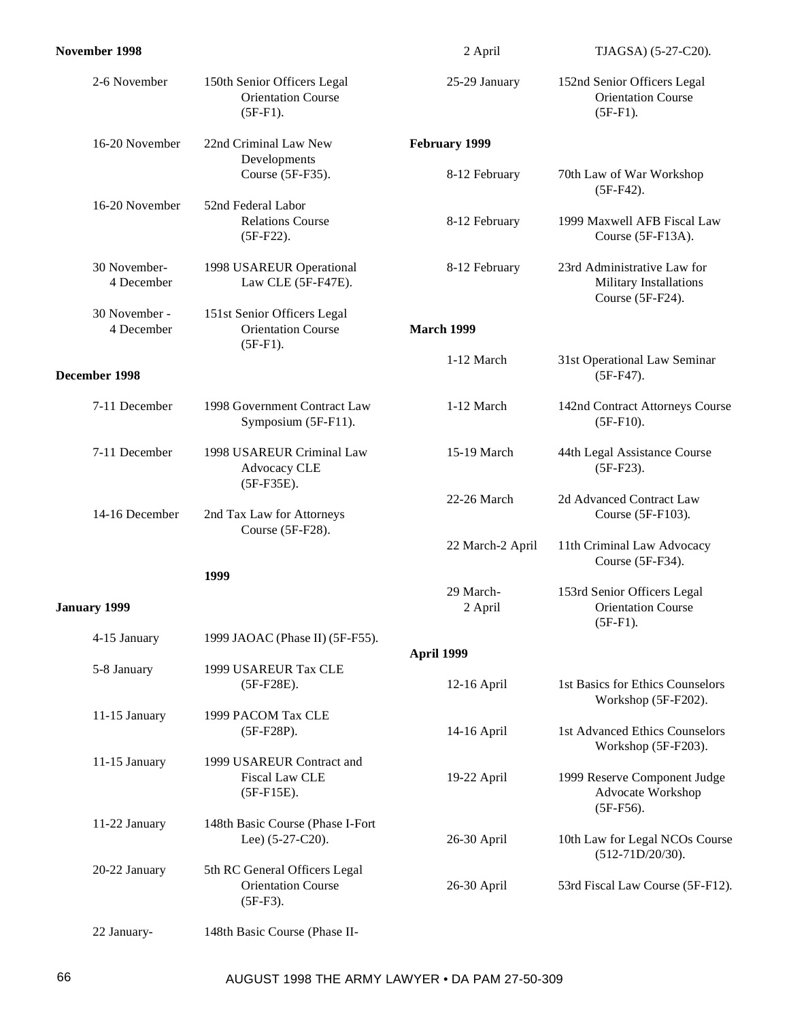| November 1998               |                                                                          | 2 April              | TJAGSA) (5-27-C20).                                                          |
|-----------------------------|--------------------------------------------------------------------------|----------------------|------------------------------------------------------------------------------|
| 2-6 November                | 150th Senior Officers Legal<br><b>Orientation Course</b><br>$(5F-F1).$   | 25-29 January        | 152nd Senior Officers Legal<br><b>Orientation Course</b><br>$(5F-F1)$ .      |
| 16-20 November              | 22nd Criminal Law New                                                    | February 1999        |                                                                              |
|                             | Developments<br>Course (5F-F35).                                         | 8-12 February        | 70th Law of War Workshop<br>$(5F-F42).$                                      |
| 16-20 November              | 52nd Federal Labor<br><b>Relations Course</b><br>$(5F-F22).$             | 8-12 February        | 1999 Maxwell AFB Fiscal Law<br>Course (5F-F13A).                             |
| 30 November-<br>4 December  | 1998 USAREUR Operational<br>Law CLE (5F-F47E).                           | 8-12 February        | 23rd Administrative Law for<br>Military Installations<br>Course (5F-F24).    |
| 30 November -<br>4 December | 151st Senior Officers Legal<br><b>Orientation Course</b><br>$(5F-F1).$   | <b>March 1999</b>    |                                                                              |
| December 1998               |                                                                          | 1-12 March           | 31st Operational Law Seminar<br>$(5F-F47).$                                  |
| 7-11 December               | 1998 Government Contract Law<br>Symposium (5F-F11).                      | 1-12 March           | 142nd Contract Attorneys Course<br>$(5F-F10).$                               |
| 7-11 December               | 1998 USAREUR Criminal Law<br>Advocacy CLE<br>(5F-F35E).                  | 15-19 March          | 44th Legal Assistance Course<br>$(5F-F23).$                                  |
| 14-16 December              | 2nd Tax Law for Attorneys<br>Course (5F-F28).                            | 22-26 March          | 2d Advanced Contract Law<br>Course (5F-F103).                                |
|                             |                                                                          | 22 March-2 April     | 11th Criminal Law Advocacy<br>Course (5F-F34).                               |
| January 1999                | 1999                                                                     | 29 March-<br>2 April | 153rd Senior Officers Legal<br><b>Orientation Course</b><br>$(5F-F1).$       |
| 4-15 January                | 1999 JAOAC (Phase II) (5F-F55).                                          | April 1999           |                                                                              |
| 5-8 January                 | 1999 USAREUR Tax CLE<br>$(5F-F28E).$                                     | 12-16 April          | 1st Basics for Ethics Counselors                                             |
| 11-15 January               | 1999 PACOM Tax CLE<br>$(5F-F28P).$                                       | 14-16 April          | Workshop (5F-F202).<br>1st Advanced Ethics Counselors<br>Workshop (5F-F203). |
| 11-15 January               | 1999 USAREUR Contract and<br>Fiscal Law CLE<br>$(5F-F15E).$              | 19-22 April          | 1999 Reserve Component Judge<br>Advocate Workshop<br>$(5F-F56).$             |
| 11-22 January               | 148th Basic Course (Phase I-Fort<br>Lee) (5-27-C20).                     | 26-30 April          | 10th Law for Legal NCOs Course<br>$(512-71D/20/30).$                         |
| 20-22 January               | 5th RC General Officers Legal<br><b>Orientation Course</b><br>$(5F-F3).$ | 26-30 April          | 53rd Fiscal Law Course (5F-F12).                                             |
| 22 January-                 | 148th Basic Course (Phase II-                                            |                      |                                                                              |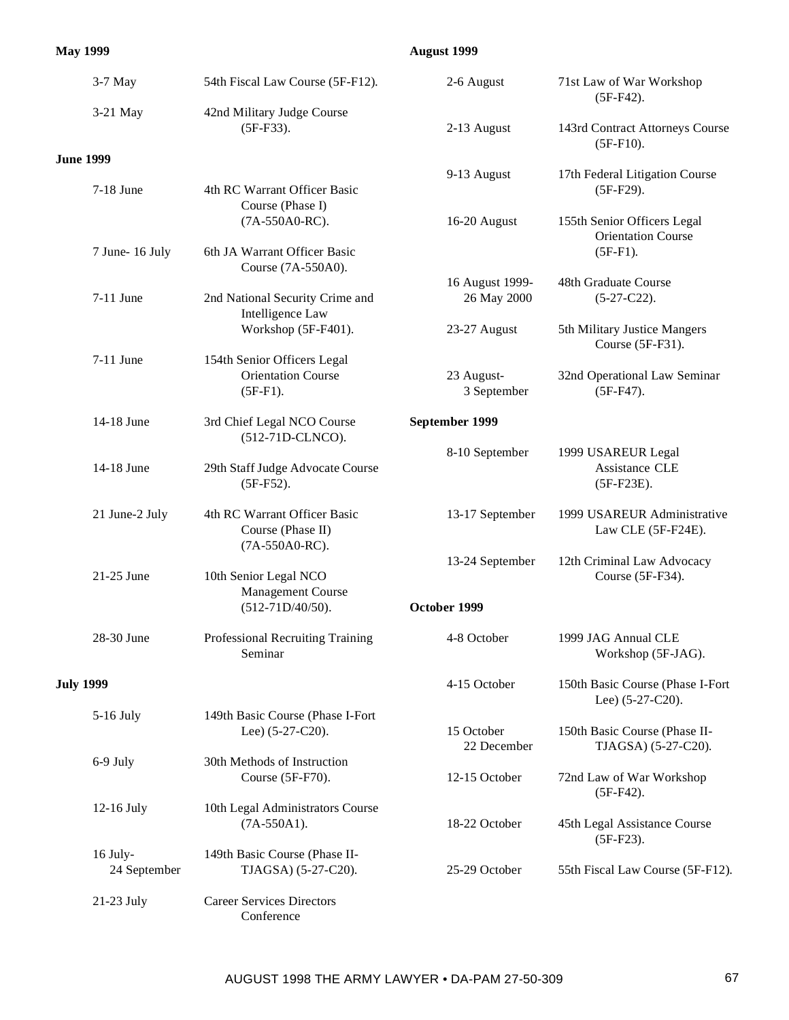## **May 1999**

## **August 1999**

|                  | 3-7 May                  | 54th Fiscal Law Course (5F-F12).                                    | 2-6 August                     | 71st Law of War Workshop<br>$(5F-F42).$                  |
|------------------|--------------------------|---------------------------------------------------------------------|--------------------------------|----------------------------------------------------------|
|                  | 3-21 May                 | 42nd Military Judge Course<br>$(5F-F33).$                           | 2-13 August                    | 143rd Contract Attorneys Course<br>$(5F-F10).$           |
| <b>June 1999</b> |                          |                                                                     |                                |                                                          |
|                  | 7-18 June                | 4th RC Warrant Officer Basic<br>Course (Phase I)                    | 9-13 August                    | 17th Federal Litigation Course<br>$(5F-F29).$            |
|                  |                          | (7A-550A0-RC).                                                      | 16-20 August                   | 155th Senior Officers Legal<br><b>Orientation Course</b> |
|                  | 7 June- 16 July          | 6th JA Warrant Officer Basic<br>Course (7A-550A0).                  |                                | $(5F-F1)$ .                                              |
|                  | 7-11 June                | 2nd National Security Crime and<br>Intelligence Law                 | 16 August 1999-<br>26 May 2000 | 48th Graduate Course<br>$(5-27-C22).$                    |
|                  |                          | Workshop (5F-F401).                                                 | 23-27 August                   | 5th Military Justice Mangers<br>Course (5F-F31).         |
|                  | 7-11 June                | 154th Senior Officers Legal                                         |                                |                                                          |
|                  |                          | <b>Orientation Course</b><br>$(5F-F1).$                             | 23 August-<br>3 September      | 32nd Operational Law Seminar<br>$(5F-F47).$              |
|                  | 14-18 June               | 3rd Chief Legal NCO Course<br>(512-71D-CLNCO).                      | September 1999                 |                                                          |
|                  | 14-18 June               | 29th Staff Judge Advocate Course<br>$(5F-F52).$                     | 8-10 September                 | 1999 USAREUR Legal<br>Assistance CLE<br>$(5F-F23E).$     |
|                  | 21 June-2 July           | 4th RC Warrant Officer Basic<br>Course (Phase II)<br>(7A-550A0-RC). | 13-17 September                | 1999 USAREUR Administrative<br>Law CLE (5F-F24E).        |
|                  | 21-25 June               | 10th Senior Legal NCO<br>Management Course                          | 13-24 September                | 12th Criminal Law Advocacy<br>Course (5F-F34).           |
|                  |                          | $(512-71D/40/50).$                                                  | October 1999                   |                                                          |
|                  | 28-30 June               | Professional Recruiting Training<br>Seminar                         | 4-8 October                    | 1999 JAG Annual CLE<br>Workshop (5F-JAG).                |
| <b>July 1999</b> |                          |                                                                     | 4-15 October                   | 150th Basic Course (Phase I-Fort<br>Lee) (5-27-C20).     |
|                  | 5-16 July                | 149th Basic Course (Phase I-Fort<br>Lee) $(5-27-C20)$ .             | 15 October<br>22 December      | 150th Basic Course (Phase II-<br>TJAGSA) (5-27-C20).     |
|                  | 6-9 July                 | 30th Methods of Instruction<br>Course (5F-F70).                     | 12-15 October                  | 72nd Law of War Workshop<br>$(5F-F42).$                  |
|                  | 12-16 July               | 10th Legal Administrators Course<br>$(7A-550A1).$                   | 18-22 October                  | 45th Legal Assistance Course<br>$(5F-F23).$              |
|                  | 16 July-<br>24 September | 149th Basic Course (Phase II-<br>TJAGSA) (5-27-C20).                | 25-29 October                  | 55th Fiscal Law Course (5F-F12).                         |
|                  | 21-23 July               | <b>Career Services Directors</b><br>Conference                      |                                |                                                          |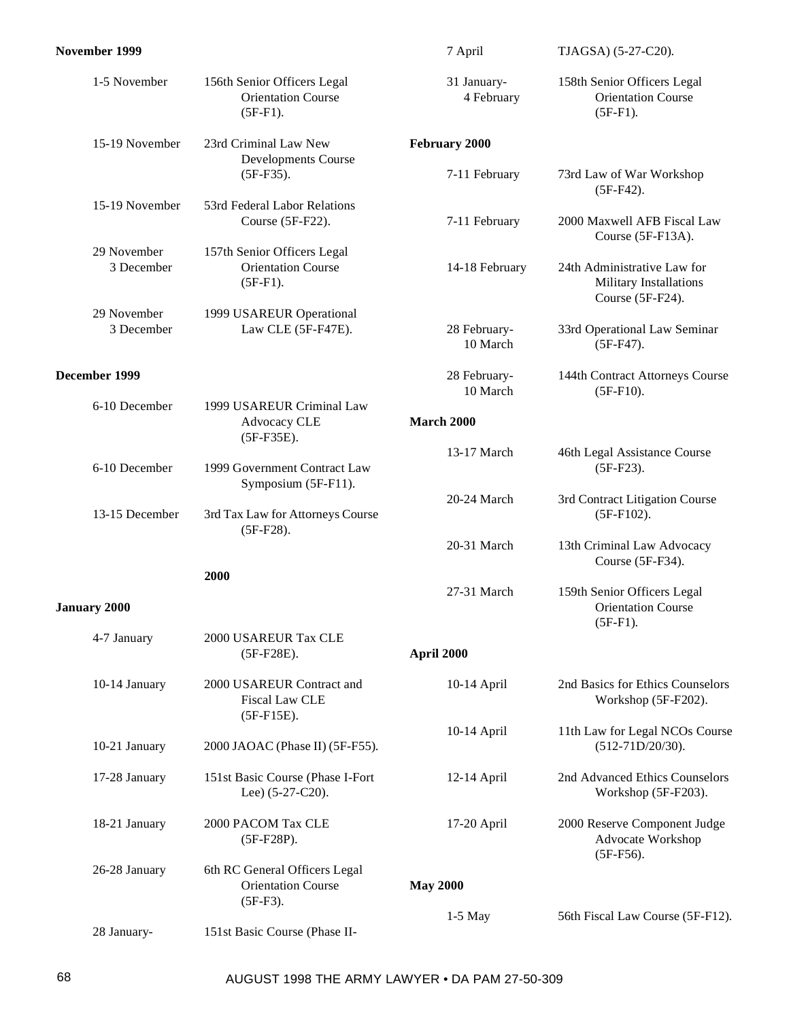| November 1999             |                                                                          | 7 April                   | TJAGSA) (5-27-C20).                                                       |
|---------------------------|--------------------------------------------------------------------------|---------------------------|---------------------------------------------------------------------------|
| 1-5 November              | 156th Senior Officers Legal<br><b>Orientation Course</b><br>$(5F-F1).$   | 31 January-<br>4 February | 158th Senior Officers Legal<br><b>Orientation Course</b><br>$(5F-F1).$    |
| 15-19 November            | 23rd Criminal Law New                                                    | February 2000             |                                                                           |
|                           | Developments Course<br>$(5F-F35).$                                       | 7-11 February             | 73rd Law of War Workshop<br>$(5F-F42).$                                   |
| 15-19 November            | 53rd Federal Labor Relations<br>Course (5F-F22).                         | 7-11 February             | 2000 Maxwell AFB Fiscal Law<br>Course (5F-F13A).                          |
| 29 November<br>3 December | 157th Senior Officers Legal<br><b>Orientation Course</b><br>$(5F-F1).$   | 14-18 February            | 24th Administrative Law for<br>Military Installations<br>Course (5F-F24). |
| 29 November<br>3 December | 1999 USAREUR Operational<br>Law CLE (5F-F47E).                           | 28 February-<br>10 March  | 33rd Operational Law Seminar<br>$(5F-F47).$                               |
| December 1999             |                                                                          | 28 February-<br>10 March  | 144th Contract Attorneys Course<br>$(5F-F10).$                            |
| 6-10 December             | 1999 USAREUR Criminal Law<br>Advocacy CLE<br>$(5F-F35E).$                | <b>March 2000</b>         |                                                                           |
| 6-10 December             | 1999 Government Contract Law<br>Symposium (5F-F11).                      | 13-17 March               | 46th Legal Assistance Course<br>$(5F-F23).$                               |
| 13-15 December            | 3rd Tax Law for Attorneys Course<br>$(5F-F28).$                          | 20-24 March               | 3rd Contract Litigation Course<br>$(5F-F102).$                            |
|                           |                                                                          | 20-31 March               | 13th Criminal Law Advocacy<br>Course (5F-F34).                            |
| <b>January 2000</b>       | 2000                                                                     | 27-31 March               | 159th Senior Officers Legal<br><b>Orientation Course</b><br>$(5F-F1).$    |
| 4-7 January               | 2000 USAREUR Tax CLE<br>$(5F-F28E).$                                     | April 2000                |                                                                           |
| 10-14 January             | 2000 USAREUR Contract and<br><b>Fiscal Law CLE</b><br>$(5F-F15E).$       | 10-14 April               | 2nd Basics for Ethics Counselors<br>Workshop (5F-F202).                   |
| 10-21 January             | 2000 JAOAC (Phase II) (5F-F55).                                          | 10-14 April               | 11th Law for Legal NCOs Course<br>$(512-71D/20/30).$                      |
| 17-28 January             | 151st Basic Course (Phase I-Fort<br>Lee) $(5-27-C20)$ .                  | 12-14 April               | 2nd Advanced Ethics Counselors<br>Workshop (5F-F203).                     |
| 18-21 January             | 2000 PACOM Tax CLE<br>$(5F-F28P).$                                       | 17-20 April               | 2000 Reserve Component Judge<br>Advocate Workshop<br>$(5F-F56).$          |
| 26-28 January             | 6th RC General Officers Legal<br><b>Orientation Course</b><br>$(5F-F3).$ | <b>May 2000</b>           |                                                                           |
| 28 January-               | 151st Basic Course (Phase II-                                            | 1-5 May                   | 56th Fiscal Law Course (5F-F12).                                          |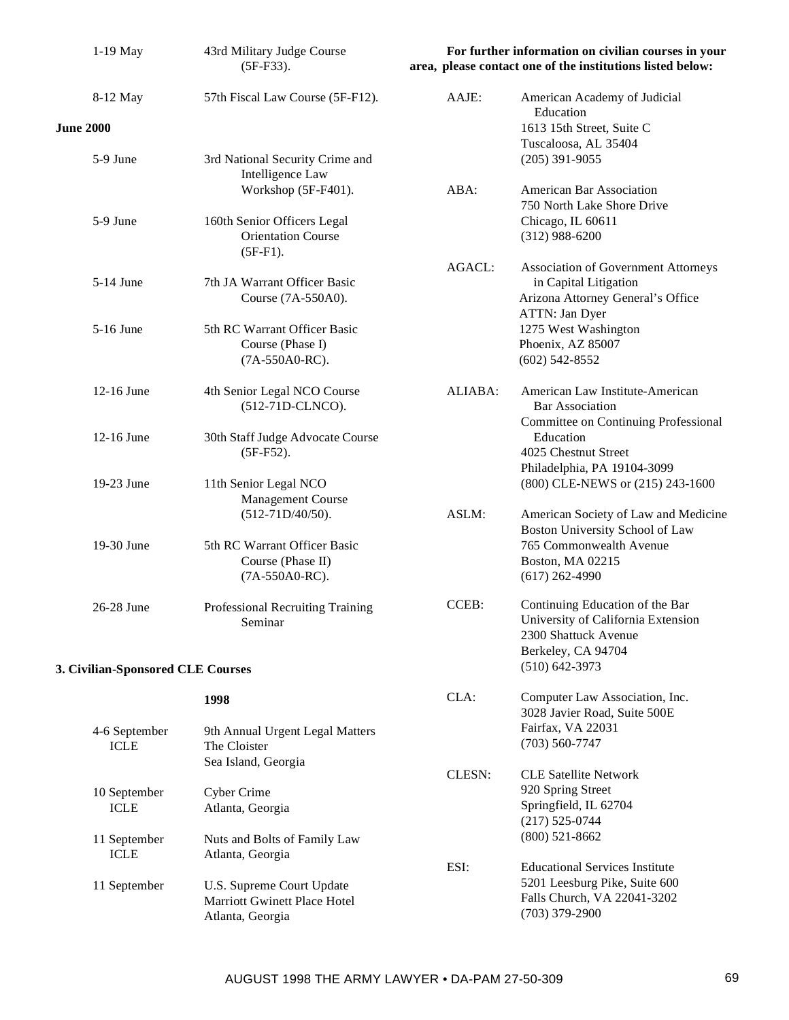| $1-19$ May                        | 43rd Military Judge Course<br>$(5F-F33).$         | For further information on civilian courses in your<br>area, please contact one of the institutions listed below: |                                                                |
|-----------------------------------|---------------------------------------------------|-------------------------------------------------------------------------------------------------------------------|----------------------------------------------------------------|
| 8-12 May                          | 57th Fiscal Law Course (5F-F12).                  | AAJE:                                                                                                             | American Academy of Judicial<br>Education                      |
| <b>June 2000</b>                  |                                                   |                                                                                                                   | 1613 15th Street, Suite C<br>Tuscaloosa, AL 35404              |
| 5-9 June                          | 3rd National Security Crime and                   |                                                                                                                   | $(205)$ 391-9055                                               |
|                                   | Intelligence Law                                  |                                                                                                                   |                                                                |
|                                   | Workshop (5F-F401).                               | ABA:                                                                                                              | American Bar Association<br>750 North Lake Shore Drive         |
| 5-9 June                          | 160th Senior Officers Legal                       |                                                                                                                   | Chicago, IL 60611                                              |
|                                   | <b>Orientation Course</b>                         |                                                                                                                   | $(312)$ 988-6200                                               |
|                                   | $(5F-F1).$                                        | <b>AGACL:</b>                                                                                                     | <b>Association of Government Attorneys</b>                     |
| 5-14 June                         | 7th JA Warrant Officer Basic                      |                                                                                                                   | in Capital Litigation                                          |
|                                   | Course (7A-550A0).                                |                                                                                                                   | Arizona Attorney General's Office                              |
| 5-16 June                         | 5th RC Warrant Officer Basic                      |                                                                                                                   | ATTN: Jan Dyer<br>1275 West Washington                         |
|                                   | Course (Phase I)                                  |                                                                                                                   | Phoenix, AZ 85007                                              |
|                                   | (7A-550A0-RC).                                    |                                                                                                                   | $(602)$ 542-8552                                               |
| 12-16 June                        | 4th Senior Legal NCO Course                       | ALIABA:                                                                                                           | American Law Institute-American                                |
|                                   | (512-71D-CLNCO).                                  |                                                                                                                   | <b>Bar Association</b>                                         |
| 12-16 June                        | 30th Staff Judge Advocate Course                  |                                                                                                                   | Committee on Continuing Professional<br>Education              |
|                                   | $(5F-F52).$                                       |                                                                                                                   | 4025 Chestnut Street                                           |
|                                   |                                                   |                                                                                                                   | Philadelphia, PA 19104-3099                                    |
| 19-23 June                        | 11th Senior Legal NCO<br>Management Course        |                                                                                                                   | (800) CLE-NEWS or (215) 243-1600                               |
|                                   | $(512-71D/40/50).$                                | ASLM:                                                                                                             | American Society of Law and Medicine                           |
|                                   |                                                   |                                                                                                                   | Boston University School of Law                                |
| 19-30 June                        | 5th RC Warrant Officer Basic<br>Course (Phase II) |                                                                                                                   | 765 Commonwealth Avenue<br>Boston, MA 02215                    |
|                                   | (7A-550A0-RC).                                    |                                                                                                                   | $(617)$ 262-4990                                               |
| 26-28 June                        | Professional Recruiting Training                  | CCEB:                                                                                                             | Continuing Education of the Bar                                |
|                                   | Seminar                                           |                                                                                                                   | University of California Extension                             |
|                                   |                                                   |                                                                                                                   | 2300 Shattuck Avenue                                           |
| 3. Civilian-Sponsored CLE Courses |                                                   |                                                                                                                   | Berkeley, CA 94704<br>$(510)$ 642-3973                         |
|                                   |                                                   |                                                                                                                   |                                                                |
|                                   | 1998                                              | CLA:                                                                                                              | Computer Law Association, Inc.<br>3028 Javier Road, Suite 500E |
| 4-6 September                     | 9th Annual Urgent Legal Matters                   |                                                                                                                   | Fairfax, VA 22031                                              |
| <b>ICLE</b>                       | The Cloister                                      |                                                                                                                   | $(703) 560 - 7747$                                             |
|                                   | Sea Island, Georgia                               | <b>CLESN:</b>                                                                                                     | <b>CLE Satellite Network</b>                                   |
| 10 September                      | Cyber Crime                                       |                                                                                                                   | 920 Spring Street                                              |
| <b>ICLE</b>                       | Atlanta, Georgia                                  |                                                                                                                   | Springfield, IL 62704                                          |
|                                   |                                                   |                                                                                                                   | $(217) 525 - 0744$                                             |
| 11 September<br><b>ICLE</b>       | Nuts and Bolts of Family Law<br>Atlanta, Georgia  |                                                                                                                   | $(800)$ 521-8662                                               |
|                                   |                                                   | ESI:                                                                                                              | <b>Educational Services Institute</b>                          |
| 11 September                      | U.S. Supreme Court Update                         |                                                                                                                   | 5201 Leesburg Pike, Suite 600                                  |
|                                   | Marriott Gwinett Place Hotel<br>Atlanta, Georgia  |                                                                                                                   | Falls Church, VA 22041-3202<br>$(703)$ 379-2900                |
|                                   |                                                   |                                                                                                                   |                                                                |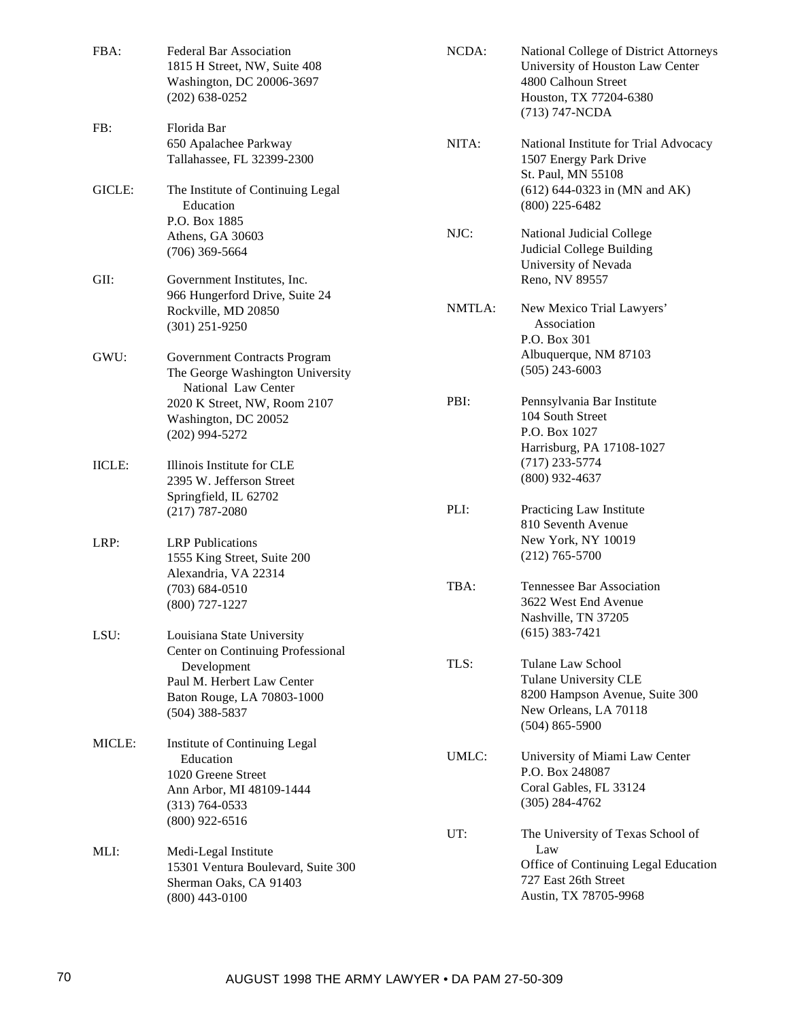| FBA:          | <b>Federal Bar Association</b><br>1815 H Street, NW, Suite 408<br>Washington, DC 20006-3697<br>$(202)$ 638-0252                        | NCDA:  | National College of District Attorneys<br>University of Houston Law Center<br>4800 Calhoun Street<br>Houston, TX 77204-6380<br>(713) 747-NCDA |
|---------------|----------------------------------------------------------------------------------------------------------------------------------------|--------|-----------------------------------------------------------------------------------------------------------------------------------------------|
| FB:           | Florida Bar<br>650 Apalachee Parkway<br>Tallahassee, FL 32399-2300                                                                     | NITA:  | National Institute for Trial Advocacy<br>1507 Energy Park Drive<br>St. Paul, MN 55108                                                         |
| GICLE:        | The Institute of Continuing Legal<br>Education<br>P.O. Box 1885                                                                        |        | $(612)$ 644-0323 in (MN and AK)<br>$(800)$ 225-6482                                                                                           |
|               | Athens, GA 30603<br>$(706)$ 369-5664                                                                                                   | NJC:   | National Judicial College<br>Judicial College Building<br>University of Nevada                                                                |
| GII:          | Government Institutes, Inc.<br>966 Hungerford Drive, Suite 24                                                                          |        | Reno, NV 89557                                                                                                                                |
|               | Rockville, MD 20850<br>$(301)$ 251-9250                                                                                                | NMTLA: | New Mexico Trial Lawyers'<br>Association<br>P.O. Box 301                                                                                      |
| GWU:          | <b>Government Contracts Program</b><br>The George Washington University<br>National Law Center                                         |        | Albuquerque, NM 87103<br>$(505)$ 243-6003                                                                                                     |
|               | 2020 K Street, NW, Room 2107<br>Washington, DC 20052<br>$(202)$ 994-5272                                                               | PBI:   | Pennsylvania Bar Institute<br>104 South Street<br>P.O. Box 1027<br>Harrisburg, PA 17108-1027                                                  |
| <b>IICLE:</b> | Illinois Institute for CLE<br>2395 W. Jefferson Street<br>Springfield, IL 62702                                                        |        | $(717)$ 233-5774<br>$(800)$ 932-4637                                                                                                          |
|               | $(217) 787 - 2080$                                                                                                                     | PLI:   | Practicing Law Institute<br>810 Seventh Avenue                                                                                                |
| LRP:          | <b>LRP</b> Publications<br>1555 King Street, Suite 200<br>Alexandria, VA 22314                                                         |        | New York, NY 10019<br>$(212)$ 765-5700                                                                                                        |
|               | $(703) 684 - 0510$<br>$(800)$ 727-1227                                                                                                 | TBA:   | Tennessee Bar Association<br>3622 West End Avenue<br>Nashville, TN 37205                                                                      |
| LSU:          | Louisiana State University<br>Center on Continuing Professional<br>Development                                                         | TLS:   | $(615)$ 383-7421<br>Tulane Law School                                                                                                         |
|               | Paul M. Herbert Law Center<br>Baton Rouge, LA 70803-1000<br>$(504)$ 388-5837                                                           |        | Tulane University CLE<br>8200 Hampson Avenue, Suite 300<br>New Orleans, LA 70118<br>$(504)$ 865-5900                                          |
| MICLE:        | Institute of Continuing Legal<br>Education<br>1020 Greene Street<br>Ann Arbor, MI 48109-1444<br>$(313) 764 - 0533$<br>$(800)$ 922-6516 | UMLC:  | University of Miami Law Center<br>P.O. Box 248087<br>Coral Gables, FL 33124<br>$(305) 284 - 4762$                                             |
| MLI:          | Medi-Legal Institute                                                                                                                   | UT:    | The University of Texas School of<br>Law                                                                                                      |
|               | 15301 Ventura Boulevard, Suite 300<br>Sherman Oaks, CA 91403<br>$(800)$ 443-0100                                                       |        | Office of Continuing Legal Education<br>727 East 26th Street<br>Austin, TX 78705-9968                                                         |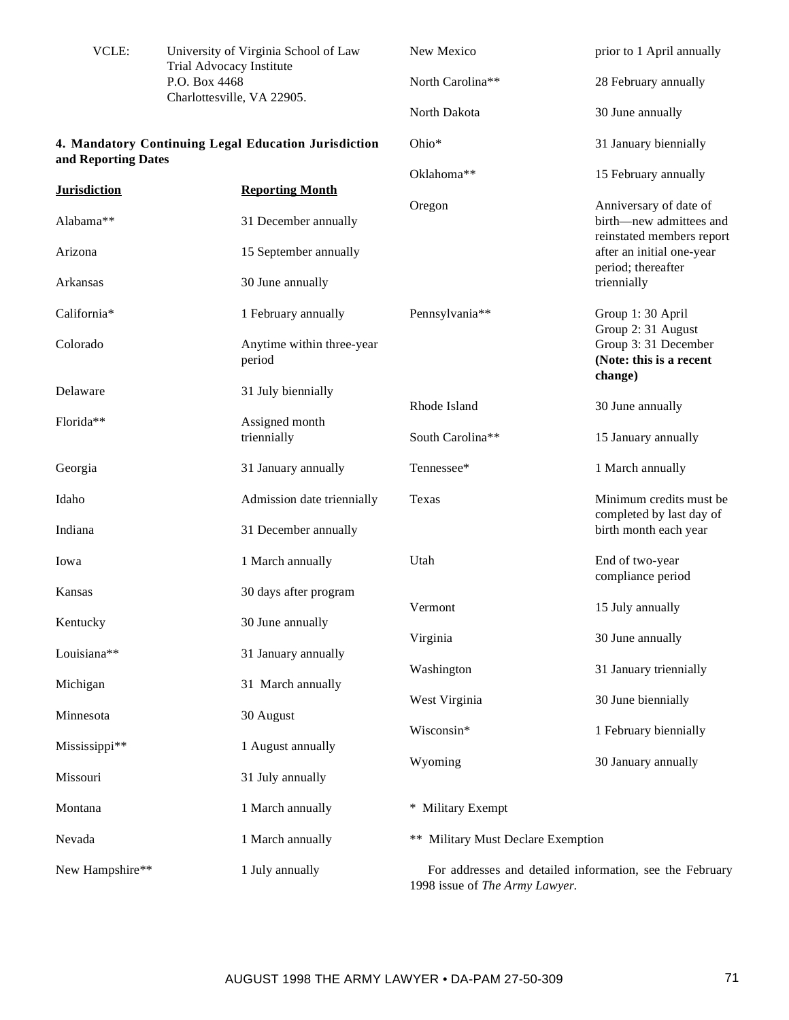| VCLE:               | University of Virginia School of Law<br>Trial Advocacy Institute | New Mexico                         | prior to 1 April annually                                  |
|---------------------|------------------------------------------------------------------|------------------------------------|------------------------------------------------------------|
|                     | P.O. Box 4468<br>Charlottesville, VA 22905.                      | North Carolina**                   | 28 February annually                                       |
|                     |                                                                  | North Dakota                       | 30 June annually                                           |
| and Reporting Dates | 4. Mandatory Continuing Legal Education Jurisdiction             | Ohio*                              | 31 January biennially                                      |
|                     | <b>Reporting Month</b>                                           | Oklahoma**                         | 15 February annually                                       |
| <b>Jurisdiction</b> |                                                                  | Oregon                             | Anniversary of date of                                     |
| Alabama**           | 31 December annually                                             |                                    | birth-new admittees and<br>reinstated members report       |
| Arizona             | 15 September annually                                            |                                    | after an initial one-year<br>period; thereafter            |
| Arkansas            | 30 June annually                                                 |                                    | triennially                                                |
| California*         | 1 February annually                                              | Pennsylvania**                     | Group 1: 30 April<br>Group 2: 31 August                    |
| Colorado            | Anytime within three-year<br>period                              |                                    | Group 3: 31 December<br>(Note: this is a recent<br>change) |
| Delaware            | 31 July biennially                                               |                                    |                                                            |
| Florida**           | Assigned month                                                   | Rhode Island                       | 30 June annually                                           |
|                     | triennially                                                      | South Carolina**                   | 15 January annually                                        |
| Georgia             | 31 January annually                                              | Tennessee*                         | 1 March annually                                           |
| Idaho               | Admission date triennially                                       | Texas                              | Minimum credits must be<br>completed by last day of        |
| Indiana             | 31 December annually                                             |                                    | birth month each year                                      |
| Iowa                | 1 March annually                                                 | Utah                               | End of two-year<br>compliance period                       |
| Kansas              | 30 days after program                                            | Vermont                            | 15 July annually                                           |
| Kentucky            | 30 June annually                                                 |                                    |                                                            |
| Louisiana**         | 31 January annually                                              | Virginia                           | 30 June annually                                           |
| Michigan            | 31 March annually                                                | Washington                         | 31 January triennially                                     |
|                     |                                                                  | West Virginia                      | 30 June biennially                                         |
| Minnesota           | 30 August                                                        | Wisconsin*                         | 1 February biennially                                      |
| Mississippi**       | 1 August annually                                                | Wyoming                            | 30 January annually                                        |
| Missouri            | 31 July annually                                                 |                                    |                                                            |
| Montana             | 1 March annually                                                 | * Military Exempt                  |                                                            |
| Nevada              | 1 March annually                                                 | ** Military Must Declare Exemption |                                                            |
| New Hampshire**     | 1 July annually                                                  | 1998 issue of The Army Lawyer.     | For addresses and detailed information, see the February   |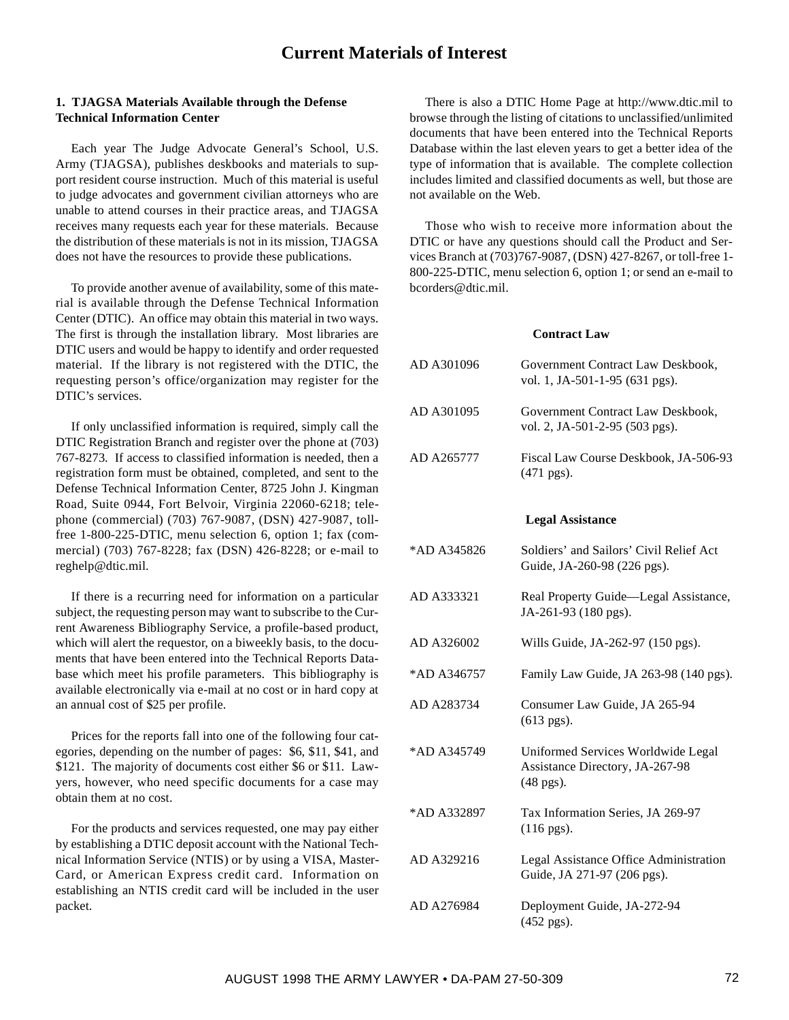## **1. TJAGSA Materials Available through the Defense Technical Information Center**

Each year The Judge Advocate General's School, U.S. Army (TJAGSA), publishes deskbooks and materials to support resident course instruction. Much of this material is useful to judge advocates and government civilian attorneys who are unable to attend courses in their practice areas, and TJAGSA receives many requests each year for these materials. Because the distribution of these materials is not in its mission, TJAGSA does not have the resources to provide these publications.

To provide another avenue of availability, some of this material is available through the Defense Technical Information Center (DTIC). An office may obtain this material in two ways. The first is through the installation library. Most libraries are DTIC users and would be happy to identify and order requested material. If the library is not registered with the DTIC, the requesting person's office/organization may register for the DTIC's services.

If only unclassified information is required, simply call the DTIC Registration Branch and register over the phone at (703) 767-8273. If access to classified information is needed, then a registration form must be obtained, completed, and sent to the Defense Technical Information Center, 8725 John J. Kingman Road, Suite 0944, Fort Belvoir, Virginia 22060-6218; telephone (commercial) (703) 767-9087, (DSN) 427-9087, tollfree 1-800-225-DTIC, menu selection 6, option 1; fax (commercial) (703) 767-8228; fax (DSN) 426-8228; or e-mail to reghelp@dtic.mil.

If there is a recurring need for information on a particular subject, the requesting person may want to subscribe to the Current Awareness Bibliography Service, a profile-based product, which will alert the requestor, on a biweekly basis, to the documents that have been entered into the Technical Reports Database which meet his profile parameters. This bibliography is available electronically via e-mail at no cost or in hard copy at an annual cost of \$25 per profile.

Prices for the reports fall into one of the following four categories, depending on the number of pages: \$6, \$11, \$41, and \$121. The majority of documents cost either \$6 or \$11. Lawyers, however, who need specific documents for a case may obtain them at no cost.

For the products and services requested, one may pay either by establishing a DTIC deposit account with the National Technical Information Service (NTIS) or by using a VISA, Master-Card, or American Express credit card. Information on establishing an NTIS credit card will be included in the user packet.

There is also a DTIC Home Page at http://www.dtic.mil to browse through the listing of citations to unclassified/unlimited documents that have been entered into the Technical Reports Database within the last eleven years to get a better idea of the type of information that is available. The complete collection includes limited and classified documents as well, but those are not available on the Web.

Those who wish to receive more information about the DTIC or have any questions should call the Product and Services Branch at (703)767-9087, (DSN) 427-8267, or toll-free 1- 800-225-DTIC, menu selection 6, option 1; or send an e-mail to bcorders@dtic.mil.

## **Contract Law**

| AD A301096  | Government Contract Law Deskbook,<br>vol. 1, JA-501-1-95 (631 pgs).                  |
|-------------|--------------------------------------------------------------------------------------|
| AD A301095  | Government Contract Law Deskbook,<br>vol. 2, JA-501-2-95 (503 pgs).                  |
| AD A265777  | Fiscal Law Course Deskbook, JA-506-93<br>$(471 \text{ pgs}).$                        |
|             | <b>Legal Assistance</b>                                                              |
| *AD A345826 | Soldiers' and Sailors' Civil Relief Act<br>Guide, JA-260-98 (226 pgs).               |
| AD A333321  | Real Property Guide-Legal Assistance,<br>JA-261-93 (180 pgs).                        |
| AD A326002  | Wills Guide, JA-262-97 (150 pgs).                                                    |
| *AD A346757 | Family Law Guide, JA 263-98 (140 pgs).                                               |
| AD A283734  | Consumer Law Guide, JA 265-94<br>$(613$ pgs).                                        |
| *AD A345749 | Uniformed Services Worldwide Legal<br>Assistance Directory, JA-267-98<br>$(48$ pgs). |
| *AD A332897 | Tax Information Series, JA 269-97<br>$(116$ pgs).                                    |
| AD A329216  | Legal Assistance Office Administration<br>Guide, JA 271-97 (206 pgs).                |
| AD A276984  | Deployment Guide, JA-272-94<br>(452 pgs).                                            |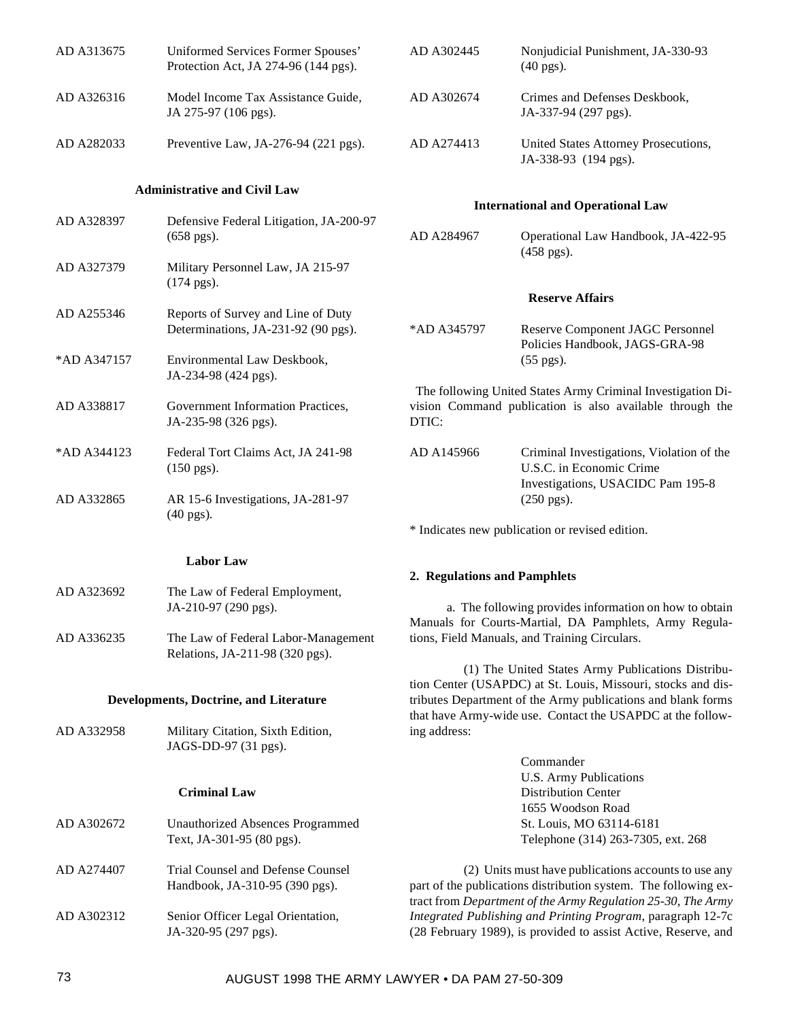| AD A313675          | Uniformed Services Former Spouses'<br>Protection Act, JA 274-96 (144 pgs). | AD A302445                                                                                                                       | Nonjudicial Punishment, JA-330-93<br>$(40 \text{ pgs})$ .                                                                                                                               |  |
|---------------------|----------------------------------------------------------------------------|----------------------------------------------------------------------------------------------------------------------------------|-----------------------------------------------------------------------------------------------------------------------------------------------------------------------------------------|--|
| AD A326316          | Model Income Tax Assistance Guide,<br>JA 275-97 (106 pgs).                 | AD A302674                                                                                                                       | Crimes and Defenses Deskbook,<br>JA-337-94 (297 pgs).                                                                                                                                   |  |
| AD A282033          | Preventive Law, JA-276-94 (221 pgs).                                       | AD A274413                                                                                                                       | United States Attorney Prosecutions,<br>JA-338-93 (194 pgs).                                                                                                                            |  |
|                     | <b>Administrative and Civil Law</b>                                        |                                                                                                                                  |                                                                                                                                                                                         |  |
| AD A328397          | Defensive Federal Litigation, JA-200-97                                    |                                                                                                                                  | <b>International and Operational Law</b>                                                                                                                                                |  |
|                     | $(658 \text{ pgs}).$                                                       | AD A284967                                                                                                                       | Operational Law Handbook, JA-422-95<br>$(458 \text{ pgs}).$                                                                                                                             |  |
| AD A327379          | Military Personnel Law, JA 215-97<br>$(174 \text{ pgs}).$                  |                                                                                                                                  |                                                                                                                                                                                         |  |
| AD A255346          | Reports of Survey and Line of Duty                                         |                                                                                                                                  | <b>Reserve Affairs</b>                                                                                                                                                                  |  |
|                     | Determinations, JA-231-92 (90 pgs).                                        | *AD A345797                                                                                                                      | <b>Reserve Component JAGC Personnel</b><br>Policies Handbook, JAGS-GRA-98                                                                                                               |  |
| *AD A347157         | Environmental Law Deskbook,<br>JA-234-98 (424 pgs).                        |                                                                                                                                  | $(55 \text{ pgs}).$                                                                                                                                                                     |  |
| AD A338817          | Government Information Practices,<br>JA-235-98 (326 pgs).                  | The following United States Army Criminal Investigation Di-<br>vision Command publication is also available through the<br>DTIC: |                                                                                                                                                                                         |  |
| *AD A344123         | Federal Tort Claims Act, JA 241-98<br>$(150 \text{ pgs}).$                 | AD A145966                                                                                                                       | Criminal Investigations, Violation of the<br>U.S.C. in Economic Crime                                                                                                                   |  |
| AD A332865          | AR 15-6 Investigations, JA-281-97<br>$(40 \text{ pgs}).$                   |                                                                                                                                  | Investigations, USACIDC Pam 195-8<br>$(250 \text{ pgs}).$                                                                                                                               |  |
|                     |                                                                            | * Indicates new publication or revised edition.                                                                                  |                                                                                                                                                                                         |  |
|                     | <b>Labor Law</b>                                                           |                                                                                                                                  |                                                                                                                                                                                         |  |
| AD A323692          | The Law of Federal Employment,                                             | 2. Regulations and Pamphlets                                                                                                     |                                                                                                                                                                                         |  |
|                     | JA-210-97 (290 pgs).                                                       |                                                                                                                                  | a. The following provides information on how to obtain                                                                                                                                  |  |
| AD A336235          | The Law of Federal Labor-Management<br>Relations, JA-211-98 (320 pgs).     | Manuals for Courts-Martial, DA Pamphlets, Army Regula-<br>tions, Field Manuals, and Training Circulars.                          |                                                                                                                                                                                         |  |
|                     |                                                                            |                                                                                                                                  | (1) The United States Army Publications Distribu-                                                                                                                                       |  |
|                     | <b>Developments, Doctrine, and Literature</b>                              | tion Center (USAPDC) at St. Louis, Missouri, stocks and dis-<br>tributes Department of the Army publications and blank forms     |                                                                                                                                                                                         |  |
| AD A332958          | Military Citation, Sixth Edition,                                          | ing address:                                                                                                                     | that have Army-wide use. Contact the USAPDC at the follow-                                                                                                                              |  |
|                     | JAGS-DD-97 (31 pgs).                                                       |                                                                                                                                  | Commander                                                                                                                                                                               |  |
|                     |                                                                            |                                                                                                                                  | <b>U.S. Army Publications</b>                                                                                                                                                           |  |
| <b>Criminal Law</b> |                                                                            |                                                                                                                                  | <b>Distribution Center</b>                                                                                                                                                              |  |
| AD A302672          | <b>Unauthorized Absences Programmed</b>                                    |                                                                                                                                  | 1655 Woodson Road<br>St. Louis, MO 63114-6181                                                                                                                                           |  |
|                     | Text, JA-301-95 (80 pgs).                                                  |                                                                                                                                  | Telephone (314) 263-7305, ext. 268                                                                                                                                                      |  |
| AD A274407          | Trial Counsel and Defense Counsel<br>Handbook, JA-310-95 (390 pgs).        |                                                                                                                                  | (2) Units must have publications accounts to use any<br>part of the publications distribution system. The following ex-<br>tract from Department of the Army Regulation 25-30, The Army |  |
| AD A302312          | Senior Officer Legal Orientation,<br>JA-320-95 (297 pgs).                  |                                                                                                                                  | Integrated Publishing and Printing Program, paragraph 12-7c<br>(28 February 1989), is provided to assist Active, Reserve, and                                                           |  |
|                     |                                                                            |                                                                                                                                  |                                                                                                                                                                                         |  |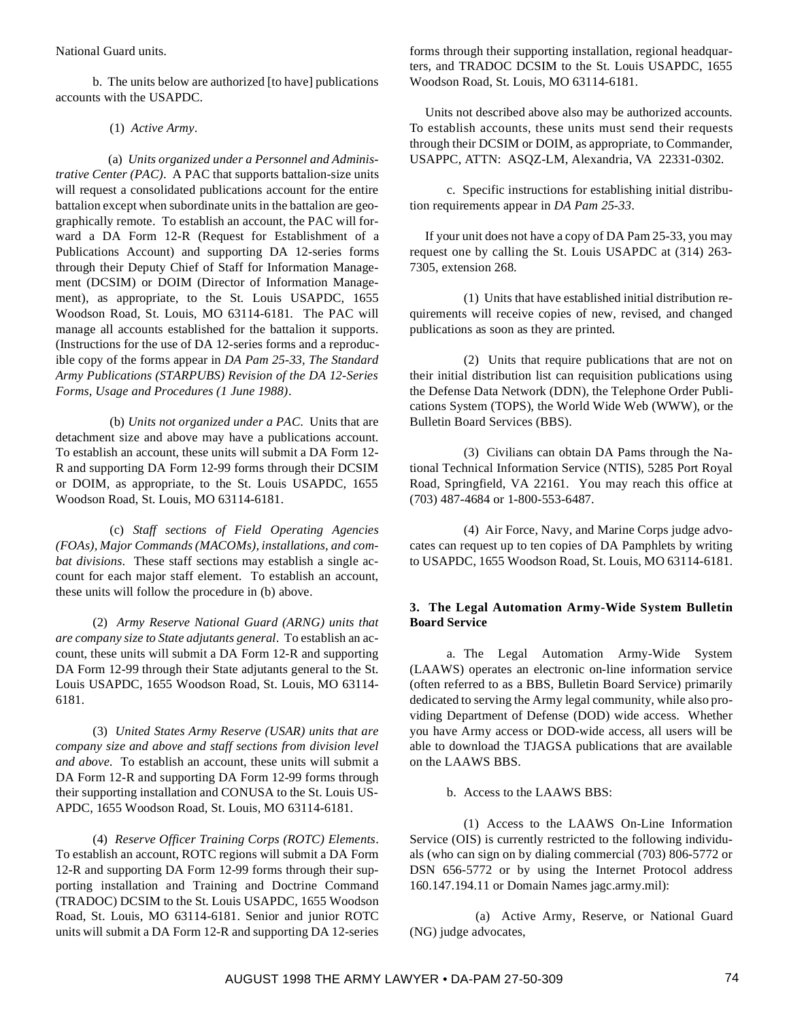National Guard units.

b. The units below are authorized [to have] publications accounts with the USAPDC.

### (1) *Active Army*.

(a) *Units organized under a Personnel and Administrative Center (PAC)*. A PAC that supports battalion-size units will request a consolidated publications account for the entire battalion except when subordinate units in the battalion are geographically remote. To establish an account, the PAC will forward a DA Form 12-R (Request for Establishment of a Publications Account) and supporting DA 12-series forms through their Deputy Chief of Staff for Information Management (DCSIM) or DOIM (Director of Information Management), as appropriate, to the St. Louis USAPDC, 1655 Woodson Road, St. Louis, MO 63114-6181. The PAC will manage all accounts established for the battalion it supports. (Instructions for the use of DA 12-series forms and a reproducible copy of the forms appear in *DA Pam 25-33, The Standard Army Publications (STARPUBS) Revision of the DA 12-Series Forms, Usage and Procedures (1 June 1988)*.

(b) *Units not organized under a PAC*. Units that are detachment size and above may have a publications account. To establish an account, these units will submit a DA Form 12- R and supporting DA Form 12-99 forms through their DCSIM or DOIM, as appropriate, to the St. Louis USAPDC, 1655 Woodson Road, St. Louis, MO 63114-6181.

(c) *Staff sections of Field Operating Agencies (FOAs), Major Commands (MACOMs), installations, and combat divisions*. These staff sections may establish a single account for each major staff element. To establish an account, these units will follow the procedure in (b) above.

(2) *Army Reserve National Guard (ARNG) units that are company size to State adjutants general*. To establish an account, these units will submit a DA Form 12-R and supporting DA Form 12-99 through their State adjutants general to the St. Louis USAPDC, 1655 Woodson Road, St. Louis, MO 63114- 6181.

(3) *United States Army Reserve (USAR) units that are company size and above and staff sections from division level and above*. To establish an account, these units will submit a DA Form 12-R and supporting DA Form 12-99 forms through their supporting installation and CONUSA to the St. Louis US-APDC, 1655 Woodson Road, St. Louis, MO 63114-6181.

(4) *Reserve Officer Training Corps (ROTC) Elements*. To establish an account, ROTC regions will submit a DA Form 12-R and supporting DA Form 12-99 forms through their supporting installation and Training and Doctrine Command (TRADOC) DCSIM to the St. Louis USAPDC, 1655 Woodson Road, St. Louis, MO 63114-6181. Senior and junior ROTC units will submit a DA Form 12-R and supporting DA 12-series forms through their supporting installation, regional headquarters, and TRADOC DCSIM to the St. Louis USAPDC, 1655 Woodson Road, St. Louis, MO 63114-6181.

Units not described above also may be authorized accounts. To establish accounts, these units must send their requests through their DCSIM or DOIM, as appropriate, to Commander, USAPPC, ATTN: ASQZ-LM, Alexandria, VA 22331-0302.

c. Specific instructions for establishing initial distribution requirements appear in *DA Pam 25-33*.

If your unit does not have a copy of DA Pam 25-33, you may request one by calling the St. Louis USAPDC at (314) 263- 7305, extension 268.

(1) Units that have established initial distribution requirements will receive copies of new, revised, and changed publications as soon as they are printed.

(2) Units that require publications that are not on their initial distribution list can requisition publications using the Defense Data Network (DDN), the Telephone Order Publications System (TOPS), the World Wide Web (WWW), or the Bulletin Board Services (BBS).

(3) Civilians can obtain DA Pams through the National Technical Information Service (NTIS), 5285 Port Royal Road, Springfield, VA 22161. You may reach this office at (703) 487-4684 or 1-800-553-6487.

(4) Air Force, Navy, and Marine Corps judge advocates can request up to ten copies of DA Pamphlets by writing to USAPDC, 1655 Woodson Road, St. Louis, MO 63114-6181.

# **3. The Legal Automation Army-Wide System Bulletin Board Service**

a. The Legal Automation Army-Wide System (LAAWS) operates an electronic on-line information service (often referred to as a BBS, Bulletin Board Service) primarily dedicated to serving the Army legal community, while also providing Department of Defense (DOD) wide access. Whether you have Army access or DOD-wide access, all users will be able to download the TJAGSA publications that are available on the LAAWS BBS.

b. Access to the LAAWS BBS:

(1) Access to the LAAWS On-Line Information Service (OIS) is currently restricted to the following individuals (who can sign on by dialing commercial (703) 806-5772 or DSN 656-5772 or by using the Internet Protocol address 160.147.194.11 or Domain Names jagc.army.mil):

(a) Active Army, Reserve, or National Guard (NG) judge advocates,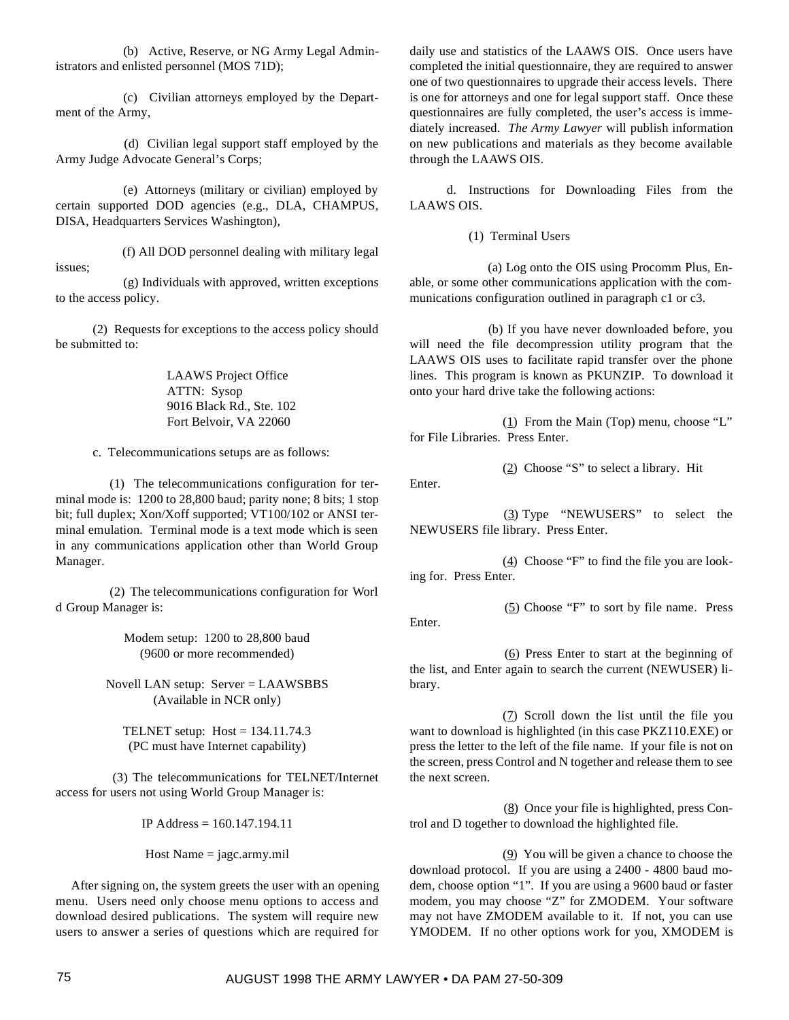(b) Active, Reserve, or NG Army Legal Administrators and enlisted personnel (MOS 71D);

(c) Civilian attorneys employed by the Department of the Army,

(d) Civilian legal support staff employed by the Army Judge Advocate General's Corps;

(e) Attorneys (military or civilian) employed by certain supported DOD agencies (e.g., DLA, CHAMPUS, DISA, Headquarters Services Washington),

(f) All DOD personnel dealing with military legal issues;

(g) Individuals with approved, written exceptions to the access policy.

(2) Requests for exceptions to the access policy should be submitted to:

> LAAWS Project Office ATTN: Sysop 9016 Black Rd., Ste. 102 Fort Belvoir, VA 22060

c. Telecommunications setups are as follows:

(1) The telecommunications configuration for terminal mode is: 1200 to 28,800 baud; parity none; 8 bits; 1 stop bit; full duplex; Xon/Xoff supported; VT100/102 or ANSI terminal emulation. Terminal mode is a text mode which is seen in any communications application other than World Group Manager.

(2) The telecommunications configuration for Worl d Group Manager is:

> Modem setup: 1200 to 28,800 baud (9600 or more recommended)

Novell LAN setup: Server = LAAWSBBS (Available in NCR only)

TELNET setup: Host = 134.11.74.3 (PC must have Internet capability)

(3) The telecommunications for TELNET/Internet access for users not using World Group Manager is:

IP Address = 160.147.194.11

Host Name = jagc.army.mil

After signing on, the system greets the user with an opening menu. Users need only choose menu options to access and download desired publications. The system will require new users to answer a series of questions which are required for

daily use and statistics of the LAAWS OIS. Once users have completed the initial questionnaire, they are required to answer one of two questionnaires to upgrade their access levels. There is one for attorneys and one for legal support staff. Once these questionnaires are fully completed, the user's access is immediately increased. *The Army Lawyer* will publish information on new publications and materials as they become available through the LAAWS OIS.

d. Instructions for Downloading Files from the LAAWS OIS.

(1) Terminal Users

(a) Log onto the OIS using Procomm Plus, Enable, or some other communications application with the communications configuration outlined in paragraph c1 or c3.

(b) If you have never downloaded before, you will need the file decompression utility program that the LAAWS OIS uses to facilitate rapid transfer over the phone lines. This program is known as PKUNZIP. To download it onto your hard drive take the following actions:

 $(1)$  From the Main (Top) menu, choose "L" for File Libraries. Press Enter.

(2) Choose "S" to select a library. Hit

Enter.

(3) Type "NEWUSERS" to select the NEWUSERS file library. Press Enter.

(4) Choose "F" to find the file you are looking for. Press Enter.

 $(5)$  Choose "F" to sort by file name. Press Enter.

 $(6)$  Press Enter to start at the beginning of the list, and Enter again to search the current (NEWUSER) library.

(7) Scroll down the list until the file you want to download is highlighted (in this case PKZ110.EXE) or press the letter to the left of the file name. If your file is not on the screen, press Control and N together and release them to see the next screen.

 $(8)$  Once your file is highlighted, press Control and D together to download the highlighted file.

(9) You will be given a chance to choose the download protocol. If you are using a 2400 - 4800 baud modem, choose option "1". If you are using a 9600 baud or faster modem, you may choose "Z" for ZMODEM. Your software may not have ZMODEM available to it. If not, you can use YMODEM. If no other options work for you, XMODEM is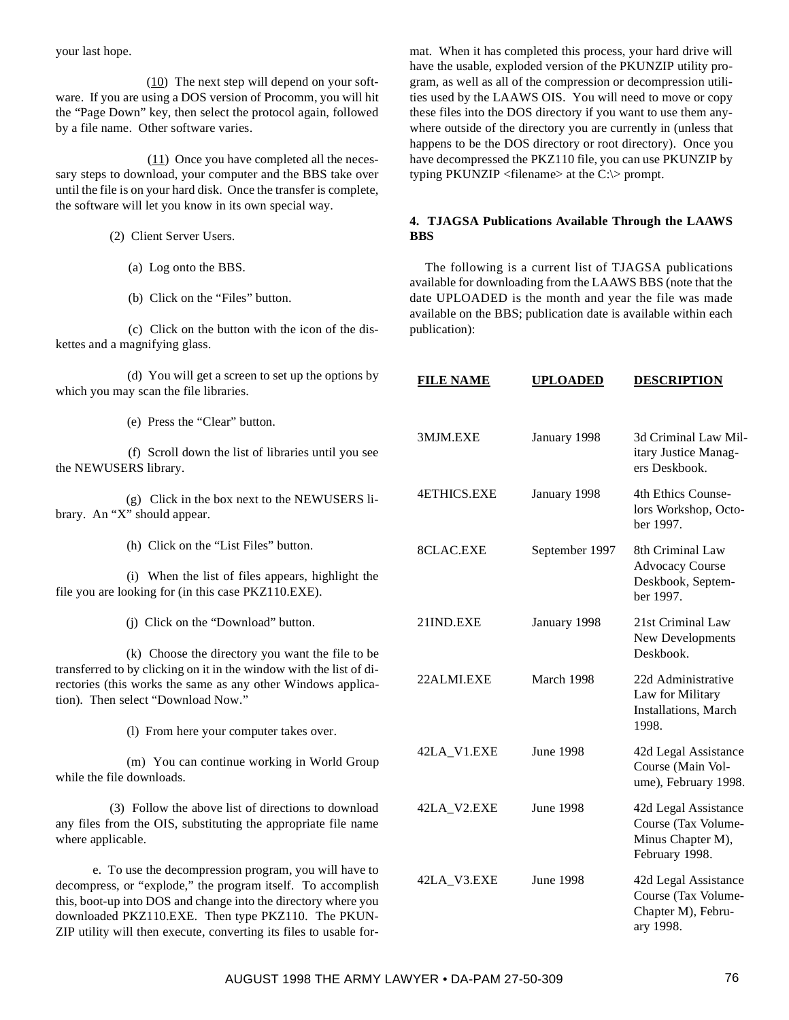your last hope.

(10) The next step will depend on your software. If you are using a DOS version of Procomm, you will hit the "Page Down" key, then select the protocol again, followed by a file name. Other software varies.

 $(11)$  Once you have completed all the necessary steps to download, your computer and the BBS take over until the file is on your hard disk. Once the transfer is complete, the software will let you know in its own special way.

(2) Client Server Users.

- (a) Log onto the BBS.
- (b) Click on the "Files" button.

(c) Click on the button with the icon of the diskettes and a magnifying glass.

(d) You will get a screen to set up the options by which you may scan the file libraries.

(e) Press the "Clear" button.

(f) Scroll down the list of libraries until you see the NEWUSERS library.

(g) Click in the box next to the NEWUSERS library. An "X" should appear.

(h) Click on the "List Files" button.

(i) When the list of files appears, highlight the file you are looking for (in this case PKZ110.EXE).

(j) Click on the "Download" button.

(k) Choose the directory you want the file to be transferred to by clicking on it in the window with the list of directories (this works the same as any other Windows application). Then select "Download Now."

(l) From here your computer takes over.

(m) You can continue working in World Group while the file downloads.

(3) Follow the above list of directions to download any files from the OIS, substituting the appropriate file name where applicable.

e. To use the decompression program, you will have to decompress, or "explode," the program itself. To accomplish this, boot-up into DOS and change into the directory where you downloaded PKZ110.EXE. Then type PKZ110. The PKUN-ZIP utility will then execute, converting its files to usable for-

mat. When it has completed this process, your hard drive will have the usable, exploded version of the PKUNZIP utility program, as well as all of the compression or decompression utilities used by the LAAWS OIS. You will need to move or copy these files into the DOS directory if you want to use them anywhere outside of the directory you are currently in (unless that happens to be the DOS directory or root directory). Once you have decompressed the PKZ110 file, you can use PKUNZIP by typing PKUNZIP <filename> at the C:\> prompt.

# **4. TJAGSA Publications Available Through the LAAWS BBS**

The following is a current list of TJAGSA publications available for downloading from the LAAWS BBS (note that the date UPLOADED is the month and year the file was made available on the BBS; publication date is available within each publication):

|        | <b>FILE NAME</b>   | <b>UPLOADED</b>  | <b>DESCRIPTION</b>                                                                 |
|--------|--------------------|------------------|------------------------------------------------------------------------------------|
|        | 3MJM.EXE           | January 1998     | 3d Criminal Law Mil-<br>itary Justice Manag-<br>ers Deskbook.                      |
|        | <b>4ETHICS.EXE</b> | January 1998     | 4th Ethics Counse-<br>lors Workshop, Octo-<br>her 1997.                            |
|        | 8CLAC.EXE          | September 1997   | 8th Criminal Law<br>Advocacy Course<br>Deskbook, Septem-<br>ber 1997.              |
|        | 21IND.EXE          | January 1998     | 21st Criminal Law<br>New Developments<br>Deskbook.                                 |
|        | 22ALMLEXE          | March 1998       | 22d Administrative<br>Law for Military<br>Installations, March<br>1998.            |
|        | 42LA_V1.EXE        | <b>June 1998</b> | 42d Legal Assistance<br>Course (Main Vol-<br>ume), February 1998.                  |
|        | 42LA_V2.EXE        | June 1998        | 42d Legal Assistance<br>Course (Tax Volume-<br>Minus Chapter M),<br>February 1998. |
| ı<br>l | 42LA_V3.EXE        | <b>June 1998</b> | 42d Legal Assistance<br>Course (Tax Volume-<br>Chapter M), Febru-<br>ary 1998.     |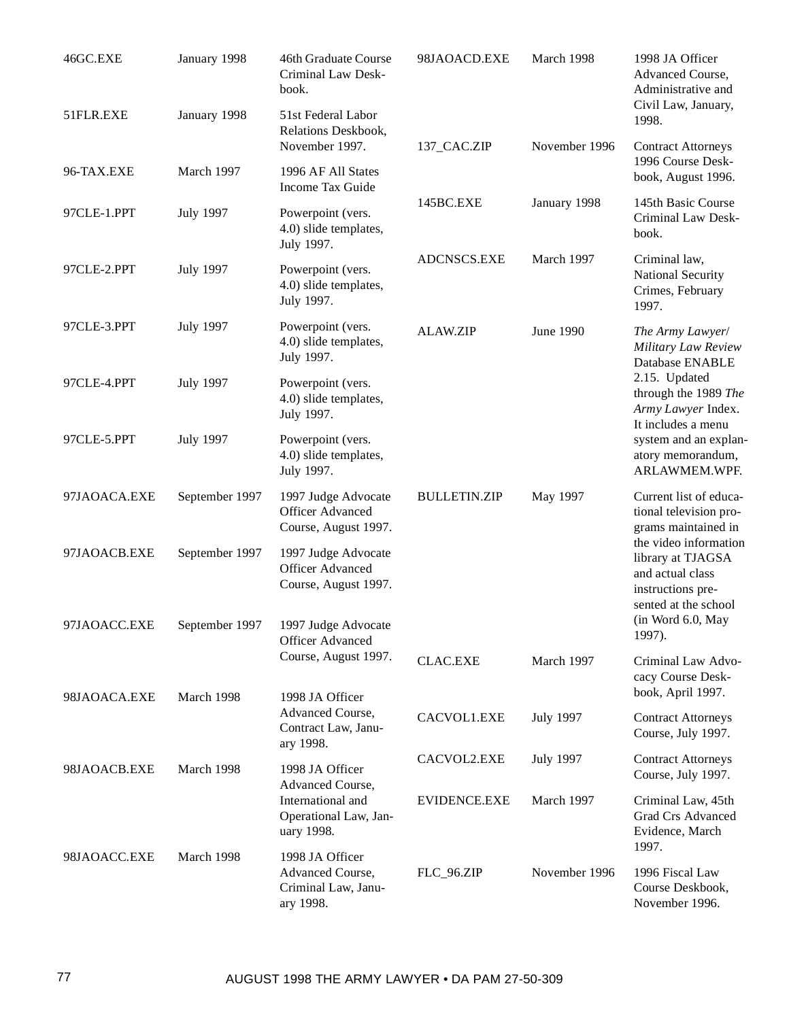| 46GC.EXE     | January 1998     | 46th Graduate Course<br>Criminal Law Desk-<br>book.                                             | 98JAOACD.EXE        | March 1998       | 1998 JA Officer<br>Advanced Course,<br>Administrative and                                                                                                                                                      |
|--------------|------------------|-------------------------------------------------------------------------------------------------|---------------------|------------------|----------------------------------------------------------------------------------------------------------------------------------------------------------------------------------------------------------------|
| 51FLR.EXE    | January 1998     | 51st Federal Labor<br>Relations Deskbook,                                                       |                     |                  | Civil Law, January,<br>1998.                                                                                                                                                                                   |
| 96-TAX.EXE   | March 1997       | November 1997.<br>1996 AF All States<br>Income Tax Guide                                        | 137_CAC.ZIP         | November 1996    | <b>Contract Attorneys</b><br>1996 Course Desk-<br>book, August 1996.                                                                                                                                           |
| 97CLE-1.PPT  | <b>July 1997</b> | Powerpoint (vers.<br>4.0) slide templates,<br>July 1997.                                        | 145BC.EXE           | January 1998     | 145th Basic Course<br>Criminal Law Desk-<br>book.                                                                                                                                                              |
| 97CLE-2.PPT  | <b>July 1997</b> | Powerpoint (vers.<br>4.0) slide templates,<br>July 1997.                                        | ADCNSCS.EXE         | March 1997       | Criminal law,<br>National Security<br>Crimes, February<br>1997.                                                                                                                                                |
| 97CLE-3.PPT  | <b>July 1997</b> | Powerpoint (vers.<br>4.0) slide templates,<br>July 1997.                                        | <b>ALAW.ZIP</b>     | <b>June 1990</b> | The Army Lawyer/<br>Military Law Review<br>Database ENABLE<br>2.15. Updated<br>through the 1989 The<br>Army Lawyer Index.<br>It includes a menu<br>system and an explan-<br>atory memorandum,<br>ARLAWMEM.WPF. |
| 97CLE-4.PPT  | <b>July 1997</b> | Powerpoint (vers.<br>4.0) slide templates,<br>July 1997.                                        |                     |                  |                                                                                                                                                                                                                |
| 97CLE-5.PPT  | <b>July 1997</b> | Powerpoint (vers.<br>4.0) slide templates,<br>July 1997.                                        |                     |                  |                                                                                                                                                                                                                |
| 97JAOACA.EXE | September 1997   | 1997 Judge Advocate<br><b>Officer Advanced</b><br>Course, August 1997.                          | <b>BULLETIN.ZIP</b> | May 1997         | Current list of educa-<br>tional television pro-<br>grams maintained in<br>the video information<br>library at TJAGSA<br>and actual class<br>instructions pre-                                                 |
| 97JAOACB.EXE | September 1997   | 1997 Judge Advocate<br><b>Officer Advanced</b><br>Course, August 1997.                          |                     |                  |                                                                                                                                                                                                                |
| 97JAOACC.EXE | September 1997   | 1997 Judge Advocate<br>Officer Advanced<br>Course, August 1997.                                 |                     |                  | sented at the school<br>(in Word 6.0, May<br>1997).                                                                                                                                                            |
|              |                  |                                                                                                 | <b>CLAC.EXE</b>     | March 1997       | Criminal Law Advo-<br>cacy Course Desk-<br>book, April 1997.                                                                                                                                                   |
| 98JAOACA.EXE | March 1998       | 1998 JA Officer<br>Advanced Course,<br>Contract Law, Janu-<br>ary 1998.                         | CACVOL1.EXE         | <b>July 1997</b> | <b>Contract Attorneys</b><br>Course, July 1997.                                                                                                                                                                |
| 98JAOACB.EXE | March 1998       | 1998 JA Officer<br>Advanced Course,<br>International and<br>Operational Law, Jan-<br>uary 1998. | CACVOL2.EXE         | <b>July 1997</b> | <b>Contract Attorneys</b><br>Course, July 1997.                                                                                                                                                                |
|              |                  |                                                                                                 | EVIDENCE.EXE        | March 1997       | Criminal Law, 45th<br><b>Grad Crs Advanced</b><br>Evidence, March<br>1997.                                                                                                                                     |
| 98JAOACC.EXE | March 1998       | 1998 JA Officer<br>Advanced Course,<br>Criminal Law, Janu-<br>ary 1998.                         | FLC_96.ZIP          | November 1996    | 1996 Fiscal Law<br>Course Deskbook,<br>November 1996.                                                                                                                                                          |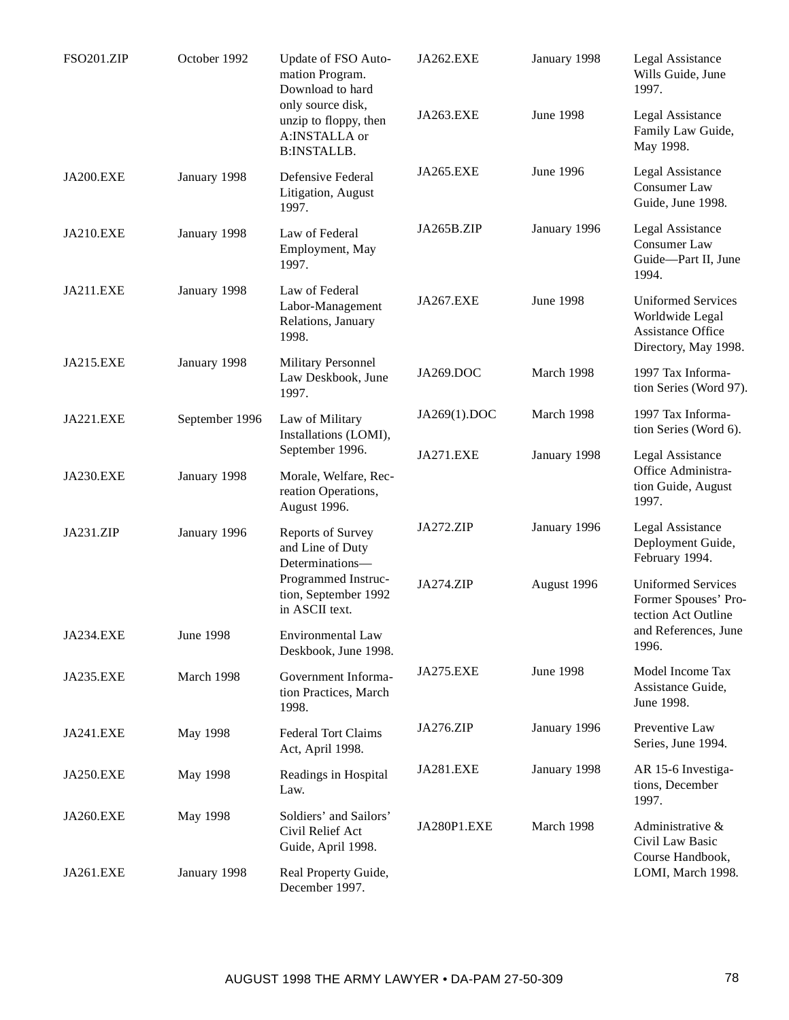| <b>FSO201.ZIP</b> | October 1992     | Update of FSO Auto-<br>mation Program.<br>Download to hard<br>only source disk,<br>unzip to floppy, then<br>A:INSTALLA or<br><b>B:INSTALLB.</b> | JA262.EXE        | January 1998     | Legal Assistance<br>Wills Guide, June<br>1997.                                            |
|-------------------|------------------|-------------------------------------------------------------------------------------------------------------------------------------------------|------------------|------------------|-------------------------------------------------------------------------------------------|
|                   |                  |                                                                                                                                                 | JA263.EXE        | <b>June 1998</b> | Legal Assistance<br>Family Law Guide,<br>May 1998.                                        |
| <b>JA200.EXE</b>  | January 1998     | Defensive Federal<br>Litigation, August<br>1997.                                                                                                | JA265.EXE        | June 1996        | Legal Assistance<br>Consumer Law<br>Guide, June 1998.                                     |
| <b>JA210.EXE</b>  | January 1998     | Law of Federal<br>Employment, May<br>1997.                                                                                                      | JA265B.ZIP       | January 1996     | Legal Assistance<br>Consumer Law<br>Guide-Part II, June<br>1994.                          |
| JA211.EXE         | January 1998     | Law of Federal<br>Labor-Management<br>Relations, January<br>1998.                                                                               | <b>JA267.EXE</b> | <b>June 1998</b> | <b>Uniformed Services</b><br>Worldwide Legal<br>Assistance Office<br>Directory, May 1998. |
| <b>JA215.EXE</b>  | January 1998     | Military Personnel<br>Law Deskbook, June<br>1997.                                                                                               | JA269.DOC        | March 1998       | 1997 Tax Informa-<br>tion Series (Word 97).                                               |
| JA221.EXE         | September 1996   | Law of Military<br>Installations (LOMI),                                                                                                        | JA269(1).DOC     | March 1998       | 1997 Tax Informa-<br>tion Series (Word 6).                                                |
| <b>JA230.EXE</b>  | January 1998     | September 1996.<br>Morale, Welfare, Rec-<br>reation Operations,<br>August 1996.                                                                 | JA271.EXE        | January 1998     | Legal Assistance<br>Office Administra-<br>tion Guide, August<br>1997.                     |
| JA231.ZIP         | January 1996     | <b>Reports of Survey</b><br>and Line of Duty<br>Determinations-                                                                                 | JA272.ZIP        | January 1996     | Legal Assistance<br>Deployment Guide,<br>February 1994.                                   |
|                   |                  | Programmed Instruc-<br>tion, September 1992<br>in ASCII text.                                                                                   | JA274.ZIP        | August 1996      | <b>Uniformed Services</b><br>Former Spouses' Pro-<br>tection Act Outline                  |
| <b>JA234.EXE</b>  | <b>June 1998</b> | Environmental Law<br>Deskbook, June 1998.                                                                                                       |                  |                  | and References, June<br>1996.                                                             |
| <b>JA235.EXE</b>  | March 1998       | Government Informa-<br>tion Practices, March<br>1998.                                                                                           | <b>JA275.EXE</b> | <b>June 1998</b> | Model Income Tax<br>Assistance Guide,<br>June 1998.                                       |
| JA241.EXE         | May 1998         | <b>Federal Tort Claims</b><br>Act, April 1998.                                                                                                  | JA276.ZIP        | January 1996     | Preventive Law<br>Series, June 1994.                                                      |
| JA250.EXE         | May 1998         | Readings in Hospital<br>Law.                                                                                                                    | JA281.EXE        | January 1998     | AR 15-6 Investiga-<br>tions, December<br>1997.                                            |
| <b>JA260.EXE</b>  | May 1998         | Soldiers' and Sailors'<br>Civil Relief Act<br>Guide, April 1998.                                                                                | JA280P1.EXE      | March 1998       | Administrative &<br>Civil Law Basic                                                       |
| JA261.EXE         | January 1998     | Real Property Guide,<br>December 1997.                                                                                                          |                  |                  | Course Handbook,<br>LOMI, March 1998.                                                     |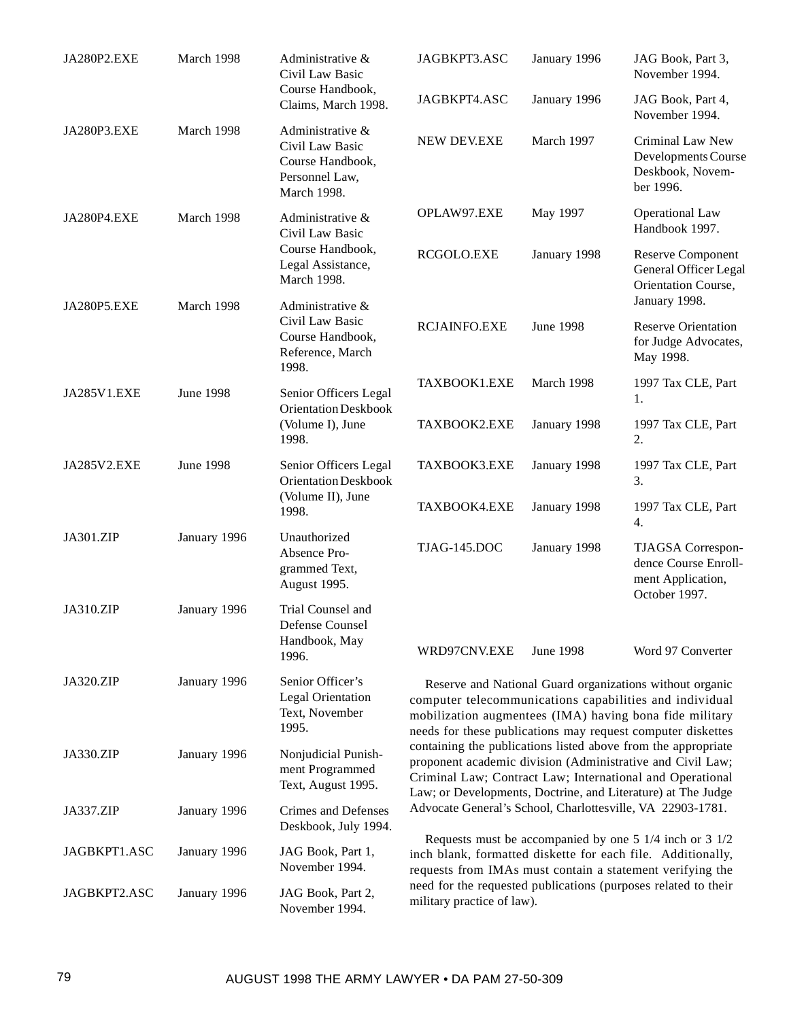| JA280P2.EXE  | March 1998       | Administrative &<br>Civil Law Basic<br>Course Handbook,<br>Claims, March 1998.              | JAGBKPT3.ASC                                                                                                                                                                                                                                                                                                                                                                                                                                                                                                                                                                                                                                                                                                                                                                                                                                                                       | January 1996     | JAG Book, Part 3,<br>November 1994.                                                |
|--------------|------------------|---------------------------------------------------------------------------------------------|------------------------------------------------------------------------------------------------------------------------------------------------------------------------------------------------------------------------------------------------------------------------------------------------------------------------------------------------------------------------------------------------------------------------------------------------------------------------------------------------------------------------------------------------------------------------------------------------------------------------------------------------------------------------------------------------------------------------------------------------------------------------------------------------------------------------------------------------------------------------------------|------------------|------------------------------------------------------------------------------------|
|              |                  |                                                                                             | JAGBKPT4.ASC                                                                                                                                                                                                                                                                                                                                                                                                                                                                                                                                                                                                                                                                                                                                                                                                                                                                       | January 1996     | JAG Book, Part 4,<br>November 1994.                                                |
| JA280P3.EXE  | March 1998       | Administrative &<br>Civil Law Basic<br>Course Handbook,<br>Personnel Law,<br>March 1998.    | <b>NEW DEV.EXE</b>                                                                                                                                                                                                                                                                                                                                                                                                                                                                                                                                                                                                                                                                                                                                                                                                                                                                 | March 1997       | Criminal Law New<br>Developments Course<br>Deskbook, Novem-<br>ber 1996.           |
| JA280P4.EXE  | March 1998       | Administrative &<br>Civil Law Basic<br>Course Handbook,<br>Legal Assistance,<br>March 1998. | OPLAW97.EXE                                                                                                                                                                                                                                                                                                                                                                                                                                                                                                                                                                                                                                                                                                                                                                                                                                                                        | May 1997         | <b>Operational Law</b><br>Handbook 1997.                                           |
|              |                  |                                                                                             | RCGOLO.EXE                                                                                                                                                                                                                                                                                                                                                                                                                                                                                                                                                                                                                                                                                                                                                                                                                                                                         | January 1998     | Reserve Component<br>General Officer Legal<br>Orientation Course,<br>January 1998. |
| JA280P5.EXE  | March 1998       | Administrative &<br>Civil Law Basic<br>Course Handbook,<br>Reference, March<br>1998.        | <b>RCJAINFO.EXE</b>                                                                                                                                                                                                                                                                                                                                                                                                                                                                                                                                                                                                                                                                                                                                                                                                                                                                | <b>June 1998</b> | <b>Reserve Orientation</b><br>for Judge Advocates,<br>May 1998.                    |
| JA285V1.EXE  | <b>June 1998</b> | Senior Officers Legal<br>Orientation Deskbook<br>(Volume I), June<br>1998.                  | TAXBOOK1.EXE                                                                                                                                                                                                                                                                                                                                                                                                                                                                                                                                                                                                                                                                                                                                                                                                                                                                       | March 1998       | 1997 Tax CLE, Part<br>1.                                                           |
|              |                  |                                                                                             | TAXBOOK2.EXE                                                                                                                                                                                                                                                                                                                                                                                                                                                                                                                                                                                                                                                                                                                                                                                                                                                                       | January 1998     | 1997 Tax CLE, Part<br>2.                                                           |
| JA285V2.EXE  | <b>June 1998</b> | Senior Officers Legal<br><b>Orientation Deskbook</b><br>(Volume II), June<br>1998.          | TAXBOOK3.EXE                                                                                                                                                                                                                                                                                                                                                                                                                                                                                                                                                                                                                                                                                                                                                                                                                                                                       | January 1998     | 1997 Tax CLE, Part<br>3.                                                           |
|              |                  |                                                                                             | TAXBOOK4.EXE                                                                                                                                                                                                                                                                                                                                                                                                                                                                                                                                                                                                                                                                                                                                                                                                                                                                       | January 1998     | 1997 Tax CLE, Part<br>4.                                                           |
| JA301.ZIP    | January 1996     | Unauthorized<br>Absence Pro-<br>grammed Text,<br>August 1995.                               | TJAG-145.DOC                                                                                                                                                                                                                                                                                                                                                                                                                                                                                                                                                                                                                                                                                                                                                                                                                                                                       | January 1998     | TJAGSA Correspon-<br>dence Course Enroll-<br>ment Application,<br>October 1997.    |
| JA310.ZIP    | January 1996     | Trial Counsel and<br>Defense Counsel<br>Handbook, May<br>1996.                              | WRD97CNV.EXE                                                                                                                                                                                                                                                                                                                                                                                                                                                                                                                                                                                                                                                                                                                                                                                                                                                                       | <b>June 1998</b> | Word 97 Converter                                                                  |
| JA320.ZIP    | January 1996     | Senior Officer's<br><b>Legal Orientation</b><br>Text, November<br>1995.                     | Reserve and National Guard organizations without organic<br>computer telecommunications capabilities and individual<br>mobilization augmentees (IMA) having bona fide military<br>needs for these publications may request computer diskettes<br>containing the publications listed above from the appropriate<br>proponent academic division (Administrative and Civil Law;<br>Criminal Law; Contract Law; International and Operational<br>Law; or Developments, Doctrine, and Literature) at The Judge<br>Advocate General's School, Charlottesville, VA 22903-1781.<br>Requests must be accompanied by one $5 \frac{1}{4}$ inch or $3 \frac{1}{2}$<br>inch blank, formatted diskette for each file. Additionally,<br>requests from IMAs must contain a statement verifying the<br>need for the requested publications (purposes related to their<br>military practice of law). |                  |                                                                                    |
| JA330.ZIP    | January 1996     | Nonjudicial Punish-<br>ment Programmed<br>Text, August 1995.                                |                                                                                                                                                                                                                                                                                                                                                                                                                                                                                                                                                                                                                                                                                                                                                                                                                                                                                    |                  |                                                                                    |
| JA337.ZIP    | January 1996     | Crimes and Defenses<br>Deskbook, July 1994.                                                 |                                                                                                                                                                                                                                                                                                                                                                                                                                                                                                                                                                                                                                                                                                                                                                                                                                                                                    |                  |                                                                                    |
| JAGBKPT1.ASC | January 1996     | JAG Book, Part 1,<br>November 1994.                                                         |                                                                                                                                                                                                                                                                                                                                                                                                                                                                                                                                                                                                                                                                                                                                                                                                                                                                                    |                  |                                                                                    |
| JAGBKPT2.ASC | January 1996     | JAG Book, Part 2,<br>November 1994.                                                         |                                                                                                                                                                                                                                                                                                                                                                                                                                                                                                                                                                                                                                                                                                                                                                                                                                                                                    |                  |                                                                                    |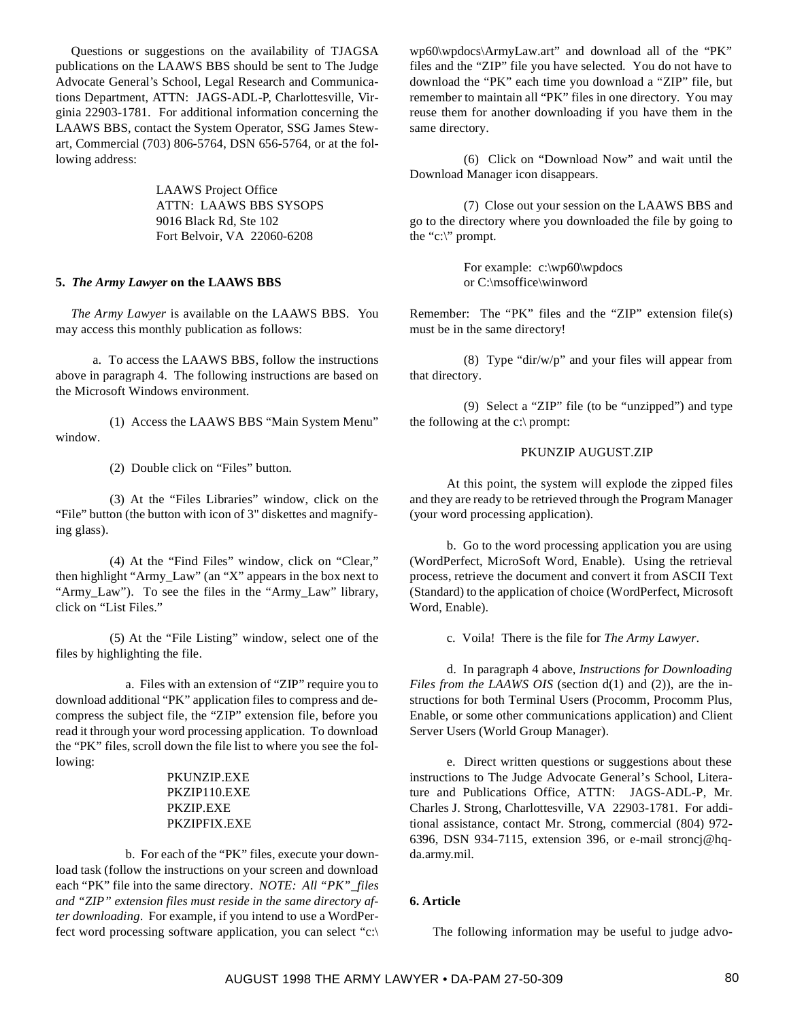Questions or suggestions on the availability of TJAGSA publications on the LAAWS BBS should be sent to The Judge Advocate General's School, Legal Research and Communications Department, ATTN: JAGS-ADL-P, Charlottesville, Virginia 22903-1781. For additional information concerning the LAAWS BBS, contact the System Operator, SSG James Stewart, Commercial (703) 806-5764, DSN 656-5764, or at the following address:

> LAAWS Project Office ATTN: LAAWS BBS SYSOPS 9016 Black Rd, Ste 102 Fort Belvoir, VA 22060-6208

## **5.** *The Army Lawyer* **on the LAAWS BBS**

*The Army Lawyer* is available on the LAAWS BBS. You may access this monthly publication as follows:

a. To access the LAAWS BBS, follow the instructions above in paragraph 4. The following instructions are based on the Microsoft Windows environment.

(1) Access the LAAWS BBS "Main System Menu" window.

(2) Double click on "Files" button.

(3) At the "Files Libraries" window, click on the "File" button (the button with icon of 3" diskettes and magnifying glass).

(4) At the "Find Files" window, click on "Clear," then highlight "Army\_Law" (an "X" appears in the box next to "Army\_Law"). To see the files in the "Army\_Law" library, click on "List Files."

(5) At the "File Listing" window, select one of the files by highlighting the file.

a. Files with an extension of "ZIP" require you to download additional "PK" application files to compress and decompress the subject file, the "ZIP" extension file, before you read it through your word processing application. To download the "PK" files, scroll down the file list to where you see the following:

# PKUNZIP.EXE PKZIP110.EXE PKZIP.EXE PKZIPFIX.EXE

b. For each of the "PK" files, execute your download task (follow the instructions on your screen and download each "PK" file into the same directory. *NOTE: All "PK"\_files and "ZIP" extension files must reside in the same directory after downloading*. For example, if you intend to use a WordPerfect word processing software application, you can select "c:\ wp60\wpdocs\ArmyLaw.art" and download all of the "PK" files and the "ZIP" file you have selected. You do not have to download the "PK" each time you download a "ZIP" file, but remember to maintain all "PK" files in one directory. You may reuse them for another downloading if you have them in the same directory.

(6) Click on "Download Now" and wait until the Download Manager icon disappears.

(7) Close out your session on the LAAWS BBS and go to the directory where you downloaded the file by going to the "c:\" prompt.

> For example: c:\wp60\wpdocs or C:\msoffice\winword

Remember: The "PK" files and the "ZIP" extension file(s) must be in the same directory!

(8) Type "dir/w/p" and your files will appear from that directory.

(9) Select a "ZIP" file (to be "unzipped") and type the following at the c:\ prompt:

## PKUNZIP AUGUST.ZIP

At this point, the system will explode the zipped files and they are ready to be retrieved through the Program Manager (your word processing application).

b. Go to the word processing application you are using (WordPerfect, MicroSoft Word, Enable). Using the retrieval process, retrieve the document and convert it from ASCII Text (Standard) to the application of choice (WordPerfect, Microsoft Word, Enable).

c. Voila! There is the file for *The Army Lawyer*.

d. In paragraph 4 above, *Instructions for Downloading Files from the LAAWS OIS* (section  $d(1)$  and (2)), are the instructions for both Terminal Users (Procomm, Procomm Plus, Enable, or some other communications application) and Client Server Users (World Group Manager).

e. Direct written questions or suggestions about these instructions to The Judge Advocate General's School, Literature and Publications Office, ATTN: JAGS-ADL-P, Mr. Charles J. Strong, Charlottesville, VA 22903-1781. For additional assistance, contact Mr. Strong, commercial (804) 972- 6396, DSN 934-7115, extension 396, or e-mail stroncj@hqda.army.mil.

### **6. Article**

The following information may be useful to judge advo-